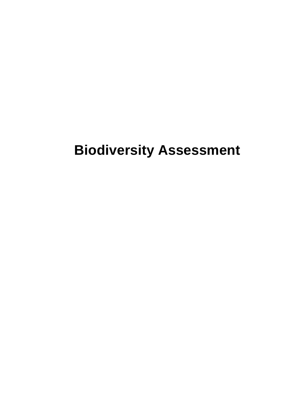# **Biodiversity Assessment**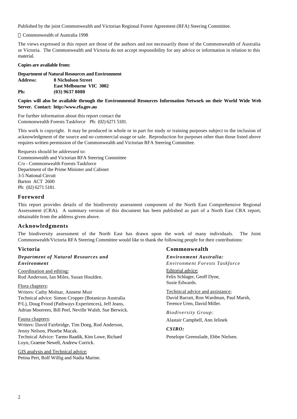Published by the joint Commonwealth and Victorian Regional Forest Agreement (RFA) Steering Committee.

Commonwealth of Australia 1998

The views expressed in this report are those of the authors and not necessarily those of the Commonwealth of Australia or Victoria. The Commonwealth and Victoria do not accept responsibility for any advice or information in relation to this material.

#### **Copies are available from:**

**Department of Natural Resources and Environment Address: 8 Nicholson Street East Melbourne VIC 3002**

**Ph: (03) 9637 8080**

#### **Copies will also be available through the Environmental Resources Information Network on their World Wide Web Server. Contact: http://www.rfa.gov.au**

For further information about this report contact the Commonwealth Forests Taskforce Ph: (02) 6271 5181.

This work is copyright. It may be produced in whole or in part for study or training purposes subject to the inclusion of acknowledgment of the source and no commercial usage or sale. Reproduction for purposes other than those listed above requires written permission of the Commonwealth and Victorian RFA Steering Committee.

Requests should be addressed to: Commonwealth and Victorian RFA Steering Committee C/o - Commonwealth Forests Taskforce Department of the Prime Minister and Cabinet 3-5 National Circuit Barton ACT 2600 Ph: (02) 6271 5181.

#### **Foreword**

This report provides details of the biodiversity assessment component of the North East Comprehensive Regional Assessment (CRA). A summary version of this document has been published as part of a North East CRA report, obtainable from the address given above.

### **Acknowledgments**

The biodiversity assessment of the North East has drawn upon the work of many individuals. The Joint Commonwealth/Victoria RFA Steering Committee would like to thank the following people for their contributions:

### **Victoria**

#### *Department of Natural Resources and Environment*

Coordination and editing: Rod Anderson, Ian Miles, Susan Houlden.

#### Flora chapters:

Writers: Cathy Molnar, Annette Muir Technical advice: Simon Cropper (Botanicus Australia P/L), Doug Frood (Pathways Experiences), Jeff Jeans, Adrian Moorrees, Bill Peel, Neville Walsh, Sue Berwick.

#### Fauna chapters:

Writers: David Fairbridge, Tim Doeg, Rod Anderson, Jenny Nelson, Phoebe Macak. Technical Advice: Tarmo Raadik, Kim Lowe, Richard Loyn, Graeme Newell, Andrew Corrick.

GIS analysis and Technical advice: Petina Pert, Rolf Willig and Nadia Marine.

### **Commonwealth**

*Environment Australia: Environment Forests Taskforce*

Editorial advice: Felix Schlager, Geoff Dyne, Susie Edwards.

Technical advice and assistance: David Barratt, Ron Wardman, Paul Marsh, Terence Uren, David Miller.

*Biodiversity Group:* Alastair Campbell, Ann Jelinek

*CSIRO:*

Penelope Greenslade, Ebbe Nielsen.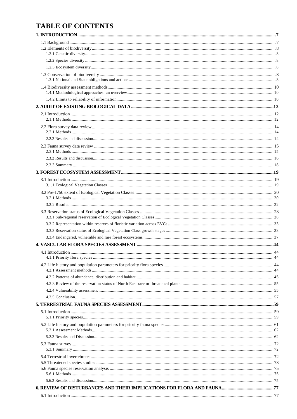# **TABLE OF CONTENTS**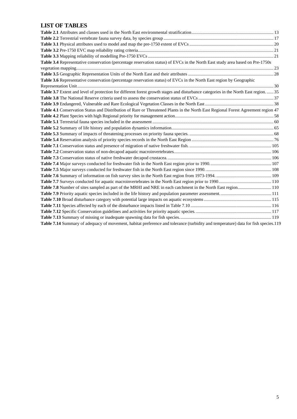# **LIST OF TABLES**

| Table 3.4 Representative conservation (percentage reservation status) of EVCs in the North East study area based on Pre-1750s        |  |
|--------------------------------------------------------------------------------------------------------------------------------------|--|
|                                                                                                                                      |  |
|                                                                                                                                      |  |
| Table 3.6 Representative conservation (percentage reservation status) of EVCs in the North East region by Geographic                 |  |
|                                                                                                                                      |  |
| Table 3.7 Extent and level of protection for different forest growth stages and disturbance categories in the North East region.  35 |  |
|                                                                                                                                      |  |
|                                                                                                                                      |  |
| Table 4.1 Conservation Status and Distribution of Rare or Threatened Plants in the North East Regional Forest Agreement region 47    |  |
|                                                                                                                                      |  |
|                                                                                                                                      |  |
|                                                                                                                                      |  |
|                                                                                                                                      |  |
|                                                                                                                                      |  |
|                                                                                                                                      |  |
|                                                                                                                                      |  |
|                                                                                                                                      |  |
|                                                                                                                                      |  |
|                                                                                                                                      |  |
|                                                                                                                                      |  |
|                                                                                                                                      |  |
| Table 7.8 Number of sites sampled as part of the MRHI and NRE in each catchment in the North East region 110                         |  |
|                                                                                                                                      |  |
|                                                                                                                                      |  |
|                                                                                                                                      |  |
|                                                                                                                                      |  |
|                                                                                                                                      |  |
| Table 7.14 Summary of adequacy of movement, habitat preference and tolerance (turbidity and temperature) data for fish species.119   |  |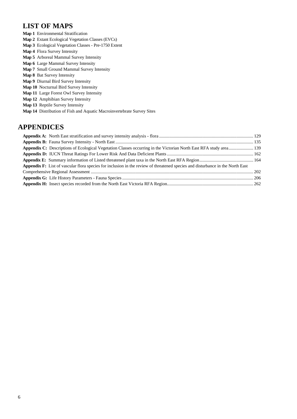# **LIST OF MAPS**

- **Map 1** Environmental Stratification
- **Map 2** Extant Ecological Vegetation Classes (EVCs)
- **Map 3** Ecological Vegetation Classes Pre-1750 Extent
- **Map 4** Flora Survey Intensity
- **Map 5** Arboreal Mammal Survey Intensity
- **Map 6** Large Mammal Survey Intensity
- **Map 7** Small Ground Mammal Survey Intensity
- **Map 8** Bat Survey Intensity
- **Map 9** Diurnal Bird Survey Intensity
- **Map 10** Nocturnal Bird Survey Intensity
- **Map 11** Large Forest Owl Survey Intensity
- **Map 12** Amphibian Survey Intensity
- **Map 13** Reptile Survey Intensity
- **Map 14** Distribution of Fish and Aquatic Macroinvertebrate Survey Sites

# **APPENDICES**

| Appendix C: Descriptions of Ecological Vegetation Classes occurring in the Victorian North East RFA study area 139                    |  |
|---------------------------------------------------------------------------------------------------------------------------------------|--|
|                                                                                                                                       |  |
|                                                                                                                                       |  |
| <b>Appendix F:</b> List of vascular flora species for inclusion in the review of threatened species and disturbance in the North East |  |
|                                                                                                                                       |  |
|                                                                                                                                       |  |
|                                                                                                                                       |  |
|                                                                                                                                       |  |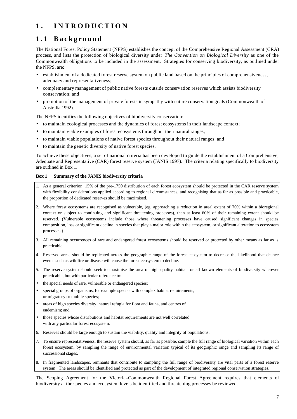# **1 . INTRODUCTION**

# **1.1 Background**

The National Forest Policy Statement (NFPS) establishes the concept of the Comprehensive Regional Assessment (CRA) process, and lists the protection of biological diversity under *The Convention on Biological Diversity* as one of the Commonwealth obligations to be included in the assessment. Strategies for conserving biodiversity, as outlined under the NFPS, are:

- establishment of a dedicated forest reserve system on public land based on the principles of comprehensiveness, adequacy and representativeness;
- complementary management of public native forests outside conservation reserves which assists biodiversity conservation; and
- promotion of the management of private forests in sympathy with nature conservation goals (Commonwealth of Australia 1992).

The NFPS identifies the following objectives of biodiversity conservation:

- to maintain ecological processes and the dynamics of forest ecosystems in their landscape context;
- to maintain viable examples of forest ecosystems throughout their natural ranges;
- to maintain viable populations of native forest species throughout their natural ranges; and
- to maintain the genetic diversity of native forest species.

To achieve these objectives, a set of national criteria has been developed to guide the establishment of a Comprehensive, Adequate and Representative (CAR) forest reserve system (JANIS 1997). The criteria relating specifically to biodiversity are outlined in Box 1.

#### **Box 1 Summary of the JANIS biodiversity criteria**

- 1. As a general criterion, 15% of the pre-1750 distribution of each forest ecosystem should be protected in the CAR reserve system with flexibility considerations applied according to regional circumstances, and recognising that as far as possible and practicable, the proportion of dedicated reserves should be maximised.
- 2. Where forest ecosystems are recognised as vulnerable, (eg. approaching a reduction in areal extent of 70% within a bioregional context or subject to continuing and significant threatening processes), then at least 60% of their remaining extent should be reserved. (Vulnerable ecosystems include those where threatening processes have caused significant changes in species composition, loss or significant decline in species that play a major role within the ecosystem, or significant alteration to ecosystem processes.)
- 3. All remaining occurrences of rare and endangered forest ecosystems should be reserved or protected by other means as far as is practicable.
- 4. Reserved areas should be replicated across the geographic range of the forest ecosystem to decrease the likelihood that chance events such as wildfire or disease will cause the forest ecosystem to decline.
- 5. The reserve system should seek to maximise the area of high quality habitat for all known elements of biodiversity wherever practicable, but with particular reference to:
- the special needs of rare, vulnerable or endangered species;
- special groups of organisms, for example species with complex habitat requirements, or migratory or mobile species;
- areas of high species diversity, natural refugia for flora and fauna, and centres of endemism; and
- those species whose distributions and habitat requirements are not well correlated with any particular forest ecosystem.
- 6. Reserves should be large enough to sustain the viability, quality and integrity of populations.
- 7. To ensure representativeness, the reserve system should, as far as possible, sample the full range of biological variation within each forest ecosystem, by sampling the range of environmental variation typical of its geographic range and sampling its range of successional stages.
- 8. In fragmented landscapes, remnants that contribute to sampling the full range of biodiversity are vital parts of a forest reserve system. The areas should be identified and protected as part of the development of integrated regional conservation strategies.

The Scoping Agreement for the Victoria–Commonwealth Regional Forest Agreement requires that elements of biodiversity at the species and ecosystem levels be identified and threatening processes be reviewed.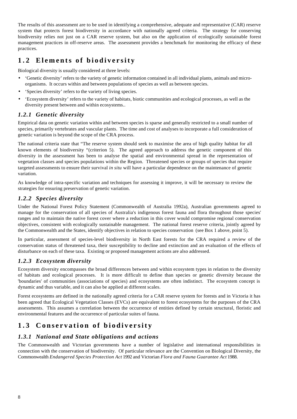The results of this assessment are to be used in identifying a comprehensive, adequate and representative (CAR) reserve system that protects forest biodiversity in accordance with nationally agreed criteria. The strategy for conserving biodiversity relies not just on a CAR reserve system, but also on the application of ecologically sustainable forest management practices in off-reserve areas. The assessment provides a benchmark for monitoring the efficacy of these practices.

# **1.2 Elements of biodiversity**

Biological diversity is usually considered at three levels:

- 'Genetic diversity' refers to the variety of genetic information contained in all individual plants, animals and microorganisms. It occurs within and between populations of species as well as between species.
- 'Species diversity' refers to the variety of living species.
- 'Ecosystem diversity' refers to the variety of habitats, biotic communities and ecological processes, as well as the diversity present between and within ecosystems..

### *1.2.1 Genetic diversity*

Empirical data on genetic variation within and between species is sparse and generally restricted to a small number of species, primarily vertebrates and vascular plants. The time and cost of analyses to incorporate a full consideration of genetic variation is beyond the scope of the CRA process.

The national criteria state that "The reserve system should seek to maximise the area of high quality habitat for all known elements of biodiversity "(criterion 5). The agreed approach to address the genetic component of this diversity in the assessment has been to analyse the spatial and environmental spread in the representation of vegetation classes and species populations within the Region. Threatened species or groups of species that require targeted assessments to ensure their survival *in situ* will have a particular dependence on the maintenance of genetic variation.

As knowledge of intra-specific variation and techniques for assessing it improve, it will be necessary to review the strategies for ensuring preservation of genetic variation.

### *1.2.2 Species diversity*

Under the National Forest Policy Statement (Commonwealth of Australia 1992a), Australian governments agreed to manage for the conservation of all species of Australia's indigenous forest fauna and flora throughout those species' ranges and to maintain the native forest cover where a reduction in this cover would compromise regional conservation objectives, consistent with ecologically sustainable management. The national forest reserve criteria, jointly agreed by the Commonwealth and the States, identify objectives in relation to species conservation (see Box 1 above, point 5).

In particular, assessment of species-level biodiversity in North East forests for the CRA required a review of the conservation status of threatened taxa, their susceptibility to decline and extinction and an evaluation of the effects of disturbance on each of these taxa. Existing or proposed management actions are also addressed.

### *1.2.3 Ecosystem diversity*

Ecosystem diversity encompasses the broad differences between and within ecosystem types in relation to the diversity of habitats and ecological processes. It is more difficult to define than species or genetic diversity because the 'boundaries' of communities (associations of species) and ecosystems are often indistinct. The ecosystem concept is dynamic and thus variable, and it can also be applied at different scales.

Forest ecosystems are defined in the nationally agreed criteria for a CAR reserve system for forests and in Victoria it has been agreed that Ecological Vegetation Classes (EVCs) are equivalent to forest ecosystems for the purposes of the CRA assessments. This assumes a correlation between the occurrence of entities defined by certain structural, floristic and environmental features and the occurrence of particular suites of fauna.

# **1.3 Conservation of biodiversity**

# *1.3.1 National and State obligations and actions*

The Commonwealth and Victorian governments have a number of legislative and international responsibilities in connection with the conservation of biodiversity. Of particular relevance are the Convention on Biological Diversity, the Commonwealth *Endangered Species Protection Act* 1992 and Victorian *Flora and Fauna Guarantee Act* 1988.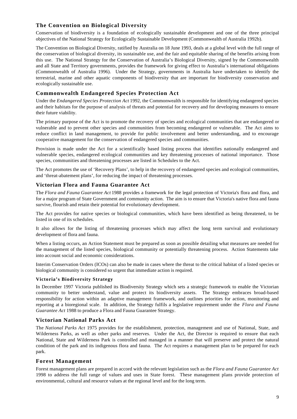# **The Convention on Biological Diversity**

Conservation of biodiversity is a foundation of ecologically sustainable development and one of the three principal objectives of the National Strategy for Ecologically Sustainable Development (Commonwealth of Australia 1992b).

The Convention on Biological Diversity, ratified by Australia on 18 June 1993, deals at a global level with the full range of the conservation of biological diversity, its sustainable use, and the fair and equitable sharing of the benefits arising from this use. The National Strategy for the Conservation of Australia's Biological Diversity, signed by the Commonwealth and all State and Territory governments, provides the framework for giving effect to Australia's international obligations (Commonwealth of Australia 1996). Under the Strategy, governments in Australia have undertaken to identify the terrestrial, marine and other aquatic components of biodiversity that are important for biodiversity conservation and ecologically sustainable use.

### **Commonwealth Endangered Species Protection Act**

Under the *Endangered Species Protection Act* 1992, the Commonwealth is responsible for identifying endangered species and their habitats for the purpose of analysis of threats and potential for recovery and for developing measures to ensure their future viability.

The primary purpose of the Act is to promote the recovery of species and ecological communities that are endangered or vulnerable and to prevent other species and communities from becoming endangered or vulnerable. The Act aims to reduce conflict in land management, to provide for public involvement and better understanding, and to encourage cooperative management for the conservation of endangered species and communities.

Provision is made under the Act for a scientifically based listing process that identifies nationally endangered and vulnerable species, endangered ecological communities and key threatening processes of national importance. Those species, communities and threatening processes are listed in Schedules to the Act.

The Act promotes the use of 'Recovery Plans', to help in the recovery of endangered species and ecological communities, and 'threat-abatement plans', for reducing the impact of threatening processes.

### **Victorian Flora and Fauna Guarantee Act**

The *Flora and Fauna Guarantee Act* 1988 provides a framework for the legal protection of Victoria's flora and flora, and for a major program of State Government and community action. The aim is to ensure that Victoria's native flora and fauna survive, flourish and retain their potential for evolutionary development.

The Act provides for native species or biological communities, which have been identified as being threatened, to be listed in one of its schedules.

It also allows for the listing of threatening processes which may affect the long term survival and evolutionary development of flora and fauna.

When a listing occurs, an Action Statement must be prepared as soon as possible detailing what measures are needed for the management of the listed species, biological community or potentially threatening process. Action Statements take into account social and economic considerations.

Interim Conservation Orders (ICOs) can also be made in cases where the threat to the critical habitat of a listed species or biological community is considered so urgent that immediate action is required.

### **Victoria's Biodiversity Strategy**

In December 1997 Victoria published its Biodiversity Strategy which sets a strategic framework to enable the Victorian community to better understand, value and protect its biodiversity assets. The Strategy embraces broad-based responsibility for action within an adaptive management framework, and outlines priorities for action, monitoring and reporting at a bioregional scale. In addition, the Strategy fulfils a legislative requirement under the *Flora and Fauna Guarantee Act* 1988 to produce a Flora and Fauna Guarantee Strategy.

### **Victorian National Parks Act**

The *National Parks Act* 1975 provides for the establishment, protection, management and use of National, State, and Wilderness Parks, as well as other parks and reserves. Under the Act, the Director is required to ensure that each National, State and Wilderness Park is controlled and managed in a manner that will preserve and protect the natural condition of the park and its indigenous flora and fauna. The Act requires a management plan to be prepared for each park.

### **Forest Management**

Forest management plans are prepared in accord with the relevant legislation such as the *Flora and Fauna Guarantee Act* 1998 to address the full range of values and uses in State forest. These management plans provide protection of environmental, cultural and resource values at the regional level and for the long term.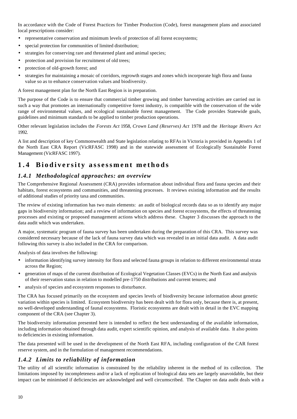In accordance with the Code of Forest Practices for Timber Production (Code), forest management plans and associated local prescriptions consider:

- representative conservation and minimum levels of protection of all forest ecosystems;
- special protection for communities of limited distribution;
- strategies for conserving rare and threatened plant and animal species;
- protection and provision for recruitment of old trees;
- protection of old-growth forest; and
- strategies for maintaining a mosaic of corridors, regrowth stages and zones which incorporate high flora and fauna value so as to enhance conservation values and biodiversity.

A forest management plan for the North East Region is in preparation.

The purpose of the Code is to ensure that commercial timber growing and timber harvesting activities are carried out in such a way that promotes an internationally competitive forest industry, is compatible with the conservation of the wide range of environmental values, and ecological sustainable forest management. The Code provides Statewide goals, guidelines and minimum standards to be applied to timber production operations.

Other relevant legislation includes the *Forests Act* 1958, *Crown Land (Reserves) Act* 1978 and the *Heritage Rivers Act* 1992*.*

A list and description of key Commonwealth and State legislation relating to RFAs in Victoria is provided in Appendix 1 of the North East CRA Report (VicRFASC 1998) and in the statewide assessment of Ecologically Sustainable Forest Management (VicRFASC 1997).

# **1.4 Biodiversity assessment methods**

### *1.4.1 Methodological approaches: an overview*

The Comprehensive Regional Assessment (CRA) provides information about individual flora and fauna species and their habitats, forest ecosystems and communities, and threatening processes. It reviews existing information and the results of additional studies of priority taxa and communities.

The review of existing information has two main elements: an audit of biological records data so as to identify any major gaps in biodiversity information; and a review of information on species and forest ecosystems, the effects of threatening processes and existing or proposed management actions which address these. Chapter 3 discusses the approach to the data audit which was undertaken.

A major, systematic program of fauna survey has been undertaken during the preparation of this CRA. This survey was considered necessary because of the lack of fauna survey data which was revealed in an initial data audit. A data audit following this survey is also included in the CRA for comparison.

Analysis of data involves the following:

- information identifying survey intensity for flora and selected fauna groups in relation to different environmental strata across the Region;
- generation of maps of the current distribution of Ecological Vegetation Classes (EVCs) in the North East and analysis of their reservation status in relation to modelled pre-1750 distributions and current tenures; and
- analysis of species and ecosystem responses to disturbance.

The CRA has focused primarily on the ecosystem and species levels of biodiversity because information about genetic variation within species is limited. Ecosystem biodiversity has been dealt with for flora only, because there is, at present, no well-developed understanding of faunal ecosystems. Floristic ecosystems are dealt with in detail in the EVC mapping component of the CRA (see Chapter 3).

The biodiversity information presented here is intended to reflect the best understanding of the available information, including information obtained through data audit, expert scientific opinion, and analysis of available data. It also points to deficiencies in existing information.

The data presented will be used in the development of the North East RFA, including configuration of the CAR forest reserve system, and in the formulation of management recommendations.

# *1.4.2 Limits to reliability of information*

The utility of all scientific information is constrained by the reliability inherent in the method of its collection. The limitations imposed by incompleteness and/or a lack of replication of biological data sets are largely unavoidable, but their impact can be minimised if deficiencies are acknowledged and well circumscribed. The Chapter on data audit deals with a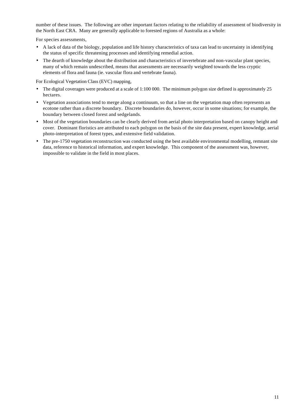number of these issues. The following are other important factors relating to the reliability of assessment of biodiversity in the North East CRA. Many are generally applicable to forested regions of Australia as a whole:

For species assessments,

- A lack of data of the biology, population and life history characteristics of taxa can lead to uncertainty in identifying the status of specific threatening processes and identifying remedial action.
- The dearth of knowledge about the distribution and characteristics of invertebrate and non-vascular plant species, many of which remain undescribed, means that assessments are necessarily weighted towards the less cryptic elements of flora and fauna (ie. vascular flora and vertebrate fauna).

For Ecological Vegetation Class (EVC) mapping,

- The digital coverages were produced at a scale of 1:100 000. The minimum polygon size defined is approximately 25 hectares.
- Vegetation associations tend to merge along a continuum, so that a line on the vegetation map often represents an ecotone rather than a discrete boundary. Discrete boundaries do, however, occur in some situations; for example, the boundary between closed forest and sedgelands.
- Most of the vegetation boundaries can be clearly derived from aerial photo interpretation based on canopy height and cover. Dominant floristics are attributed to each polygon on the basis of the site data present, expert knowledge, aerial photo-interpretation of forest types, and extensive field validation.
- The pre-1750 vegetation reconstruction was conducted using the best available environmental modelling, remnant site data, reference to historical information, and expert knowledge. This component of the assessment was, however, impossible to validate in the field in most places.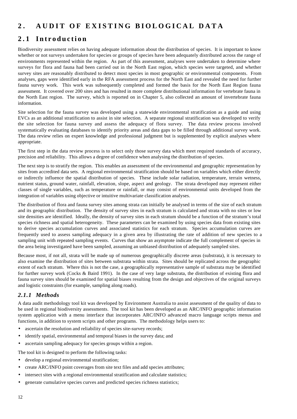# **2 . AUDIT OF EXISTING BIOLOGICAL DATA**

# **2.1 Introduction**

Biodiversity assessment relies on having adequate information about the distribution of species. It is important to know whether or not surveys undertaken for species or groups of species have been adequately distributed across the range of environments represented within the region. As part of this assessment, analyses were undertaken to determine where surveys for flora and fauna had been carried out in the North East region, which species were targeted, and whether survey sites are reasonably distributed to detect most species in most geographic or environmental components. From analyses, gaps were identified early in the RFA assessment process for the North East and revealed the need for further fauna survey work. This work was subsequently completed and formed the basis for the North East Region fauna assessment. It covered over 200 sites and has resulted in more complete distributional information for vertebrate fauna in the North East region. The survey, which is reported on in Chapter 5, also collected an amount of invertebrate fauna information.

Site selection for the fauna survey was developed using a statewide environmental stratification as a guide and using EVCs as an additional stratification to assist in site selection. A separate regional stratification was developed to verify the site selection for fauna survey and assess the adequacy of flora survey. The data review process involved systematically evaluating databases to identify priority areas and data gaps to be filled through additional survey work. The data review relies on expert knowledge and professional judgment but is supplemented by explicit analyses where appropriate.

The first step in the data review process is to select only those survey data which meet required standards of accuracy, precision and reliability. This allows a degree of confidence when analysing the distribution of species.

The next step is to stratify the region. This enables an assessment of the environmental and geographic representation by sites from accredited data sets. A regional environmental stratification should be based on variables which either directly or indirectly influence the spatial distribution of species. These include solar radiation, temperature, terrain wetness, nutrient status, ground water, rainfall, elevation, slope, aspect and geology. The strata developed may represent either classes of single variables, such as temperature or rainfall, or may consist of environmental units developed from the integration of variables using objective or intuitive multivariate classification analyses.

The distribution of flora and fauna survey sites among strata can initially be analysed in terms of the size of each stratum and its geographic distribution. The density of survey sites in each stratum is calculated and strata with no sites or low site densities are identified. Ideally, the density of survey sites in each stratum should be a function of the stratum's total species richness and spatial heterogeneity. These parameters can be examined by using species data from existing sites to derive species accumulation curves and associated statistics for each stratum. Species accumulation curves are frequently used to assess sampling adequacy in a given area by illustrating the rate of addition of new species to a sampling unit with repeated sampling events. Curves that show an asymptote indicate the full complement of species in the area being investigated have been sampled, assuming an unbiased distribution of adequately sampled sites.

Because most, if not all, strata will be made up of numerous geographically discrete areas (substrata), it is necessary to also examine the distribution of sites between substrata within strata. Sites should be replicated across the geographic extent of each stratum. Where this is not the case, a geographically representative sample of substrata may be identified for further survey work (Cocks & Baird 1991). In the case of very large substrata, the distribution of existing flora and fauna survey sites should be examined for spatial biases resulting from the design and objectives of the original surveys and logistic constraints (for example, sampling along roads).

# *2.1.1 Methods*

A data audit methodology tool kit was developed by Environment Australia to assist assessment of the quality of data to be used in regional biodiversity assessments. The tool kit has been developed as an ARC/INFO geographic information system application with a menu interface that incorporates ARC/INFO advanced macro language scripts menus and functions, in addition to system scripts and other programs. The methodology helps users to:

- ascertain the resolution and reliability of species site-survey records;
- identify spatial, environmental and temporal biases in the survey data; and
- ascertain sampling adequacy for species groups within a region.

The tool kit is designed to perform the following tasks:

- develop a regional environmental stratification;
- create ARC/INFO point coverages from site text files and add species attributes;
- intersect sites with a regional environmental stratification and calculate statistics;
- generate cumulative species curves and predicted species richness statistics;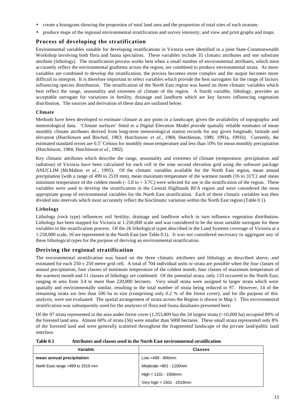- create a histogram showing the proportion of total land area and the proportion of total sites of each stratum;
- produce maps of the regional environmental stratification and survey intensity; and view and print graphs and maps.

### **Process of developing the stratification**

Environmental variables suitable for developing stratifications in Victoria were identified in a joint State-Commonwealth Workshop involving both flora and fauna specialists. These variables include 35 climatic attributes and one substrate attribute (lithology). The stratification process works best when a small number of environmental attributes, which most accurately reflect the environmental gradients across the region, are combined to produce environmental strata. As more variables are combined to develop the stratification, the process becomes more complex and the output becomes more difficult to interpret. It is therefore important to select variables which provide the best surrogates for the range of factors influencing species distribution. The stratification of the North East region was based on three climatic variables which best reflect the range, seasonality and extremes of climate of the region. A fourth variable, lithology, provides an acceptable surrogate for variations in fertility, drainage and landform which are key factors influencing vegetation distribution. The sources and derivation of these data are outlined below.

#### **Climate**

Methods have been developed to estimate climate at any point in a landscape, given the availability of topographic and meteorological data. 'Climate surfaces' fitted to a Digital Elevation Model provide spatially reliable estimates of mean monthly climate attributes derived from long-term meteorological station records for any given longitude, latitude and elevation (Hutchinson and Bischof, 1983; Hutchinson *et al*., 1984; Hutchinson, 1989, 1991a, 1991b). Currently, the estimated standard errors are 0.5° Celsius for monthly mean temperature and less than 10% for mean monthly precipitation (Hutchinson, 1984; Hutchinson *et al*., 1992).

Key climatic attributes which describe the range, seasonality and extremes of climate (temperature, precipitation and radiation) of Victoria have been calculated for each cell in the nine second elevation grid using the software package ANUCLIM (McMahon *et al*., 1995). Of the climatic variables available for the North East region, mean annual precipitation (with a range of 499 to 2519 mm), mean maximum temperature of the warmest month (16 to  $31^{\circ}$ C) and mean minimum temperature of the coldest month  $(-5.8 \text{ to } +3.7 \text{C})$  were selected for use in the stratification of the region. These variables were used to develop the stratification in the Central Highlands RFA region and were considered the most appropriate group of environmental variables for the North East stratification. Each of these climatic variables was then divided into intervals which most accurately reflect the bioclimatic variation within the North East region.(Table 0.1).

#### **Lithology**

Lithology (rock type) influences soil fertility, drainage and landform which in turn influence vegetation distribution. Lithology has been mapped for Victoria at 1:250,000 scale and was considered to be the most suitable surrogate for these variables in the stratification process. Of the 26 lithological types described in the Land Systems coverage of Victoria at a 1:250,000 scale, 10 are represented in the North East (see Table 0.1). It was not considered necessary to aggregate any of these lithological types for the purpose of deriving an environmental stratification.

### **Deriving the regional stratification**

The environmental stratification was based on the three climatic attributes and lithology as described above, and estimated for each 250 x 250 metre grid cell. A total of 704 individual units or strata are possible when the four classes of annual precipitation, four classes of minimum temperature of the coldest month, four classes of maximum temperature of the warmest month and 11 classes of lithology are combined. Of the potential strata, only 133 occurred in the North East, ranging in area from 3.4 to more than 220,000 hectares. Very small strata were assigned to larger strata which were spatially and environmentally similar, resulting in the total number of strata being reduced to 97. However, 14 of the remaining strata are less than 500 ha in size (comprising only 0.2 % of the forest cover), and for the purpose of this analysis, were not evaluated. The spatial arrangement of strata across the Region is shown in Map 1. This environmental stratification was subsequently used for the analyses of flora and fauna databases presented here.

Of the 97 strata represented in the area under forest cover (1,353,809 ha) the 34 largest strata (>10,000 ha) occupied 89% of the forested land area. Almost 60% of strata (56) were smaller than 5000 hectares. These small strata represented only 8% of the forested land and were generally scattered throughout the fragmented landscape of the private land/public land interface.

| Table 0.1 | Attributes and classes used in the North East environmental stratification |
|-----------|----------------------------------------------------------------------------|
|-----------|----------------------------------------------------------------------------|

| Variable                         | <b>Classes</b>               |
|----------------------------------|------------------------------|
| mean annual precipitation        | Low =499 - 800mm             |
| North East range =499 to 2519 mm | Moderate $=801 - 1100$ mm    |
|                                  | High = $1101 - 1500$ mm      |
|                                  | Very high = $1501 - 2519$ mm |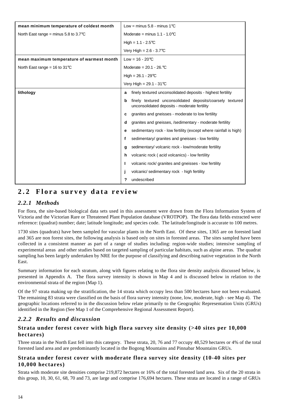| mean minimum temperature of coldest month       | Low = minus $5.8$ - minus $1^{\circ}$ C                                                                        |  |  |
|-------------------------------------------------|----------------------------------------------------------------------------------------------------------------|--|--|
| North East range = minus 5.8 to 3.7 $\degree$ C | Moderate = minus $1.1 - 1.0$ °C                                                                                |  |  |
|                                                 | High = $1.1 - 2.5^{\circ}C$                                                                                    |  |  |
|                                                 | Very High = $2.6 - 3.7$ °C                                                                                     |  |  |
| mean maximum temperature of warmest month       | Low = $16 - 20^{\circ}$ C                                                                                      |  |  |
| North East range = 16 to $31^{\circ}$ C         | Moderate = $20.1 - 26.$ °C                                                                                     |  |  |
|                                                 | High = $26.1 - 29^{\circ}C$                                                                                    |  |  |
|                                                 | Very High = $29.1 - 31^{\circ}C$                                                                               |  |  |
| lithology                                       | finely textured unconsolidated deposits - highest fertility<br>a                                               |  |  |
|                                                 | finely textured unconsolidated deposits/coarsely textured<br>b<br>unconsolidated deposits - moderate fertility |  |  |
|                                                 | granites and gneisses - moderate to low fertility<br>c                                                         |  |  |
|                                                 | granites and gneisses, /sedimentary - moderate fertility<br>d                                                  |  |  |
|                                                 | sedimentary rock - low fertility (except where rainfall is high)<br>е                                          |  |  |
|                                                 | sedimentary/ granites and gneisses - low fertility<br>f                                                        |  |  |
|                                                 | sedimentary/volcanic rock - low/moderate fertility<br>g                                                        |  |  |
|                                                 | volcanic rock (acid volcanics) - low fertility<br>h                                                            |  |  |
|                                                 | volcanic rock/ granites and gneisses - low fertility                                                           |  |  |
|                                                 | volcanic/sedimentary rock - high fertility                                                                     |  |  |
|                                                 | undescribed<br>?                                                                                               |  |  |

# **2.2 Flora survey data review**

# *2.2.1 Methods*

For flora, the site-based biological data sets used in this assessment were drawn from the Flora Information System of Victoria and the Victorian Rare or Threatened Plant Population database (VROTPOP). The flora data fields extracted were reference: (quadrat) number; date; latitude longitude; and species code. The latitude/longitude is accurate to 100 metres.

1730 sites (quadrats) have been sampled for vascular plants in the North East. Of these sites, 1365 are on forested land and 365 are non forest sites, the following analysis is based only on sites in forested areas. The sites sampled have been collected in a consistent manner as part of a range of studies including: region-wide studies; intensive sampling of experimental areas and other studies based on targeted sampling of particular habitats, such as alpine areas. The quadrat sampling has been largely undertaken by NRE for the purpose of classifying and describing native vegetation in the North East.

Summary information for each stratum, along with figures relating to the flora site density analysis discussed below, is presented in Appendix A. The flora survey intensity is shown in Map 4 and is discussed below in relation to the environmental strata of the region (Map 1).

Of the 97 strata making up the stratification, the 14 strata which occupy less than 500 hectares have not been evaluated. The remaining 83 strata were classified on the basis of flora survey intensity (none, low, moderate, high - see Map 4). The geographic locations referred to in the discussion below relate primarily to the Geographic Representation Units (GRUs) identified in the Region (See Map 1 of the Comprehensive Regional Assessment Report).

# *2.2.2 Results and discussion*

# **Strata under forest cover with high flora survey site density (>40 sites per 10,000 hectares)**

Three strata in the North East fell into this category. These strata, 20, 76 and 77 occupy 48,529 hectares or 4% of the total forested land area and are predominantly located in the Bogong Mountains and Pinnabar Mountains GRUs.

### **Strata under forest cover with moderate flora survey site density (10-40 sites per 10,000 hectares)**

Strata with moderate site densities comprise 219,872 hectares or 16% of the total forested land area. Six of the 20 strata in this group, 10, 30, 61, 68, 70 and 73, are large and comprise 176,694 hectares. These strata are located in a range of GRUs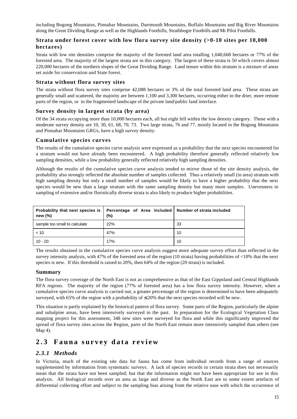including Bogong Mountains, Pinnabar Mountains, Dartmouth Mountains, Buffalo Mountains and Big River Mountains along the Great Dividing Range as well as the Highlands Foothills, Strathbogie Foothills and Mt Pilot Foothills.

### **Strata under forest cover with low flora survey site density (>0-10 sites per 10,000 hectares)**

Strata with low site densities comprise the majority of the forested land area totalling 1,040,668 hectares or 77% of the forested area. The majority of the largest strata are in this category. The largest of these strata is 50 which covers almost 220,000 hectares of the northern slopes of the Great Dividing Range. Land tenure within this stratum is a mixture of areas set aside for conservation and State forest.

### **Strata without flora survey sites**

The strata without flora survey sites comprise 42,088 hectares or 3% of the total forested land area. These strata are generally small and scattered, the majority are between 1,100 and 3,300 hectares, occurring either in the drier, more remote parts of the region, or in the fragmented landscape of the private land/public land interface.

### **Survey density in largest strata (by area)**

Of the 34 strata occupying more than 10,000 hectares each, all but eight fell within the low density category. Those with a moderate survey density are 10, 30, 61, 68, 70, 73. Two large strata, 76 and 77, mostly located in the Bogong Mountains and Pinnabar Mountains GRUs, have a high survey density.

### **Cumulative species curves**

The results of the cumulative species curve analysis were expressed as a probability that the next species encountered for a stratum would not have already been encountered. A high probability therefore generally reflected relatively low sampling densities, while a low probability generally reflected relatively high sampling densities.

Although the results of the cumulative species curve analysis tended to mirror those of the site density analysis, the probability also strongly reflected the absolute number of samples collected. Thus a relatively small (in area) stratum with high sampling density but only a small number of samples would be likely to have a higher probability that the next species would be new than a large stratum with the same sampling density but many more samples. Unevenness in sampling of extensive and/or floristically diverse strata is also likely to produce higher probabilities.

| new $(\%)$                    | Probability that next species is   Percentage of Area included   Number of strata included<br>(%) |    |
|-------------------------------|---------------------------------------------------------------------------------------------------|----|
| sample too small to calculate | 22%                                                                                               | 33 |
| < 10                          | 47%                                                                                               | 10 |
| $10 - 20$                     | 17%                                                                                               | 10 |

The results obtained in the cumulative species curve analysis suggest more adequate survey effort than reflected in the survey intensity analysis, with 47% of the forested area of the region (10 strata) having probabilities of <10% that the next species is new. If this threshold is raised to 20%, then 64% of the region (20 strata) is included.

### **Summary**

The flora survey coverage of the North East is not as comprehensive as that of the East Gippsland and Central Highlands RFA regions. The majority of the region (77% of forested area) has a low flora survey intensity. However, when a cumulative species curve analysis is carried out, a greater percentage of the region is determined to have been adequately surveyed, with 65% of the region with a probability of  $\leq$  20% that the next species recorded will be new.

This situation is partly explained by the historical pattern of flora survey. Some parts of the Region, particularly the alpine and subalpine areas, have been intensively surveyed in the past. In preparation for the Ecological Vegetation Class mapping project for this assessment, 348 new sites were surveyed for flora and while this significantly improved the spread of flora survey sites across the Region, parts of the North East remain more intensively sampled than others (see Map 4).

# **2.3 Fauna survey data review**

### *2.3.1 Methods*

In Victoria, much of the existing site data for fauna has come from individual records from a range of sources supplemented by information from systematic surveys. A lack of species records in certain strata does not necessarily mean that the strata have not been sampled; but that the information might not have been appropriate for use in this analysis. All biological records over an area as large and diverse as the North East are to some extent artefacts of differential collecting effort and subject to the sampling bias arising from the relative ease with which the occurrence of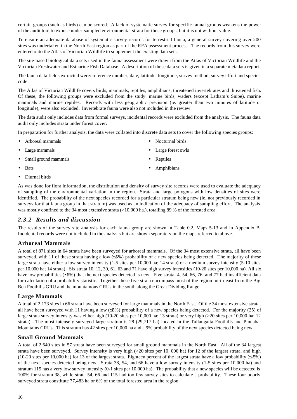certain groups (such as birds) can be scored. A lack of systematic survey for specific faunal groups weakens the power of the audit tool to expose under-sampled environmental strata for those groups, but it is not without value.

To ensure an adequate database of systematic survey records for terrestrial fauna, a general survey covering over 200 sites was undertaken in the North East region as part of the RFA assessment process. The records from this survey were entered onto the Atlas of Victorian Wildlife to supplement the existing data sets.

The site-based biological data sets used in the fauna assessment were drawn from the Atlas of Victorian Wildlife and the Victorian Freshwater and Estuarine Fish Database. A description of these data sets is given in a separate metadata report.

The fauna data fields extracted were: reference number, date, latitude, longitude, survey method, survey effort and species code.

The Atlas of Victorian Wildlife covers birds, mammals, reptiles, amphibians, threatened invertebrates and threatened fish. Of these, the following groups were excluded from the study: marine birds, waders (except Latham's Snipe), marine mammals and marine reptiles. Records with less geographic precision (ie. greater than two minutes of latitude or longitude), were also excluded. Invertebrate fauna were also not included in the review.

The data audit only includes data from formal surveys, incidental records were excluded from the analysis. The fauna data audit only includes strata under forest cover.

In preparation for further analysis, the data were collated into discrete data sets to cover the following species groups:

- Arboreal mammals
- Large mammals
- Small ground mammals

**Reptiles** 

• Nocturnal birds Large forest owls

• Amphibians

• Diurnal birds

**Bats** 

As was done for flora information, the distribution and density of survey site records were used to evaluate the adequacy of sampling of the environmental variation in the region. Strata and large polygons with low densities of sites were identified. The probability of the next species recorded for a particular stratum being new (ie. not previously recorded in surveys for that fauna group in that stratum) was used as an indication of the adequacy of sampling effort. The analysis was mostly confined to the 34 most extensive strata (>10,000 ha.), totalling 89 % of the forested area.

### *2.3.2 Results and discussion*

The results of the survey site analysis for each fauna group are shown in Table 0.2, Maps 5-13 and in Appendix B. Incidental records were not included in the analysis but are shown separately on the maps referred to above.

#### **Arboreal Mammals**

A total of 871 sites in 64 strata have been surveyed for arboreal mammals. Of the 34 most extensive strata, all have been surveyed, with 11 of these strata having a low (≤5%) probability of a new species being detected. The majority of these large strata have either a low survey intensity (1-5 sites per 10,000 ha; 14 strata) or a medium survey intensity (5-10 sites per 10,000 ha; 14 strata). Six strata 10, 12, 30, 61, 63 and 71 have high survey intensities (10-20 sites per 10,000 ha). All six have low probabilities (≤5%) that the next species detected is new. Five strata, 4, 54, 66, 76, and 77 had insufficient data for calculation of a probability statistic. Together these five strata encompass most of the region north-east from the Big Ben Foothills GRU and the mountainous GRUs in the south along the Great Dividing Range.

### **Large Mammals**

A total of 2,173 sites in 66 strata have been surveyed for large mammals in the North East. Of the 34 most extensive strata, all have been surveyed with 11 having a low ( $\leq 5\%$ ) probability of a new species being detected. For the majority (25) of large strata survey intensity was either high (10-20 sites per 10,000 ha; 13 strata) or very high (>20 sites per 10,000 ha; 12 strata). The most intensely surveyed large stratum is 28 (29,717 ha) located in the Tallangatta Foothills and Pinnabar Mountains GRUs. This stratum has 42 sites per 10,000 ha and a 9% probability of the next species detected being new.

#### **Small Ground Mammals**

A total of 2,640 sites in 57 strata have been surveyed for small ground mammals in the North East. All of the 34 largest strata have been surveyed. Survey intensity is very high (>20 sites per 10, 000 ha) for 12 of the largest strata, and high (10-20 sites per 10,000 ha) for 13 of the largest strata. Eighteen percent of the largest strata have a low probability ( $\leq 5\%$ ) of the next species detected being new. Strata 38, 54, and 66 have a low survey intensity (1-5 sites per 10,000 ha) and stratum 115 has a very low survey intensity (0-1 sites per 10,000 ha). The probability that a new species will be detected is 100% for stratum 38, while strata 54, 66 and 115 had too few survey sites to calculate a probability. These four poorly surveyed strata constitute 77,483 ha or 6% of the total forested area in the region.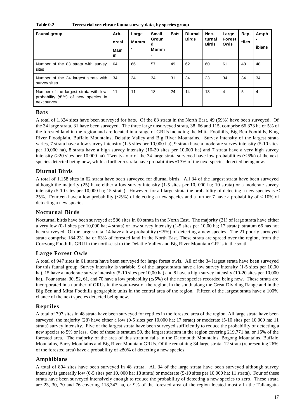**Table 0.2 Terrestrial vertebrate fauna surve y data, by species group**

| <b>Faunal group</b>                                                                         | Arb-<br>oreal<br>Mam<br>m | Large<br>Mamm<br>۰. | <b>Small</b><br>Groun<br>d<br>Mamm | <b>Bats</b> | <b>Diurnal</b><br><b>Birds</b> | Noc-<br>turnal<br><b>Birds</b> | Large<br>Forest<br>Owls | Rep-<br>tiles | Amph<br>ibians |
|---------------------------------------------------------------------------------------------|---------------------------|---------------------|------------------------------------|-------------|--------------------------------|--------------------------------|-------------------------|---------------|----------------|
| Number of the 83 strata with survey<br>sites                                                | 64                        | 66                  | 57                                 | 49          | 62                             | 60                             | 61                      | 48            | 48             |
| Number of the 34 largest strata with<br>survey sites                                        | 34                        | 34                  | 34                                 | 31          | 34                             | 33                             | 34                      | 34            | 34             |
| Number of the largest strata with low<br>probability (<5%) of new species in<br>next survey | 11                        | 11                  | 18                                 | 24          | 14                             | 13                             | 4                       | 5             | $\overline{4}$ |

### **Bats**

A total of 1,324 sites have been surveyed for bats. Of the 83 strata in the North East, 49 (59%) have been surveyed. Of the 34 large strata, 31 have been surveyed. The three large unsurveyed strata, 38, 66 and 115, comprise 66,373 ha or 5% of the forested land in the region and are located in a range of GRUs including the Mitta Foothills, Big Ben Foothills, King River Floodplain, Buffalo Mountains, Delatite Valley and Big River Mountains. Survey intensity of the largest strata varies, 7 strata have a low survey intensity (1-5 sites per 10,000 ha), 9 strata have a moderate survey intensity (5-10 sites per 10,000 ha), 8 strata have a high survey intensity (10-20 sites per 10,000 ha) and 7 strata have a very high survey intensity (>20 sites per 10,000 ha). Twenty-four of the 34 large strata surveyed have low probabilities ( $\leq$  5%) of the next species detected being new, while a further 5 strata have probabilities ≤13% of the next species detected being new.

# **Diurnal Birds**

A total of 1,158 sites in 62 strata have been surveyed for diurnal birds. All 34 of the largest strata have been surveyed although the majority (25) have either a low survey intensity (1-5 sites per 10, 000 ha; 10 strata) or a moderate survey intensity (5-10 sites per 10,000 ha; 15 strata). However, for all large strata the probability of detecting a new species is  $\leq$ 25%. Fourteen have a low probability  $(55%)$  of detecting a new species and a further 7 have a probability of < 10% of detecting a new species.

### **Nocturnal Birds**

Nocturnal birds have been surveyed at 586 sites in 60 strata in the North East. The majority (21) of large strata have either a very low (0-1 sites per 10,000 ha; 4 strata) or low survey intensity (1-5 sites per 10,00 ha; 17 strata); stratum 66 has not been surveyed. Of the large strata, 14 have a low probability ( $\leq$  5%) of detecting a new species. The 21 poorly surveyed strata comprise 184,231 ha or 63% of forested land in the North East. These strata are spread over the region, from the Corryong Foothills GRU in the north-east to the Delatite Valley and Big River Mountain GRUs in the south.

### **Large Forest Owls**

A total of 947 sites in 61 strata have been surveyed for large forest owls. All of the 34 largest strata have been surveyed for this faunal group. Survey intensity is variable, 9 of the largest strata have a low survey intensity (1-5 sites per 10,00 ha), 15 have a moderate survey intensity (5-10 sites per 10,00 ha) and 8 have a high survey intensity (10-20 sites per 10,000 ha). Four strata, 30, 52, 61, and 70 have a low probability ( $\leq$  5%) of the next species recorded being new. These strata are incorporated in a number of GRUs in the south-east of the region, in the south along the Great Dividing Range and in the Big Ben and Mitta Foothills geographic units in the central area of the region. Fifteen of the largest strata have a 100% chance of the next species detected being new.

### **Reptiles**

A total of 797 sites in 48 strata have been surveyed for reptiles in the forested area of the region. All large strata have been surveyed, the majority (28) have either a low (0-5 sites per 10,000 ha; 17 strata) or moderate (5-10 sites per 10,000 ha; 11 strata) survey intensity. Five of the largest strata have been surveyed sufficiently to reduce the probability of detecting a new species to 5% or less. One of these is stratum 50, the largest stratum in the region covering 219,771 ha, or 16% of the forested area. The majority of the area of this stratum falls in the Dartmouth Mountains, Bogong Mountains, Buffalo Mountains, Barry Mountains and Big River Mountain GRUs. Of the remaining 34 large strata, 12 strata (representing 26% of the forested area) have a probability of ≥20% of detecting a new species.

### **Amphibians**

A total of 804 sites have been surveyed in 48 strata. All 34 of the large strata have been surveyed although survey intensity is generally low (0-5 sites per 10, 000 ha; 18 strata) or moderate (5-10 sites per 10,000 ha; 11 strata). Four of these strata have been surveyed intensively enough to reduce the probability of detecting a new species to zero. These strata are 23, 30, 70 and 76 covering 118,347 ha, or 9% of the forested area of the region located mostly in the Tallangatta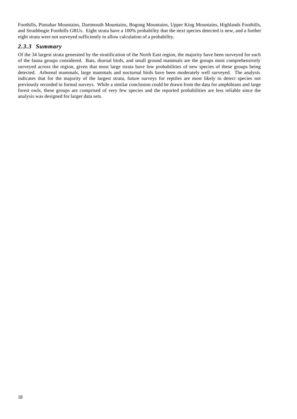Foothills, Pinnabar Mountains, Dartmouth Mountains, Bogong Mountains, Upper King Mountains, Highlands Foothills, and Strathbogie Foothills GRUs. Eight strata have a 100% probability that the next species detected is new, and a further eight strata were not surveyed sufficiently to allow calculation of a probability.

# *2.3.3 Summary*

Of the 34 largest strata generated by the stratification of the North East region, the majority have been surveyed for each of the fauna groups considered. Bats, diurnal birds, and small ground mammals are the groups most comprehensively surveyed across the region, given that most large strata have low probabilities of new species of these groups being detected. Arboreal mammals, large mammals and nocturnal birds have been moderately well surveyed. The analysis indicates that for the majority of the largest strata, future surveys for reptiles are most likely to detect species not previously recorded in formal surveys. While a similar conclusion could be drawn from the data for amphibians and large forest owls, these groups are comprised of very few species and the reported probabilities are less reliable since the analysis was designed for larger data sets.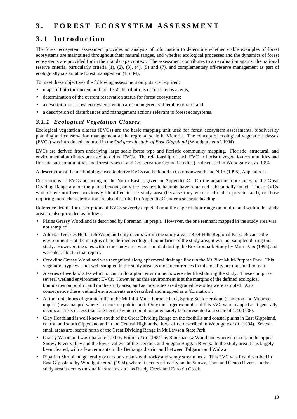# **3 . FOREST ECOSYSTEM ASSESSMENT**

# **3.1 Introduction**

The forest ecosystem assessment provides an analysis of information to determine whether viable examples of forest ecosystems are maintained throughout their natural ranges, and whether ecological processes and the dynamics of forest ecosystems are provided for in their landscape context. The assessment contributes to an evaluation against the national reserve criteria, particularly criteria (1), (2), (3), (4), (5) and (7), and complementary off-reserve management as part of ecologically sustainable forest management (ESFM).

To meet these objectives the following assessment outputs are required:

- maps of both the current and pre-1750 distributions of forest ecosystems;
- determination of the current reservation status for forest ecosystems;
- a description of forest ecosystems which are endangered, vulnerable or rare; and
- a description of disturbances and management actions relevant to forest ecosystems.

# *3.1.1 Ecological Vegetation Classes*

Ecological vegetation classes (EVCs) are the basic mapping unit used for forest ecosystem assessments, biodiversity planning and conservation management at the regional scale in Victoria. The concept of ecological vegetation classes (EVCs) was introduced and used in the *Old growth study of East Gippsland* (Woodgate *et al.* 1994).

EVCs are derived from underlying large scale forest type and floristic community mapping. Floristic, structural, and environmental attributes are used to define EVCs. The relationship of each EVC to floristic vegetation communities and floristic sub-communities and forest types (Land Conservation Council studies) is discussed in Woodgate *et. al.* 1994.

A description of the methodology used to derive EVCs can be found in Commonwealth and NRE (1996), Appendix G.

Descriptions of EVCs occurring in the North East is given in Appendix C. On the adjacent foot slopes of the Great Dividing Range and on the plains beyond, only the less fertile habitats have remained substantially intact. Those EVCs which have not been previously identified in the study area (because they were confined to private land), or those requiring more characterisation are also described in Appendix C under a separate heading.

Reference details for descriptions of EVCs severely depleted or at the edge of their range on public land within the study area are also provided as follows:

- Plains Grassy Woodland is described by Foreman (in prep.). However, the one remnant mapped in the study area was not sampled.
- Alluvial Terraces Herb-rich Woodland only occurs within the study area at Reef Hills Regional Park. Because the environment is at the margins of the defined ecological boundaries of the study area, it was not sampled during this study. However, the sites within the study area were sampled during the Box Ironbark Study by Muir *et. al* (1995) and were described in that report.
- Creekline Grassy Woodland was recognised along ephemeral drainage lines in the Mt Pilot Multi-Purpose Park. This vegetation type was not well sampled in the study area, as most occurrences in this locality are too small to map.
- A series of wetland sites which occur in floodplain environments were identified during the study. These comprise several wetland environment EVCs. However, as this environment is at the margins of the defined ecological boundaries on public land on the study area, and as most sites are degraded few sites were sampled. As a consequence these wetland environments are described and mapped as a 'formation'.
- At the foot slopes of granite hills in the Mt Pilot Multi-Purpose Park, Spring Soak Herbland (Cameron and Moorrees unpubl.) was mapped where it occurs on public land. Only the larger examples of this EVC were mapped as it generally occurs as areas of less than one hectare which could not adequately be represented at a scale of 1:100 000.
- Clay Heathland is well known south of the Great Dividing Range on the foothills and coastal plains in East Gippsland, central and south Gippsland and in the Central Highlands. It was first described in Woodgate *et al.* (1994). Several small areas are located north of the Great Dividing Range in Mt Lawson State Park.
- Grassy Woodland was characterised by Forbes *et al.* (1981) as Rainshadow Woodland where it occurs in the upper Snowy River valley and the lower valleys of the Deddick and Suggan Buggan Rivers. In the study area it has largely been cleared, with a few remnants in the Bethanga district and between Talgarno and Walwa.
- Riparian Shrubland generally occurs on streams with rocky and sandy stream beds. This EVC was first described in East Gippsland by Woodgate *et al.* (1994), where it occurs primarily on the Snowy, Cann and Genoa Rivers. In the study area it occurs on smaller streams such as Reedy Creek and Eurobin Creek.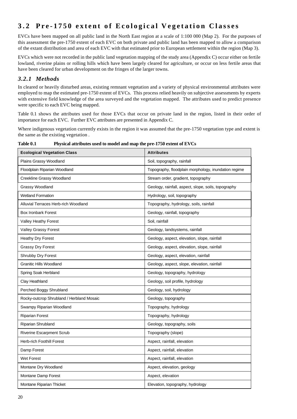# **3.2 Pre-1750 extent of Ecological Vegetation Classes**

EVCs have been mapped on all public land in the North East region at a scale of 1:100 000 (Map 2). For the purposes of this assessment the pre-1750 extent of each EVC on both private and public land has been mapped to allow a comparison of the extant distribution and area of each EVC with that estimated prior to European settlement within the region (Map 3).

EVCs which were not recorded in the public land vegetation mapping of the study area (Appendix C) occur either on fertile lowland, riverine plains or rolling hills which have been largely cleared for agriculture, or occur on less fertile areas that have been cleared for urban development on the fringes of the larger towns.

# *3.2.1 Methods*

In cleared or heavily disturbed areas, existing remnant vegetation and a variety of physical environmental attributes were employed to map the estimated pre-1750 extent of EVCs. This process relied heavily on subjective assessments by experts with extensive field knowledge of the area surveyed and the vegetation mapped. The attributes used to predict presence were specific to each EVC being mapped.

Table 0.1 shows the attributes used for those EVCs that occur on private land in the region, listed in their order of importance for each EVC. Further EVC attributes are presented in Appendix C.

Where indigenous vegetation currently exists in the region it was assumed that the pre-1750 vegetation type and extent is the same as the existing vegetation .

| <b>Ecological Vegetation Class</b>        | <b>Attributes</b>                                    |
|-------------------------------------------|------------------------------------------------------|
| Plains Grassy Woodland                    | Soil, topography, rainfall                           |
| Floodplain Riparian Woodland              | Topography, floodplain morphology, inundation regime |
| Creekline Grassy Woodland                 | Stream order, gradient, topography                   |
| Grassy Woodland                           | Geology, rainfall, aspect, slope, soils, topography  |
| <b>Wetland Formation</b>                  | Hydrology, soil, topography                          |
| Alluvial Terraces Herb-rich Woodland      | Topography, hydrology, soils, rainfall               |
| <b>Box Ironbark Forest</b>                | Geology, rainfall, topography                        |
| Valley Heathy Forest                      | Soil, rainfall                                       |
| Valley Grassy Forest                      | Geology, landsystems, rainfall                       |
| <b>Heathy Dry Forest</b>                  | Geology, aspect, elevation, slope, rainfall          |
| <b>Grassy Dry Forest</b>                  | Geology, aspect, elevation, slope, rainfall          |
| Shrubby Dry Forest                        | Geology, aspect, elevation, rainfall                 |
| <b>Granitic Hills Woodland</b>            | Geology, aspect, slope, elevation, rainfall          |
| Spring Soak Herbland                      | Geology, topography, hydrology                       |
| Clay Heathland                            | Geology, soil profile, hydrology                     |
| Perched Boggy Shrubland                   | Geology, soil, hydrology                             |
| Rocky-outcrop Shrubland / Herbland Mosaic | Geology, topography                                  |
| Swampy Riparian Woodland                  | Topography, hydrology                                |
| <b>Riparian Forest</b>                    | Topography, hydrology                                |
| Riparian Shrubland                        | Geology, topography, soils                           |
| <b>Riverine Escarpment Scrub</b>          | Topography (slope)                                   |
| Herb-rich Foothill Forest                 | Aspect, rainfall, elevation                          |
| Damp Forest                               | Aspect, rainfall, elevation                          |
| Wet Forest                                | Aspect, rainfall, elevation                          |
| Montane Dry Woodland                      | Aspect, elevation, geology                           |
| Montane Damp Forest                       | Aspect, elevation                                    |
| Montane Riparian Thicket                  | Elevation, topography, hydrology                     |

**Table 0.1 Physical attributes used to model and map the pre-1750 extent of EVCs**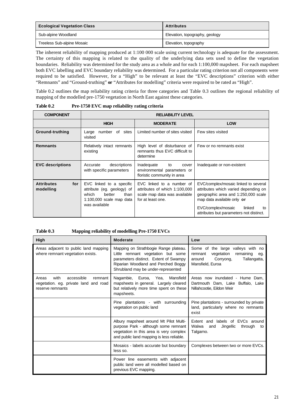| <b>Ecological Vegetation Class</b> | <b>Attributes</b>              |
|------------------------------------|--------------------------------|
| Sub-alpine Woodland                | Elevation, topography, geology |
| Treeless Sub-alpine Mosaic         | Elevation, topography          |

The inherent reliability of mapping produced at 1:100 000 scale using current technology is adequate for the assessment. The certainty of this mapping is related to the quality of the underlying data sets used to define the vegetation boundaries. Reliability was determined for the study area as a whole and for each 1:100,000 mapsheet. For each mapsheet both EVC labelling and EVC boundary reliability was determined. For a particular rating criterion not all components were required to be satisfied. However, for a "High" to be relevant at least the "EVC descriptions" criterion with either "Remnants" and "Ground-truthing" **or** "Attributes for modelling" criteria were required to be rated as "High".

Table 0.2 outlines the map reliability rating criteria for three categories and Table 0.3 outlines the regional reliability of mapping of the modelled pre-1750 vegetation in North East against these categories.

| <b>COMPONENT</b>                      | <b>RELIABILITY LEVEL</b>                                                                                                         |                                                                                                                 |                                                                                                                                                                                                                                    |  |
|---------------------------------------|----------------------------------------------------------------------------------------------------------------------------------|-----------------------------------------------------------------------------------------------------------------|------------------------------------------------------------------------------------------------------------------------------------------------------------------------------------------------------------------------------------|--|
|                                       | <b>HIGH</b>                                                                                                                      | <b>MODERATE</b>                                                                                                 | <b>LOW</b>                                                                                                                                                                                                                         |  |
| Ground-truthing                       | number of<br>sites<br>Large<br>visited                                                                                           | Limited number of sites visited                                                                                 | Few sites visited                                                                                                                                                                                                                  |  |
| <b>Remnants</b>                       | Relatively intact remnants<br>existing                                                                                           | High level of disturbance of<br>remnants thus EVC difficult to<br>determine                                     | Few or no remnants exist                                                                                                                                                                                                           |  |
| <b>EVC descriptions</b>               | descriptions<br>Accurate<br>with specific parameters                                                                             | Inadequate<br>to<br>cover<br>environmental parameters or<br>floristic community in area                         | Inadequate or non-existent                                                                                                                                                                                                         |  |
| <b>Attributes</b><br>for<br>modelling | EVC linked to a specific<br>attribute (eg. geology) of<br>which<br>better<br>than<br>$1:100,000$ scale map data<br>was available | EVC linked to a number of<br>attributes of which 1:100,000<br>scale map data was available<br>for at least one. | EVC/complex/mosaic linked to several<br>attributes which varied depending on<br>geographic area and 1:250,000 scale<br>map data available only or<br>EVC/complex/mosaic<br>linked<br>to<br>attributes but parameters not distinct. |  |

**Table 0.2 Pre-1750 EVC map reliability rating criteria**

**Table 0.3 Mapping reliability of modelling Pre-1750 EVCs**

| <b>High</b>                                                                                         | <b>Moderate</b>                                                                                                                                                                                   | Low                                                                                                                                       |
|-----------------------------------------------------------------------------------------------------|---------------------------------------------------------------------------------------------------------------------------------------------------------------------------------------------------|-------------------------------------------------------------------------------------------------------------------------------------------|
| Areas adjacent to public land mapping<br>where remnant vegetation exists.                           | Mapping on Strathbogie Range plateau.<br>Little remnant vegetation but some<br>parameters distinct. Extent of Swampy<br>Riparian Woodland and Perched Boggy<br>Shrubland may be under-represented | Some of the large valleys with no<br>vegetation<br>remnant<br>remaining<br>eg.<br>Corryong,<br>Tallangatta,<br>around<br>Mansfield, Euroa |
| with<br>accessible<br>remnant<br>Areas<br>vegetation. eg. private land and road<br>reserve remnants | Nagambie, Euroa, Yea,<br>Mansfield<br>mapsheets in general. Largely cleared<br>but relatively more time spent on these<br>mapsheets.                                                              | Areas now inundated - Hume Dam.<br>Dartmouth Dam, Lake Buffalo, Lake<br>Nillahcootie, Eildon Weir                                         |
|                                                                                                     | Pine plantations - with surrounding<br>vegetation on public land                                                                                                                                  | Pine plantations - surrounded by private<br>land, particularly where no remnants<br>exist                                                 |
|                                                                                                     | Albury mapsheet around Mt Pilot Multi-<br>purpose Park - although some remnant<br>vegetation in this area is very complex<br>and public land mapping is less reliable.                            | Extent and labels of EVCs around<br>Walwa<br>Jingellic<br>and<br>through<br>to<br>Talgarno.                                               |
|                                                                                                     | Mosaics - labels accurate but boundary<br>less so.                                                                                                                                                | Complexes between two or more EVCs.                                                                                                       |
|                                                                                                     | Power line easements with adjacent<br>public land were all modelled based on<br>previous EVC mapping.                                                                                             |                                                                                                                                           |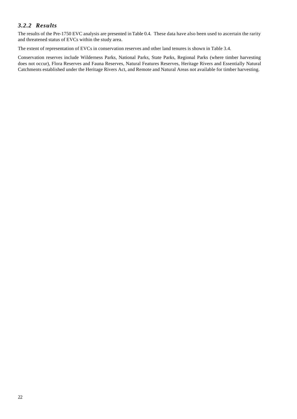# *3.2.2 Results*

The results of the Pre-1750 EVC analysis are presented in Table 0.4. These data have also been used to ascertain the rarity and threatened status of EVCs within the study area.

The extent of representation of EVCs in conservation reserves and other land tenures is shown in Table 3.4.

Conservation reserves include Wilderness Parks, National Parks, State Parks, Regional Parks (where timber harvesting does not occur), Flora Reserves and Fauna Reserves, Natural Features Reserves, Heritage Rivers and Essentially Natural Catchments established under the Heritage Rivers Act, and Remote and Natural Areas not available for timber harvesting.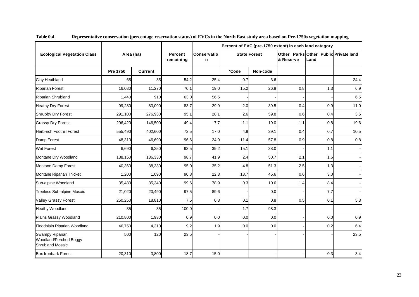|                                                               | Percent of EVC (pre-1750 extent) in each land category |         |                      |                  |                   |                     |           |                                               |      |  |  |  |
|---------------------------------------------------------------|--------------------------------------------------------|---------|----------------------|------------------|-------------------|---------------------|-----------|-----------------------------------------------|------|--|--|--|
| <b>Ecological Vegetation Class</b>                            | Area (ha)                                              |         | Percent<br>remaining | Conservatio<br>n |                   | <b>State Forest</b> | & Reserve | Other Parks Other Public Private land<br>Land |      |  |  |  |
|                                                               | Pre 1750                                               | Current |                      |                  | *Code<br>Non-code |                     |           |                                               |      |  |  |  |
| Clay Heathland                                                | 65                                                     | 35      | 54.2                 | 25.4             | 0.7               | 3.6                 |           |                                               | 24.4 |  |  |  |
| <b>Riparian Forest</b>                                        | 16,080                                                 | 11,270  | 70.1                 | 19.0             | 15.2              | 26.8                | 0.8       | 1.3                                           | 6.9  |  |  |  |
| Riparian Shrubland                                            | 1.440                                                  | 910     | 63.0                 | 56.5             |                   |                     |           |                                               | 6.5  |  |  |  |
| <b>Heathy Dry Forest</b>                                      | 99,280                                                 | 83,090  | 83.7                 | 29.9             | 2.0               | 39.5                | 0.4       | 0.9                                           | 11.0 |  |  |  |
| Shrubby Dry Forest                                            | 291,100                                                | 276,930 | 95.1                 | 28.1             | 2.6               | 59.8                | 0.6       | 0.4                                           | 3.5  |  |  |  |
| <b>Grassy Dry Forest</b>                                      | 296,420                                                | 146,500 | 49.4                 | 7.7              | 1.1               | 19.0                | 1.1       | 0.8                                           | 19.6 |  |  |  |
| Herb-rich Foothill Forest                                     | 555,490                                                | 402,600 | 72.5                 | 17.0             | 4.9               | 39.1                | 0.4       | 0.7                                           | 10.5 |  |  |  |
| Damp Forest                                                   | 48,310                                                 | 46,690  | 96.6                 | 24.9             | 11.4              | 57.8                | 0.9       | 0.8                                           | 0.8  |  |  |  |
| Wet Forest                                                    | 6,690                                                  | 6,250   | 93.5                 | 39.2             | 15.1              | 38.0                |           | 1.1                                           |      |  |  |  |
| Montane Dry Woodland                                          | 138,150                                                | 136,330 | 98.7                 | 41.9             | 2.4               | 50.7                | 2.1       | 1.6                                           |      |  |  |  |
| Montane Damp Forest                                           | 40,360                                                 | 38,330  | 95.0                 | 35.2             | 4.8               | 51.3                | 2.5       | 1.3                                           |      |  |  |  |
| Montane Riparian Thicket                                      | 1,200                                                  | 1,090   | 90.8                 | 22.3             | 18.7              | 45.6                | 0.6       | 3.0                                           |      |  |  |  |
| Sub-alpine Woodland                                           | 35,480                                                 | 35,340  | 99.6                 | 78.9             | 0.3               | 10.6                | 1.4       | 8.4                                           |      |  |  |  |
| Treeless Sub-alpine Mosaic                                    | 21,020                                                 | 20,490  | 97.5                 | 89.6             |                   | 0.0                 |           | 7.7                                           |      |  |  |  |
| Valley Grassy Forest                                          | 250,250                                                | 18,810  | 7.5                  | 0.8              | 0.1               | 0.8                 | 0.5       | 0.1                                           | 5.3  |  |  |  |
| Heathy Woodland                                               | 35                                                     | 35      | 100.0                |                  | 1.7               | 98.3                |           |                                               |      |  |  |  |
| Plains Grassy Woodland                                        | 210,800                                                | 1,930   | 0.9                  | 0.0              | 0.0               | 0.0                 |           | 0.0                                           | 0.9  |  |  |  |
| Floodplain Riparian Woodland                                  | 46,750                                                 | 4,310   | 9.2                  | 1.9              | 0.0               | $0.0\,$             |           | 0.2                                           | 6.4  |  |  |  |
| Swampy Riparian<br>Woodland/Perched Boggy<br>Shrubland Mosaic | 500                                                    | 120     | 23.5                 |                  |                   |                     |           |                                               | 23.5 |  |  |  |
| <b>Box Ironbark Forest</b>                                    | 20,310                                                 | 3,800   | 18.7                 | 15.0             |                   |                     |           | 0.3                                           | 3.4  |  |  |  |

**Table 0.4 Representative conservation (percentage reservation status) of EVCs in the North East study area based on Pre-1750s vegetation mapping**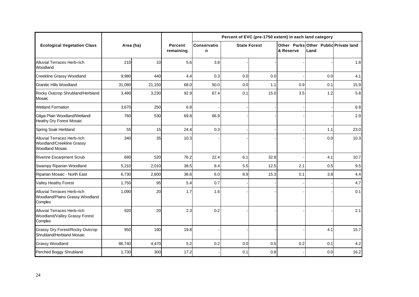|                                                                                    |           |        |                      | Percent of EVC (pre-1750 extent) in each land category |     |                     |     |                                               |         |
|------------------------------------------------------------------------------------|-----------|--------|----------------------|--------------------------------------------------------|-----|---------------------|-----|-----------------------------------------------|---------|
| <b>Ecological Vegetation Class</b>                                                 | Area (ha) |        | Percent<br>remaining | Conservatio<br>n                                       |     | <b>State Forest</b> |     | Other Parks Other Public Private land<br>Land |         |
| Alluvial Terraces Herb-rich<br>Woodland                                            | 210       | 10     | 5.6                  | 3.8                                                    |     |                     |     |                                               | 1.8     |
| Creekline Grassy Woodland                                                          | 9,980     | 440    | 4.4                  | 0.3                                                    | 0.0 | 0.0                 |     | 0.0                                           | 4.1     |
| <b>Granitic Hills Woodland</b>                                                     | 31,080    | 21,150 | 68.0                 | 50.0                                                   | 0.0 | 1.1                 | 0.9 | 0.1                                           | 15.9    |
| Rocky Outcrop Shrubland/Herbland<br>Mosaic                                         | 3,480     | 3,230  | 92.9                 | 67.4                                                   | 0.1 | 15.0                | 3.5 | 1.2                                           | 5.8     |
| <b>Wetland Formation</b>                                                           | 3,670     | 250    | 6.8                  |                                                        |     |                     |     |                                               | $6.8\,$ |
| Gilgai Plain Woodland/Wetland/<br><b>Heathy Dry Forest Mosaic</b>                  | 760       | 530    | 69.8                 | 66.9                                                   |     |                     |     |                                               | 2.9     |
| Spring Soak Herbland                                                               | 55        | 15     | 24.4                 | 0.3                                                    |     |                     |     | 1.1                                           | 23.0    |
| Alluvial Terraces Herb-rich<br>Woodland/Creekline Grassy<br><b>Woodland Mosaic</b> | 340       | 35     | 10.3                 |                                                        |     |                     |     | 0.0                                           | 10.3    |
| <b>Riverine Escarpment Scrub</b>                                                   | 680       | 520    | 76.2                 | 22.4                                                   | 6.1 | 32.8                |     | 4.1                                           | 10.7    |
| Swampy Riparian Woodland                                                           | 5,210     | 2,010  | 38.5                 | 8.4                                                    | 5.5 | 12.5                | 2.1 | 0.5                                           | 9.5     |
| Riparian Mosaic - North East                                                       | 6,730     | 2,600  | 38.6                 | 6.0                                                    | 8.9 | 15.3                | 0.1 | 3.8                                           | 4.4     |
| <b>Valley Heathy Forest</b>                                                        | 1,750     | 95     | 5.4                  | 0.7                                                    |     |                     |     |                                               | 4.7     |
| Alluvial Terraces Herb-rich<br>Woodland/Plains Grassy Woodland<br>Complex          | 1,090     | 20     | 1.7                  | 1.6                                                    |     |                     |     |                                               | 0.1     |
| Alluvial Terraces Herb-rich<br>Woodland/Valley Grassy Forest<br>Complex            | 920       | 20     | 2.3                  | 0.2                                                    |     |                     |     |                                               | 2.1     |
| <b>Grassy Dry Forest/Rocky Outcrop</b><br>Shrubland/Herbland Mosaic                | 950       | 190    | 19.8                 |                                                        |     |                     |     | 4.1                                           | 15.7    |
| <b>Grassy Woodland</b>                                                             | 86,740    | 4,470  | 5.2                  | 0.2                                                    | 0.0 | 0.5                 | 0.2 | 0.1                                           | 4.2     |
| Perched Boggy Shrubland                                                            | 1,730     | 300    | 17.2                 |                                                        | 0.1 | 0.8                 |     | 0.0                                           | 16.2    |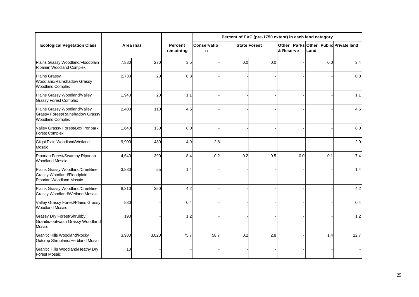|                                                                                             |           |       |                      | Percent of EVC (pre-1750 extent) in each land category |     |                     |           |                                               |      |  |  |  |  |
|---------------------------------------------------------------------------------------------|-----------|-------|----------------------|--------------------------------------------------------|-----|---------------------|-----------|-----------------------------------------------|------|--|--|--|--|
| <b>Ecological Vegetation Class</b>                                                          | Area (ha) |       | Percent<br>remaining | <b>Conservatio</b><br>n                                |     | <b>State Forest</b> | & Reserve | Other Parks Other Public Private land<br>Land |      |  |  |  |  |
| Plains Grassy Woodland/Floodplain<br>Riparian Woodland Complex                              | 7,880     | 270   | 3.5                  |                                                        | 0.0 | 0.0                 |           | 0.0                                           | 3.4  |  |  |  |  |
| <b>Plains Grassy</b><br>Woodland/Rainshadow Grassy<br><b>Woodland Complex</b>               | 2,730     | 20    | 0.8                  |                                                        |     |                     |           |                                               | 0.8  |  |  |  |  |
| Plains Grassy Woodland/Valley<br><b>Grassy Forest Complex</b>                               | 1,940     | 20    | 1.1                  |                                                        |     |                     |           |                                               | 1.1  |  |  |  |  |
| Plains Grassy Woodland/Valley<br>Grassy Forest/Rainshadow Grassy<br><b>Woodland Complex</b> | 2,400     | 110   | 4.5                  |                                                        |     |                     |           |                                               | 4.5  |  |  |  |  |
| Valley Grassy Forest/Box Ironbark<br><b>Forest Complex</b>                                  | 1,640     | 130   | 8.0                  |                                                        |     |                     |           |                                               | 8.0  |  |  |  |  |
| Gilgai Plain Woodland/Wetland<br>Mosaic                                                     | 9,900     | 480   | 4.9                  | 2.8                                                    |     |                     |           |                                               | 2.0  |  |  |  |  |
| Riparian Forest/Swampy Riparian<br><b>Woodland Mosaic</b>                                   | 4,640     | 390   | 8.4                  | 0.2                                                    | 0.2 | 0.5                 | 0.0       | 0.1                                           | 7.4  |  |  |  |  |
| Plains Grassy Woodland/Creekline<br>Grassy Woodland/Floodplain<br>Riparian Woodland Mosaic  | 3,880     | 55    | 1.4                  |                                                        |     |                     |           |                                               | 1.4  |  |  |  |  |
| Plains Grassy Woodland/Creekline<br>Grassy Woodland/Wetland Mosaic                          | 8,310     | 350   | 4.2                  |                                                        |     |                     |           |                                               | 4.2  |  |  |  |  |
| Valley Grassy Forest/Plains Grassy<br><b>Woodland Mosaic</b>                                | 580       |       | 0.4                  |                                                        |     |                     |           |                                               | 0.4  |  |  |  |  |
| <b>Grassy Dry Forest/Shrubby</b><br>Granitic-outwash Grassy Woodland<br>Mosaic              | 190       |       | 1.2                  |                                                        |     |                     |           |                                               | 1.2  |  |  |  |  |
| <b>Granitic Hills Woodland/Rocky</b><br>Outcrop Shrubland/Herbland Mosaic                   | 3,980     | 3,020 | 75.7                 | 58.7                                                   | 0.2 | 2.8                 |           | 1.4                                           | 12.7 |  |  |  |  |
| Granitic Hills Woodland/Heathy Dry<br><b>Forest Mosaic</b>                                  | 10        |       |                      |                                                        |     |                     |           |                                               |      |  |  |  |  |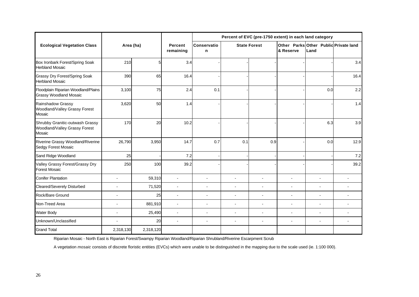|                                                                            |                          |                |                      | Percent of EVC (pre-1750 extent) in each land category |                          |                     |                |                                               |                |  |  |  |  |  |
|----------------------------------------------------------------------------|--------------------------|----------------|----------------------|--------------------------------------------------------|--------------------------|---------------------|----------------|-----------------------------------------------|----------------|--|--|--|--|--|
| <b>Ecological Vegetation Class</b>                                         | Area (ha)                |                | Percent<br>remaining | Conservatio<br>n                                       |                          | <b>State Forest</b> | & Reserve      | Other Parks Other Public Private land<br>Land |                |  |  |  |  |  |
| Box Ironbark Forest/Spring Soak<br><b>Herbland Mosaic</b>                  | 210                      | 5 <sub>l</sub> | 3.4                  |                                                        |                          |                     |                |                                               | 3.4            |  |  |  |  |  |
| Grassy Dry Forest/Spring Soak<br><b>Herbland Mosaic</b>                    | 390                      | 65             | 16.4                 |                                                        |                          |                     |                |                                               | 16.4           |  |  |  |  |  |
| Floodplain Riparian Woodland/Plains<br><b>Grassy Woodland Mosaic</b>       | 3,100                    | 75             | 2.4                  | 0.1                                                    |                          |                     |                | 0.0                                           | 2.2            |  |  |  |  |  |
| Rainshadow Grassy<br>Woodland/Valley Grassy Forest<br>Mosaic               | 3,620                    | 50             | 1.4                  |                                                        |                          |                     |                |                                               | 1.4            |  |  |  |  |  |
| Shrubby Granitic-outwash Grassy<br>Woodland/Valley Grassy Forest<br>Mosaic | 170                      | 20             | 10.2                 |                                                        |                          |                     |                | 6.3                                           | 3.9            |  |  |  |  |  |
| Riverine Grassy Woodland/Riverine<br>Sedgy Forest Mosaic                   | 26,790                   | 3,950          | 14.7                 | 0.7                                                    | 0.1                      | 0.9                 |                | 0.0                                           | 12.9           |  |  |  |  |  |
| Sand Ridge Woodland                                                        | 25                       |                | 7.2                  |                                                        |                          |                     |                |                                               | 7.2            |  |  |  |  |  |
| Valley Grassy Forest/Grassy Dry<br><b>Forest Mosaic</b>                    | 250                      | 100            | 39.2                 |                                                        |                          |                     |                |                                               | 39.2           |  |  |  |  |  |
| <b>Conifer Plantation</b>                                                  | $\overline{a}$           | 59,310         | $\blacksquare$       | $\blacksquare$                                         | ÷,                       |                     | ÷,             | $\blacksquare$                                |                |  |  |  |  |  |
| Cleared/Severely Disturbed                                                 | $\blacksquare$           | 71,520         | $\blacksquare$       | $\overline{a}$                                         | $\overline{\phantom{a}}$ | $\blacksquare$      | $\blacksquare$ | $\overline{\phantom{0}}$                      |                |  |  |  |  |  |
| Rock/Bare Ground                                                           | $\blacksquare$           | 25             | $\sim$               | $\overline{a}$                                         | $\blacksquare$           | $\overline{a}$      | ÷.             | L.                                            |                |  |  |  |  |  |
| Non-Treed Area                                                             | $\blacksquare$           | 881,910        | $\sim$               | $\overline{a}$                                         | $\blacksquare$           | $\overline{a}$      | ÷,             | ÷.                                            |                |  |  |  |  |  |
| <b>Water Body</b>                                                          | $\blacksquare$           | 25,490         | $\blacksquare$       | $\overline{a}$                                         | $\blacksquare$           | $\sim$              | $\overline{a}$ | ÷,                                            | $\blacksquare$ |  |  |  |  |  |
| Unknown/Unclassified                                                       | $\overline{\phantom{a}}$ | 20             | $\blacksquare$       | $\blacksquare$                                         | $\blacksquare$           | $\blacksquare$      | $\blacksquare$ | $\blacksquare$                                |                |  |  |  |  |  |
| <b>Grand Total</b>                                                         | 2,318,130                | 2,318,120      |                      |                                                        |                          |                     |                |                                               |                |  |  |  |  |  |

Riparian Mosaic - North East is Riparian Forest/Swampy Riparian Woodland/Riparian Shrubland/Riverine Escarpment Scrub

A vegetation *mosaic* consists of discrete floristic entities (EVCs) which were unable to be distinguished in the mapping due to the scale used (ie. 1:100 000).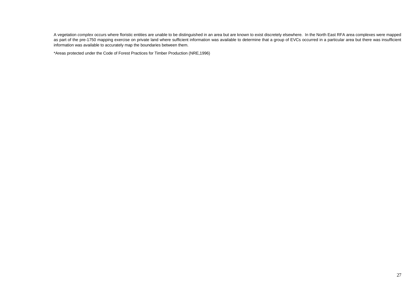A vegetation *complex* occurs where floristic entities are unable to be distinguished in an area but are known to exist discretely elsewhere. In the North East RFA area complexes were mapped as part of the pre-1750 mapping exercise on private land where sufficient information was available to determine that a group of EVCs occurred in a particular area but there was insufficient information was available to accurately map the boundaries between them.

\*Areas protected under the Code of Forest Practices for Timber Production (NRE,1996)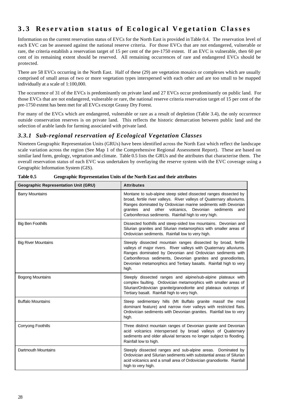# **3.3 Reservation status of Ecological Ve getation Classes**

Information on the current reservation status of EVCs for the North East is provided in Table 0.4. The reservation level of each EVC can be assessed against the national reserve criteria. For those EVCs that are not endangered, vulnerable or rare, the criteria establish a reservation target of 15 per cent of the pre-1750 extent. If an EVC is vulnerable, then 60 per cent of its remaining extent should be reserved. All remaining occurrences of rare and endangered EVCs should be protected.

There are 58 EVCs occurring in the North East. Half of these (29) are vegetation mosaics or complexes which are usually comprised of small areas of two or more vegetation types interspersed with each other and are too small to be mapped individually at a scale of 1:100,000.

The occurrence of 31 of the EVCs is predominantly on private land and 27 EVCs occur predominantly on public land. For those EVCs that are not endangered, vulnerable or rare, the national reserve criteria reservation target of 15 per cent of the pre-1750 extent has been met for all EVCs except Grassy Dry Forest.

For many of the EVCs which are endangered, vulnerable or rare as a result of depletion (Table 3.4), the only occurrence outside conservation reserves is on private land. This reflects the historic demarcation between public land and the selection of arable lands for farming associated with private land.

# *3.3.1 Sub-regional reservation of Ecological Vegetation Classes*

Nineteen Geographic Representation Units (GRUs) have been identified across the North East which reflect the landscape scale variation across the region (See Map 1 of the Comprehensive Regional Assessment Report). These are based on similar land form, geology, vegetation and climate. Table 0.5 lists the GRUs and the attributes that characterise them. The overall reservation status of each EVC was undertaken by overlaying the reserve system with the EVC coverage using a Geographic Information System (GIS).

| <b>Geographic Representation Unit (GRU)</b> | <b>Attributes</b>                                                                                                                                                                                                                                                                                                                               |
|---------------------------------------------|-------------------------------------------------------------------------------------------------------------------------------------------------------------------------------------------------------------------------------------------------------------------------------------------------------------------------------------------------|
| <b>Barry Mountains</b>                      | Montane to sub-alpine steep sided dissected ranges dissected by<br>broad, fertile river valleys. River valleys of Quaternary alluviums.<br>Ranges dominated by Ordovician marine sediments with Devonian<br>other volcanics, Devonian sediments<br>granites and<br>and<br>Carboniferous sediments. Rainfall high to very high.                  |
| <b>Big Ben Foothills</b>                    | Dissected foothills and steep-sided low mountains. Devonian and<br>Silurian granites and Silurian metamorphics with smaller areas of<br>Ordovician sediments. Rainfall low to very high.                                                                                                                                                        |
| <b>Big River Mountains</b>                  | Steeply dissected mountain ranges dissected by broad, fertile<br>valleys of major rivers. River valleys with Quaternary alluviums.<br>Ranges dominated by Devonian and Ordovician sediments with<br>Carboniferous sediments, Devonian granites and granodiorites,<br>Devonian metamorphics and Tertiary basalts. Rainfall high to very<br>high. |
| <b>Bogong Mountains</b>                     | Steeply dissected ranges and alpine/sub-alpine plateaux with<br>complex faulting. Ordovician metamorphics with smaller areas of<br>Silurian/Ordovician granite/granodiorite and plateaux outcrops of<br>Tertiary basalt. Rainfall high to very high.                                                                                            |
| <b>Buffalo Mountains</b>                    | Steep sedimentary hills (Mt Buffalo granite massif the most<br>dominant feature) and narrow river valleys with restricted flats.<br>Ordovician sediments with Devonian granites. Rainfall low to very<br>high.                                                                                                                                  |
| Corryong Foothills                          | Three distinct mountain ranges of Devonian granite and Devonian<br>acid volcanics interspersed by broad valleys of Quaternary<br>sediments and older alluvial terraces no longer subject to flooding.<br>Rainfall low to high.                                                                                                                  |
| <b>Dartmouth Mountains</b>                  | Steeply dissected ranges and sub-alpine areas. Dominated by<br>Ordovician and Silurian sediments with substantial areas of Silurian<br>acid volcanics and a small area of Ordovician granodiorite. Rainfall<br>high to very high.                                                                                                               |

**Table 0.5 Geographic Representation Units of the North East and their attributes**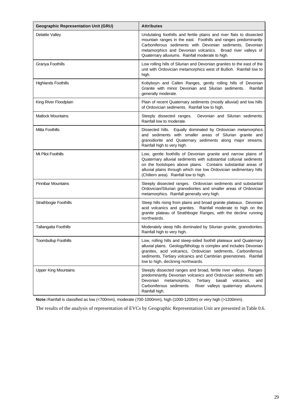| <b>Geographic Representation Unit (GRU)</b> | <b>Attributes</b>                                                                                                                                                                                                                                                                                                       |
|---------------------------------------------|-------------------------------------------------------------------------------------------------------------------------------------------------------------------------------------------------------------------------------------------------------------------------------------------------------------------------|
| <b>Delatite Valley</b>                      | Undulating foothills and fertile plains and river flats to dissected<br>mountain ranges in the east. Foothills and ranges predominantly<br>Carboniferous sediments with Devonian sediments, Devonian<br>metamorphics and Devonian volcanics. Broad river valleys of<br>Quaternary alluviums. Rainfall moderate to high. |
| Granya Foothills                            | Low rolling hills of Silurian and Devonian granites to the east of the<br>unit with Ordovician metamorphics west of Bullioh. Rainfall low to<br>high.                                                                                                                                                                   |
| <b>Highlands Foothills</b>                  | Kobyboyn and Callen Ranges, gently rolling hills of Devonian<br>Granite with minor Devonian and Silurian sediments.<br>Rainfall<br>generally moderate.                                                                                                                                                                  |
| King River Floodplain                       | Plain of recent Quaternary sediments (mostly alluvial) and low hills<br>of Ordovician sediments. Rainfall low to high.                                                                                                                                                                                                  |
| <b>Matlock Mountains</b>                    | Steeply dissected ranges.<br>Devonian and Silurian sediments.<br>Rainfall low to moderate.                                                                                                                                                                                                                              |
| Mitta Foothills                             | Dissected hills. Equally dominated by Ordovician metamorphics<br>and sediments with smaller areas of Silurian granite and<br>granodiorite and Quaternary sediments along major streams.<br>Rainfall high to very high.                                                                                                  |
| Mt Pilot Foothills                          | Low, gentle foothills of Devonian granite and narrow plains of<br>Quaternary alluvial sediments with substantial colluvial sediments<br>on the footslopes above plains. Contains substantial areas of<br>alluvial plains through which rise low Ordovician sedimentary hills<br>(Chiltern area). Rainfall low to high.  |
| <b>Pinnibar Mountains</b>                   | Steeply dissected ranges. Ordovician sediments and substantial<br>Ordovician/Silurian granodiorites and smaller areas of Ordovician<br>metamorphics. Rainfall generally very high.                                                                                                                                      |
| Strathbogie Foothills                       | Steep hills rising from plains and broad granite plateaux. Devonian<br>acid volcanics and granites. Rainfall moderate to high on the<br>granite plateau of Strathbogie Ranges, with the decline running<br>northwards.                                                                                                  |
| <b>Tallangatta Foothills</b>                | Moderately steep hills dominated by Silurian granite, granodiorites.<br>Rainfall high to very high.                                                                                                                                                                                                                     |
| <b>Toombullup Foothills</b>                 | Low, rolling hills and steep-sided foothill plateaux and Quaternary<br>alluvial plains. Geology/lithology is complex and includes Devonian<br>granites, acid volcanics, Ordovician sediments, Carboniferous<br>sediments, Tertiary volcanics and Cambrian greenstones. Rainfall<br>low to high, declining northwards.   |
| <b>Upper King Mountains</b>                 | Steeply dissected ranges and broad, fertile river valleys. Ranges<br>predominantly Devonian volcanics and Ordovician sediments with<br>metamorphics,<br>basalt<br>Devonian<br>Tertiary<br>volcanics,<br>and<br>Carboniferous sediments.<br>River valleys quaternary alluviums.<br>Rainfall high.                        |

**Note:** Rainfall is classified as low (<700mm), moderate (700-1000mm), high (1000-1200m) or very high (>1200mm).

The results of the analysis of representation of EVCs by Geographic Representation Unit are presented in Table 0.6.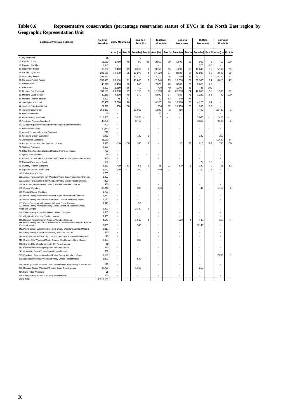| Table 0.6                             | Representative conservation (percentage reservation status) of EVCs in the North East region by |  |  |  |  |  |
|---------------------------------------|-------------------------------------------------------------------------------------------------|--|--|--|--|--|
| <b>Geographic Representation Unit</b> |                                                                                                 |  |  |  |  |  |

|                                                                                                                                                                                                                |                 |                | <b>Barry Mountains</b> | <b>Big Ben</b><br><b>Foothills</b> |                         | <b>Big River</b><br>Mountain |                | Bogong<br><b>Mountains</b> |                | <b>Buffalo</b><br><b>Mountains</b> |          | Corryong<br><b>Foothills</b> |                          |
|----------------------------------------------------------------------------------------------------------------------------------------------------------------------------------------------------------------|-----------------|----------------|------------------------|------------------------------------|-------------------------|------------------------------|----------------|----------------------------|----------------|------------------------------------|----------|------------------------------|--------------------------|
|                                                                                                                                                                                                                |                 | Area (ha)      | Prot <sub>9</sub>      | Area (ha)                          | Prot%                   | Area (ha)                    | Prot %         | Area (ha)                  | Prot%          | Area (ha                           | Prot %   | Area (ha)                    | Prot %                   |
| 7. Clay Heathland                                                                                                                                                                                              | 65              |                |                        | 5                                  |                         |                              |                |                            |                |                                    |          |                              |                          |
| 18. Riparian Forest                                                                                                                                                                                            | 16,080          | 1,760          | 48                     | 80                                 | 38                      | 2,910                        | 19             | 1,500                      | 53             | 900                                | 3        | 20                           | 100                      |
| 19. Riparian Shrubland                                                                                                                                                                                         | 1,440           |                |                        |                                    |                         |                              |                |                            |                | 570                                | 96       |                              |                          |
| 20. Heathy Dry Forest                                                                                                                                                                                          | 99,280          | 7,400          | 39                     | 3,330                              | 1                       | 3,150                        | 15             | 1,290                      | 38             | 10,640                             | 16       | 5,130                        | 73                       |
| 21. Shrubby Dry Forest                                                                                                                                                                                         | 291,100         | 19,880         | 55                     | 19,270                             | 4                       | 17,620                       | 34             | 8,620                      | 37             | 42,890                             | 35       | 2,620                        | 60                       |
| 22. Grassy Dry Forest                                                                                                                                                                                          | 296.420         |                |                        | 51,710                             | $\overline{7}$          | 3.110                        | 8              | 710                        | 27             | 20.310                             | 9        | 22.140                       | 12                       |
| 23. Herb-rich Foothill Forest                                                                                                                                                                                  | 555,490         | 28,160         | 51                     | 43,680                             | 6                       | 25,540                       | 23             | 13,260                     | 29             | 50,300                             | 24       | 8,610                        | 43                       |
| 29. Damp Forest                                                                                                                                                                                                | 48,310          | 3,490          | 50                     | 860                                |                         | 7.070                        | $26\,$         | 3,030                      | 52             | 2,050                              | 29       |                              |                          |
| 30. Wet Forest                                                                                                                                                                                                 | 6,690           | 1,380          | 58                     | 40                                 | $\overline{7}$          | 790                          | 40             | 1,390                      | 63             | 45                                 | 100      |                              | 99                       |
| 36. Montane Dry Woodland                                                                                                                                                                                       | 138,150         | 23,330         | 59<br>49               | 1,750<br>170                       |                         | 15,200<br>5,590              | 42<br>37       | 20,750<br>7,930            | 74<br>71       | 12,850                             | 58<br>66 | 1,930<br>40                  | 100                      |
| 38. Montane Damp Forest<br>41. Montane Riparian Thicket                                                                                                                                                        | 40,360<br>1,200 | 4,300<br>75    | 77                     |                                    |                         | 30                           | 83             | 140                        | 78             | 3,280                              |          |                              |                          |
| 43. Sub-alpine Woodland                                                                                                                                                                                        | 35,480          | 2,670          | 96                     |                                    |                         | 4,320                        | 69             | 16,810                     | 88             | 4,270                              | 94       |                              |                          |
| 44. Treeless Sub-alpine Mosaic                                                                                                                                                                                 | 21,020          | 300            | 100                    |                                    |                         | 680                          | 72             | 18.490                     | 90             | 900                                | 99       |                              |                          |
| 47. Valley Grassy Forest                                                                                                                                                                                       | 250,250         | ÷,             |                        | 31,050                             |                         | 1,600                        | $\overline{2}$ | 410                        |                | 4,760                              |          | 31,480                       | 3                        |
| 48. Heathy Woodland                                                                                                                                                                                            | 35              | ä,             |                        |                                    |                         | 35                           | ÷              |                            |                |                                    |          |                              |                          |
| 55. Plains Grassy Woodland                                                                                                                                                                                     | 210,800         |                |                        | 3,550                              |                         | 5                            |                |                            |                | 2,960                              |          | 2,420                        |                          |
| 56. Floodplain Riparian Woodland                                                                                                                                                                               | 46,750          | ä,             |                        | 3,760                              |                         |                              |                |                            |                | 3,360                              |          | 9,520                        | $\overline{2}$           |
| 212 Swampy Riparian Woodland/Perched Boggy Shrubland Mosaic                                                                                                                                                    | 500             |                |                        |                                    |                         |                              |                |                            |                |                                    |          |                              |                          |
| 61. Box Ironbark Forest                                                                                                                                                                                        | 20,310          | ÷,             |                        |                                    |                         |                              |                |                            |                |                                    |          |                              |                          |
| 67. Alluvial Terraces Herb-rich Woodland                                                                                                                                                                       | 210             | ä,             |                        |                                    |                         |                              |                |                            |                |                                    |          |                              |                          |
| 68. Creekline Grassy Woodland                                                                                                                                                                                  | 9,980           | L,             |                        | 720                                | 1                       |                              |                |                            |                | 130                                |          | 210                          |                          |
| 72. Granitic Hills Woodland                                                                                                                                                                                    | 31,080          |                |                        |                                    |                         |                              |                |                            |                |                                    |          | 11.620                       | 64                       |
| 73. Rocky Outcrop Shrubland/Herbland Mosaic                                                                                                                                                                    | 3,480           | 150            | 100                    | 180                                | 18                      |                              |                | 15                         | 27             | 61C                                | 97       | 730                          | 100                      |
| 74. Wetland Formation                                                                                                                                                                                          | 3,670           | ÷,             |                        |                                    |                         |                              |                |                            |                |                                    |          |                              |                          |
| 79. Gilgai Plain Woodland/Wetland/Heathy Dry Forest Mosaic                                                                                                                                                     | 760             |                |                        |                                    |                         |                              |                |                            |                |                                    |          |                              |                          |
| 80. Spring Soak Herbland                                                                                                                                                                                       | 55              | ä,             |                        |                                    |                         |                              |                |                            |                |                                    |          | ÷                            |                          |
| 81. Alluvial Terraces Herb-rich Woodland/Creekline Grassy Woodland Mosaic                                                                                                                                      | 340             |                |                        |                                    |                         |                              |                |                            |                |                                    |          |                              |                          |
| 82. Riverine Escarpment Scrub                                                                                                                                                                                  | 680             |                |                        |                                    |                         |                              |                |                            |                | 75                                 | 96       | 5                            |                          |
| 83. Swampy Riparian Woodland                                                                                                                                                                                   | 5,210           | 400            | 53                     | 55                                 | 1                       | 45                           | 21             | 320                        | $\mathbf{1}$   | 220                                | 9        | 35                           | 52                       |
| 84. Riparian Mosaic - North East                                                                                                                                                                               | 6,730           | 160            |                        | 390                                |                         | 240                          | 71             |                            |                | 1,190                              | 16       |                              |                          |
| 127. Valley Heathy Forest                                                                                                                                                                                      | 1.750           | ä,             |                        |                                    |                         |                              |                |                            |                |                                    |          |                              |                          |
| 152. Alluvial Terraces Herb-rich Woodland/Plains Grassy Woodland Complex                                                                                                                                       | 1,090           | L.             |                        |                                    |                         |                              |                |                            |                |                                    |          |                              |                          |
| 153. Alluvial Terraces Herb-rich Woodland/Valley Grassy Forest Complex                                                                                                                                         | 920             | L,             |                        |                                    |                         |                              |                |                            |                |                                    |          |                              |                          |
| 174. Grassy Dry Forest/Rocky Outcrop Shrubland/Herbland Mosaic                                                                                                                                                 | 950             |                |                        |                                    |                         |                              |                |                            |                |                                    |          |                              |                          |
| 175. Grassy Woodland                                                                                                                                                                                           | 86,740          | $\overline{a}$ |                        | 330                                |                         | 330                          |                |                            |                | 40                                 |          | 1,150                        | $\overline{\phantom{a}}$ |
| 185. Perched Boggy Shrubland                                                                                                                                                                                   | 1,730           |                |                        |                                    |                         |                              |                |                            |                |                                    |          |                              |                          |
| 186. Plains Grassy Woodland/Floodplain Riparian Woodland Complex                                                                                                                                               | 7,880           | L,             |                        |                                    |                         |                              |                |                            |                |                                    |          |                              |                          |
| 187. Plains Grassy Woodland/Rainshadow Grassy Woodland Complex                                                                                                                                                 | 2,730           |                |                        |                                    |                         |                              |                |                            |                |                                    |          |                              |                          |
| 188. Plains Grassy Woodland/Valley Grassy Forest Complex<br>190. Plains Grassy Woodland/Valley Grassy Forest/Rainshadow Grassy                                                                                 | 1,940           | ä,             |                        | 95                                 |                         |                              |                |                            |                |                                    |          |                              |                          |
| Woodland Complex                                                                                                                                                                                               | 2.400           |                |                        | 2.320                              | 1                       |                              |                |                            |                |                                    |          |                              |                          |
| 213. Valley Grassy Forest/Box Ironbark Forest Complex                                                                                                                                                          | 1,640           |                |                        |                                    |                         |                              |                |                            |                |                                    |          |                              |                          |
| 235. Gilgai Plain Woodland/Wetland Mosaic                                                                                                                                                                      | 9,900           | ä,             |                        |                                    |                         |                              |                |                            |                |                                    |          |                              |                          |
| 237. Riparian Forest/Swampy Riparian Woodland Mosaic<br>238. Plains Grassy Woodland/Creekline Grassy Woodland/Floodplain Riparian<br>238. Plains Grassy Woodland/Creekline Grassy Woodland/Floodplain Riparian | 4,640<br>3.880  |                |                        | 1,600<br>740                       | $\overline{\mathbf{c}}$ |                              |                | 560                        | $\overline{4}$ | 440<br>3.140                       |          | 250                          |                          |
| 240. Plains Grassy Woodland/Creekline Grassy Woodland/Wetland Mosaic                                                                                                                                           | 8,310           |                |                        |                                    |                         |                              |                |                            |                |                                    |          |                              |                          |
| 241. Valley Grassy Forest/Plains Grassy Woodland Mosaic                                                                                                                                                        | 580             | ä,             |                        |                                    |                         |                              |                |                            |                |                                    |          |                              |                          |
| 243. Grassy Dry Forest/Shrubby Granitic-outwash Grassy Woodland Mosaic                                                                                                                                         | 190             |                |                        |                                    |                         |                              |                |                            |                |                                    |          |                              |                          |
| 244. Granitic Hills Woodland/Rocky Outcrop Shrubland/Herbland Mosaic                                                                                                                                           | 3.980           | ä,             |                        | 180                                |                         |                              |                |                            |                |                                    |          |                              |                          |
| 245. Granitic Hills Woodland/Heathy Dry Forest Mosaic                                                                                                                                                          | 10              |                |                        |                                    |                         |                              |                |                            |                |                                    |          |                              |                          |
| 247. Box Ironbark Forest/Spring Soak Herbland Mosaic                                                                                                                                                           | 210             | L.             |                        |                                    |                         |                              |                |                            |                |                                    |          |                              |                          |
| 248. Grassy Dry Forest/Spring Soak Herbland Mosaic                                                                                                                                                             | 390             |                |                        |                                    |                         |                              |                |                            |                |                                    |          |                              |                          |
| 250. Floodplain Riparian Woodland/Plains Grassy Woodland Mosaic                                                                                                                                                | 3,100           | L,             |                        |                                    |                         |                              |                |                            |                |                                    |          | 2,390                        | 1                        |
| 251. Rainshadow Grassy Woodland/Valley Grassy Forest Mosaic                                                                                                                                                    | 3,620           | L,             |                        | 830                                |                         |                              |                |                            |                |                                    |          |                              |                          |
|                                                                                                                                                                                                                |                 |                |                        |                                    |                         |                              |                |                            |                |                                    |          |                              |                          |
| 254. Shrubby Granitic-outwash Grassy Woodland/Valley Grassy Forest Mosaic                                                                                                                                      | 170             |                |                        |                                    |                         |                              |                |                            |                |                                    |          |                              |                          |
| 255. Riverine Grassy Woodland/Riverine Sedgy Forest Mosaic                                                                                                                                                     | 26,790          | $\overline{a}$ |                        | 1,300                              |                         |                              |                |                            |                | 210                                |          |                              |                          |
| 264. Sand Ridge Woodland                                                                                                                                                                                       | 25<br>250       | ä,             |                        |                                    |                         |                              |                |                            |                |                                    |          |                              |                          |
| 265. Valley Grassy Forest/Grassy Dry Forest Mosaic                                                                                                                                                             |                 |                |                        |                                    |                         |                              |                |                            |                |                                    |          |                              |                          |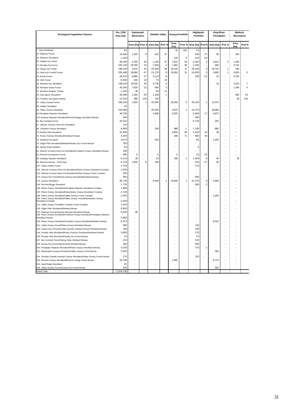| <b>Ecological Vegetation Classes</b>                                                                                           | Pre 1750<br>Area (ha) | Dartmouth<br><b>Mountains</b> |          | <b>Delatite Valley</b> |                   | <b>Granya Foothills</b> |                         | Highlands<br><b>Foothills</b> |                | <b>King River</b><br>Floodplain |                         | <b>Matlock</b><br><b>Mountains</b> |                |
|--------------------------------------------------------------------------------------------------------------------------------|-----------------------|-------------------------------|----------|------------------------|-------------------|-------------------------|-------------------------|-------------------------------|----------------|---------------------------------|-------------------------|------------------------------------|----------------|
|                                                                                                                                |                       |                               |          |                        |                   | Area                    |                         |                               |                |                                 |                         | Area                               |                |
| 7. Clav Heathland                                                                                                              |                       | Area (ha)                     | Prot %   | Area (ha)              | Prot <sub>9</sub> | (ha)                    | Prot %                  | Area (ha)                     | Prot%          | Area (ha)                       | Prot %                  | (ha)                               | Prot%          |
|                                                                                                                                | 65                    |                               |          |                        |                   | 15                      | 100                     | 20                            |                |                                 |                         |                                    |                |
| 18. Riparian Forest<br>19. Riparian Shrubland                                                                                  | 16,080                | 1,220                         | 9        | 810                    | 17                |                         |                         | 840                           | 27             | 55                              |                         | 200                                |                |
|                                                                                                                                | 1,440                 |                               |          |                        |                   | 110                     | 3                       | 410                           | 92             |                                 |                         |                                    |                |
| 20. Heathy Dry Forest                                                                                                          | 99,280                | 4.760                         | 90       | 1.160                  | 27                | 7.320                   | 55                      | 2,050                         | $\overline{1}$ | 3,610                           | $\overline{\mathbf{c}}$ | 1,240                              |                |
| 21.Shrubby Dry Forest                                                                                                          | 291,100               | 29,780                        | 53<br>33 | 7,600                  | $\overline{4}$    | 7,460                   | 66<br>17                | 1,090                         |                | 450                             |                         | 3,710                              |                |
| 22. Grassy Dry Forest                                                                                                          | 296,420               | 3,210                         | 47       | 16,930                 | 28                | 16,140                  | 31                      | 28,160                        | $\overline{4}$ | 19,710<br>3.860                 | $\mathbf{1}$<br>1       | 160                                | $\mathbf 0$    |
| 23. Herb-rich Foothill Forest                                                                                                  | 555,490               | 29,090<br>6,880               | 27       | 21,270<br>2,110        | 8<br>8            | 10,260                  |                         | 53,020<br>200                 | 3<br>51        | 15                              |                         | 3,920<br>3,760                     |                |
| 29. Damp Forest<br>30. Wet Forest                                                                                              | 48,310<br>6,690       | 340                           | 18       | 75                     | 15                |                         |                         |                               |                |                                 |                         |                                    |                |
|                                                                                                                                | 138,150               | 15,530                        | 30       | 3,730                  | 5                 |                         |                         |                               |                | 10                              | ł,                      | 3.410                              | $\overline{7}$ |
| 36. Montane Dry Woodland<br>38. Montane Damp Forest                                                                            | 40,360                | 7,020                         | 15       | 680                    | 3                 |                         |                         |                               |                |                                 |                         | 1,340                              | 5              |
| 41. Montane Riparian Thicket                                                                                                   | 1,200                 | 30                            |          | 60                     | 11                | $\overline{a}$          |                         |                               |                |                                 | ÷.                      |                                    |                |
| 43. Sub-alpine Woodland                                                                                                        | 35,480                | 1,160                         | 60       | 1,180                  | 1                 |                         |                         |                               |                |                                 |                         | 690                                | 93             |
|                                                                                                                                |                       |                               |          |                        |                   |                         |                         |                               |                |                                 |                         |                                    |                |
| 44. Treeless Sub-alpine Mosaic                                                                                                 | 21,020<br>250,250     | 380                           | 100<br>1 | 130                    |                   | 10.290                  | 5                       | 30,220                        | $\overline{1}$ | 12,270                          |                         | 55                                 | 100            |
| 47. Valley Grassy Forest                                                                                                       |                       | 1,250                         |          | 25,950                 |                   |                         |                         |                               |                |                                 |                         |                                    |                |
| 48. Heathy Woodland                                                                                                            | 35                    |                               |          |                        |                   |                         |                         |                               |                |                                 |                         |                                    |                |
| 55. Plains Grassy Woodland                                                                                                     | 210,800               |                               |          | 25,000                 |                   | 4,070                   | 1                       | 15,370                        |                | 45,950                          |                         |                                    |                |
| 56. Floodplain Riparian Woodland                                                                                               | 46,750                |                               |          | 2,990                  |                   | 2,500                   |                         | 6,680                         | 17             | 4,670                           |                         |                                    |                |
| 212 Swampy Riparian Woodland/Perched Boggy Shrubland Mosaic                                                                    | 500                   |                               |          |                        |                   |                         |                         | 500                           |                |                                 |                         |                                    |                |
| 61. Box Ironbark Forest                                                                                                        | 20,310                |                               |          |                        |                   |                         |                         | 5,720                         |                | 250                             | ä,                      |                                    |                |
| 67. Alluvial Terraces Herb-rich Woodland                                                                                       | 210                   |                               |          |                        |                   |                         |                         |                               |                |                                 |                         |                                    |                |
| 68. Creekline Grassy Woodland                                                                                                  | 9,980                 |                               |          | 330                    |                   | 880                     | 1                       | 1,190                         |                | 860                             |                         |                                    |                |
| 72. Granitic Hills Woodland                                                                                                    | 31,080                |                               |          |                        |                   | 6.900                   | 90                      | 3.350                         | 10             | 30                              |                         |                                    |                |
| 73. Rocky Outcrop Shrubland/Herbland Mosaic                                                                                    | 3,480                 |                               |          |                        |                   | 160                     | 71                      | 380                           | 40             |                                 |                         |                                    |                |
| 74. Wetland Formation                                                                                                          | 3,670                 |                               |          | 300                    |                   |                         |                         | 95                            |                | 1,200                           |                         |                                    |                |
| 79. Gilgai Plain Woodland/Wetland/Heathy Dry Forest Mosaic                                                                     | 760                   |                               |          |                        |                   |                         |                         |                               |                |                                 |                         |                                    |                |
| 80. Spring Soak Herbland                                                                                                       | 55                    |                               |          |                        |                   |                         |                         | 5                             |                |                                 |                         |                                    |                |
| 81. Alluvial Terraces Herb-rich Woodland/Creekline Grassy Woodland Mosaic                                                      | 340                   |                               |          |                        |                   |                         |                         |                               |                |                                 |                         |                                    |                |
| 82. Riverine Escaroment Scrub                                                                                                  | 680                   | 5                             |          | 5                      |                   | 5                       |                         | 25                            | 25             |                                 |                         |                                    |                |
| 83. Swampy Riparian Woodland                                                                                                   | 5,210                 | 35                            |          | 10                     |                   | 430                     | $\overline{\mathbf{c}}$ | 1,560                         | 8              | 40                              |                         | 35                                 |                |
| 84. Riparian Mosaic - North East                                                                                               | 6,730                 | 1,600                         | 8        | 190                    |                   |                         |                         | 520                           | 57             | 55                              |                         |                                    |                |
| 127. Valley Heathy Forest                                                                                                      | 1,750                 |                               |          |                        |                   |                         |                         | 710                           |                |                                 |                         |                                    |                |
| 152. Alluvial Terraces Herb-rich Woodland/Plains Grassy Woodland Complex                                                       | 1,090                 |                               |          |                        |                   |                         |                         |                               |                |                                 |                         |                                    |                |
| 153. Alluvial Terraces Herb-rich Woodland/Valley Grassy Forest Complex                                                         | 920                   |                               |          |                        |                   |                         |                         |                               |                |                                 |                         |                                    |                |
| 174. Grassy Dry Forest/Rocky Outcrop Shrubland/Herbland Mosaic                                                                 | 950                   |                               |          |                        |                   |                         |                         | 950                           |                |                                 |                         |                                    |                |
| 175. Grassy Woodland                                                                                                           | 86,740                |                               |          | 6,940                  | 1                 | 15,400                  | 1                       | 21,470                        | 0              | 4,400                           |                         |                                    |                |
| 185. Perched Boggy Shrubland                                                                                                   | 1,730                 |                               |          |                        |                   |                         |                         | 490                           | 2              |                                 |                         |                                    |                |
| 186. Plains Grassy Woodland/Floodplain Riparian Woodland Complex                                                               | 7,880                 |                               |          |                        |                   |                         |                         |                               |                |                                 |                         |                                    |                |
| 187. Plains Grassy Woodland/Rainshadow Grassy Woodland Complex                                                                 | 2,730                 |                               |          |                        |                   |                         |                         |                               |                |                                 |                         |                                    |                |
| 188. Plains Grassy Woodland/Valley Grassy Forest Complex<br>190. Plains Grassy Woodland/Valley Grassy Forest/Rainshadow Grassy | 1,940                 |                               |          |                        |                   |                         |                         |                               |                | 1.200                           |                         |                                    |                |
| <b>Woodland Complex</b>                                                                                                        | 2,400                 |                               |          |                        |                   |                         |                         |                               |                |                                 |                         |                                    |                |
| 213. Valley Grassy Forest/Box Ironbark Forest Complex                                                                          | 1,640                 |                               |          |                        |                   |                         |                         |                               |                |                                 |                         |                                    |                |
| 235. Gilgai Plain Woodland/Wetland Mosaic                                                                                      | 9,900                 |                               |          |                        |                   |                         |                         |                               |                |                                 |                         |                                    |                |
| 237. Riparian Forest/Swampy Riparian Woodland Mosaic                                                                           | 4,640                 | 60                            |          |                        |                   |                         |                         |                               |                |                                 |                         |                                    |                |
| 238. Plains Grassy Woodland/Creekline Grassy Woodland/Floodplain Riparian<br>Woodland Mosaic                                   | 3,880                 |                               |          |                        |                   |                         |                         |                               |                |                                 |                         |                                    |                |
| 240. Plains Grassy Woodland/Creekline Grassy Woodland/Wetland Mosaic                                                           | 8,310                 |                               |          |                        |                   |                         |                         |                               |                | 8,310                           |                         |                                    |                |
| 241. Valley Grassy Forest/Plains Grassy Woodland Mosaic                                                                        | 580                   |                               |          |                        |                   |                         |                         | 130                           |                |                                 |                         |                                    |                |
| 243. Grassy Dry Forest/Shrubby Granitic-outwash Grassy Woodland Mosaic                                                         | 190                   |                               |          |                        |                   |                         |                         | 190                           |                |                                 |                         |                                    |                |
| 244. Granitic Hills Woodland/Rocky Outcrop Shrubland/Herbland Mosaic                                                           | 3,980                 |                               |          |                        |                   |                         |                         | 170                           |                |                                 |                         |                                    |                |
| 245. Granitic Hills Woodland/Heathy Dry Forest Mosaic                                                                          | 10                    |                               |          |                        |                   |                         |                         | 10                            |                |                                 |                         |                                    |                |
| 247. Box Ironbark Forest/Spring Soak Herbland Mosaic                                                                           | 210                   |                               |          |                        |                   |                         |                         | 210                           |                |                                 |                         |                                    |                |
| 248. Grassy Dry Forest/Spring Soak Herbland Mosaic                                                                             | 390                   |                               |          |                        |                   |                         |                         | 390                           |                |                                 |                         |                                    |                |
| 250. Floodplain Riparian Woodland/Plains Grassy Woodland Mosaic                                                                | 3,100                 |                               |          |                        |                   |                         |                         | 710                           |                |                                 |                         |                                    |                |
| 251. Rainshadow Grassy Woodland/Valley Grassy Forest Mosaic                                                                    | 3,620                 |                               |          |                        |                   |                         |                         |                               |                | 260                             |                         |                                    |                |
|                                                                                                                                |                       |                               |          |                        |                   |                         |                         |                               |                |                                 |                         |                                    |                |
| 254. Shrubby Granitic-outwash Grassy Woodland/Valley Grassy Forest Mosaic                                                      | 170                   |                               |          |                        |                   |                         |                         | 150                           |                |                                 |                         |                                    |                |
| 255. Riverine Grassy Woodland/Riverine Sedgy Forest Mosaic                                                                     | 26,790                | J.                            |          |                        |                   | 1,290                   |                         |                               |                | 6,770                           | ÷.                      |                                    |                |
| 264. Sand Ridge Woodland                                                                                                       | 25                    |                               |          |                        |                   |                         |                         |                               |                |                                 |                         |                                    |                |
| 265. Valley Grassy Forest/Grassy Dry Forest Mosaic                                                                             | 250                   |                               |          |                        |                   |                         |                         |                               |                | 250                             |                         |                                    |                |
| <b>Grand Total</b>                                                                                                             | 2.318.130             |                               |          |                        |                   |                         |                         |                               |                |                                 |                         |                                    |                |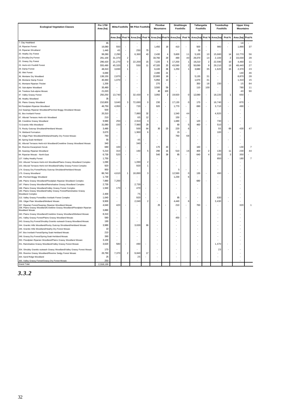| <b>Ecological Vegetation Classes</b>                                                                                              | Pre 1750<br>Area (ha) | <b>Mitta Foothills</b> |                          | Mt Pilot Foothills |                | Pinnibar<br><b>Mountains</b> |                | Strathbogie<br><b>Foothills</b> |                  |           | Tallangatta<br><b>Foothills</b> |           | Toombullup<br><b>Foothills</b> |           | <b>Upper King</b><br><b>Mountains</b> |
|-----------------------------------------------------------------------------------------------------------------------------------|-----------------------|------------------------|--------------------------|--------------------|----------------|------------------------------|----------------|---------------------------------|------------------|-----------|---------------------------------|-----------|--------------------------------|-----------|---------------------------------------|
|                                                                                                                                   |                       | Area (ha) Prot         |                          | Area (ha)          | Prot %         |                              |                | Area (ha) Prot% Area (ha)       | Prot %           | Area (ha) | Prot <sub>9</sub>               | Area (ha) | Prot%                          | Area (ha) | Prot%                                 |
| 7. Clay Heathland                                                                                                                 | 65                    |                        |                          |                    |                |                              |                |                                 |                  |           |                                 |           |                                | 18        |                                       |
| 18. Riparian Forest                                                                                                               | 16,080                | 550                    |                          |                    |                | 1,450                        | 18             | 410                             |                  | 500       |                                 | 980       |                                | 1,890     | 37                                    |
| 19. Riparian Shrubland                                                                                                            | 1,440                 | 45                     |                          | 250                | 70             |                              |                |                                 |                  | 50        |                                 |           |                                |           |                                       |
| 20. Heathy Dry Forest                                                                                                             | 99,280                | 2,290                  |                          | 6,360              | 43             | 2,430                        | $\overline{4}$ | 5,600                           | 11               | 5,100     | 10                              | 15,660    | 14                             | 10,770    | 56                                    |
| 21.Shrubby Dry Forest                                                                                                             | 291,100               | 31,370                 | $\overline{2}$           |                    |                | 33,760                       | 29             | 490                             | 40               | 29,370    | 14                              | 2,100     | $\overline{2}$                 | 33,030    | 28                                    |
| 22. Grassy Dry Forest                                                                                                             | 296,420               | 21,270                 | $\mathsf 0$              | 22,200             | 15             | 7,220                        | 5              | 17,200                          | 1                | 19,210    | $\overline{\mathbf{c}}$         | 22,590    | 10                             | 4,460     | 11                                    |
| 23. Herb-rich Foothill Forest                                                                                                     | 555,490               | 45,320                 | $\mathbf{1}$             | 550                | 11             | 47,320                       | 25             | 43,590                          | $\boldsymbol{2}$ | 50,090    | 9                               | 29,210    | 13                             | 48,440    | 27                                    |
| 29. Damp Forest                                                                                                                   | 48,310                | 3,830                  | 1                        |                    |                | 6,100                        | 36             | 1,250                           |                  | 3,680     | 35                              | 1,620     | 15                             | 2,370     | 23                                    |
| 30. Wet Forest                                                                                                                    | 6,690                 |                        |                          |                    |                | 2,490                        | 21             |                                 |                  |           |                                 |           |                                | 140       | 46                                    |
| 36. Montane Dry Woodland                                                                                                          | 138,150               | 2,870                  |                          |                    |                | 22,800                       | 18             |                                 |                  | 5,130     | 31                              | ÷.        |                                | 8,870     | 28                                    |
| 38. Montane Damp Forest                                                                                                           | 40,360                | 1,070                  |                          |                    |                | 5,950                        | 13             |                                 |                  | 1,670     | 31                              |           |                                | 1,310     | 15                                    |
| 41. Montane Riparian Thicket                                                                                                      | 1,200                 |                        |                          |                    |                | 270                          |                |                                 |                  | 350       | 18                              | 230       |                                | 15        | 84                                    |
| 43. Sub-alpine Woodland                                                                                                           | 35,480                | ÷                      |                          |                    |                | 3,500                        | 59             | ÷                               |                  | 110       | 100                             |           |                                | 780       | 11                                    |
| 44. Treeless Sub-alpine Mosaic                                                                                                    | 21,020                |                        |                          |                    |                | 40                           | 100            |                                 |                  |           |                                 |           |                                | 40        | 90                                    |
| 47. Valley Grassy Forest                                                                                                          | 250,250               | 13,740                 | $\overline{\phantom{a}}$ | 32,430             | $\overline{4}$ | 3,950                        | $\overline{2}$ | 19,920                          | $\mathbf 0$      | 12,080    |                                 | 18,220    | $\overline{1}$                 | 650       |                                       |
| 48. Heathy Woodland                                                                                                               | 35                    |                        |                          |                    |                |                              |                |                                 |                  |           |                                 |           |                                |           |                                       |
| 55. Plains Grassy Woodland                                                                                                        | 210,800               | 3,640                  | 3                        | 72,690             | $\mathbf 0$    | 230                          |                | 17,130                          | $\mathbf 0$      | 170       | ÷,                              | 16,740    |                                | 870       |                                       |
| 56. Floodplain Riparian Woodland                                                                                                  | 46,750                | 4,950                  |                          | 720                |                | 920                          |                | 1,770                           |                  | 690       |                                 | 3,710     |                                | 490       |                                       |
| 212 Swampy Riparian Woodland/Perched Boggy Shrubland Mosaic                                                                       | 500                   |                        |                          |                    |                |                              |                |                                 |                  |           |                                 |           |                                |           |                                       |
| 61. Box Ironbark Forest                                                                                                           | 20,310                |                        |                          | 7,880              | 32             |                              |                | 1,540                           | 44               |           |                                 | 4,920     |                                |           |                                       |
| 67. Alluvial Terraces Herb-rich Woodland                                                                                          | 210                   |                        |                          | 65                 | 12             | ä,                           |                | 150                             |                  |           |                                 |           |                                |           |                                       |
| 68. Creekline Grassy Woodland                                                                                                     | 9,980                 | 250                    | ÷,                       | 2,910              | 3              |                              |                | 1,680                           |                  | 120       |                                 | 730       |                                |           |                                       |
| 72. Granitic Hills Woodland                                                                                                       | 31,080                | 150                    |                          | 7,980              | 29             |                              | 23             | 80<br>220                       | 5<br>6           | 460       |                                 | 510<br>55 | 69                             | 430       | 47                                    |
| 73. Rocky Outcrop Shrubland/Herbland Mosaic                                                                                       | 3,480                 |                        |                          | 500                | 64             | 30                           |                |                                 |                  |           |                                 |           |                                |           |                                       |
| 74. Wetland Formation                                                                                                             | 3,670                 |                        |                          | 1,960              | 6              |                              |                | 15<br>760                       | 68               |           |                                 | 100       |                                |           |                                       |
| 79. Gilgai Plain Woodland/Wetland/Heathy Dry Forest Mosaic<br>80. Spring Soak Herbland                                            | 760<br>55             |                        |                          | 45                 |                |                              |                |                                 |                  |           |                                 |           |                                |           |                                       |
| 81. Alluvial Terraces Herb-rich Woodland/Creekline Grassy Woodland Mosaic                                                         | 340                   |                        |                          | 340                |                |                              |                |                                 |                  |           |                                 |           |                                |           |                                       |
| 82. Riverine Escaroment Scrub                                                                                                     | 680                   | 10 <sub>0</sub>        |                          |                    |                | 170                          | 43             |                                 |                  | 160       |                                 |           |                                | 130       | $\overline{7}$                        |
| 83. Swampy Riparian Woodland                                                                                                      | 5,210                 | 310                    | $\overline{a}$           | 160                | 5              | 290                          | 16             | 510                             | 16               | 400       | $\overline{2}$                  | 130       | 11                             | 230       | 44                                    |
| 84. Riparian Mosaic - North East                                                                                                  | 6,730                 | 520                    |                          |                    |                | 540                          | 38             | 85                              |                  | 640       | 4                               | 250       | 3                              | 350       |                                       |
| 127. Valley Heathy Forest                                                                                                         | 1,750                 |                        |                          |                    |                |                              |                |                                 |                  |           |                                 | 850       |                                | 180       | $\overline{7}$                        |
| 152. Alluvial Terraces Herb-rich Woodland/Plains Grassy Woodland Complex                                                          | 1,090                 |                        |                          | 1,090              | $\overline{2}$ |                              |                |                                 |                  |           |                                 |           |                                |           |                                       |
| 153. Alluvial Terraces Herb-rich Woodland/Valley Grassy Forest Complex                                                            | 920                   |                        |                          | 920                | $\overline{1}$ |                              |                |                                 |                  |           |                                 |           |                                |           |                                       |
| 174. Grassy Dry Forest/Rocky Outcrop Shrubland/Herbland Mosaic                                                                    | 950                   |                        |                          |                    |                |                              |                | F                               |                  |           |                                 |           |                                |           |                                       |
| 175. Grassy Woodland                                                                                                              | 86,740                | 4,610                  | 1                        | 18,890             | 3              |                              |                | 12,560                          | $\Omega$         | 130       |                                 | 490       |                                |           |                                       |
| 185. Perched Boggy Shrubland                                                                                                      | 1,730                 |                        |                          |                    |                |                              |                | 1,230                           | 6                |           |                                 |           |                                |           |                                       |
| 186. Plains Grassy Woodland/Floodplain Riparian Woodland Complex                                                                  | 7,880                 | 7,200                  |                          |                    |                |                              |                |                                 |                  | 680       |                                 |           |                                |           |                                       |
| 187. Plains Grassy Woodland/Rainshadow Grassy Woodland Complex                                                                    | 2,730                 |                        |                          | 2,730              |                |                              |                |                                 |                  |           |                                 |           |                                |           |                                       |
| 188. Plains Grassy Woodland/Valley Grassy Forest Complex<br>190. Plains Grassy Woodland/Valley Grassy Forest/Rainshadow Grassy    | 1,940                 | 170                    | J.                       | 470                |                |                              |                |                                 |                  |           |                                 |           |                                |           |                                       |
| <b>Woodland Complex</b>                                                                                                           | 2,400                 |                        |                          | 75                 |                |                              |                |                                 |                  |           |                                 |           |                                |           |                                       |
| 213. Valley Grassy Forest/Box Ironbark Forest Complex                                                                             | 1.640                 |                        |                          | 920                |                |                              |                | æ                               |                  |           |                                 | 630       |                                |           |                                       |
| 235. Gilgai Plain Woodland/Wetland Mosaic                                                                                         | 9,900                 |                        |                          | 2,040              | $\overline{2}$ |                              |                | 4,440                           | 6                |           |                                 | 3,430     |                                |           |                                       |
| 237. Riparian Forest/Swampy Riparian Woodland Mosaic<br>238. Plains Grassy Woodland/Creekline Grassy Woodland/Floodplain Riparian | 4,640                 | 420                    | J.                       |                    |                | 25                           |                | 210                             |                  | 760       |                                 |           |                                | 320       | 1                                     |
| <b>Woodland Mosaid</b>                                                                                                            | 3,880                 |                        |                          |                    |                |                              |                |                                 |                  |           |                                 |           |                                |           |                                       |
| 240. Plains Grassy Woodland/Creekline Grassy Woodland/Wetland Mosaic<br>241. Valley Grassy Forest/Plains Grassy Woodland Mosaic   | 8,310<br>580          |                        |                          |                    |                |                              |                | 450                             |                  |           |                                 |           |                                |           |                                       |
| 243. Grassy Dry Forest/Shrubby Granitic-outwash Grassy Woodland Mosaic                                                            | 190                   |                        |                          |                    |                |                              |                |                                 |                  |           |                                 |           |                                |           |                                       |
| 244. Granitic Hills Woodland/Rocky Outcrop Shrubland/Herbland Mosaic                                                              | 3.980                 |                        |                          | 3,630              | 66             |                              |                |                                 |                  |           |                                 |           |                                |           |                                       |
| 245. Granitic Hills Woodland/Heathy Dry Forest Mosaic                                                                             | 10                    |                        |                          |                    |                |                              |                |                                 |                  |           |                                 |           |                                |           |                                       |
| 247. Box Ironbark Forest/Spring Soak Herbland Mosaic                                                                              | 210                   |                        |                          |                    |                |                              |                |                                 |                  |           |                                 |           |                                |           |                                       |
| 248. Grassy Dry Forest/Spring Soak Herbland Mosaic                                                                                | 390                   |                        |                          |                    |                |                              |                |                                 |                  |           |                                 |           |                                |           |                                       |
| 250. Floodplain Riparian Woodland/Plains Grassy Woodland Mosaic                                                                   |                       |                        |                          |                    |                |                              |                |                                 |                  |           |                                 |           |                                |           |                                       |
| 251. Rainshadow Grassy Woodland/Valley Grassy Forest Mosaic                                                                       | 3,100<br>3.620        | 580                    | $\tilde{\phantom{a}}$    | 490                |                |                              |                |                                 |                  |           |                                 | 1,470     |                                |           |                                       |
|                                                                                                                                   |                       |                        |                          |                    |                |                              |                |                                 |                  |           |                                 |           |                                |           |                                       |
| 254. Shrubby Granitic-outwash Grassy Woodland/Valley Grassy Forest Mosaic                                                         | 170                   |                        |                          |                    |                |                              |                |                                 |                  |           |                                 | 23        |                                |           |                                       |
| 255. Riverine Grassy Woodland/Riverine Sedgy Forest Mosaic                                                                        | 26,790                | 7,370                  | $\mathcal{P}$            | 9,840              | 17             |                              |                |                                 |                  |           |                                 |           |                                |           |                                       |
| 264. Sand Ridge Woodland                                                                                                          | 25                    |                        |                          | 25                 |                |                              |                |                                 |                  |           |                                 |           |                                |           |                                       |
| 265. Valley Grassy Forest/Grassy Dry Forest Mosaic<br><b>Grand Total</b>                                                          | 250<br>2.318.130      |                        |                          |                    |                |                              |                |                                 |                  |           |                                 |           |                                |           |                                       |
|                                                                                                                                   |                       |                        |                          |                    |                |                              |                |                                 |                  |           |                                 |           |                                |           |                                       |

*3.3.2*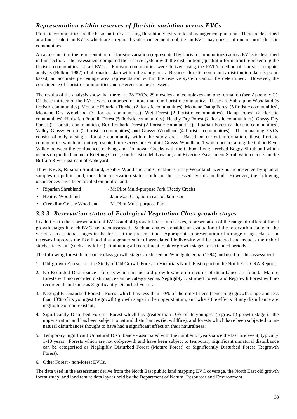# *Representation within reserves of floristic variation across EVCs*

Floristic communities are the basic unit for assessing flora biodiversity in local management planning. They are described at a finer scale than EVCs which are a regional-scale management tool, i.e. an EVC may consist of one or more floristic communities.

An assessment of the representation of floristic variation (represented by floristic communities) across EVCs is described in this section. The assessment compared the reserve system with the distribution (quadrat information) representing the floristic communities for all EVCs. Floristic communities were derived using the PATN method of floristic computer analysis (Belbin, 1987) of all quadrat data within the study area. Because floristic community distribution data is pointbased, an accurate percentage area representation within the reserve system cannot be determined. However, the coincidence of floristic communities and reserves can be assessed.

The results of the analysis show that there are 28 EVCs, 29 mosaics and complexes and one formation (see Appendix C). Of these thirteen of the EVCs were comprised of more than one floristic community. These are Sub-alpine Woodland (6 floristic communities), Montane Riparian Thicket (2 floristic communities), Montane Damp Forest (5 floristic communities), Montane Dry Woodland (3 floristic communities), Wet Forest (2 floristic communities), Damp Forest (2 floristic communities), Herb-rich Foothill Forest (5 floristic communities), Heathy Dry Forest (2 floristic communities), Grassy Dry Forest (2 floristic communities), Box Ironbark Forest (2 floristic communities), Riparian Forest (2 floristic communities), Valley Grassy Forest (2 floristic communities) and Grassy Woodland (4 floristic communities). The remaining EVCs consist of only a single floristic community within the study area. Based on current information, those floristic communities which are not represented in reserves are Foothill Grassy Woodland 1 which occurs along the Gibbo River Valley between the confluences of King and Donnovan Creeks with the Gibbo River; Perched Boggy Shrubland which occurs on public land near Koetong Creek, south east of Mt Lawson; and Riverine Escarpment Scrub which occurs on the Buffalo River upstream of Abbeyard.

Three EVCs, Riparian Shrubland, Heathy Woodland and Creekline Grassy Woodland, were not represented by quadrat samples on public land, thus their reservation status could not be assessed by this method. However, the following occurrences have been located on public land:

- Riparian Shrubland Mt Pilot Multi-purpose Park (Reedy Creek)
- Heathy Woodland Jamieson Gap, north east of Jamieson
- Creekline Grassy Woodland Mt Pilot Multi-purpose Park

### *3.3.3 Reservation status of Ecological Vegetation Class growth stages*

In addition to the representation of EVCs and old growth forest in reserves, representation of the range of different forest growth stages in each EVC has been assessed. Such an analysis enables an evaluation of the reservation status of the various successional stages in the forest at the present time. Appropriate representation of a range of age-classes in reserves improves the likelihood that a greater suite of associated biodiversity will be protected and reduces the risk of stochastic events (such as wildfire) eliminating all recruitment to older growth stages for extended periods.

The following forest disturbance class growth stages are based on Woodgate *et al*. (1994) and used for this assessment.

- 1. Old-growth Forest see the Study of Old Growth Forest in Victoria's North East report or the North East CRA Report;
- 2. No Recorded Disturbance forests which are not old growth where no records of disturbance are found. Mature forests with no recorded disturbance can be categorised as Negligibly Disturbed Forest, and Regrowth Forest with no recorded disturbance as Significantly Disturbed Forest.
- 3. Negligibly Disturbed Forest Forest which has less than 10% of the oldest trees (senescing) growth stage and less than 10% of its youngest (regrowth) growth stage in the upper stratum, and where the effects of any disturbance are negligible or non-existent;
- 4. Significantly Disturbed Forest Forest which has greater than 10% of its youngest (regrowth) growth stage in the upper stratum and has been subject to natural disturbances (ie. wildfire), and forests which have been subjected to unnatural disturbances thought to have had a significant effect on their naturalness;
- 5. Temporary Significant Unnatural Disturbance associated with the number of years since the last fire event, typically 1-10 years. Forests which are not old-growth and have been subject to temporary significant unnatural disturbance can be categorised as Negligibly Disturbed Forest (Mature Forest) or Significantly Disturbed Forest (Regrowth Forest).
- 6. Other Forest non-forest EVCs.

The data used in the assessment derive from the North East public land mapping EVC coverage, the North East old growth forest study, and land tenure data layers held by the Department of Natural Resources and Environment.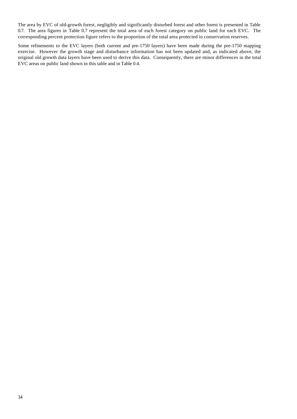The area by EVC of old-growth forest, negligibly and significantly disturbed forest and other forest is presented in Table 0.7. The area figures in Table 0.7 represent the total area of each forest category on public land for each EVC. The corresponding percent protection figure refers to the proportion of the total area protected in conservation reserves.

Some refinements to the EVC layers (both current and pre-1750 layers) have been made during the pre-1750 mapping exercise. However the growth stage and disturbance information has not been updated and, as indicated above, the original old growth data layers have been used to derive this data. Consequently, there are minor differences in the total EVC areas on public land shown in this table and in Table 0.4.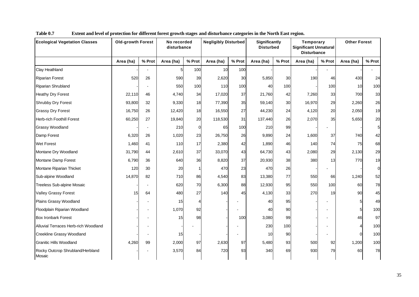| <b>Ecological Vegetation Classes</b>       | <b>Old-growth Forest</b> |                | No recorded<br>disturbance |          |           | <b>Negligibly Disturbed</b> |           | Significantly<br><b>Disturbed</b> | Temporary<br><b>Significant Unnatural</b><br><b>Disturbance</b> |        | <b>Other Forest</b> |                 |
|--------------------------------------------|--------------------------|----------------|----------------------------|----------|-----------|-----------------------------|-----------|-----------------------------------|-----------------------------------------------------------------|--------|---------------------|-----------------|
|                                            | Area (ha)                | % Prot         | Area (ha)                  | % Prot   | Area (ha) | % Prot                      | Area (ha) | % Prot                            | Area (ha)                                                       | % Prot | Area (ha)           | % Prot          |
| Clay Heathland                             |                          | $\blacksquare$ | 5                          | 100      | 10        | 100                         |           |                                   |                                                                 |        |                     |                 |
| <b>Riparian Forest</b>                     | 520                      | 26             | 590                        | 39       | 2,620     | 30                          | 5,850     | 30                                | 190                                                             | 46     | 430                 | 24              |
| Riparian Shrubland                         |                          |                | 550                        | 100      | 110       | 100                         | 40        | 100                               |                                                                 | 100    | 10                  | 100             |
| <b>Heathy Dry Forest</b>                   | 22,110                   | 46             | 4,740                      | 34       | 17,020    | 37                          | 21,760    | 42                                | 7,260                                                           | 33     | 700                 | 33              |
| Shrubby Dry Forest                         | 93,800                   | 32             | 9,330                      | 18       | 77,390    | 35                          | 59,140    | 30                                | 16,970                                                          | 29     | 2,260               | 26              |
| <b>Grassy Dry Forest</b>                   | 16,750                   | 26             | 12,420                     | 18       | 16,550    | 27                          | 44,230    | 24                                | 4,120                                                           | 20     | 2,050               | 19              |
| Herb-rich Foothill Forest                  | 60,250                   | 27             | 19,840                     | 20       | 118,530   | 31                          | 137,440   | 26                                | 2,070                                                           | 35     | 5,650               | 20              |
| <b>Grassy Woodland</b>                     |                          |                | 210                        | $\Omega$ | 65        | 100                         | 210       | 99                                |                                                                 |        |                     | $5\overline{a}$ |
| Damp Forest                                | 6,320                    | 26             | 1,020                      | 23       | 26,750    | 26                          | 9,890     | 24                                | 1,600                                                           | 37     | 740                 | 42              |
| <b>Wet Forest</b>                          | 1,460                    | 41             | 110                        | 17       | 2,380     | 42                          | 1,890     | 46                                | 140                                                             | 74     | 75                  | 68              |
| Montane Dry Woodland                       | 31,790                   | 44             | 2,610                      | 37       | 33,070    | 43                          | 64,730    | 43                                | 2,080                                                           | 29     | 2,130               | 29              |
| Montane Damp Forest                        | 6,790                    | 36             | 640                        | 36       | 8,820     | 37                          | 20,930    | 38                                | 380                                                             | 13     | 770                 | 19              |
| Montane Riparian Thicket                   | 120                      | 30             | 20                         |          | 470       | 23                          | 470       | 26                                |                                                                 |        |                     | $\overline{0}$  |
| Sub-alpine Woodland                        | 14,870                   | 82             | 710                        | 86       | 4,540     | 83                          | 13,380    | 77                                | 550                                                             | 66     | 1,240               | 52              |
| Treeless Sub-alpine Mosaic                 |                          |                | 620                        | 70       | 6,300     | 88                          | 12,930    | 95                                | 550                                                             | 100    | 60                  | 78              |
| <b>Valley Grassy Forest</b>                | 15                       | 64             | 480                        | 27       | 140       | 45                          | 4,130     | 33                                | 270                                                             | 19     | 90                  | 45              |
| Plains Grassy Woodland                     |                          |                | 15                         |          |           |                             | 40        | 95                                |                                                                 |        | 5                   | 49              |
| Floodplain Riparian Woodland               |                          |                | 1,070                      | 92       |           |                             | 40        | 90                                |                                                                 |        | 5                   | 100             |
| <b>Box Ironbark Forest</b>                 |                          |                | 15                         | 98       |           | 100                         | 3,080     | 99                                |                                                                 |        | 46                  | 97              |
| Alluvial Terraces Herb-rich Woodland       |                          |                |                            |          |           |                             | 230       | 100                               |                                                                 |        | 4                   | 100             |
| Creekline Grassy Woodland                  |                          |                | 15                         |          |           |                             | 10        | 90                                |                                                                 |        | $\Omega$            | 100             |
| <b>Granitic Hills Woodland</b>             | 4,260                    | 99             | 2,000                      | 97       | 2,630     | 97                          | 5,480     | 93                                | 500                                                             | 92     | 1,200               | 100             |
| Rocky Outcrop Shrubland/Herbland<br>Mosaic |                          |                | 3,570                      | 84       | 720       | 93                          | 340       | 69                                | 930                                                             | 79     | 60                  | 78              |

**Table 0.7 Extent and level of protection for different forest growth stages and disturbance categories in the North East region.**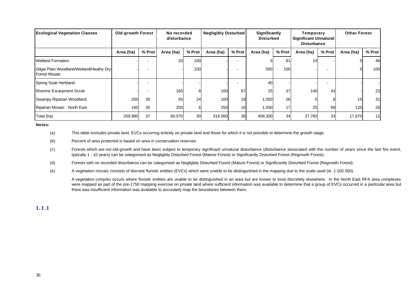| <b>Ecological Vegetation Classes</b>                             | <b>Old-growth Forest</b> |        | No recorded<br>disturbance |        | <b>Negligibly Disturbed</b> |        | <b>Significantly</b><br><b>Disturbed</b> |        | Temporary<br>Significant Unnatural<br><b>Disturbance</b> |        | <b>Other Forest</b> |        |
|------------------------------------------------------------------|--------------------------|--------|----------------------------|--------|-----------------------------|--------|------------------------------------------|--------|----------------------------------------------------------|--------|---------------------|--------|
|                                                                  | Area (ha)                | % Prot | Area (ha)                  | % Prot | Area (ha)                   | % Prot | Area (ha)                                | % Prot | Area (ha)                                                | % Prot | Area (ha)           | % Prot |
| <b>Wetland Formation</b>                                         |                          |        | <b>20</b>                  | 100    |                             |        |                                          | 81     | 10 <sub>l</sub>                                          |        |                     | 46     |
| Gilgai Plain Woodland/Wetland/Heathy Dry<br><b>Forest Mosaic</b> |                          |        |                            | 100    |                             |        | 500                                      | 100    |                                                          |        |                     | 100    |
| Spring Soak Herbland                                             |                          |        |                            |        |                             |        | 40                                       |        |                                                          |        |                     |        |
| <b>Riverine Escarpment Scrub</b>                                 |                          |        | 160                        |        | 100                         | 67     | 25                                       | 37     | 140                                                      | 43     |                     | 23     |
| Swampy Riparian Woodland                                         | 250                      | 39     | 55                         | 24     | 100                         | 19     | 1,050                                    | 26     |                                                          |        | 15                  | 31     |
| Riparian Mosaic - North East                                     | 160                      | 35     | 250                        |        | 250                         | 16     | 1,430                                    | 17     | 25                                                       | 69     | 120                 | 26     |
| Total (ha)                                                       | 259,980                  | 37     | 60,570                     | 30     | 318,560                     | 36     | 409,300                                  | 34     | 37,780                                                   | 33     | 17,670              | 11     |

**Notes:**

(a) This table excludes private land, EVCs occurring entirely on private land and those for which it is not possible to determine the growth stage.

(b) Percent of area protected is based on area in conservation reserves.

(c) Forests which are not old-growth and have been subject to temporary significant unnatural disturbance (disturbance associated with the number of years since the last fire event, typically 1 - 10 years) can be categorised as Negligibly Disturbed Forest (Mature Forest) or Significantly Disturbed Forest (Regrowth Forest).

(d) Forests with no recorded disturbance can be categorised as Negligibly Disturbed Forest (Mature Forest) or Significantly Disturbed Forest (Regrowth Forest).

(e) A vegetation *mosaic* consists of discrete floristic entities (EVCs) which were unable to be distinguished in the mapping due to the scale used (ie. 1:100 000).

A vegetation *complex* occurs where floristic entities are unable to be distinguished in an area but are known to exist discretely elsewhere. In the North East RFA area complexes were mapped as part of the pre-1750 mapping exercise on private land where sufficient information was available to determine that a group of EVCs occurred in a particular area but there was insufficient information was available to accurately map the boundaries between them.

**1.1.1**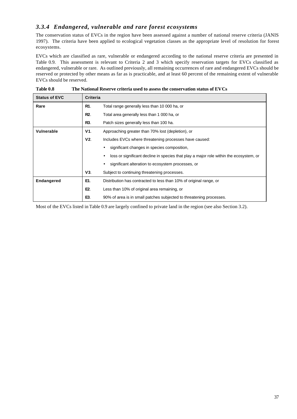# *3.3.4 Endangered, vulnerable and rare forest ecosystems*

The conservation status of EVCs in the region have been assessed against a number of national reserve criteria (JANIS 1997). The criteria have been applied to ecological vegetation classes as the appropriate level of resolution for forest ecosystems.

EVCs which are classified as rare, vulnerable or endangered according to the national reserve criteria are presented in Table 0.9. This assessment is relevant to Criteria 2 and 3 which specify reservation targets for EVCs classified as endangered, vulnerable or rare. As outlined previously, all remaining occurrences of rare and endangered EVCs should be reserved or protected by other means as far as is practicable, and at least 60 percent of the remaining extent of vulnerable EVCs should be reserved.

| <b>Status of EVC</b> | <b>Criteria</b> |                                                                                        |
|----------------------|-----------------|----------------------------------------------------------------------------------------|
| Rare                 | R1.             | Total range generally less than 10 000 ha, or                                          |
|                      | R2.             | Total area generally less than 1 000 ha, or                                            |
|                      | R3.             | Patch sizes generally less than 100 ha.                                                |
| Vulnerable           | V1.             | Approaching greater than 70% lost (depletion), or                                      |
|                      | V2.             | Includes EVCs where threatening processes have caused:                                 |
|                      |                 | significant changes in species composition,                                            |
|                      |                 | loss or significant decline in species that play a major role within the ecosystem, or |
|                      |                 | significant alteration to ecosystem processes, or                                      |
|                      | V3.             | Subject to continuing threatening processes.                                           |
| <b>Endangered</b>    | E1.             | Distribution has contracted to less than 10% of original range, or                     |
|                      | E2.             | Less than 10% of original area remaining, or                                           |
|                      | E3.             | 90% of area is in small patches subjected to threatening processes.                    |

| Table 0.8 | The National Reserve criteria used to assess the conservation status of EVCs |
|-----------|------------------------------------------------------------------------------|
|-----------|------------------------------------------------------------------------------|

Most of the EVCs listed in Table 0.9 are largely confined to private land in the region (see also Section 3.2).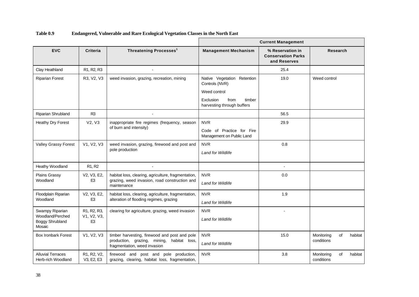|                                                                  |                                                                                     |                                                                                                                                | <b>Current Management</b>                                 |                                                               |                                           |  |  |  |  |
|------------------------------------------------------------------|-------------------------------------------------------------------------------------|--------------------------------------------------------------------------------------------------------------------------------|-----------------------------------------------------------|---------------------------------------------------------------|-------------------------------------------|--|--|--|--|
| <b>EVC</b>                                                       | <b>Criteria</b>                                                                     | Threatening Processes <sup>1</sup>                                                                                             | <b>Management Mechanism</b>                               | % Reservation in<br><b>Conservation Parks</b><br>and Reserves | <b>Research</b>                           |  |  |  |  |
| Clay Heathland                                                   | R1, R2, R3                                                                          |                                                                                                                                |                                                           | 25.4                                                          |                                           |  |  |  |  |
| <b>Riparian Forest</b>                                           | R3, V2, V3                                                                          | weed invasion, grazing, recreation, mining                                                                                     | Native Vegetation Retention<br>Controls (NVR)             | 19.0                                                          | Weed control                              |  |  |  |  |
|                                                                  |                                                                                     |                                                                                                                                | Weed control                                              |                                                               |                                           |  |  |  |  |
|                                                                  |                                                                                     |                                                                                                                                | Exclusion<br>from<br>timber<br>harvesting through buffers |                                                               |                                           |  |  |  |  |
| Riparian Shrubland                                               | R <sub>3</sub>                                                                      | $\sim$                                                                                                                         |                                                           | 56.5                                                          |                                           |  |  |  |  |
| Heathy Dry Forest                                                | V2, V3                                                                              | inappropriate fire regimes (frequency, season                                                                                  | <b>NVR</b>                                                | 29.9                                                          |                                           |  |  |  |  |
| of burn and intensity)                                           |                                                                                     | Code of Practice for Fire<br>Management on Public Land                                                                         |                                                           |                                                               |                                           |  |  |  |  |
| Valley Grassy Forest                                             | V1, V2, V3                                                                          | weed invasion, grazing, firewood and post and<br>pole production                                                               | <b>NVR</b><br><b>Land for Wildlife</b>                    | 0.8                                                           |                                           |  |  |  |  |
| Heathy Woodland                                                  | R <sub>1</sub> , R <sub>2</sub>                                                     |                                                                                                                                |                                                           | $\blacksquare$                                                |                                           |  |  |  |  |
| <b>Plains Grassy</b><br>Woodland                                 | V2, V3, E2,<br>E <sub>3</sub>                                                       | habitat loss, clearing, agriculture, fragmentation,<br>grazing, weed invasion, road construction and<br>maintenance            | <b>NVR</b><br><b>Land for Wildlife</b>                    | 0.0                                                           |                                           |  |  |  |  |
| Floodplain Riparian<br>Woodland                                  | V2, V3, E2,<br>E <sub>3</sub>                                                       | habitat loss, clearing, agriculture, fragmentation,<br>alteration of flooding regimes, grazing                                 | <b>NVR</b><br>Land for Wildlife                           | 1.9                                                           |                                           |  |  |  |  |
| Swampy Riparian<br>Woodland/Perched<br>Boggy Shrubland<br>Mosaic | R <sub>1</sub> , R <sub>2</sub> , R <sub>3</sub> ,<br>V1, V2, V3,<br>E <sub>3</sub> | clearing for agriculture, grazing, weed invasion                                                                               | <b>NVR</b><br><b>Land for Wildlife</b>                    |                                                               |                                           |  |  |  |  |
| <b>Box Ironbark Forest</b>                                       | V1, V2, V3                                                                          | timber harvesting, firewood and post and pole<br>production, grazing, mining,<br>habitat loss,<br>fragmentation, weed invasion | <b>NVR</b><br><b>Land for Wildlife</b>                    | 15.0                                                          | Monitoring<br>of<br>habitat<br>conditions |  |  |  |  |
| <b>Alluvial Terraces</b><br>Herb-rich Woodland                   | R1, R2, V2,<br>V3, E2, E3                                                           | firewood and post and pole production,<br>grazing, clearing, habitat loss, fragmentation,                                      | <b>NVR</b>                                                | 3.8                                                           | Monitoring<br>of<br>habitat<br>conditions |  |  |  |  |

**Table 0.9 Endangered, Vulnerable and Rare Ecological Vegetation Classes in the North East**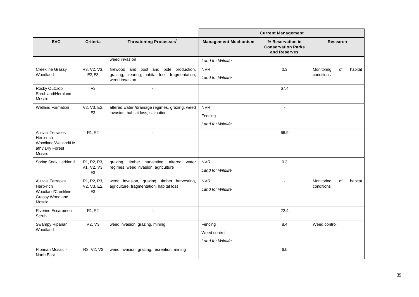|                                                                                           |                                                                                     |                                                                                                            | <b>Current Management</b>                           |                                                               |                                           |  |  |  |  |
|-------------------------------------------------------------------------------------------|-------------------------------------------------------------------------------------|------------------------------------------------------------------------------------------------------------|-----------------------------------------------------|---------------------------------------------------------------|-------------------------------------------|--|--|--|--|
| <b>EVC</b>                                                                                | Criteria                                                                            | <b>Threatening Processes<sup>1</sup></b>                                                                   | <b>Management Mechanism</b>                         | % Reservation in<br><b>Conservation Parks</b><br>and Reserves | Research                                  |  |  |  |  |
|                                                                                           |                                                                                     | weed invasion                                                                                              | Land for Wildlife                                   |                                                               |                                           |  |  |  |  |
| <b>Creekline Grassy</b><br>Woodland                                                       | R3, V2, V3,<br>E2, E3                                                               | firewood and post and pole production,<br>grazing, clearing, habitat loss, fragmentation,<br>weed invasion | <b>NVR</b><br><b>Land for Wildlife</b>              | 0.3                                                           | Monitoring<br>of<br>habitat<br>conditions |  |  |  |  |
| Rocky Outcrop<br>Shrubland/Herbland<br>Mosaic                                             | R <sub>3</sub>                                                                      | $\overline{a}$                                                                                             |                                                     | 67.4                                                          |                                           |  |  |  |  |
| <b>Wetland Formation</b>                                                                  | V2, V3, E2,                                                                         | altered water /drainage regimes, grazing, weed                                                             | <b>NVR</b>                                          | $\blacksquare$                                                |                                           |  |  |  |  |
|                                                                                           | E <sub>3</sub>                                                                      | invasion, habitat loss, salination                                                                         | Fencing                                             |                                                               |                                           |  |  |  |  |
|                                                                                           |                                                                                     |                                                                                                            | <b>Land for Wildlife</b>                            |                                                               |                                           |  |  |  |  |
| <b>Alluvial Terraces</b><br>Herb-rich<br>Woodland/Wetland/He<br>athy Dry Forest<br>Mosaic | R <sub>1</sub> , R <sub>2</sub>                                                     | $\overline{a}$                                                                                             |                                                     | 66.9                                                          |                                           |  |  |  |  |
| Spring Soak Herbland                                                                      | R <sub>1</sub> , R <sub>2</sub> , R <sub>3</sub> ,<br>V1, V2, V3,<br>E <sub>3</sub> | grazing, timber harvesting,<br>altered water<br>regimes, weed invasion, agriculture                        | <b>NVR</b><br><b>Land for Wildlife</b>              | 0.3                                                           |                                           |  |  |  |  |
| <b>Alluvial Terraces</b><br>Herb-rich<br>Woodland/Creekline<br>Grassy Woodland<br>Mosaic  | R1, R2, R3,<br>V2, V3, E2,<br>E <sub>3</sub>                                        | weed invasion, grazing, timber harvesting,<br>agriculture, fragmentation, habitat loss                     | <b>NVR</b><br><b>Land for Wildlife</b>              | $\blacksquare$                                                | Monitoring<br>of<br>habitat<br>conditions |  |  |  |  |
| Riverine Escarpment<br>Scrub                                                              | R1, R2                                                                              |                                                                                                            |                                                     | 22.4                                                          |                                           |  |  |  |  |
| Swampy Riparian<br>Woodland                                                               | V2, V3                                                                              | weed invasion, grazing, mining                                                                             | Fencing<br>Weed control<br><b>Land for Wildlife</b> | 8.4                                                           | Weed control                              |  |  |  |  |
| Riparian Mosaic -<br>North East                                                           | R3, V2, V3                                                                          | weed invasion, grazing, recreation, mining                                                                 |                                                     | 6.0                                                           |                                           |  |  |  |  |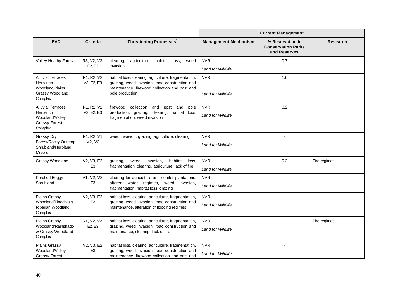|                                                                                               |                                                |                                                                                                                                                                          | <b>Current Management</b>              |                                                               |                 |  |  |  |
|-----------------------------------------------------------------------------------------------|------------------------------------------------|--------------------------------------------------------------------------------------------------------------------------------------------------------------------------|----------------------------------------|---------------------------------------------------------------|-----------------|--|--|--|
| <b>EVC</b>                                                                                    | <b>Criteria</b>                                | Threatening Processes <sup>1</sup>                                                                                                                                       | <b>Management Mechanism</b>            | % Reservation in<br><b>Conservation Parks</b><br>and Reserves | <b>Research</b> |  |  |  |
| <b>Valley Heathy Forest</b>                                                                   | R3, V2, V3,<br>E <sub>2</sub> , E <sub>3</sub> | clearing,<br>habitat loss,<br>agriculture,<br>weed<br>invasion                                                                                                           | <b>NVR</b><br><b>Land for Wildlife</b> | 0.7                                                           |                 |  |  |  |
| <b>Alluvial Terraces</b><br>Herb-rich<br>Woodland/Plains<br><b>Grassy Woodland</b><br>Complex | R1, R2, V2,<br>V3, E2, E3                      | habitat loss, clearing, agriculture, fragmentation,<br>grazing, weed invasion, road construction and<br>maintenance, firewood collection and post and<br>pole production | <b>NVR</b><br><b>Land for Wildlife</b> | 1.6                                                           |                 |  |  |  |
| <b>Alluvial Terraces</b><br>Herb-rich<br>Woodland/Valley<br><b>Grassy Forest</b><br>Complex   | R1, R2, V2,<br>V3, E2, E3                      | firewood collection<br>and<br>post and<br>pole<br>habitat loss,<br>production, grazing, clearing,<br>fragmentation, weed invasion                                        | <b>NVR</b><br><b>Land for Wildlife</b> | 0.2                                                           |                 |  |  |  |
| <b>Grassy Dry</b><br>Forest/Rocky Outcrop<br>Shrubland/Herbland<br>Mosaic                     | R1, R2, V1,<br>V2, V3                          | weed invasion, grazing, agriculture, clearing                                                                                                                            | <b>NVR</b><br><b>Land for Wildlife</b> |                                                               |                 |  |  |  |
| Grassy Woodland                                                                               | V2, V3, E2,<br>E <sub>3</sub>                  | invasion,<br>weed<br>habitat<br>grazing,<br>loss,<br>fragmentation, clearing, agriculture, lack of fire                                                                  | <b>NVR</b><br><b>Land for Wildlife</b> | 0.2                                                           | Fire regimes    |  |  |  |
| Perched Boggy<br>Shrubland                                                                    | V1, V2, V3,<br>E <sub>3</sub>                  | clearing for agriculture and conifer plantations,<br>altered water regimes, weed<br>invasion,<br>fragmentation, habitat loss, grazing                                    | <b>NVR</b><br><b>Land for Wildlife</b> |                                                               |                 |  |  |  |
| Plains Grassy<br>Woodland/Floodplain<br>Riparian Woodland<br>Complex                          | V2, V3, E2,<br>E <sub>3</sub>                  | habitat loss, clearing, agriculture, fragmentation,<br>grazing, weed invasion, road construction and<br>maintenance, alteration of flooding regimes                      | <b>NVR</b><br><b>Land for Wildlife</b> |                                                               |                 |  |  |  |
| <b>Plains Grassv</b><br>Woodland/Rainshado<br>w Grassy Woodland<br>Complex                    | R1, V2, V3,<br>E2, E3                          | habitat loss, clearing, agriculture, fragmentation,<br>grazing, weed invasion, road construction and<br>maintenance, clearing, lack of fire                              | <b>NVR</b><br><b>Land for Wildlife</b> |                                                               | Fire regimes    |  |  |  |
| <b>Plains Grassy</b><br>Woodland/Valley<br><b>Grassy Forest</b>                               | V2, V3, E2,<br>E <sub>3</sub>                  | habitat loss, clearing, agriculture, fragmentation,<br>grazing, weed invasion, road construction and<br>maintenance, firewood collection and post and                    | <b>NVR</b><br><b>Land for Wildlife</b> | $\sim$                                                        |                 |  |  |  |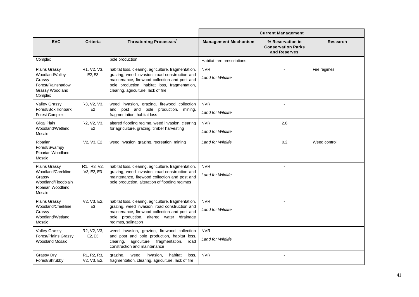|                                                                                                            |                                                                   |                                                                                                                                                                                                                                               | <b>Current Management</b>              |                                                               |                 |  |  |  |
|------------------------------------------------------------------------------------------------------------|-------------------------------------------------------------------|-----------------------------------------------------------------------------------------------------------------------------------------------------------------------------------------------------------------------------------------------|----------------------------------------|---------------------------------------------------------------|-----------------|--|--|--|
| <b>EVC</b>                                                                                                 | <b>Criteria</b>                                                   | Threatening Processes <sup>1</sup>                                                                                                                                                                                                            | <b>Management Mechanism</b>            | % Reservation in<br><b>Conservation Parks</b><br>and Reserves | <b>Research</b> |  |  |  |
| Complex                                                                                                    |                                                                   | pole production                                                                                                                                                                                                                               | Habitat tree prescriptions             |                                                               |                 |  |  |  |
| <b>Plains Grassy</b><br>Woodland/Valley<br>Grassy<br>Forest/Rainshadow<br>Grassy Woodland<br>Complex       | R1, V2, V3,<br>E2, E3                                             | habitat loss, clearing, agriculture, fragmentation,<br>grazing, weed invasion, road construction and<br>maintenance, firewood collection and post and<br>pole production, habitat loss, fragmentation,<br>clearing, agriculture, lack of fire | <b>NVR</b><br><b>Land for Wildlife</b> |                                                               | Fire regimes    |  |  |  |
| <b>Valley Grassy</b><br>Forest/Box Ironbark<br><b>Forest Complex</b>                                       | R3, V2, V3,<br>E2                                                 | weed invasion, grazing, firewood collection<br>and post and pole<br>production, mining,<br>fragmentation, habitat loss                                                                                                                        | <b>NVR</b><br><b>Land for Wildlife</b> |                                                               |                 |  |  |  |
| Gilgai Plain<br>Woodland/Wetland<br>Mosaic                                                                 | R2, V2, V3,<br>E2                                                 | altered flooding regime, weed invasion, clearing<br>for agriculture, grazing, timber harvesting                                                                                                                                               | <b>NVR</b><br><b>Land for Wildlife</b> | 2.8                                                           |                 |  |  |  |
| Riparian<br>Forest/Swampy<br>Riparian Woodland<br>Mosaic                                                   | V2, V3, E2                                                        | weed invasion, grazing, recreation, mining                                                                                                                                                                                                    | <b>Land for Wildlife</b>               | 0.2                                                           | Weed control    |  |  |  |
| <b>Plains Grassy</b><br>Woodland/Creekline<br>Grassy<br>Woodland/Floodplain<br>Riparian Woodland<br>Mosaic | R1, R3, V2,<br>V3, E2, E3                                         | habitat loss, clearing, agriculture, fragmentation,<br>grazing, weed invasion, road construction and<br>maintenance, firewood collection and post and<br>pole production, alteration of flooding regimes                                      | <b>NVR</b><br><b>Land for Wildlife</b> |                                                               |                 |  |  |  |
| <b>Plains Grassv</b><br>Woodland/Creekline<br>Grassy<br>Woodland/Wetland<br>Mosaic                         | V2, V3, E2,<br>E <sub>3</sub>                                     | habitat loss, clearing, agriculture, fragmentation,<br>grazing, weed invasion, road construction and<br>maintenance, firewood collection and post and<br>pole production, altered water /drainage<br>regimes, salination                      | <b>NVR</b><br><b>Land for Wildlife</b> |                                                               |                 |  |  |  |
| <b>Valley Grassy</b><br>Forest/Plains Grassy<br><b>Woodland Mosaic</b>                                     | R2, V2, V3,<br>E <sub>2</sub> , E <sub>3</sub>                    | weed invasion, grazing, firewood collection<br>and post and pole production, habitat loss,<br>agriculture, fragmentation,<br>clearing,<br>road<br>construction and maintenance                                                                | <b>NVR</b><br>Land for Wildlife        |                                                               |                 |  |  |  |
| <b>Grassy Dry</b><br>Forest/Shrubby                                                                        | R <sub>1</sub> , R <sub>2</sub> , R <sub>3</sub> ,<br>V2, V3, E2, | invasion,<br>habitat<br>loss,<br>grazing,<br>weed<br>fragmentation, clearing, agriculture, lack of fire                                                                                                                                       | <b>NVR</b>                             |                                                               |                 |  |  |  |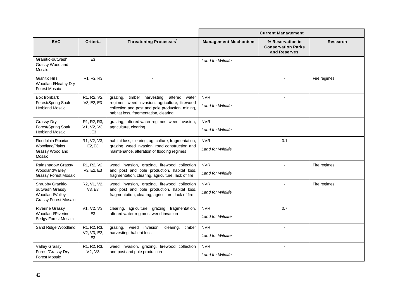|                                                                                       |                                                                           |                                                                                                                                                                                               | <b>Current Management</b>              |                                                               |              |  |  |  |
|---------------------------------------------------------------------------------------|---------------------------------------------------------------------------|-----------------------------------------------------------------------------------------------------------------------------------------------------------------------------------------------|----------------------------------------|---------------------------------------------------------------|--------------|--|--|--|
| <b>EVC</b>                                                                            | Criteria                                                                  | Threatening Processes <sup>1</sup>                                                                                                                                                            | <b>Management Mechanism</b>            | % Reservation in<br><b>Conservation Parks</b><br>and Reserves | Research     |  |  |  |
| Granitic-outwash<br>Grassy Woodland<br>Mosaic                                         | E <sub>3</sub>                                                            |                                                                                                                                                                                               | Land for Wildlife                      |                                                               |              |  |  |  |
| <b>Granitic Hills</b><br>Woodland/Heathy Dry<br><b>Forest Mosaic</b>                  | R <sub>1</sub> , R <sub>2</sub> , R <sub>3</sub>                          |                                                                                                                                                                                               |                                        |                                                               | Fire regimes |  |  |  |
| Box Ironbark<br>Forest/Spring Soak<br><b>Herbland Mosaic</b>                          | R1, R2, V2,<br>V3, E2, E3                                                 | timber harvesting,<br>altered water<br>grazing,<br>regimes, weed invasion, agriculture, firewood<br>collection and post and pole production, mining,<br>habitat loss, fragmentation, clearing | <b>NVR</b><br><b>Land for Wildlife</b> |                                                               |              |  |  |  |
| Grassy Dry<br>Forest/Spring Soak<br><b>Herbland Mosaic</b>                            | R <sub>1</sub> , R <sub>2</sub> , R <sub>3</sub> ,<br>V1, V2, V3,<br>, E3 | grazing, altered water regimes, weed invasion,<br>agriculture, clearing                                                                                                                       | <b>NVR</b><br><b>Land for Wildlife</b> |                                                               |              |  |  |  |
| Floodplain Riparian<br><b>Woodland/Plains</b><br>Grassy Woodland<br>Mosaic            | R1, V2, V3,<br>E <sub>2</sub> , E <sub>3</sub>                            | habitat loss, clearing, agriculture, fragmentation,<br>grazing, weed invasion, road construction and<br>maintenance, alteration of flooding regimes                                           | <b>NVR</b><br><b>Land for Wildlife</b> | 0.1                                                           |              |  |  |  |
| Rainshadow Grassy<br>Woodland/Valley<br><b>Grassy Forest Mosaic</b>                   | R1, R2, V2,<br>V3, E2, E3                                                 | weed invasion, grazing, firewood collection<br>and post and pole production, habitat loss,<br>fragmentation, clearing, agriculture, lack of fire                                              | <b>NVR</b><br><b>Land for Wildlife</b> |                                                               | Fire regimes |  |  |  |
| Shrubby Granitic-<br>outwash Grassy<br>Woodland/Valley<br><b>Grassy Forest Mosaic</b> | R2, V1, V2,<br>V3, E3                                                     | weed invasion, grazing, firewood collection<br>and post and pole production, habitat loss,<br>fragmentation, clearing, agriculture, lack of fire                                              | <b>NVR</b><br><b>Land for Wildlife</b> |                                                               | Fire regimes |  |  |  |
| <b>Riverine Grassy</b><br>Woodland/Riverine<br>Sedgy Forest Mosaic                    | V1, V2, V3,<br>E <sub>3</sub>                                             | clearing, agriculture, grazing, fragmentation,<br>altered water regimes, weed invasion                                                                                                        | <b>NVR</b><br><b>Land for Wildlife</b> | 0.7                                                           |              |  |  |  |
| Sand Ridge Woodland                                                                   | R1, R2, R3,<br>V2, V3, E2,<br>E <sub>3</sub>                              | grazing, weed invasion,<br>clearing,<br>timber<br>harvesting, habitat loss                                                                                                                    | <b>NVR</b><br><b>Land for Wildlife</b> |                                                               |              |  |  |  |
| <b>Valley Grassy</b><br>Forest/Grassy Dry<br><b>Forest Mosaic</b>                     | R1, R2, R3,<br>V2, V3                                                     | weed invasion, grazing, firewood collection<br>and post and pole production                                                                                                                   | <b>NVR</b><br><b>Land for Wildlife</b> |                                                               |              |  |  |  |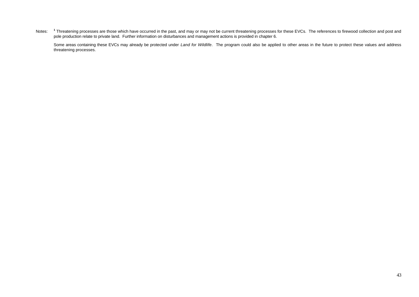Notes: <sup>1</sup> Threatening processes are those which have occurred in the past, and may or may not be current threatening processes for these EVCs. The references to firewood collection and post and pole production relate to private land. Further information on disturbances and management actions is provided in chapter 6.

Some areas containing these EVCs may already be protected under *Land for Wildlife*. The program could also be applied to other areas in the future to protect these values and address threatening processes.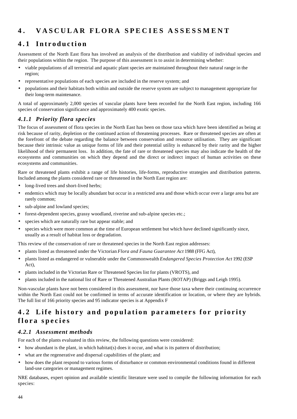# **4 . VASCULAR FLORA SP ECIES ASSESSMENT**

# **4.1 Introduction**

Assessment of the North East flora has involved an analysis of the distribution and viability of individual species and their populations within the region. The purpose of this assessment is to assist in determining whether:

- viable populations of all terrestrial and aquatic plant species are maintained throughout their natural range in the region;
- representative populations of each species are included in the reserve system; and
- populations and their habitats both within and outside the reserve system are subject to management appropriate for their long-term maintenance.

A total of approximately 2,000 species of vascular plants have been recorded for the North East region, including 166 species of conservation significance and approximately 400 exotic species.

### *4.1.1 Priority flora species*

The focus of assessment of flora species in the North East has been on those taxa which have been identified as being at risk because of rarity, depletion or the continued action of threatening processes. Rare or threatened species are often at the forefront of the debate regarding the balance between conservation and resource utilisation. They are significant because their intrinsic value as unique forms of life and their potential utility is enhanced by their rarity and the higher likelihood of their permanent loss. In addition, the fate of rare or threatened species may also indicate the health of the ecosystems and communities on which they depend and the direct or indirect impact of human activities on these ecosystems and communities.

Rare or threatened plants exhibit a range of life histories, life-forms, reproductive strategies and distribution patterns. Included among the plants considered rare or threatened in the North East region are:

- long-lived trees and short-lived herbs;
- endemics which may be locally abundant but occur in a restricted area and those which occur over a large area but are rarely common;
- sub-alpine and lowland species;
- forest-dependent species, grassy woodland, riverine and sub-alpine species etc.;
- species which are naturally rare but appear stable; and
- species which were more common at the time of European settlement but which have declined significantly since, usually as a result of habitat loss or degradation.

This review of the conservation of rare or threatened species in the North East region addresses:

- plants listed as threatened under the Victorian *Flora and Fauna Guarantee Act* 1988 (FFG Act),
- plants listed as endangered or vulnerable under the Commonwealth *Endangered Species Protection Act* 1992 (ESP Act),
- plants included in the Victorian Rare or Threatened Species list for plants (VROTS), and
- plants included in the national list of Rare or Threatened Australian Plants (ROTAP) (Briggs and Leigh 1995).

Non-vascular plants have not been considered in this assessment, nor have those taxa where their continuing occurrence within the North East could not be confirmed in terms of accurate identification or location, or where they are hybrids. The full list of 166 priority species and 95 indicator species is at Appendix F

# **4.2 Life history and population parameters for priority flora species**

### *4.2.1 Assessment methods*

For each of the plants evaluated in this review, the following questions were considered:

- how abundant is the plant, in which habitat(s) does it occur, and what is its pattern of distribution;
- what are the regenerative and dispersal capabilities of the plant; and
- how does the plant respond to various forms of disturbance or common environmental conditions found in different land-use categories or management regimes.

NRE databases, expert opinion and available scientific literature were used to compile the following information for each species: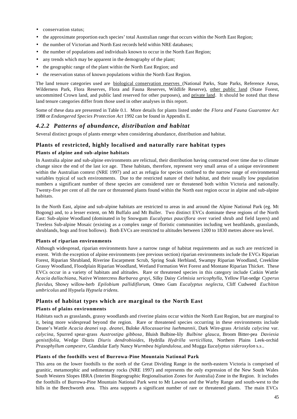- conservation status;
- the approximate proportion each species' total Australian range that occurs within the North East Region;
- the number of Victorian and North East records held within NRE databases;
- the number of populations and individuals known to occur in the North East Region;
- any trends which may be apparent in the demography of the plant;
- the geographic range of the plant within the North East Region; and
- the reservation status of known populations within the North East Region.

The land tenure categories used are biological conservation reserves (National Parks, State Parks, Reference Areas, Wilderness Park, Flora Reserves, Flora and Fauna Reserves, Wildlife Reserve), other public land (State Forest, uncommitted Crown land, and public land reserved for other purposes), and private land. It should be noted that these land tenure categories differ from those used in other analyses in this report.

Some of these data are presented in Table 0.1. More details for plants listed under the *Flora and Fauna Guarantee Act* 1988 or *Endangered Species Protection Act* 1992 can be found in Appendix E.

### *4.2.2 Patterns of abundance, distribution and habitat*

Several distinct groups of plants emerge when considering abundance, distribution and habitat.

#### **Plants of restricted, highly localised and naturally rare habitat types**

#### **Plants of alpine and sub-alpine habitats**

In Australia alpine and sub-alpine environments are relictual, their distribution having contracted over time due to climate change since the end of the last ice age. These habitats, therefore, represent very small areas of a unique environment within the Australian context (NRE 1997) and act as refugia for species confined to the narrow range of environmental variables typical of such environments. Due to the restricted nature of their habitat, and their usually low population numbers a significant number of these species are considered rare or threatened both within Victoria and nationally. Twenty-five per cent of all the rare or threatened plants found within the North east region occur in alpine and sub-alpine habitats.

In the North East, alpine and sub-alpine habitats are restricted to areas in and around the Alpine National Park (eg. Mt Bogong) and, to a lesser extent, on Mt Buffalo and Mt Buller. Two distinct EVCs dominate these regions of the North East: Sub-alpine Woodland (dominated in by Snowgum *Eucalyptus pauciflora* over varied shrub and field layers) and Treeless Sub-alpine Mosaic (existing as a complex range of floristic communities including wet heathlands, grasslands, shrublands, bogs and frost hollows). Both EVCs are restricted to altitudes between 1200 to 1830 metres above sea level.

#### **Plants of riparian environments**

Although widespread, riparian environments have a narrow range of habitat requirements and as such are restricted in extent. With the exception of alpine environments (see previous section) riparian environments include the EVCs Riparian Forest, Riparian Shrubland, Riverine Escarpment Scrub, Spring Soak Herbland, Swampy Riparian Woodland, Creekline Grassy Woodland, Floodplain Riparian Woodland, Wetland Formation Wet Forest and Montane Riparian Thicket. These EVCs occur in a variety of habitats and altitudes. Rare or threatened species in this category include Catkin Wattle *Acacia dallachiana*, Native Wintercress *Barbarea grayi*, Silky Daisy *Celmisia sericophylla*, Yellow Flat-sedge *Cyperus flavidus*, Showy willow-herb *Epilobium pallidiflorum*, Omeo Gum *Eucalyptus neglecta*, Cliff Cudweed *Euchiton umbricolus* and Hypsela *Hypsela tridens.*

#### **Plants of habitat types which are marginal to the North East**

#### **Plants of plains environments**

Habitats such as grasslands, grassy woodlands and riverine plains occur within the North East Region, but are marginal to it, being more widespread beyond the region. Rare or threatened species occurring in these environments include Deane's Wattle *Acacia deanei* ssp. *deanei*, Buloke *Allocasuarina luehmannii*, Dark Wire-grass *Aristida calycina* var. *calycina*, Spurred spear-grass *Austrostipa gibbosa*, Bluish Bulbine-lily *Bulbine glauca*, Broom Bitter-pea *Daviesia genistifolia,* Wedge Diuris *Diuris dendrobioides,* Hydrilla *Hydrilla verticillata,* Northern Plains Leek-orchid *Prasophyllum campestre*, Glandular Early Nancy *Wurmbea biglandulosa,* and Mugga E*ucalyptus sideroxylon* s.s*.*.

#### **Plants of the foothills west of Burrowa-Pine Mountain National Park**

This area on the lower foothills to the north of the Great Dividing Range in the north-eastern Victoria is comprised of granitic, metamorphic and sedimentary rocks (NRE 1997) and represents the only expression of the New South Wales South Western Slopes IBRA (Interim Biogeographic Regionalisation Zones for Australia) Zone in the Region. It includes the foothills of Burrowa-Pine Mountain National Park west to Mt Lawson and the Warby Range and south-west to the hills in the Beechworth area. This area supports a significant number of rare or threatened plants. The main EVCs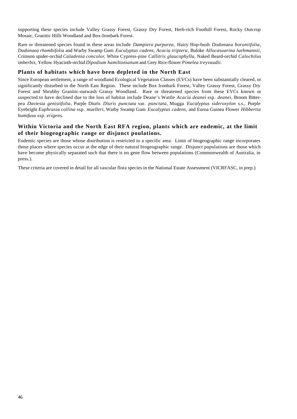supporting these species include Valley Grassy Forest, Grassy Dry Forest, Herb-rich Foothill Forest, Rocky Outcrop Mosaic, Granitic Hills Woodland and Box-Ironbark Forest.

Rare or threatened species found in these areas include *Dampiera purpurea,* Hairy Hop-bush *Dodonaea boroniifolia*, *Dodonaea rhombifolia* and Warby Swamp Gum *Eucalyptus cadens, Acacia triptera*, Buloke *Allocasuarina luehmannii*, Crimson spider-orchid *Caladenia concolor*, White Cypress-pine *Callitris glaucophylla*, Naked Beard-orchid *Calochilus imberbis*, Yellow Hyacinth-orchid *Dipodium hamiltonianum* and Grey Rice-flower *Pimelea treyvaudii.*

#### **Plants of habitats which have been depleted in the North East**

Since European settlement, a range of woodland Ecological Vegetation Classes (EVCs) have been substantially cleared, or significantly disturbed in the North East Region. These include Box Ironbark Forest, Valley Grassy Forest, Grassy Dry Forest and Shrubby Granitic-outwash Grassy Woodland. Rare or threatened species from these EVCs known or suspected to have declined due to the loss of habitat include Deane's Wattle *Acacia deanei* ssp. *deanei*, Broom Bitterpea *Daviesia genistifolia*, Purple Diuris *Diuris punctata* var. *punctata*, Mugga *Eucalyptus sideroxylon* s.s., Purple Eyebright *Euphrasia collina* ssp. *muelleri*, Warby Swamp Gum *Eucalyptus cadens,* and Euroa Guinea Flower *Hibbertia humifusa* ssp. *erigens*.

#### **Within Victoria and the North East RFA region, plants which are endemic, at the limit of their biogeographic range or disjunct poulations.**

Endemic species are those whose distribution is restricted to a specific area. Limit of biogeographic range incorporates those places where species occur at the edge of their natural biogeographic range. Disjunct populations are those which have become physically separated such that there is no gene flow between populations (Commonwealth of Australia, in press.).

These criteria are covered in detail for all vascular flora species in the National Estate Assessment (VICRFASC, in prep.)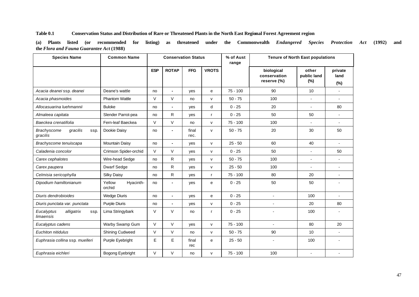#### **Table 0.1 Conservation Status and Distribution of Rare or Threatened Plants in the North East Regional Forest Agreement region**

**(a) Plants listed (or recommended for listing) as threatened under the Commonwealth** *Endangered Species Protection Act* **(1992) and the** *Flora and Fauna Guarantee Act* **(1988)**

| <b>Species Name</b>                                | <b>Common Name</b>            | <b>Conservation Status</b> |                |               |              | % of Aust<br>range | <b>Tenure of North East populations</b>   |                                |                           |
|----------------------------------------------------|-------------------------------|----------------------------|----------------|---------------|--------------|--------------------|-------------------------------------------|--------------------------------|---------------------------|
|                                                    |                               | <b>ESP</b>                 | <b>ROTAP</b>   | <b>FFG</b>    | <b>VROTS</b> |                    | biological<br>conservation<br>reserve (%) | other<br>public land<br>$(\%)$ | private<br>land<br>$(\%)$ |
| Acacia deanei ssp. deanei                          | Deane's wattle                | no                         | $\blacksquare$ | yes           | e            | $75 - 100$         | 90                                        | 10                             |                           |
| Acacia phasmoides                                  | <b>Phantom Wattle</b>         | $\vee$                     | V              | no            | v            | $50 - 75$          | 100                                       | $\blacksquare$                 | $\blacksquare$            |
| Allocasuarina luehmannii                           | <b>Buloke</b>                 | no                         | $\blacksquare$ | yes           | d            | $0 - 25$           | 20                                        | $\blacksquare$                 | 80                        |
| Almaleea capitata                                  | Slender Parrot-pea            | no                         | R              | yes           | r            | $0 - 25$           | 50                                        | 50                             | $\blacksquare$            |
| Baeckea crenatifolia                               | Fern-leaf Baeckea             | $\vee$                     | $\vee$         | no            | v            | $75 - 100$         | 100                                       |                                |                           |
| gracilis<br><b>Brachyscome</b><br>ssp.<br>gracilis | Dookie Daisy                  | no                         |                | final<br>rec. | v            | $50 - 75$          | 20                                        | 30                             | 50                        |
| Brachyscome tenuiscapa                             | Mountain Daisy                | no                         | $\blacksquare$ | yes           | v            | $25 - 50$          | 60                                        | 40                             |                           |
| Caladenia concolor                                 | Crimson Spider-orchid         | $\vee$                     | $\vee$         | yes           | v            | $0 - 25$           | 50                                        | $\blacksquare$                 | 50                        |
| Carex cephalotes                                   | Wire-head Sedge               | no                         | R              | yes           | $\mathsf{v}$ | $50 - 75$          | 100                                       | $\mathbf{r}$                   | $\blacksquare$            |
| Carex paupera                                      | <b>Dwarf Sedge</b>            | no                         | $\mathsf{R}$   | ves           | v            | $25 - 50$          | 100                                       | $\mathbf{r}$                   | $\blacksquare$            |
| Celmisia sericophylla                              | <b>Silky Daisy</b>            | no                         | R              | yes           | r            | $75 - 100$         | 80                                        | 20                             | $\blacksquare$            |
| Dipodium hamiltonianum                             | Yellow<br>Hyacinth-<br>orchid | no                         | $\blacksquare$ | yes           | e            | $0 - 25$           | 50                                        | 50                             |                           |
| Diuris dendrobioides                               | <b>Wedge Diuris</b>           | no                         | $\blacksquare$ | yes           | e            | $0 - 25$           |                                           | 100                            |                           |
| Diuris punctata var. punctata                      | <b>Purple Diuris</b>          | no                         | $\blacksquare$ | yes           | v            | $0 - 25$           | $\blacksquare$                            | 20                             | 80                        |
| Eucalyptus<br>alligatrix<br>ssp.<br>limaensis      | Lima Stringybark              | V                          | V              | no            | r            | $0 - 25$           |                                           | 100                            |                           |
| Eucalyptus cadens                                  | Warby Swamp Gum               | $\vee$                     | $\mathsf V$    | yes           | v            | $75 - 100$         | ÷.                                        | 80                             | 20                        |
| Euchiton nitidulus                                 | <b>Shining Cudweed</b>        | $\vee$                     | $\vee$         | no            | v            | $50 - 75$          | 90                                        | 10                             |                           |
| Euphrasia collina ssp. muelleri                    | Purple Eyebright              | E                          | E              | final<br>rec  | e            | $25 - 50$          | $\blacksquare$                            | 100                            |                           |
| Euphrasia eichleri                                 | Bogong Eyebright              | $\vee$                     | V              | no            | v            | $75 - 100$         | 100                                       | $\overline{a}$                 |                           |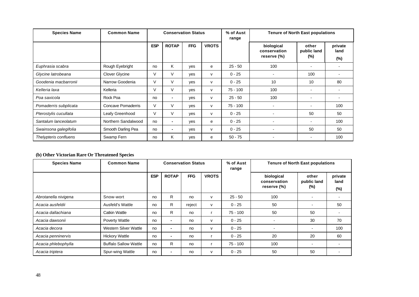| <b>Species Name</b>   | <b>Common Name</b>  |            | <b>Conservation Status</b> |            |              | % of Aust<br>range |                                           | <b>Tenure of North East populations</b> |                           |
|-----------------------|---------------------|------------|----------------------------|------------|--------------|--------------------|-------------------------------------------|-----------------------------------------|---------------------------|
|                       |                     | <b>ESP</b> | <b>ROTAP</b>               | <b>FFG</b> | <b>VROTS</b> |                    | biological<br>conservation<br>reserve (%) | other<br>public land<br>$(\%)$          | private<br>land<br>$(\%)$ |
| Euphrasia scabra      | Rough Eyebright     | no         | K                          | ves        | e            | $25 - 50$          | 100                                       |                                         |                           |
| Glycine latrobeana    | Clover Glycine      | $\vee$     | V                          | ves        | v            | $0 - 25$           | $\overline{\phantom{a}}$                  | 100                                     |                           |
| Goodenia macbarronii  | Narrow Goodenia     | V          | V                          | yes        | v            | $0 - 25$           | 10                                        | 10                                      | 80                        |
| Kelleria laxa         | Kelleria            | V          | V                          | ves        | v            | 75 - 100           | 100                                       | ۰                                       |                           |
| Poa saxicola          | Rock Poa            | no         | $\overline{\phantom{a}}$   | yes        | v            | $25 - 50$          | 100                                       | $\overline{\phantom{a}}$                |                           |
| Pomaderris subplicata | Concave Pomaderris  | $\vee$     | V                          | yes        | v            | 75 - 100           |                                           |                                         | 100                       |
| Pterostylis cucullata | Leafy Greenhood     | $\vee$     | V                          | ves        | v            | $0 - 25$           |                                           | 50                                      | 50                        |
| Santalum lanceolatum  | Northern Sandalwood | no         | $\overline{\phantom{a}}$   | yes        | e            | $0 - 25$           | ٠                                         |                                         | 100                       |
| Swainsona galegifolia | Smooth Darling Pea  | no         | $\,$ $\,$                  | yes        | v            | $0 - 25$           |                                           | 50                                      | 50                        |
| Thelypteris confluens | Swamp Fern          | no         | K                          | ves        | e            | $50 - 75$          |                                           | -                                       | 100                       |

#### **(b) Other Victorian Rare Or Threatened Species**

| <b>Species Name</b>  | <b>Common Name</b>           |            |                | <b>Conservation Status</b> |              | % of Aust<br>range | <b>Tenure of North East populations</b>   |                             |                           |
|----------------------|------------------------------|------------|----------------|----------------------------|--------------|--------------------|-------------------------------------------|-----------------------------|---------------------------|
|                      |                              | <b>ESP</b> | <b>ROTAP</b>   | <b>FFG</b>                 | <b>VROTS</b> |                    | biological<br>conservation<br>reserve (%) | other<br>public land<br>(%) | private<br>land<br>$(\%)$ |
| Abrotanella nivigena | Snow-wort                    | no         | R              | no                         | v            | $25 - 50$          | 100                                       |                             |                           |
| Acacia ausfeldii     | Ausfeld's Wattle             | no         | R              | reject                     | v            | $0 - 25$           | 50                                        |                             | 50                        |
| Acacia dallachiana   | Catkin Wattle                | no         | R              | no                         |              | $75 - 100$         | 50                                        | 50                          |                           |
| Acacia dawsonii      | <b>Poverty Wattle</b>        | no         | $\blacksquare$ | no                         | v            | $0 - 25$           |                                           | 30                          | 70                        |
| Acacia decora        | Western Silver Wattle        | no         | $\blacksquare$ | no                         | v            | $0 - 25$           |                                           |                             | 100                       |
| Acacia penninervis   | <b>Hickory Wattle</b>        | no         | $\blacksquare$ | no                         |              | $0 - 25$           | 20                                        | 20                          | 60                        |
| Acacia phlebophylla  | <b>Buffalo Sallow Wattle</b> | no         | R              | no                         |              | $75 - 100$         | 100                                       | $\overline{\phantom{a}}$    |                           |
| Acacia triptera      | Spur-wing Wattle             | no         | $\,$           | no                         | v            | $0 - 25$           | 50                                        | 50                          |                           |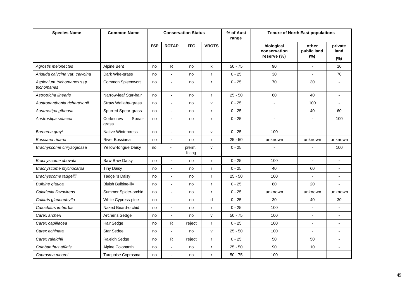| <b>Species Name</b>                       | <b>Common Name</b>           |            |                | <b>Conservation Status</b> |              | % of Aust<br>range |                                           | <b>Tenure of North East populations</b><br>other |                           |
|-------------------------------------------|------------------------------|------------|----------------|----------------------------|--------------|--------------------|-------------------------------------------|--------------------------------------------------|---------------------------|
|                                           |                              | <b>ESP</b> | <b>ROTAP</b>   | <b>FFG</b>                 | <b>VROTS</b> |                    | biological<br>conservation<br>reserve (%) | public land<br>(%)                               | private<br>land<br>$(\%)$ |
| Agrostis meionectes                       | Alpine Bent                  | no         | R              | no                         | k            | $50 - 75$          | 90                                        |                                                  | 10                        |
| Aristida calycina var. calycina           | Dark Wire-grass              | no         | $\blacksquare$ | no                         | $\mathsf{r}$ | $0 - 25$           | 30                                        |                                                  | 70                        |
| Asplenium trichomanes ssp.<br>trichomanes | Common Spleenwort            | no         | $\blacksquare$ | no                         | $\mathsf{r}$ | $0 - 25$           | 70                                        | 30                                               |                           |
| Astrotricha linearis                      | Narrow-leaf Star-hair        | no         | $\blacksquare$ | no                         | $\mathsf{r}$ | $25 - 50$          | 60                                        | 40                                               |                           |
| Austrodanthonia richardsonii              | Straw Wallaby-grass          | no         | $\blacksquare$ | no                         | V            | $0 - 25$           |                                           | 100                                              |                           |
| Austrostipa gibbosa                       | Spurred Spear-grass          | no         | $\blacksquare$ | no                         | $\mathsf{r}$ | $0 - 25$           | $\overline{\phantom{a}}$                  | 40                                               | 60                        |
| Austrostipa setacea                       | Corkscrew<br>Spear-<br>grass | no         | $\blacksquare$ | no                         | $\mathsf{r}$ | $0 - 25$           |                                           |                                                  | 100                       |
| Barbarea grayi                            | <b>Native Wintercress</b>    | no         | $\blacksquare$ | no                         | $\mathsf{v}$ | $0 - 25$           | 100                                       | $\blacksquare$                                   | $\sim$                    |
| Bossiaea riparia                          | <b>River Bossiaea</b>        | no         | $\blacksquare$ | no                         | $\mathsf{r}$ | $25 - 50$          | unknown                                   | unknown                                          | unknown                   |
| Brachyscome chrysoglossa                  | Yellow-tongue Daisy          | no         | $\blacksquare$ | prelim.<br>listing         | v            | $0 - 25$           |                                           |                                                  | 100                       |
| Brachyscome obovata                       | <b>Baw Baw Daisy</b>         | no         | $\blacksquare$ | no                         | $\mathsf{r}$ | $0 - 25$           | 100                                       |                                                  |                           |
| Brachyscome ptychocarpa                   | <b>Tiny Daisy</b>            | no         | $\blacksquare$ | no                         | $\mathsf{r}$ | $0 - 25$           | 40                                        | 60                                               |                           |
| Brachyscome tadgellii                     | <b>Tadgell's Daisy</b>       | no         | $\blacksquare$ | no                         | $\mathsf{r}$ | $25 - 50$          | 100                                       |                                                  |                           |
| <b>Bulbine</b> glauca                     | <b>Bluish Bulbine-lily</b>   | no         | $\blacksquare$ | no                         | $\mathbf{r}$ | $0 - 25$           | 80                                        | 20                                               | $\overline{\phantom{a}}$  |
| Caladenia flavovirens                     | Summer Spider-orchid         | no         | $\blacksquare$ | no                         | $\mathsf{r}$ | $0 - 25$           | unknown                                   | unknown                                          | unknown                   |
| Callitris glaucophylla                    | White Cypress-pine           | no         | $\blacksquare$ | no                         | d            | $0 - 25$           | 30                                        | 40                                               | 30                        |
| Calochilus imberbis                       | Naked Beard-orchid           | no         | ٠              | no                         | $\mathsf{r}$ | $0 - 25$           | 100                                       |                                                  |                           |
| Carex archeri                             | Archer's Sedge               | no         | $\blacksquare$ | no                         | $\mathsf{v}$ | $50 - 75$          | 100                                       |                                                  |                           |
| Carex capillacea                          | Hair Sedge                   | no         | R              | reject                     | $\mathsf{r}$ | $0 - 25$           | 100                                       | ÷                                                |                           |
| Carex echinata                            | Star Sedge                   | no         | $\blacksquare$ | no                         | $\mathsf{v}$ | $25 - 50$          | 100                                       | $\overline{a}$                                   |                           |
| Carex raleighii                           | Raleigh Sedge                | no         | R              | reject                     | r            | $0 - 25$           | 50                                        | 50                                               |                           |
| Colobanthus affinis                       | Alpine Colobanth             | no         | $\blacksquare$ | no                         | $\mathsf{r}$ | $25 - 50$          | 90                                        | 10                                               |                           |
| Coprosma moorei                           | Turquoise Coprosma           | no         |                | no                         | $\mathsf{r}$ | $50 - 75$          | 100                                       | $\blacksquare$                                   |                           |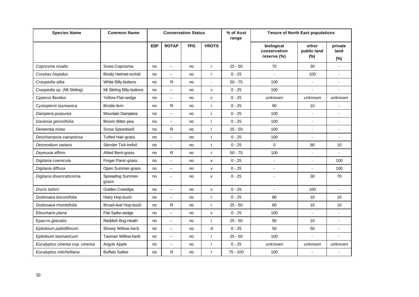| <b>Species Name</b>             | <b>Common Name</b>           |            |                          | <b>Conservation Status</b> |                | % of Aust<br>range | <b>Tenure of North East populations</b>   |                                |                           |
|---------------------------------|------------------------------|------------|--------------------------|----------------------------|----------------|--------------------|-------------------------------------------|--------------------------------|---------------------------|
|                                 |                              | <b>ESP</b> | <b>ROTAP</b>             | <b>FFG</b>                 | <b>VROTS</b>   |                    | biological<br>conservation<br>reserve (%) | other<br>public land<br>$(\%)$ | private<br>land<br>$(\%)$ |
| Coprosma nivalis                | Snow Coprosma                | no         | $\blacksquare$           | no                         | $\mathsf{r}$   | $25 - 50$          | 70                                        | 30                             | ÷                         |
| Corybas hispidus                | <b>Bristly Helmet-orchid</b> | no         |                          | no                         | $\mathsf{r}$   | $0 - 25$           |                                           | 100                            |                           |
| Craspedia alba                  | White Billy-buttons          | no         | $\mathsf R$              | no                         | $\blacksquare$ | $50 - 75$          | 100                                       | $\blacksquare$                 | $\overline{a}$            |
| Craspedia sp. (Mt Stirling)     | Mt Stirling Billy-buttons    | no         |                          | no                         | v              | $0 - 25$           | 100                                       |                                |                           |
| Cyperus flavidus                | Yellow Flat-sedge            | no         | $\blacksquare$           | no                         | $\mathsf{v}$   | $0 - 25$           | unknown                                   | unknown                        | unknown                   |
| Cystopteris tasmanica           | <b>Bristle-fern</b>          | no         | R                        | no                         | $\mathsf{r}$   | $0 - 25$           | 90                                        | 10                             |                           |
| Dampiera purpurea               | Mountain Dampiera            | no         | $\blacksquare$           | no                         | $\mathsf{r}$   | $0 - 25$           | 100                                       |                                |                           |
| Daviesia genistifolia           | Broom Bitter-pea             | no         | $\blacksquare$           | no                         | $\mathsf{r}$   | $0 - 25$           | 100                                       | $\overline{\phantom{a}}$       |                           |
| Derwentia nivea                 | Snow Speedwell               | no         | R                        | no                         | $\mathsf{r}$   | $25 - 50$          | 100                                       |                                |                           |
| Deschampsia caespitosa          | <b>Tufted Hair-grass</b>     | no         | $\blacksquare$           | no                         | $\mathsf{r}$   | $0 - 25$           | 100                                       | $\blacksquare$                 | $\overline{a}$            |
| Desmodium varians               | Slender Tick-trefoil         | no         |                          | no                         | $\mathsf{r}$   | $0 - 25$           | $\mathbf 0$                               | 90                             | 10                        |
| Deyeuxia affinis                | Allied Bent-grass            | no         | R                        | no                         | $\mathsf{r}$   | $50 - 75$          | 100                                       |                                |                           |
| Digitaria coenicola             | Finger Panic-grass           | no         | $\blacksquare$           | no                         | $\mathsf{v}$   | $0 - 25$           | $\overline{a}$                            |                                | 100                       |
| Digitaria diffusa               | Open Summer-grass            | no         | $\blacksquare$           | no                         | v              | $0 - 25$           | $\overline{a}$                            |                                | 100                       |
| Digitaria divaricatissima       | Spreading Summer-<br>grass   | no         | $\blacksquare$           | no                         | v              | $0 - 25$           | ÷                                         | 30                             | 70                        |
| Diuris behrii                   | <b>Golden Cowslips</b>       | no         | $\blacksquare$           | no                         | v              | $0 - 25$           |                                           | 100                            |                           |
| Dodonaea boroniifolia           | Hairy Hop-bush               | no         | $\blacksquare$           | no                         | $\mathsf{r}$   | $0 - 25$           | 80                                        | 10                             | 10                        |
| Dodonaea rhombifolia            | Broad-leaf Hop-bush          | no         | R                        | no                         | $\mathsf{r}$   | $25 - 50$          | 80                                        | 10                             | 10                        |
| Eleocharis plana                | Flat Spike-sedge             | no         | $\overline{\phantom{a}}$ | no                         | v              | $0 - 25$           | 100                                       |                                | $\blacksquare$            |
| Epacris glacialis               | Reddish Bog Heath            | no         | $\blacksquare$           | no                         | $\mathsf{r}$   | $25 - 50$          | 90                                        | 10                             |                           |
| Epilobium pallidiflorum         | Showy Willow-herb            | no         | $\overline{\phantom{a}}$ | no                         | d              | $0 - 25$           | 50                                        | 50                             | ÷                         |
| Epilobium tasmanicum            | <b>Tasman Willow-herb</b>    | no         |                          | no                         | $\mathsf{r}$   | $25 - 50$          | 100                                       |                                |                           |
| Eucalyptus cinerea ssp. cinerea | Argyle Apple                 | no         | $\blacksquare$           | no                         | $\mathsf{r}$   | $0 - 25$           | unknown                                   | unknown                        | unknown                   |
| Eucalyptus mitchelliana         | <b>Buffalo Sallee</b>        | no         | R                        | no                         | $\mathsf{r}$   | $75 - 100$         | 100                                       |                                |                           |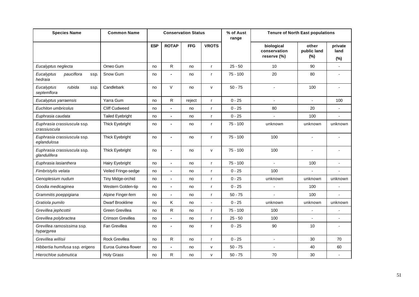| <b>Species Name</b>                         | <b>Common Name</b>      |            |                | <b>Conservation Status</b> |                | % of Aust<br>range | <b>Tenure of North East populations</b>   |                                |                           |
|---------------------------------------------|-------------------------|------------|----------------|----------------------------|----------------|--------------------|-------------------------------------------|--------------------------------|---------------------------|
|                                             |                         | <b>ESP</b> | <b>ROTAP</b>   | <b>FFG</b>                 | <b>VROTS</b>   |                    | biological<br>conservation<br>reserve (%) | other<br>public land<br>$(\%)$ | private<br>land<br>$(\%)$ |
| Eucalyptus neglecta                         | Omeo Gum                | no         | R              | no                         | $\mathsf{r}$   | $25 - 50$          | 10                                        | 90                             | $\blacksquare$            |
| pauciflora<br>Eucalyptus<br>ssp.<br>hedraia | Snow Gum                | no         | $\blacksquare$ | no                         | r              | $75 - 100$         | 20                                        | 80                             |                           |
| Eucalyptus<br>rubida<br>ssp.<br>septemflora | Candlebark              | no         | $\vee$         | no                         | v              | $50 - 75$          |                                           | 100                            |                           |
| Eucalyptus yarraensis                       | Yarra Gum               | no         | R              | reject                     | $\mathsf{r}$   | $0 - 25$           | $\blacksquare$                            | ÷,                             | 100                       |
| Euchiton umbricolus                         | <b>Cliff Cudweed</b>    | no         |                | no                         | r              | $0 - 25$           | 80                                        | 20                             |                           |
| Euphrasia caudata                           | <b>Tailed Eyebright</b> | no         | $\blacksquare$ | no                         | $\mathsf{r}$   | $0 - 25$           | ÷.                                        | 100                            | ÷.                        |
| Euphrasia crassiuscula ssp.<br>crassiuscula | Thick Eyebright         | no         |                | no                         | r              | $75 - 100$         | unknown                                   | unknown                        | unknown                   |
| Euphrasia crassiuscula ssp.<br>eglandulosa  | Thick Eyebright         | no         | $\blacksquare$ | no                         | r              | $75 - 100$         | 100                                       |                                |                           |
| Euphrasia crassiuscula ssp.<br>glandulifera | Thick Eyebright         | no         | $\blacksquare$ | no                         | $\mathsf{v}$   | $75 - 100$         | 100                                       | $\blacksquare$                 |                           |
| Euphrasia lasianthera                       | Hairy Eyebright         | no         | $\blacksquare$ | no                         | $\mathsf{r}$   | $75 - 100$         | $\overline{\phantom{a}}$                  | 100                            | $\overline{a}$            |
| Fimbristylis velata                         | Veiled Fringe-sedge     | no         | $\blacksquare$ | no                         | $\mathsf{r}$   | $0 - 25$           | 100                                       |                                | ä,                        |
| Genoplesium nudum                           | Tiny Midge-orchid       | no         | $\blacksquare$ | no                         | r              | $0 - 25$           | unknown                                   | unknown                        | unknown                   |
| Goodia medicaginea                          | Western Golden-tip      | no         | $\blacksquare$ | no                         | $\mathsf{r}$   | $0 - 25$           |                                           | 100                            |                           |
| Grammitis poeppigiana                       | Alpine Finger-fern      | no         |                | no                         | r              | $50 - 75$          |                                           | 100                            |                           |
| Gratiola pumilo                             | <b>Dwarf Brooklime</b>  | no         | Κ              | no                         | $\blacksquare$ | $0 - 25$           | unknown                                   | unknown                        | unknown                   |
| Grevillea jephcottii                        | Green Grevillea         | no         | $\mathsf{R}$   | no                         | $\mathsf{r}$   | $75 - 100$         | 100                                       |                                |                           |
| Grevillea polybractea                       | Crimson Grevillea       | no         | $\blacksquare$ | no                         | $\mathsf{r}$   | $25 - 50$          | 100                                       | ÷,                             | ÷,                        |
| Grevillea ramosissima ssp.<br>hypargyrea    | Fan Grevillea           | no         |                | no                         | r              | $0 - 25$           | 90                                        | 10                             |                           |
| Grevillea willisii                          | Rock Grevillea          | no         | R              | no                         | r              | $0 - 25$           | $\overline{\phantom{a}}$                  | 30                             | 70                        |
| Hibbertia humifusa ssp. erigens             | Euroa Guinea-flower     | no         |                | no                         | V              | $50 - 75$          |                                           | 40                             | 60                        |
| Hierochloe submutica                        | <b>Holy Grass</b>       | no         | R              | no                         | $\mathsf{v}$   | $50 - 75$          | 70                                        | 30                             | $\overline{a}$            |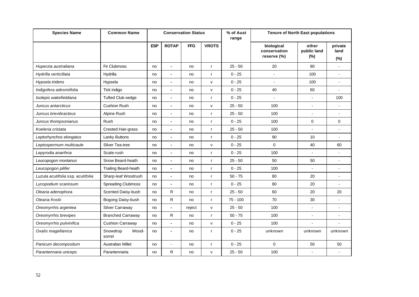| <b>Species Name</b>               | <b>Common Name</b>          |            |                | <b>Conservation Status</b> |              | % of Aust<br>range |                                           | <b>Tenure of North East populations</b> |                           |
|-----------------------------------|-----------------------------|------------|----------------|----------------------------|--------------|--------------------|-------------------------------------------|-----------------------------------------|---------------------------|
|                                   |                             | <b>ESP</b> | <b>ROTAP</b>   | <b>FFG</b>                 | <b>VROTS</b> |                    | biological<br>conservation<br>reserve (%) | other<br>public land<br>$(\%)$          | private<br>land<br>$(\%)$ |
| Huperzia australiana              | <b>Fir Clubmoss</b>         | no         | $\blacksquare$ | no                         | $\mathsf{r}$ | $25 - 50$          | 20                                        | 80                                      | $\blacksquare$            |
| Hydrilla verticillata             | Hydrilla                    | no         |                | no                         | $\mathsf{r}$ | $0 - 25$           | ÷.                                        | 100                                     |                           |
| Hypsela tridens                   | Hypsela                     | no         | $\blacksquare$ | no                         | v            | $0 - 25$           | $\overline{a}$                            | 100                                     | $\overline{a}$            |
| Indigofera adesmiifolia           | Tick Indigo                 | no         |                | no                         | v            | $0 - 25$           | 40                                        | 60                                      |                           |
| Isolepis wakefieldiana            | <b>Tufted Club-sedge</b>    | no         | $\blacksquare$ | no                         | $\mathsf{r}$ | $0 - 25$           | ÷.                                        |                                         | 100                       |
| Juncus antarcticus                | <b>Cushion Rush</b>         | no         | $\blacksquare$ | no                         | $\mathsf{v}$ | $25 - 50$          | 100                                       | ٠                                       |                           |
| Juncus brevibracteus              | Alpine Rush                 | no         | $\blacksquare$ | no                         | $\mathsf{r}$ | $25 - 50$          | 100                                       |                                         |                           |
| Juncus thompsonianus              | Rush                        | no         | ÷              | no                         | $\mathsf{r}$ | $0 - 25$           | 100                                       | $\mathbf 0$                             | $\Omega$                  |
| Koeleria cristata                 | Crested Hair-grass          | no         |                | no                         | $\mathsf{r}$ | $25 - 50$          | 100                                       |                                         |                           |
| Leptorhynchos elongatus           | <b>Lanky Buttons</b>        | no         | $\blacksquare$ | no                         | $\mathsf{r}$ | $0 - 25$           | 90                                        | 10                                      | $\overline{a}$            |
| Leptospermum multicaule           | Silver Tea-tree             | no         |                | no                         | v            | $0 - 25$           | $\mathbf 0$                               | 40                                      | 60                        |
| Lepyrodia anarthria               | Scale-rush                  | no         | $\blacksquare$ | no                         | $\mathsf{r}$ | $0 - 25$           | 100                                       |                                         |                           |
| Leucopogon montanus               | Snow Beard-heath            | no         | $\blacksquare$ | no                         | $\mathsf{r}$ | $25 - 50$          | 50                                        | 50                                      | ÷                         |
| Leucopogon pilifer                | <b>Trailing Beard-heath</b> | no         | $\blacksquare$ | no                         | $\mathbf{r}$ | $0 - 25$           | 100                                       |                                         |                           |
| Luzula acutifolia ssp. acutifolia | Sharp-leaf Woodrush         | no         | $\blacksquare$ | no                         | $\mathsf{r}$ | $50 - 75$          | 80                                        | 20                                      |                           |
| Lycopodium scariosum              | <b>Spreading Clubmoss</b>   | no         |                | no                         | $\mathsf{r}$ | $0 - 25$           | 80                                        | 20                                      |                           |
| Olearia adenophora                | Scented Daisy-bush          | no         | R              | no                         | $\mathsf{r}$ | $25 - 50$          | 60                                        | 20                                      | 20                        |
| Olearia frostii                   | Bogong Daisy-bush           | no         | ${\sf R}$      | no                         | $\mathsf{r}$ | $75 - 100$         | 70                                        | 30                                      |                           |
| Oreomyrrhis argentea              | Silver Carraway             | no         | $\blacksquare$ | reject                     | $\mathsf{v}$ | $25 - 50$          | 100                                       |                                         |                           |
| Oreomyrrhis brevipes              | <b>Branched Carraway</b>    | no         | $\mathsf{R}$   | no                         | $\mathsf{r}$ | $50 - 75$          | 100                                       | $\overline{\phantom{a}}$                | ٠                         |
| Oreomyrrhis pulvinifica           | <b>Cushion Carraway</b>     | no         | $\blacksquare$ | no                         | v            | $0 - 25$           | 100                                       |                                         |                           |
| Oxalis magellanica                | Snowdrop<br>Wood-<br>sorrel | no         | $\blacksquare$ | no                         | $\mathsf{r}$ | $0 - 25$           | unknown                                   | unknown                                 | unknown                   |
| Panicum decompositum              | <b>Australian Millet</b>    | no         | ÷,             | no                         | $\mathsf{r}$ | $0 - 25$           | $\Omega$                                  | 50                                      | 50                        |
| Parantennaria uniceps             | Parantennaria               | no         | R              | no                         | $\mathsf{v}$ | $25 - 50$          | 100                                       | $\overline{\phantom{a}}$                | $\blacksquare$            |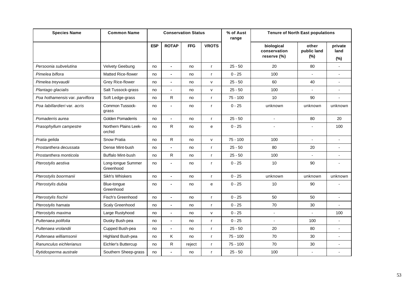| <b>Species Name</b>             | <b>Common Name</b>              |            |                | <b>Conservation Status</b> |              | % of Aust<br>range |                                           | <b>Tenure of North East populations</b> |                        |
|---------------------------------|---------------------------------|------------|----------------|----------------------------|--------------|--------------------|-------------------------------------------|-----------------------------------------|------------------------|
|                                 |                                 | <b>ESP</b> | <b>ROTAP</b>   | <b>FFG</b>                 | <b>VROTS</b> |                    | biological<br>conservation<br>reserve (%) | other<br>public land<br>$(\%)$          | private<br>land<br>(%) |
| Persoonia subvelutina           | <b>Velvety Geebung</b>          | no         | $\blacksquare$ | no                         | $\mathsf{r}$ | $25 - 50$          | 20                                        | 80                                      |                        |
| Pimelea biflora                 | <b>Matted Rice-flower</b>       | no         |                | no                         | $\mathsf{r}$ | $0 - 25$           | 100                                       |                                         |                        |
| Pimelea treyvaudii              | Grey Rice-flower                | no         | $\blacksquare$ | no                         | v            | $25 - 50$          | 60                                        | 40                                      | ÷                      |
| Plantago glacialis              | Salt Tussock-grass              | no         |                | no                         | v            | $25 - 50$          | 100                                       |                                         |                        |
| Poa hothamensis var. parviflora | Soft Ledge-grass                | no         | R              | no                         | $\mathsf{r}$ | $75 - 100$         | 10                                        | 90                                      |                        |
| Poa labillardieri var, acris    | Common Tussock-<br>grass        | no         |                | no                         | r            | $0 - 25$           | unknown                                   | unknown                                 | unknown                |
| Pomaderris aurea                | Golden Pomaderris               | no         | $\blacksquare$ | no                         | $\mathsf{r}$ | $25 - 50$          | $\blacksquare$                            | 80                                      | 20                     |
| Prasophyllum campestre          | Northern Plains Leek-<br>orchid | no         | R              | no                         | e            | $0 - 25$           |                                           |                                         | 100                    |
| Pratia gelida                   | Snow Pratia                     | no         | R              | no                         | v            | $75 - 100$         | 100                                       |                                         |                        |
| Prostanthera decussata          | Dense Mint-bush                 | no         |                | no                         | $\mathsf{r}$ | $25 - 50$          | 80                                        | 20                                      |                        |
| Prostanthera monticola          | <b>Buffalo Mint-bush</b>        | no         | R              | no                         | $\mathsf{r}$ | $25 - 50$          | 100                                       |                                         | $\overline{a}$         |
| Pterostylis aestiva             | Long-tongue Summer<br>Greenhood | no         |                | no                         | $\mathsf{r}$ | $0 - 25$           | 10                                        | 90                                      |                        |
| Pterostylis boormanii           | Sikh's Whiskers                 | no         | $\blacksquare$ | no                         | $\mathsf{r}$ | $0 - 25$           | unknown                                   | unknown                                 | unknown                |
| Pterostylis dubia               | Blue-tongue<br>Greenhood        | no         | $\blacksquare$ | no                         | e            | $0 - 25$           | 10                                        | 90                                      |                        |
| Pterostylis fischii             | Fisch's Greenhood               | no         |                | no                         | $\mathsf{r}$ | $0 - 25$           | 50                                        | 50                                      |                        |
| Pterostylis hamata              | Scaly Greenhood                 | no         | $\blacksquare$ | no                         | $\mathsf{r}$ | $0 - 25$           | 70                                        | 30                                      |                        |
| Pterostylis maxima              | Large Rustyhood                 | no         | $\blacksquare$ | no                         | v            | $0 - 25$           | $\blacksquare$                            | $\overline{a}$                          | 100                    |
| Pultenaea polifolia             | Dusky Bush-pea                  | no         | $\blacksquare$ | no                         | $\mathsf{r}$ | $0 - 25$           |                                           | 100                                     |                        |
| Pultenaea vrolandii             | Cupped Bush-pea                 | no         | ÷              | no                         | $\mathsf{r}$ | $25 - 50$          | 20                                        | 80                                      |                        |
| Pultenaea williamsonii          | Highland Bush-pea               | no         | K              | no                         | $\mathsf{r}$ | $75 - 100$         | 70                                        | 30                                      |                        |
| Ranunculus eichlerianus         | Eichler's Buttercup             | no         | R              | reject                     | $\mathsf{r}$ | $75 - 100$         | 70                                        | 30                                      | $\blacksquare$         |
| Rytidosperma australe           | Southern Sheep-grass            | no         |                | no                         | $\mathsf{r}$ | $25 - 50$          | 100                                       |                                         |                        |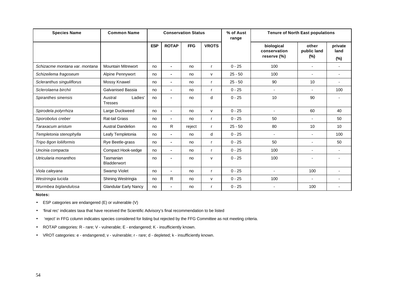| <b>Species Name</b>            | <b>Common Name</b>                   |            |                | <b>Conservation Status</b> |              | % of Aust<br>range |                                           | <b>Tenure of North East populations</b> |                           |  |
|--------------------------------|--------------------------------------|------------|----------------|----------------------------|--------------|--------------------|-------------------------------------------|-----------------------------------------|---------------------------|--|
|                                |                                      | <b>ESP</b> | <b>ROTAP</b>   | <b>FFG</b>                 | <b>VROTS</b> |                    | biological<br>conservation<br>reserve (%) | other<br>public land<br>$(\%)$          | private<br>land<br>$(\%)$ |  |
| Schizacme montana var. montana | <b>Mountain Mitrewort</b>            | no         | $\blacksquare$ | no                         | r            | $0 - 25$           | 100                                       | $\blacksquare$                          |                           |  |
| Schizeilema fragoseum          | Alpine Pennywort                     | no         | $\blacksquare$ | no                         | $\mathsf{v}$ | $25 - 50$          | 100                                       |                                         |                           |  |
| Scleranthus singuliflorus      | Mossy Knawel                         | no         | $\blacksquare$ | no                         | r            | $25 - 50$          | 90                                        | 10                                      |                           |  |
| Sclerolaena birchii            | <b>Galvanised Bassia</b>             | no         | $\blacksquare$ | no                         |              | $0 - 25$           | $\blacksquare$                            | $\overline{\phantom{a}}$                | 100                       |  |
| Spiranthes sinensis            | Ladies'<br>Austral<br><b>Tresses</b> | no         |                | no                         | d            | $0 - 25$           | 10                                        | 90                                      |                           |  |
| Spirodela polyrrhiza           | Large Duckweed                       | no         | $\blacksquare$ | no                         | $\mathsf{v}$ | $0 - 25$           | $\blacksquare$                            | 60                                      | 40                        |  |
| Sporobolus creber              | Rat-tail Grass                       | no         | $\blacksquare$ | no                         | r            | $0 - 25$           | 50                                        |                                         | 50                        |  |
| Taraxacum aristum              | <b>Austral Dandelion</b>             | no         | R              | reject                     | r            | $25 - 50$          | 80                                        | 10                                      | 10                        |  |
| Templetonia stenophylla        | Leafy Templetonia                    | no         | $\blacksquare$ | no                         | d            | $0 - 25$           |                                           |                                         | 100                       |  |
| Tripo 8gon Ioliiformis         | Rye Beetle-grass                     | no         | $\blacksquare$ | no                         | r            | $0 - 25$           | 50                                        |                                         | 50                        |  |
| Uncinia compacta               | Compact Hook-sedge                   | no         | $\blacksquare$ | no                         |              | $0 - 25$           | 100                                       |                                         |                           |  |
| Utricularia monanthos          | Tasmanian<br><b>Bladderwort</b>      | no         |                | no                         | v            | $0 - 25$           | 100                                       |                                         |                           |  |
| Viola calevana                 | Swamp Violet                         | no         | $\blacksquare$ | no                         | r            | $0 - 25$           |                                           | 100                                     |                           |  |
| Westringia lucida              | Shining Westringia                   | no         | R              | no                         | $\mathsf{v}$ | $0 - 25$           | 100                                       | $\blacksquare$                          |                           |  |
| Wurmbea biglandulosa           | <b>Glandular Early Nancy</b>         | no         |                | no                         |              | $0 - 25$           |                                           | 100                                     |                           |  |

#### **Notes:**

- ESP categories are endangered (E) or vulnerable (V)
- 'final rec' indicates taxa that have received the Scientific Advisory's final recommendation to be listed
- 'reject' in FFG column indicates species considered for listing but rejected by the FFG Committee as not meeting criteria.
- ROTAP categories: R rare; V vulnerable; E endangered; K insufficiently known.
- VROT categories: e endangered; v vulnerable; r rare; d depleted; k insufficiently known.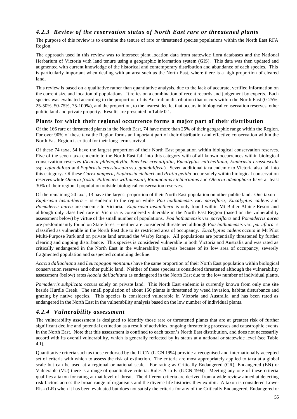# *4.2.3 Review of the reservation status of North East rare or threatened plants*

The purpose of this review is to examine the tenure of rare or threatened species populations within the North East RFA Region.

The approach used in this review was to intersect plant location data from statewide flora databases and the National Herbarium of Victoria with land tenure using a geographic information system (GIS). This data was then updated and augmented with current knowledge of the historical and contemporary distribution and abundance of each species. This is particularly important when dealing with an area such as the North East, where there is a high proportion of cleared land.

This review is based on a qualitative rather than quantitative analysis, due to the lack of accurate, verified information on the current size and location of populations. It relies on a combination of recent records and judgement by experts. Each species was evaluated according to the proportion of its Australian distribution that occurs within the North East (0-25%, 25-50%, 50-75%, 75-100%), and the proportion, to the nearest decile, that occurs in biological conservation reserves, other public land and private property. Results are presented in Table 0.1.

#### **Plants for which their regional occurrence forms a major part of their distribution**

Of the 166 rare or threatened plants in the North East, 74 have more than 25% of their geographic range within the Region. For over 90% of these taxa the Region forms an important part of their distribution and effective conservation within the North East Region is critical for their long-term survival.

Of these 74 taxa, 54 have the largest proportion of their North East population within biological conservation reserves. Five of the seven taxa endemic to the North East fall into this category with of all known occurrences within biological conservation reserves (*Acacia phlebophylla*, *Baeckea crenatifolia*, *Eucalyptus mitchelliana*, *Euphrasia crassiuscula* ssp. *eglandulosa* and *Euphrasia crassiuscula* ssp. *glandulifera*). Seven additional taxa endemic to Victoria also fall into this category. Of these *Carex paupera*, *Euphrasia eichleri* and *Pratia gelida* occur solely within biological conservation reserves while *Olearia frostii*, *Pultenaea williamsonii*, *Ranunculus eichlerianus* and *Olearia adenophora* have at least 30% of their regional population outside biological conservation reserves.

Of the remaining 20 taxa, 13 have the largest proportion of their North East population on other public land. One taxon – *Euphrasia lasianthera –* is endemic to the region while *Poa hothamensis* var. *parviflora*, *Eucalyptus cadens* and *Pomaderris aurea* are endemic to Victoria. *Euphrasia lasianthera* is only found within Mt Buller Alpine Resort and although only classified rare in Victoria is considered vulnerable in the North East Region (based on the vulnerability assessment below) by virtue of the small number of populations. *Poa hothamensis* var. *parviflora* and *Pomaderris aurea* are predominantly found on State forest – neither are considered threatened although *Poa hothamensis* var. *parviflora* is classified as vulnerable in the North East due to its restricted area of occupancy. *Eucalyptus cadens* occurs in Mt Pilot Multi-Purpose Park and on private land around the Warby Range. All populations are potentially threatened by further clearing and ongoing disturbance. This species is considered vulnerable in both Victoria and Australia and was rated as critically endangered in the North East in the vulnerability analysis because of its low area of occupancy, severely fragmented population and suspected continuing decline.

*Acacia dallachiana* and *Leucopogon montanus* have the same proportion of their North East population within biological conservation reserves and other public land. Neither of these species is considered threatened although the vulnerability assessment (below) rates *Acacia dallachiana* as endangered in the North East due to the low number of individual plants.

*Pomaderris subplicata* occurs solely on private land. This North East endemic is currently known from only one site beside Hurdle Creek. The small population of about 150 plants is threatened by weed invasion, habitat disturbance and grazing by native species. This species is considered vulnerable in Victoria and Australia, and has been rated as endangered in the North East in the vulnerability analysis based on the low number of individual plants.

#### *4.2.4 Vulnerability assessment*

The vulnerability assessment is designed to identify those rare or threatened plants that are at greatest risk of further significant decline and potential extinction as a result of activities, ongoing threatening processes and catastrophic events in the North East. Note that this assessment is confined to each taxon's North East distribution, and does not necessarily accord with its overall vulnerability, which is generally reflected by its status at a national or statewide level (see Table 4.1).

Quantitative criteria such as those endorsed by the IUCN (IUCN 1994) provide a recognised and internationally accepted set of criteria with which to assess the risk of extinction. The criteria are most appropriately applied to taxa at a global scale but can be used at a regional or national scale. For rating as Critically Endangered (CR), Endangered (EN) or Vulnerable (VU) there is a range of quantitative criteria: Rules A to E (IUCN 1994). Meeting any one of these criteria qualifies a taxon for rating at that level of threat. The different criteria are derived from a wide review aimed at detecting risk factors across the broad range of organisms and the diverse life histories they exhibit. A taxon is considered Lower Risk (LR) when it has been evaluated but does not satisfy the criteria for any of the Critically Endangered, Endangered or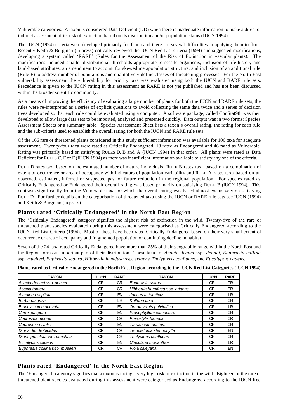Vulnerable categories. A taxon is considered Data Deficient (DD) when there is inadequate information to make a direct or indirect assessment of its risk of extinction based on its distribution and/or population status (IUCN 1994).

The IUCN (1994) criteria were developed primarily for fauna and there are several difficulties in applying them to flora. Recently Keith & Burgman (in press) critically reviewed the IUCN Red List criteria (1994) and suggested modifications, developing a system called 'RARE' (Rules for the Assessment of the Risk of Extinction in vascular plants). The modifications included smaller distributional thresholds appropriate to sessile organisms, inclusion of life-history and land-based attributes, an amendment to account for skewed metapopulation structure, and inclusion of an additional rule (Rule F) to address number of populations and qualitatively define classes of threatening processes. For the North East vulnerability assessment the vulnerability for priority taxa was evaluated using both the IUCN and RARE rule sets. Precedence is given to the IUCN rating in this assessment as RARE is not yet published and has not been discussed within the broader scientific community.

As a means of improving the efficiency of evaluating a large number of plants for both the IUCN and RARE rule sets, the rules were re-interpreted as a series of explicit questions to avoid collecting the same data twice and a series of decision trees developed so that each rule could be evaluated using a computer. A software package, called ConStat98, was then developed to allow large data sets to be imported, analysed and presented quickly. Data output was in two forms: Species Assessment Sheets or a summary table. Species Assessment Sheet lists a taxon's overall rating, the rating for each rule and the sub-criteria used to establish the overall rating for both the IUCN and RARE rule sets.

Of the 166 rare or threatened plants considered in this study sufficient information was available for 106 taxa for adequate assessment. Twenty-four taxa were rated as Critically Endangered, 18 rated as Endangered and 46 rated as Vulnerable. Rating was primarily based on satisfying RULES D, B and A (IUCN 1994) in that order. All plants were rated as Data Deficient for RULES C, E or F (IUCN 1994) as there was insufficient information available to satisfy any one of the criteria.

RULE D rates taxa based on the estimated number of mature individuals, RULE B rates taxa based on a combination of extent of occurrence or area of occupancy with indicators of population variability and RULE A rates taxa based on an observed, estimated, inferred or suspected past or future reduction in the regional population. For species rated as Critically Endangered or Endangered their overall rating was based primarily on satisfying RULE B (IUCN 1994). This contrasts significantly from the Vulnerable taxa for which the overall rating was based almost exclusively on satisfying RULE D. For further details on the categorisation of threatened taxa using the IUCN or RARE rule sets see IUCN (1994) and Keith & Burgman (in press).

#### **Plants rated 'Critically Endangered' in the North East Region**

The 'Critically Endangered' category signifies the highest risk of extinction in the wild. Twenty-five of the rare or threatened plant species evaluated during this assessment were categorised as Critically Endangered according to the IUCN Red List Criteria (1994). Most of these have been rated Critically Endangered based on their very small extent of occurrence or area of occupancy and fragmented population or continuing decline in habitat.

Seven of the 24 taxa rated Critically Endangered have more than 25% of their geographic range within the North East and the Region forms an important part of their distribution. These taxa are *Acacia deanei* ssp. *deanei*, *Euphrasia collina* ssp. *muelleri*, *Euphrasia scabra*, *Hibbertia humifusa* ssp. *erigens*, *Thelypteris confluens,* and *Eucalyptus cadens*.

| <b>TAXON</b>                    | <b>IUCN</b> | <b>RARE</b> | <b>TAXON</b>                    | <b>IUCN</b> | <b>RARE</b> |
|---------------------------------|-------------|-------------|---------------------------------|-------------|-------------|
| Acacia deaneissp. deanei        | CR          | CR.         | Euphrasia scabra                | СR          | CR.         |
| Acacia triptera                 | СR          | CR.         | Hibbertia humifusa ssp. erigens | CR          | <b>CR</b>   |
| Almaleea capitata               | CR          | EN          | Juncus antarcticus              | CR.         | LR.         |
| Barbarea grayi                  | СR          | LR.         | Kelleria laxa                   | СR          | CR          |
| Brachyscome obovata             | СR          | EN          | Oreomyrrhis pulvinifica         | СR          | LR.         |
| Carex paupera                   | <b>CR</b>   | EN          | Prasophyllum campestre          | CR          | CR          |
| Coprosma moorei                 | СR          | CR.         | Pterostylis hamata              | CR          | CR.         |
| Coprosma nivalis                | СR          | EN          | Taraxacum aristum               | CR          | CR          |
| Diuris dendrobioides            | CR.         | CR.         | Templetonia stenophylla         | CR          | EN          |
| Diuris punctata var. punctata   | CR          | CR.         | Thelypteris confluens           | CR.         | CR.         |
| Eucalyptus cadens               | <b>CR</b>   | EN          | Utricularia monanthos           | CR          | LR.         |
| Euphrasia collina ssp. muelleri | СR          | СR          | Viola calevana                  | CR          | EN          |

**Plants rated as Critically Endangered in the North East Region according to the IUCN Red List Categories (IUCN 1994)**

#### **Plants rated 'Endangered' in the North East Region**

The 'Endangered' category signifies that a taxon is facing a very high risk of extinction in the wild. Eighteen of the rare or threatened plant species evaluated during this assessment were categorised as Endangered according to the IUCN Red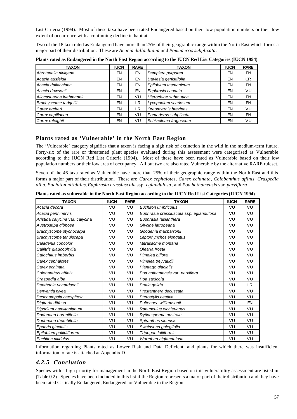List Criteria (1994). Most of these taxa have been rated Endangered based on their low population numbers or their low extent of occurrence with a continuing decline in habitat.

Two of the 18 taxa rated as Endangered have more than 25% of their geographic range within the North East which forms a major part of their distribution. These are *Acacia dallachiana* and *Pomaderris subplicata*.

| <b>TAXON</b>             | <b>IUCN</b> | <b>RARE</b> | <b>TAXON</b>          | <b>IUCN</b> | <b>RARE</b> |
|--------------------------|-------------|-------------|-----------------------|-------------|-------------|
| Abrotanella nivigena     | EN          | EN          | Dampiera purpurea     | EN          | EN          |
| Acacia ausfeldii         | EN          | EN          | Daviesia genistifolia | EN          | CR          |
| Acacia dallachiana       | EN          | EN          | Epilobium tasmanicum  | EN          | EN          |
| Acacia dawsonii          | EN          | EN          | Euphrasia caudata     | EN          | VU          |
| Allocasuarina luehmannii | EN          | VU          | Hierochloe submutica  | EN          | EN          |
| Brachyscome tadgellii    | EN          | LR          | Lycopodium scariosum  | EN          | EN          |
| Carex archeri            | EN          | LR          | Oreomyrrhis brevipes  | EN          | VU          |
| Carex capillacea         | EN          | VU          | Pomaderris subplicata | EN          | EN          |
| Carex raleighii          | EN          | VU          | Schizeilema fragoseum | EN          | VU          |

**Plants rated as Endangered in the North East Region according to the IUCN Red List Categories (IUCN 1994)**

### **Plants rated as 'Vulnerable' in the North East Region**

The 'Vulnerable' category signifies that a taxon is facing a high risk of extinction in the wild in the medium-term future. Forty-six of the rare or threatened plant species evaluated during this assessment were categorised as Vulnerable according to the IUCN Red List Criteria (1994). Most of these have been rated as Vulnerable based on their low population numbers or their low area of occupancy. All but two are also rated Vulnerable by the alternative RARE ruleset.

Seven of the 46 taxa rated as Vulnerable have more than 25% of their geographic range within the North East and this forms a major part of their distribution. These are *Carex cephalotes*, *Carex echinata*, *Colobanthus affinis*, *Craspedia alba*, *Euchiton nitidulus*, *Euphrasia crassiuscula* ssp. *eglandulosa*, and *Poa hothamensis* var. *parviflora*.

| <b>TAXON</b>                    | <b>IUCN</b> | <b>RARE</b> | <b>TAXON</b>                            | <b>IUCN</b> | <b>RARE</b> |
|---------------------------------|-------------|-------------|-----------------------------------------|-------------|-------------|
| Acacia decora                   | VU          | VU          | Euchiton umbricolus                     | VU          | VU          |
| Acacia penninervis              | VU          | VU          | Euphrasia crassiuscula ssp. eglandulosa | VU          | VU          |
| Aristida calycina var. calycina | VU          | VU          | Euphrasia lasianthera                   | VU          | VU          |
| Austrostipa gibbosa             | VU          | VU          | Glycine latrobeana                      | VU          | VU          |
| Brachyscome ptychocarpa         | VU          | VU          | Goodenia macbarronii                    | VU          | VU          |
| Brachyscome tenuiscapa          | VU          | VU          | Leptorhynchos elongatus                 | VU          | VU          |
| Caladenia concolor              | VU          | VU          | Mitrasacme montana                      | VU          | VU          |
| Callitris glaucophylla          | VU          | VU          | Olearia frostii                         | VU          | VU          |
| Calochilus imberbis             | VU          | VU          | Pimelea biflora                         | VU          | VU          |
| Carex cephalotes                | VU          | VU          | Pimelea treyvaudii                      | VU          | VU          |
| Carex echinata                  | VU          | VU          | Plantago glacialis                      | VU          | VU          |
| Colobanthus affinis             | VU          | VU          | Poa hothamensis var. parviflora         | VU          | VU          |
| Craspedia alba                  | VU          | VU          | Poa saxicola                            | VU          | VU          |
| Danthonia richardsonii          | VU          | VU          | Pratia gelida                           | VU          | <b>LR</b>   |
| Derwentia nivea                 | VU          | VU          | Prostanthera decussata                  | VU          | VU          |
| Deschampsia caespitosa          | VU          | VU          | Pterostylis aestiva                     | VU          | VU          |
| Digitaria diffusa               | VU          | VU          | Pultenaea williamsonii                  | VU          | EN          |
| Dipodium hamiltonianum          | VU          | VU          | Ranunculus eichlerianus                 | VU          | VU          |
| Dodonaea boroniifolia           | VU          | VU          | Rytidosperma australe                   | VU          | VU          |
| Dodonaea rhombifolia            | VU          | VU          | Spiranthes sinensis                     | VU          | VU          |
| Epacris glacialis               | VU          | VU          | Swainsona galegifolia                   | VU          | VU          |
| Epilobium pallidiflorum         | VU          | VU          | Tripogon loliiformis                    | VU          | VU          |
| Euchiton nitidulus              | VU          | VU          | Wurmbea biglandulosa                    | VU          | VU          |

**Plants rated as vulnerable in the North East Region according to the IUCN Red List Categories (IUCN 1994)**

Information regarding Plants rated as Lower Risk and Data Deficient, and plants for which there was insufficient information to rate is attached at Appendix D.

### *4.2.5 Conclusion*

Species with a high priority for management in the North East Region based on this vulnerability assessment are listed in (Table 0.2). Species have been included in this list if the Region represents a major part of their distribution and they have been rated Critically Endangered, Endangered, or Vulnerable in the Region.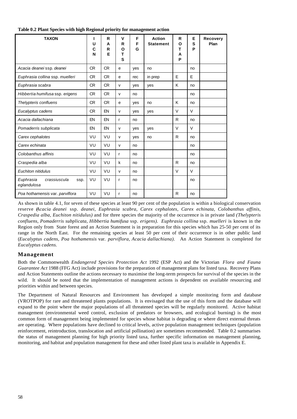| Table 0.2 Plant Species with high Regional priority for management action |  |  |  |
|---------------------------------------------------------------------------|--|--|--|
|---------------------------------------------------------------------------|--|--|--|

| <b>TAXON</b>                                     | I<br>U<br>C<br>N | R<br>A<br>R<br>Е | v<br>R<br>O<br>т<br>S | F<br>F<br>G | <b>Action</b><br><b>Statement</b> | R<br>O<br>т<br>A<br>P | Е<br>S<br>P | <b>Recovery</b><br>Plan |
|--------------------------------------------------|------------------|------------------|-----------------------|-------------|-----------------------------------|-----------------------|-------------|-------------------------|
| Acacia deanei ssp. deanei                        | <b>CR</b>        | <b>CR</b>        | e                     | yes         | no                                |                       | no          |                         |
| Euphrasia collina ssp. muelleri                  | <b>CR</b>        | <b>CR</b>        | e                     | rec         | in prep                           | E                     | E           |                         |
| Euphrasia scabra                                 | <b>CR</b>        | <b>CR</b>        | $\mathsf{v}$          | yes         | yes                               | K                     | no          |                         |
| Hibbertia humifusa ssp. erigens                  | <b>CR</b>        | <b>CR</b>        | $\mathsf{v}$          | no          |                                   |                       | no          |                         |
| Thelypteris confluens                            | <b>CR</b>        | <b>CR</b>        | e                     | yes         | no                                | K                     | no          |                         |
| Eucalyptus cadens                                | <b>CR</b>        | EN               | $\mathsf{v}$          | yes         | yes                               | $\vee$                | $\vee$      |                         |
| Acacia dallachiana                               | EN               | EN               | $\mathsf{r}$          | no          |                                   | R                     | no          |                         |
| Pomaderris subplicata                            | EN               | EN               | $\mathsf{v}$          | yes         | yes                               | V                     | $\vee$      |                         |
| Carex cephalotes                                 | VU               | VU               | $\mathsf{v}$          | yes         | no                                | R                     | no          |                         |
| Carex echinata                                   | VU               | VU               | $\mathsf{v}$          | no          |                                   |                       | no          |                         |
| Colobanthus affinis                              | VU               | VU               | $\mathsf{r}$          | no          |                                   |                       | no          |                         |
| Craspedia alba                                   | VU               | VU               | $\mathsf{k}$          | no          |                                   | R                     | no          |                         |
| Euchiton nitidulus                               | VU               | VU               | $\mathsf{v}$          | no          |                                   | V                     | $\vee$      |                         |
| Euphrasia<br>crassiuscula<br>ssp.<br>eglandulosa | VU               | VU               | $\mathsf{r}$          | no          |                                   |                       | no          |                         |
| Poa hothamensis var. parviflora                  | VU               | VU               | r                     | no          |                                   | R                     | no          |                         |

As shown in table 4.1, for seven of these species at least 90 per cent of the population is within a biological conservation reserve (*Acacia deanei* ssp*. deanei, Euphrasia scabra, Carex cephalotes, Carex echinata, Colobanthus affinis, Craspedia alba, Euchiton nitidulus)* and for three species the majority of the occurrence is in private land *(Thelypteris confluens, Pomaderris subplicata, Hibbertia humifusa* ssp. *erigens). Euphrasia collina* ssp. *muelleri* is known in the Region only from State forest and an Action Statement is in preparation for this species which has 25-50 per cent of its range in the North East. For the remaining species at least 50 per cent of their occurrence is in other public land (*Eucalyptus cadens, Poa hothamensis* var. *parviflora, Acacia dallachiana).* An Action Statement is completed for *Eucalyptus cadens.*

#### **Management**

Both the Commonwealth *Endangered Species Protection Act* 1992 (ESP Act) and the Victorian *Flora and Fauna Guarantee Act* 1988 (FFG Act) include provisions for the preparation of management plans for listed taxa. Recovery Plans and Action Statements outline the actions necessary to maximise the long-term prospects for survival of the species in the wild. It should be noted that the implementation of management actions is dependent on available resourcing and priorities within and between species.

The Department of Natural Resources and Environment has developed a simple monitoring form and database (VROTPOP) for rare and threatened plants populations. It is envisaged that the use of this form and the database will expand to the point where the major populations of all threatened species will be regularly monitored. Active habitat management (environmental weed control, exclusion of predators or browsers, and ecological burning) is the most common form of management being implemented for species whose habitat is degrading or where direct external threats are operating. Where populations have declined to critical levels, active population management techniques (population reinforcement, reintroduction, translocation and artificial pollination) are sometimes recommended. Table 0.2 summarises the status of management planning for high priority listed taxa, further specific information on management planning, monitoring, and habitat and population management for these and other listed plant taxa is available in Appendix E.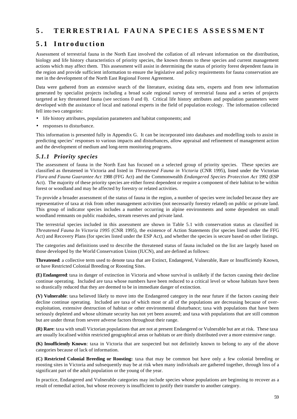# **5 . TERRESTRIAL FAUNA SPECIES ASSESSMENT**

# **5.1 Introduction**

Assessment of terrestrial fauna in the North East involved the collation of all relevant information on the distribution, biology and life history characteristics of priority species, the known threats to these species and current management actions which may affect them. This assessment will assist in determining the status of priority forest dependent fauna in the region and provide sufficient information to ensure the legislative and policy requirements for fauna conservation are met in the development of the North East Regional Forest Agreement.

Data were gathered from an extensive search of the literature, existing data sets, experts and from new information generated by specialist projects including a broad scale regional survey of terrestrial fauna and a series of projects targeted at key threatened fauna (see sections 0 and 0). Critical life history attributes and population parameters were developed with the assistance of local and national experts in the field of population ecology. The information collected fell into two categories:

- life history attributes, population parameters and habitat components; and
- responses to disturbance.

This information is presented fully in Appendix G. It can be incorporated into databases and modelling tools to assist in predicting species' responses to various impacts and disturbances, allow appraisal and refinement of management action and the development of medium and long-term monitoring programs.

### *5.1.1 Priority species*

The assessment of fauna in the North East has focused on a selected group of priority species. These species are classified as threatened in Victoria and listed in *Threatened Fauna in Victoria* (CNR 1995), listed under the Victorian *Flora and Fauna Guarantee Act* 1988 (FFG Act) and the Commonwealth *Endangered Species Protection Act* 1992 (ESP Act). The majority of these priority species are either forest dependent or require a component of their habitat to be within forest or woodland and may be affected by forestry or related activities.

To provide a broader assessment of the status of fauna in the region, a number of species were included because they are representative of taxa at risk from other management activities (not necessarily forestry related) on public or private land. This group of indicator species includes a number occurring in alpine environments and some dependent on small woodland remnants on public roadsides, stream reserves and private land.

The terrestrial species included in this assessment are shown in Table 5.1 with conservation status as classified in *Threatened Fauna In Victoria 1995* (CNR 1995), the existence of Action Statements (for species listed under the FFG Act) and Recovery Plans (for species listed under the ESP Act), and whether the species is secure based on other listings.

The categories and definitions used to describe the threatened status of fauna included on the list are largely based on those developed by the World Conservation Union (IUCN), and are defined as follows:

**Threatened**: a collective term used to denote taxa that are Extinct, Endangered, Vulnerable, Rare or Insufficiently Known, or have Restricted Colonial Breeding or Roosting Sites.

**(E) Endangered**: taxa in danger of extinction in Victoria and whose survival is unlikely if the factors causing their decline continue operating. Included are taxa whose numbers have been reduced to a critical level or whose habitats have been so drastically reduced that they are deemed to be in immediate danger of extinction.

**(V) Vulnerable**: taxa believed likely to move into the Endangered category in the near future if the factors causing their decline continue operating. Included are taxa of which most or all of the populations are decreasing because of overexploitation, extensive destruction of habitat or other environmental disturbance; taxa with populations that have been seriously depleted and whose ultimate security has not yet been assured; and taxa with populations that are still common but are under threat from severe adverse factors throughout their range.

**(R) Rare**: taxa with small Victorian populations that are not at present Endangered or Vulnerable but are at risk. These taxa are usually localised within restricted geographical areas or habitats or are thinly distributed over a more extensive range.

**(K) Insufficiently Known**: taxa in Victoria that are suspected but not definitely known to belong to any of the above categories because of lack of information.

**(C) Restricted Colonial Breeding or Roosting:** taxa that may be common but have only a few colonial breeding or roosting sites in Victoria and subsequently may be at risk when many individuals are gathered together, through loss of a significant part of the adult population or the young of the year.

In practice, Endangered and Vulnerable categories may include species whose populations are beginning to recover as a result of remedial action, but whose recovery is insufficient to justify their transfer to another category.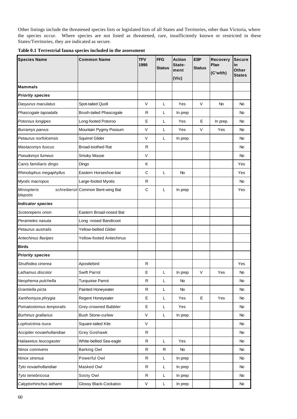Other listings include the threatened species lists or legislated lists of all States and Territories, other than Victoria, where the species occur. Where species are not listed as threatened, rare, insufficiently known or restricted in these States/Territories, they are indicated as secure.

| <b>Species Name</b>            | <b>Common Name</b>                | <b>TFV</b><br>1995 | <b>FFG</b><br><b>Status</b> | <b>Action</b><br>State-<br>ment<br>(Vic) | <b>ESP</b><br><b>Status</b> | <b>Recovery</b><br>Plan<br>(C'wlth) | <b>Secure</b><br>in<br>Other<br><b>States</b> |
|--------------------------------|-----------------------------------|--------------------|-----------------------------|------------------------------------------|-----------------------------|-------------------------------------|-----------------------------------------------|
| <b>Mammals</b>                 |                                   |                    |                             |                                          |                             |                                     |                                               |
| <b>Priority species</b>        |                                   |                    |                             |                                          |                             |                                     |                                               |
| Dasyurus maculatus             | Spot-tailed Quoll                 | V                  | L                           | Yes                                      | V                           | No                                  | No.                                           |
| Phascogale tapoatafa           | <b>Brush-tailed Phascogale</b>    | R                  | L                           | In prep                                  |                             |                                     | No                                            |
| Potorous longipes              | Long-footed Potoroo               | E                  | L                           | Yes                                      | Е                           | In prep.                            | <b>No</b>                                     |
| Burramys parvus                | Mountain Pygmy Possum             | $\vee$             | L                           | Yes                                      | V                           | Yes                                 | No                                            |
| Petaurus norfolcensis          | Squirrel Glider                   | V                  | L                           | In prep                                  |                             |                                     | No.                                           |
| Mastacomys fuscus              | <b>Broad-toothed Rat</b>          | R                  |                             |                                          |                             |                                     | No                                            |
| Pseudomys fumeus               | Smoky Mouse                       | $\vee$             |                             |                                          |                             |                                     | <b>No</b>                                     |
| Canis familiaris dingo         | Dingo                             | Κ                  |                             |                                          |                             |                                     | Yes                                           |
| Rhinolophus megaphyllus        | Eastern Horseshoe-bat             | C                  | L                           | No                                       |                             |                                     | Yes                                           |
| Myotis macropus                | Large-footed Myotis               | R                  |                             |                                          |                             |                                     | No.                                           |
| <b>Miniopteris</b><br>blepotis | schreibersii Common Bent-wing Bat | $\mathbf C$        | L                           | In prep                                  |                             |                                     | Yes                                           |
| <b>Indicator species</b>       |                                   |                    |                             |                                          |                             |                                     |                                               |
| Scotorepens orion              | Eastern Broad-nosed Bat           |                    |                             |                                          |                             |                                     |                                               |
| Perameles nasuta               | Long -nosed Bandicoot             |                    |                             |                                          |                             |                                     |                                               |
| Petaurus australis             | Yellow-bellied Glider             |                    |                             |                                          |                             |                                     |                                               |
| Antechinus flavipes            | <b>Yellow-footed Antechinus</b>   |                    |                             |                                          |                             |                                     |                                               |
| <b>Birds</b>                   |                                   |                    |                             |                                          |                             |                                     |                                               |
| <b>Priority species</b>        |                                   |                    |                             |                                          |                             |                                     |                                               |
| Struthidea cinerea             | Apostlebird                       | $\mathsf{R}$       |                             |                                          |                             |                                     | Yes                                           |
| Lathamus discolor              | <b>Swift Parrot</b>               | Е                  | L                           | In prep                                  | V                           | Yes                                 | No                                            |
| Neophema pulchella             | <b>Turquoise Parrot</b>           | R                  | L                           | No                                       |                             |                                     | No                                            |
| Grantiella picta               | Painted Honeyeater                | R                  | L                           | No                                       |                             |                                     | No                                            |
| Xanthomyza phrygia             | Regent Honeyeater                 | Е                  | L                           | Yes                                      | Е                           | Yes                                 | No.                                           |
| Pomatostomus temporalis        | Grey-crowned Babbler              | E                  | L                           | Yes                                      |                             |                                     | No                                            |
| <b>Burhinus grallarius</b>     | <b>Bush Stone-curlew</b>          | $\mathsf{V}$       | L                           | In prep                                  |                             |                                     | <b>No</b>                                     |
| Lophoictinia isura             | Square-tailed Kite                | V                  |                             |                                          |                             |                                     | No                                            |
| Accipiter novaehollandiae      | Grey Goshawk                      | ${\sf R}$          |                             |                                          |                             |                                     | No                                            |
| Haliaeetus leucogaster         | White-bellied Sea-eagle           | R                  | Г                           | Yes                                      |                             |                                     | No                                            |
| Ninox connivens                | <b>Barking Owl</b>                | ${\sf R}$          | R                           | No                                       |                             |                                     | <b>No</b>                                     |
| Ninox strenua                  | Powerful Owl                      | R                  | L                           | In prep                                  |                             |                                     | <b>No</b>                                     |
| Tyto novaehollandiae           | Masked Owl                        | R                  | L.                          | In prep                                  |                             |                                     | No.                                           |
| Tyto tenebricosa               | Sooty Owl                         | R                  | L                           | In prep                                  |                             |                                     | No                                            |
| Calyptorhinchus lathami        | Glossy Black-Cockatoo             | $\mathsf V$        | L                           | In prep                                  |                             |                                     | No                                            |

| Table 0.1 Terrestrial fauna species included in the assessment |  |  |  |  |  |
|----------------------------------------------------------------|--|--|--|--|--|
|----------------------------------------------------------------|--|--|--|--|--|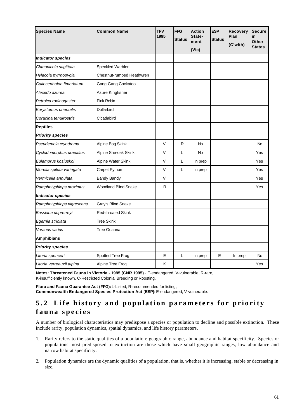| <b>Species Name</b>       | <b>Common Name</b>        | <b>TFV</b><br>1995 | <b>FFG</b><br><b>Status</b> | <b>Action</b><br>State-<br>ment<br>(Vic) | <b>ESP</b><br><b>Status</b> | Recovery<br>Plan<br>(C'wlth) | <b>Secure</b><br>in<br>Other<br><b>States</b> |
|---------------------------|---------------------------|--------------------|-----------------------------|------------------------------------------|-----------------------------|------------------------------|-----------------------------------------------|
| <b>Indicator species</b>  |                           |                    |                             |                                          |                             |                              |                                               |
| Chthonicola sagittata     | Speckled Warbler          |                    |                             |                                          |                             |                              |                                               |
| Hylacola pyrrhopygia      | Chestnut-rumped Heathwren |                    |                             |                                          |                             |                              |                                               |
| Callocephalon fimbriatum  | Gang-Gang Cockatoo        |                    |                             |                                          |                             |                              |                                               |
| Alecedo azurea            | Azure Kingfisher          |                    |                             |                                          |                             |                              |                                               |
| Petroica rodinogaster     | Pink Robin                |                    |                             |                                          |                             |                              |                                               |
| Eurystomus orientalis     | Dollarbird                |                    |                             |                                          |                             |                              |                                               |
| Coracina tenuirostris     | Cicadabird                |                    |                             |                                          |                             |                              |                                               |
| <b>Reptiles</b>           |                           |                    |                             |                                          |                             |                              |                                               |
| <b>Priority species</b>   |                           |                    |                             |                                          |                             |                              |                                               |
| Pseudemoia cryodroma      | Alpine Bog Skink          | V                  | R                           | <b>No</b>                                |                             |                              | No.                                           |
| Cyclodomorphus praealtus  | Alpine She-oak Skink      | V                  | L                           | <b>No</b>                                |                             |                              | Yes                                           |
| Eulamprus kosiuskoi       | Alpine Water Skink        | V                  | L                           | In prep                                  |                             |                              | Yes                                           |
| Morelia spilota variegata | Carpet Python             | V                  | L                           | In prep                                  |                             |                              | Yes                                           |
| Vermicella annulata       | <b>Bandy Bandy</b>        | V                  |                             |                                          |                             |                              | Yes                                           |
| Ramphotyphlops proximus   | Woodland Blind Snake      | R                  |                             |                                          |                             |                              | Yes                                           |
| <b>Indicator species</b>  |                           |                    |                             |                                          |                             |                              |                                               |
| Ramphotyphlops nigrescens | Gray's Blind Snake        |                    |                             |                                          |                             |                              |                                               |
| Bassiana duprerreyi       | <b>Red-throated Skink</b> |                    |                             |                                          |                             |                              |                                               |
| Egernia striolata         | <b>Tree Skink</b>         |                    |                             |                                          |                             |                              |                                               |
| Varanus varius            | Tree Goanna               |                    |                             |                                          |                             |                              |                                               |
| <b>Amphibians</b>         |                           |                    |                             |                                          |                             |                              |                                               |
| <b>Priority species</b>   |                           |                    |                             |                                          |                             |                              |                                               |
| Litoria spenceri          | Spotted Tree Frog         | E                  | L                           | In prep                                  | E                           | In prep                      | No                                            |
| Litoria verreauxii alpina | Alpine Tree Frog          | K                  |                             |                                          |                             |                              | Yes                                           |

**Notes: Threatened Fauna in Victoria - 1995 (CNR 1995)** - E-endangered, V-vulnerable, R-rare, K-insufficiently known, C-Restricted Colonial Breeding or Roosting.

**Flora and Fauna Guarantee Act** (**FFG):** L-Listed, R-recommended for listing; **Commonwealth Endangered Species Protection Act** (**ESP):** E-endangered, V-vulnerable.

# **5.2 Life history and population parameters for priority fauna species**

A number of biological characteristics may predispose a species or population to decline and possible extinction. These include rarity, population dynamics, spatial dynamics, and life history parameters.

- 1. Rarity refers to the static qualities of a population: geographic range, abundance and habitat specificity. Species or populations most predisposed to extinction are those which have small geographic ranges, low abundance and narrow habitat specificity.
- 2. Population dynamics are the dynamic qualities of a population, that is, whether it is increasing, stable or decreasing in size.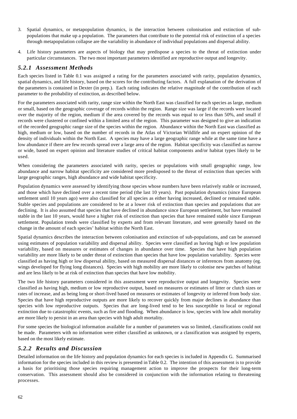- 3. Spatial dynamics, or metapopulation dynamics, is the interaction between colonisation and extinction of subpopulations that make up a population. The parameters that contribute to the potential risk of extinction of a species through metapopulation collapse are the variability in abundance of individual populations and dispersal ability.
- 4. Life history parameters are aspects of biology that may predispose a species to the threat of extinction under particular circumstances. The two most important parameters identified are reproductive output and longevity.

### *5.2.1 Assessment Methods*

Each species listed in Table 0.1 was assigned a rating for the parameters associated with rarity, population dynamics, spatial dynamics, and life history, based on the scores for the contributing factors. A full explanation of the derivation of the parameters is contained in Dexter (in prep.). Each rating indicates the relative magnitude of the contribution of each parameter to the probability of extinction, as described below.

For the parameters associated with rarity, range size within the North East was classified for each species as large, medium or small, based on the geographic coverage of records within the region. Range size was large if the records were located over the majority of the region, medium if the area covered by the records was equal to or less than 50%, and small if records were clustered or confined within a limited area of the region. This parameter was designed to give an indication of the recorded geographic range size of the species within the region. Abundance within the North East was classified as high, medium or low, based on the number of records in the Atlas of Victorian Wildlife and on expert opinion of the density of individuals within the North East. A species may have a large geographic range while at the same time have a low abundance if there are few records spread over a large area of the region. Habitat specificity was classified as narrow or wide, based on expert opinion and literature studies of critical habitat components and/or habitat types likely to be used.

When considering the parameters associated with rarity, species or populations with small geographic range, low abundance and narrow habitat specificity are considered more predisposed to the threat of extinction than species with large geographic ranges, high abundance and wide habitat specificity.

Population dynamics were assessed by identifying those species whose numbers have been relatively stable or increased, and those which have declined over a recent time period (the last 10 years). Past population dynamics (since European settlement until 10 years ago) were also classified for all species as either having increased, declined or remained stable. Stable species and populations are considered to be at a lower risk of extinction than species and populations that are declining. It is also assumed that species that have declined in abundance since European settlement, but have remained stable in the last 10 years, would have a higher risk of extinction than species that have remained stable since European settlement. Population trends were classified by experts and from relevant literature, and were generally based on the change in the amount of each species' habitat within the North East.

Spatial dynamics describes the interaction between colonisation and extinction of sub-populations, and can be assessed using estimates of population variability and dispersal ability. Species were classified as having high or low population variability, based on measures or estimates of changes in abundance over time. Species that have high population variability are more likely to be under threat of extinction than species that have low population variability. Species were classified as having high or low dispersal ability, based on measured dispersal distances or inferences from anatomy (eg. wings developed for flying long distances). Species with high mobility are more likely to colonise new patches of habitat and are less likely to be at risk of extinction than species that have low mobility.

The two life history parameters considered in this assessment were reproductive output and longevity. Species were classified as having high, medium or low reproductive output, based on measures or estimates of litter or clutch sizes or rates of increase, and as being long or short-lived based on measures or estimates of longevity or inferred from body size. Species that have high reproductive outputs are more likely to recover quickly from major declines in abundance than species with low reproductive outputs. Species that are long-lived tend to be less susceptible to local or regional extinction due to catastrophic events, such as fire and flooding. When abundance is low, species with low adult mortality are more likely to persist in an area than species with high adult mortality.

For some species the biological information available for a number of parameters was so limited, classifications could not be made. Parameters with no information were either classified as unknown, or a classification was assigned by experts, based on the most likely estimate.

#### *5.2.2 Results and Discussion*

Detailed information on the life history and population dynamics for each species is included in Appendix G. Summarised information for the species included in this review is presented in Table 0.2. The intention of this assessment is to provide a basis for prioritising those species requiring management action to improve the prospects for their long-term conservation. This assessment should also be considered in conjunction with the information relating to threatening processes.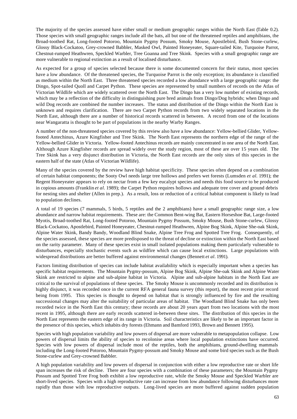The majority of the species assessed have either small or medium geographic ranges within the North East (Table 0.2). Those species with small geographic ranges include all the bats, all but one of the threatened reptiles and amphibians, the Broad-toothed Rat, Long-footed Potoroo, Mountain Pygmy Possum, Smoky Mouse, Apostlebird, Bush Stone-curlew, Glossy Black-Cockatoo, Grey-crowned Babbler, Masked Owl, Painted Honeyeater, Square-tailed Kite, Turquoise Parrot, Chestnut-rumped Heathwren, Speckled Warbler, Tree Goanna and Tree Skink. Species with a small geographic range are more vulnerable to regional extinction as a result of localised disturbance.

As expected for a group of species selected because there is some documented concern for their status, most species have a low abundance. Of the threatened species, the Turquoise Parrot is the only exception; its abundance is classified as medium within the North East. Three threatened species recorded a low abundance with a large geographic range: the Dingo, Spot-tailed Quoll and Carpet Python. These species are represented by small numbers of records on the Atlas of Victorian Wildlife which are widely scattered over the North East. The Dingo has a very low number of existing records, which may be a reflection of the difficulty in distinguishing pure bred animals from Dingo/Dog hybrids; when Dingo and wild Dog records are combined the number increases. The status and distribution of the Dingo within the North East is unknown and requires clarification. There are two Carpet Python records from two widely separated locations in the North East, although there are a number of historical records scattered in between. A record from one of the locations near Wangaratta is thought to be part of populations in the nearby Warby Ranges.

A number of the non-threatened species covered by this review also have a low abundance: Yellow-bellied Glider, Yellowfooted Antechinus, Azure Kingfisher and Tree Skink. The North East represents the northern edge of the range of the Yellow-bellied Glider in Victoria. Yellow-footed Antechinus records are mainly concentrated in one area of the North East. Although Azure Kingfisher records are spread widely over the study region, most of these are over 15 years old. The Tree Skink has a very disjunct distribution in Victoria, the North East records are the only sites of this species in the eastern half of the state (Atlas of Victorian Wildlife).

Many of the species covered by the review have high habitat specificity. These species often depend on a combination of certain habitat components; the Sooty Owl needs large tree hollows and prefers wet forests (Lumsden *et al.* 1991); the Regent Honeyeater appears to rely on nectar from a few key eucalypt species and needs this food source to be produced in copious amounts (Franklin *et al.* 1989); the Carpet Python requires hollows and adequate tree cover and ground debris for nesting sites and shelter (Allen in prep.). As a result, loss or reduction of a critical habitat component is likely to lead to population declines.

A total of 19 species (7 mammals, 5 birds, 5 reptiles and the 2 amphibians) have a small geographic range size, a low abundance and narrow habitat requirements. These are: the Common Bent-wing Bat, Eastern Horseshoe Bat, Large-footed Myotis, Broad-toothed Rat, Long-footed Potoroo, Mountain Pygmy Possum, Smoky Mouse, Bush Stone-curlew, Glossy Black-Cockatoo, Apostlebird, Painted Honeyeater, Chestnut-rumped Heathwren, Alpine Bog Skink, Alpine She-oak Skink, Alpine Water Skink, Bandy Bandy, Woodland Blind Snake, Alpine Tree Frog and Spotted Tree Frog. Consequently, of the species assessed, these species are more predisposed to the threat of decline or extinction within the North East based on the rarity parameter. Many of these species exist in small isolated populations making them particularly vulnerable to disturbances, especially stochastic events such as wildfire which can cause local extinctions. Large populations with widespread distributions are better buffered against environmental changes (Bennett *et al.* 1991).

Factors limiting distribution of species can include habitat availability which is especially important when a species has specific habitat requirements. The Mountain Pygmy-possum, Alpine Bog Skink, Alpine She-oak Skink and Alpine Water Skink are restricted to alpine and sub-alpine habitat in Victoria. Alpine and sub-alpine habitats in the North East are critical to the survival of populations of these species. The Smoky Mouse is uncommonly recorded and its distribution is highly disjunct, it was recorded once in the current RFA general fauna survey (this report), the most recent prior record being from 1995. This species is thought to depend on habitat that is strongly influenced by fire and the resulting successional changes may alter the suitability of particular areas of habitat. The Woodland Blind Snake has only been recorded twice in the North East this century; these records are about 20 years apart from two locations with the most recent in 1995, although there are early records scattered in-between these sites. The distribution of this species in the North East represents the eastern edge of its range in Victoria. Soil characteristics are likely to be an important factor in the presence of this species, which inhabits dry forests (Ehmann and Bamford 1993, Brown and Bennett 1995).

Species with high population variability and low powers of dispersal are more vulnerable to metapopulation collapse. Low powers of dispersal limits the ability of species to recolonise areas where local population extinctions have occurred. Species with low powers of dispersal include most of the reptiles, both the amphibians, ground-dwelling mammals including the Long-footed Potoroo, Mountain Pygmy-possum and Smoky Mouse and some bird species such as the Bush Stone-curlew and Grey-crowned Babbler.

A high population variability and low powers of dispersal in conjunction with either a low reproductive rate or short life span increases the risk of decline. There are four species with a combination of these parameters; the Mountain Pygmy Possum and Spotted Tree Frog both exhibit a low reproductive rate, while the Smoky Mouse and Speckled Warbler are short-lived species. Species with a high reproductive rate can increase from low abundance following disturbances more rapidly than those with low reproductive outputs. Long-lived species are more buffered against sudden population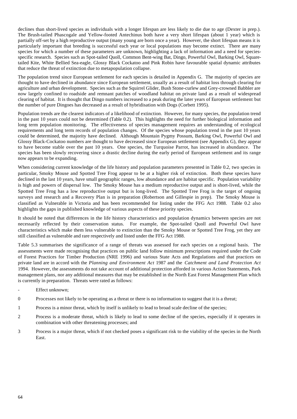declines than short-lived species as individuals with a longer lifespan are less likely to die due to age (Dexter in prep.). The Brush-tailed Phascogale and Yellow-footed Antechinus both have a very short lifespan (about 1 year) which is partially off-set by a high reproductive output (many young are born once a year). However, the short lifespan means it is particularly important that breeding is successful each year or local populations may become extinct. There are many species for which a number of these parameters are unknown, highlighting a lack of information and a need for speciesspecific research. Species such as Spot-tailed Quoll, Common Bent-wing Bat, Dingo, Powerful Owl, Barking Owl, Squaretailed Kite, White Bellied Sea-eagle, Glossy Black Cockatoo and Pink Robin have favourable spatial dynamic attributes that reduce the threat of extinction due to metapopulation collapse.

The population trend since European settlement for each species is detailed in Appendix G. The majority of species are thought to have declined in abundance since European settlement, usually as a result of habitat loss through clearing for agriculture and urban development. Species such as the Squirrel Glider, Bush Stone-curlew and Grey-crowned Babbler are now largely confined to roadside and remnant patches of woodland habitat on private land as a result of widespread clearing of habitat. It is thought that Dingo numbers increased to a peak during the later years of European settlement but the number of pure Dingoes has decreased as a result of hybridisation with Dogs (Corbett 1995).

Population trends are the clearest indicators of a likelihood of extinction. However, for many species, the population trend in the past 10 years could not be determined (Table 0.2). This highlights the need for further biological information and long term population monitoring. The effectiveness of species management requires an understanding of ecological requirements and long term records of population changes. Of the species whose population trend in the past 10 years could be determined, the majority have declined. Although Mountain Pygmy Possum, Barking Owl, Powerful Owl and Glossy Black-Cockatoo numbers are thought to have decreased since European settlement (see Appendix G), they appear to have become stable over the past 10 years. One species, the Turquoise Parrot, has increased in abundance. The species has been slowly recovering since a drastic decline during the early period of European settlement and its range now appears to be expanding.

When considering current knowledge of the life history and population parameters presented in Table 0.2, two species in particular, Smoky Mouse and Spotted Tree Frog appear to be at a higher risk of extinction. Both these species have declined in the last 10 years, have small geographic ranges, low abundance and are habitat specific. Population variability is high and powers of dispersal low. The Smoky Mouse has a medium reproductive output and is short-lived, while the Spotted Tree Frog has a low reproductive output but is long-lived. The Spotted Tree Frog is the target of ongoing surveys and research and a Recovery Plan is in preparation (Robertson and Gillespie in prep). The Smoky Mouse is classified as Vulnerable in Victoria and has been recommended for listing under the FFG Act 1988. Table 0.2 also highlights the gaps in published knowledge of various aspects of these priority species.

It should be noted that differences in the life history characteristics and population dynamics between species are not necessarily reflected by their conservation status. For example, the Spot-tailed Quoll and Powerful Owl have characteristics which make them less vulnerable to extinction than the Smoky Mouse or Spotted Tree Frog, yet they are still classified as vulnerable and rare respectively and listed under the FFG Act 1988.

Table 5.3 summarises the significance of a range of threats was assessed for each species on a regional basis. The assessments were made recognising that practices on public land follow minimum prescriptions required under the Code of Forest Practices for Timber Production (NRE 1996) and various State Acts and Regulations and that practices on private land are in accord with the *Planning and Environment Act* 1987 and the *Catchment and Land Protection Act* 1994. However, the assessments do not take account of additional protection afforded in various Action Statements, Park management plans, nor any additional measures that may be established in the North East Forest Management Plan which is currently in preparation. Threats were rated as follows:

- Effect unknown:
- 0 Processes not likely to be operating as a threat or there is no information to suggest that it is a threat;
- 1 Process is a minor threat, which by itself is unlikely to lead to broad scale decline of the species;
- 2 Process is a moderate threat, which is likely to lead to some decline of the species, especially if it operates in combination with other threatening processes; and
- 3 Process is a major threat, which if not checked poses a significant risk to the viability of the species in the North East.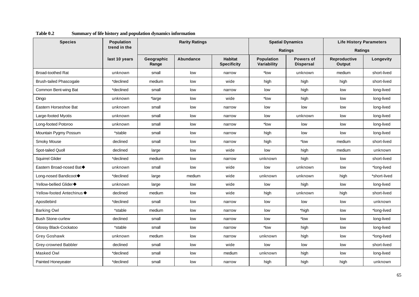| <b>Species</b>                 | <b>Population</b> |                     | <b>Rarity Ratings</b> |                                      |                                  | <b>Spatial Dynamics</b>       | <b>Life History Parameters</b> |              |  |
|--------------------------------|-------------------|---------------------|-----------------------|--------------------------------------|----------------------------------|-------------------------------|--------------------------------|--------------|--|
|                                | trend in the      |                     |                       |                                      |                                  | <b>Ratings</b>                | <b>Ratings</b>                 |              |  |
|                                | last 10 years     | Geographic<br>Range | Abundance             | <b>Habitat</b><br><b>Specificity</b> | <b>Population</b><br>Variability | Powers of<br><b>Dispersal</b> | Reproductive<br><b>Output</b>  | Longevity    |  |
| <b>Broad-toothed Rat</b>       | unknown           | small               | low                   | narrow                               | *low                             | unknown                       | medium                         | short-lived  |  |
| <b>Brush-tailed Phascogale</b> | *declined         | medium              | low                   | wide                                 | high                             | high                          | high                           | short-lived  |  |
| Common Bent-wing Bat           | *declined         | small               | low                   | narrow                               | low                              | high                          | low                            | long-lived   |  |
| Dingo                          | unknown           | *large              | low                   | wide                                 | *low                             | high                          | low                            | long-lived   |  |
| Eastern Horseshoe Bat          | unknown           | small               | low                   | narrow                               | low                              | low                           | low                            | long-lived   |  |
| Large-footed Myotis            | unknown           | small               | low                   | narrow                               | low                              | unknown                       | low                            | long-lived   |  |
| Long-footed Potoroo            | unknown           | small               | low                   | narrow                               | *low                             | low                           | low                            | long-lived   |  |
| Mountain Pygmy Possum          | *stable           | small               | low                   | narrow                               | high                             | low                           | low                            | long-lived   |  |
| Smoky Mouse                    | declined          | small               | low                   | narrow                               | high                             | *low                          | medium                         | short-lived  |  |
| Spot-tailed Quoll              | declined          | large               | low                   | wide                                 | low                              | high                          | medium                         | unknown      |  |
| <b>Squirrel Glider</b>         | *declined         | medium              | low                   | narrow                               | unknown                          | high                          | low                            | short-lived  |  |
| Eastern Broad-nosed Bat◆       | unknown           | small               | low                   | wide                                 | low                              | unknown                       | low                            | *long-lived  |  |
| Long-nosed Bandicoot◆          | *declined         | large               | medium                | wide                                 | unknown                          | unknown                       | high                           | *short-lived |  |
| Yellow-bellied Glider◆         | unknown           | large               | low                   | wide                                 | low                              | high                          | low                            | long-lived   |  |
| Yellow-footed Antechinus ♦     | declined          | medium              | low                   | wide                                 | high                             | unknown                       | high                           | short-lived  |  |
| Apostlebird                    | *declined         | small               | low                   | narrow                               | low                              | low                           | low                            | unknown      |  |
| <b>Barking Owl</b>             | *stable           | medium              | low                   | narrow                               | low                              | *high                         | low                            | *long-lived  |  |
| <b>Bush Stone-curlew</b>       | declined          | small               | low                   | narrow                               | low                              | *low                          | low                            | long-lived   |  |
| Glossy Black-Cockatoo          | *stable           | small               | low                   | narrow                               | *low                             | high                          | low                            | long-lived   |  |
| Grey Goshawk                   | unknown           | medium              | low                   | narrow                               | unknown                          | high                          | low                            | *long-lived  |  |
| Grey-crowned Babbler           | declined          | small               | low                   | wide                                 | low                              | low                           | low                            | short-lived  |  |
| Masked Owl                     | *declined         | small               | low                   | medium                               | unknown                          | high                          | low                            | long-lived   |  |
| Painted Honeyeater             | *declined         | small               | low                   | narrow                               | high                             | high                          | high                           | unknown      |  |

#### **Table 0.2 Summary of life history and population dynamics information**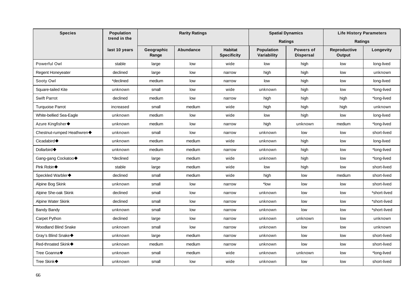| <b>Species</b>              | Population    |                     | <b>Rarity Ratings</b> |                                      |                                  | <b>Spatial Dynamics</b>       | <b>Life History Parameters</b> |              |  |
|-----------------------------|---------------|---------------------|-----------------------|--------------------------------------|----------------------------------|-------------------------------|--------------------------------|--------------|--|
|                             | trend in the  |                     |                       |                                      |                                  | <b>Ratings</b>                | Ratings                        |              |  |
|                             | last 10 years | Geographic<br>Range | Abundance             | <b>Habitat</b><br><b>Specificity</b> | <b>Population</b><br>Variability | Powers of<br><b>Dispersal</b> | Reproductive<br>Output         | Longevity    |  |
| Powerful Owl                | stable        | large               | low                   | wide                                 | low                              | high                          | low                            | long-lived   |  |
| Regent Honeyeater           | declined      | large               | low                   | narrow                               | high                             | high                          | low                            | unknown      |  |
| Sooty Owl                   | *declined     | medium              | low                   | narrow                               | low                              | high                          | low                            | long-lived   |  |
| Square-tailed Kite          | unknown       | small               | low                   | wide                                 | unknown                          | high                          | low                            | *long-lived  |  |
| <b>Swift Parrot</b>         | declined      | medium              | low                   | narrow                               | high                             | high                          | high                           | *long-lived  |  |
| <b>Turquoise Parrot</b>     | increased     | small               | medium                | wide                                 | high                             | high                          | high                           | unknown      |  |
| White-bellied Sea-Eagle     | unknown       | medium              | low                   | wide                                 | low                              | high                          | low                            | long-lived   |  |
| Azure Kingfisher◆           | unknown       | medium              | low                   | narrow                               | high                             | unknown                       | medium                         | *long-lived  |  |
| Chestnut-rumped Heathwren◆  | unknown       | small               | low                   | narrow                               | unknown                          | low                           | low                            | short-lived  |  |
| Cicadabird $\blacklozenge$  | unknown       | medium              | medium                | wide                                 | unknown                          | high                          | low                            | long-lived   |  |
| Dollarbird $\blacklozenge$  | unknown       | medium              | medium                | narrow                               | unknown                          | high                          | low                            | *long-lived  |  |
| Gang-gang Cockatoo◆         | *declined     | large               | medium                | wide                                 | unknown                          | high                          | low                            | *long-lived  |  |
| Pink Robin◆                 | stable        | large               | medium                | wide                                 | low                              | high                          | low                            | short-lived  |  |
| Speckled Warbler◆           | declined      | small               | medium                | wide                                 | high                             | low                           | medium                         | short-lived  |  |
| Alpine Bog Skink            | unknown       | small               | low                   | narrow                               | *low                             | low                           | low                            | short-lived  |  |
| Alpine She-oak Skink        | declined      | small               | low                   | narrow                               | unknown                          | low                           | low                            | *short-lived |  |
| Alpine Water Skink          | declined      | small               | low                   | narrow                               | unknown                          | low                           | low                            | *short-lived |  |
| Bandy Bandy                 | unknown       | small               | low                   | narrow                               | unknown                          | low                           | low                            | *short-lived |  |
| Carpet Python               | declined      | large               | low                   | narrow                               | unknown                          | unknown                       | low                            | unknown      |  |
| <b>Woodland Blind Snake</b> | unknown       | small               | low                   | narrow                               | unknown                          | low                           | low                            | unknown      |  |
| Gray's Blind Snake◆         | unknown       | large               | medium                | narrow                               | unknown                          | low                           | low                            | short-lived  |  |
| <b>Red-throated Skink◆</b>  | unknown       | medium              | medium                | narrow                               | unknown                          | low                           | low                            | short-lived  |  |
| Tree Goanna◆                | unknown       | small               | medium                | wide                                 | unknown                          | unknown                       | low                            | *long-lived  |  |
| Tree Skink◆                 | unknown       | small               | low                   | wide                                 | unknown                          | low                           | low                            | short-lived  |  |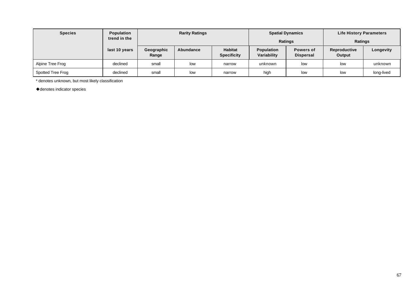| <b>Species</b>    | <b>Population</b><br>trend in the |                     | <b>Rarity Ratings</b> |                                      | <b>Spatial Dynamics</b><br><b>Ratings</b> |                               | <b>Life History Parameters</b><br><b>Ratings</b> |            |  |
|-------------------|-----------------------------------|---------------------|-----------------------|--------------------------------------|-------------------------------------------|-------------------------------|--------------------------------------------------|------------|--|
|                   | last 10 years                     | Geographic<br>Range | Abundance             | <b>Habitat</b><br><b>Specificity</b> | <b>Population</b><br>Variability          | Powers of<br><b>Dispersal</b> | Reproductive<br>Output                           | Longevity  |  |
| Alpine Tree Frog  | declined                          | small               | low                   | narrow                               | unknown                                   | low                           | low                                              | unknown    |  |
| Spotted Tree Frog | declined                          | small               | low                   | narrow                               | high                                      | low                           | low                                              | long-lived |  |

\* denotes unknown, but most likely classification

 $\blacklozenge$  denotes indicator species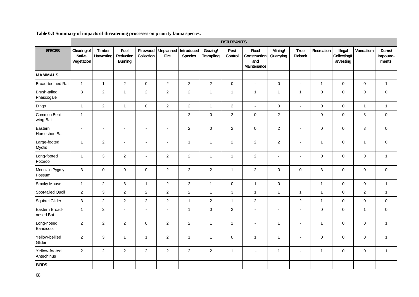|                                   | <b>DISTURBANCES</b>                 |                             |                                            |                          |                          |                              |                              |                     |                                            |                      |                               |                     |                                             |                  |                            |
|-----------------------------------|-------------------------------------|-----------------------------|--------------------------------------------|--------------------------|--------------------------|------------------------------|------------------------------|---------------------|--------------------------------------------|----------------------|-------------------------------|---------------------|---------------------------------------------|------------------|----------------------------|
| <b>SPECIES</b>                    | Clearing of<br>Native<br>Vegetation | <b>Timber</b><br>Harvesting | <b>Fuel</b><br>Reduction<br><b>Burning</b> | Firewood<br>Collection   | <b>Unplanned</b><br>Fire | Introduced<br><b>Species</b> | Grazing/<br><b>Trampling</b> | Pest<br>Control     | Road<br>Construction<br>and<br>Maintenance | Mining/<br>Quarrying | <b>Tree</b><br><b>Dieback</b> | Recreation          | Illegal<br><b>Collecting/H</b><br>arvesting | Vandalism        | Dams/<br>Impound-<br>ments |
| <b>MAMMALS</b>                    |                                     |                             |                                            |                          |                          |                              |                              |                     |                                            |                      |                               |                     |                                             |                  |                            |
| Broad-toothed Rat                 | $\overline{1}$                      | $\mathbf{1}$                | $\overline{c}$                             | 0                        | $\overline{c}$           | $\overline{c}$               | $\overline{a}$               | $\mathsf{O}\xspace$ | $\overline{a}$                             | $\mathbf 0$          | $\overline{a}$                | $\mathbf{1}$        | $\pmb{0}$                                   | $\pmb{0}$        | $\mathbf{1}$               |
| <b>Brush-tailed</b><br>Phascogale | 3                                   | $\sqrt{2}$                  | $\mathbf{1}$                               | $\overline{c}$           | $\overline{c}$           | $\overline{2}$               | $\mathbf{1}$                 | $\overline{1}$      | $\mathbf{1}$                               | $\mathbf{1}$         | $\overline{1}$                | $\mathsf{O}\xspace$ | $\pmb{0}$                                   | $\boldsymbol{0}$ | $\pmb{0}$                  |
| Dingo                             | $\overline{1}$                      | $\overline{2}$              | $\mathbf{1}$                               | $\boldsymbol{0}$         | $\overline{c}$           | $\overline{2}$               | $\mathbf{1}$                 | $\overline{2}$      | $\overline{a}$                             | $\pmb{0}$            | $\mathbf{r}$                  | $\mathbf 0$         | $\pmb{0}$                                   | $\mathbf{1}$     | $\mathbf{1}$               |
| Common Bent-<br>wing Bat          | $\overline{1}$                      | $\blacksquare$              | $\overline{\phantom{a}}$                   | $\overline{\phantom{a}}$ | ÷,                       | $\overline{2}$               | $\mathsf{O}$                 | 2                   | $\mathsf{O}\xspace$                        | $\boldsymbol{2}$     | $\blacksquare$                | $\mathbf 0$         | $\pmb{0}$                                   | 3                | $\mathbf 0$                |
| Eastern<br>Horseshoe Bat          | $\blacksquare$                      | $\blacksquare$              | $\blacksquare$                             | $\blacksquare$           | $\tilde{\phantom{a}}$    | $\overline{c}$               | $\mathsf 0$                  | $\overline{2}$      | $\mathsf 0$                                | $\overline{c}$       | $\blacksquare$                | $\mathbf 0$         | $\pmb{0}$                                   | 3                | $\mathbf 0$                |
| Large-footed<br><b>Myotis</b>     | $\overline{1}$                      | $\overline{2}$              | $\sim$                                     | $\sim$                   | $\sim$                   | $\mathbf{1}$                 | $\mathbf{1}$                 | $\overline{2}$      | $\overline{2}$                             | $\overline{2}$       | $\sim$                        | $\mathbf{1}$        | $\pmb{0}$                                   | $\mathbf{1}$     | $\mathsf{O}\xspace$        |
| Long-footed<br>Potoroo            | $\mathbf{1}$                        | $\mathbf{3}$                | $\overline{c}$                             | $\blacksquare$           | $\overline{c}$           | $\overline{c}$               | $\mathbf{1}$                 | $\overline{1}$      | $\sqrt{2}$                                 | $\blacksquare$       | $\blacksquare$                | $\mathbf 0$         | $\pmb{0}$                                   | 0                | $\mathbf{1}$               |
| Mountain Pygmy<br>Possum          | 3                                   | $\mathbf 0$                 | $\mathbf 0$                                | $\mathbf 0$              | $\overline{2}$           | $\overline{2}$               | $\overline{2}$               | $\overline{1}$      | $\overline{2}$                             | $\mathbf 0$          | $\Omega$                      | 3                   | $\mathbf 0$                                 | 0                | $\mathbf 0$                |
| Smoky Mouse                       | $\mathbf{1}$                        | $\overline{c}$              | $\ensuremath{\mathsf{3}}$                  | $\mathbf{1}$             | $\mathbf 2$              | $\overline{2}$               | $\mathbf{1}$                 | $\mathsf{O}\xspace$ | $\overline{1}$                             | $\pmb{0}$            | $\blacksquare$                | $\mathbf{1}$        | $\pmb{0}$                                   | $\pmb{0}$        | $\mathbf{1}$               |
| Spot-tailed Quoll                 | $\overline{c}$                      | $\mathfrak{S}$              | $\overline{c}$                             | $\overline{c}$           | $\mathbf 2$              | $\overline{c}$               | $\mathbf{1}$                 | $\sqrt{3}$          | $\mathbf{1}$                               | $\mathbf{1}$         | $\mathbf{1}$                  | $\mathbf{1}$        | $\mathbf 0$                                 | $\overline{c}$   | $\mathbf{1}$               |
| Squirrel Glider                   | 3                                   | $\overline{2}$              | $\overline{2}$                             | $\overline{2}$           | $\overline{2}$           | $\mathbf{1}$                 | $\overline{2}$               | $\overline{1}$      | $\overline{2}$                             | $\blacksquare$       | $\overline{2}$                | $\mathbf{1}$        | $\mathbf 0$                                 | $\pmb{0}$        | $\mathsf 0$                |
| Eastern Broad-<br>nosed Bat       | $\overline{1}$                      | 2                           | $\blacksquare$                             | $\blacksquare$           | $\ddot{\phantom{a}}$     | $\mathbf{1}$                 | $\mathsf{O}\xspace$          | $\overline{2}$      | $\overline{a}$                             | $\blacksquare$       | $\blacksquare$                | $\mathsf{O}\xspace$ | $\pmb{0}$                                   | $\mathbf{1}$     | $\mathsf{O}\xspace$        |
| Long-nosed<br>Bandicoot           | $\overline{2}$                      | $\overline{c}$              | $\overline{2}$                             | $\mathbf 0$              | $\overline{2}$           | $\overline{2}$               | $\mathbf{1}$                 | $\mathbf{1}$        | $\overline{a}$                             | $\mathbf{1}$         | $\blacksquare$                | $\mathbf{1}$        | 0                                           | 0                | $\mathbf{1}$               |
| Yellow-bellied<br>Glider          | $\overline{2}$                      | 3                           | $\mathbf{1}$                               | $\mathbf{1}$             | $\overline{2}$           | $\mathbf{1}$                 | $\mathbf{1}$                 | $\mathsf{O}\xspace$ | $\mathbf{1}$                               | $\mathbf{1}$         | $\sim$                        | $\mathbf 0$         | $\pmb{0}$                                   | $\boldsymbol{0}$ | $\mathbf{1}$               |
| Yellow-footed<br>Antechinus       | $\overline{2}$                      | $\overline{2}$              | 2                                          | $\overline{2}$           | $\overline{2}$           | $\overline{2}$               | $\overline{a}$               | $\mathbf{1}$        | $\sim$                                     | $\mathbf{1}$         | $\sim$                        | $\mathbf{1}$        | 0                                           | 0                | $\mathbf{1}$               |
| <b>BIRDS</b>                      |                                     |                             |                                            |                          |                          |                              |                              |                     |                                            |                      |                               |                     |                                             |                  |                            |

# **Table 0.3 Summary of impacts of threatening processes on priority fauna species.**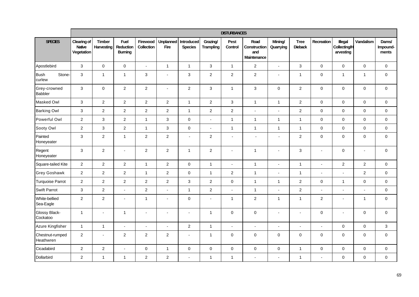|                                 | <b>DISTURBANCES</b>                        |                             |                                     |                        |                          |                              |                              |                 |                                            |                          |                               |                          |                                      |                  |                            |
|---------------------------------|--------------------------------------------|-----------------------------|-------------------------------------|------------------------|--------------------------|------------------------------|------------------------------|-----------------|--------------------------------------------|--------------------------|-------------------------------|--------------------------|--------------------------------------|------------------|----------------------------|
| <b>SPECIES</b>                  | Clearing of<br><b>Native</b><br>Vegetation | Timber<br><b>Harvesting</b> | Fuel<br>Reduction<br><b>Burning</b> | Firewood<br>Collection | <b>Unplanned</b><br>Fire | Introduced<br><b>Species</b> | Grazing/<br><b>Trampling</b> | Pest<br>Control | Road<br>Construction<br>and<br>Maintenance | Mining/<br>Quarrying     | <b>Tree</b><br><b>Dieback</b> | Recreation               | Illegal<br>Collecting/H<br>arvesting | Vandalism        | Dams/<br>Impound-<br>ments |
| Apostlebird                     | $\mathbf{3}$                               | $\mathbf 0$                 | $\pmb{0}$                           | $\mathbb{Z}^2$         | $\mathbf{1}$             | $\mathbf{1}$                 | 3                            | $\overline{1}$  | $\boldsymbol{2}$                           | $\blacksquare$           | $\mathbf{3}$                  | $\mathbf 0$              | $\pmb{0}$                            | 0                | $\mathbf 0$                |
| <b>Bush</b><br>Stone-<br>curlew | $\mathbf{3}$                               | $\mathbf{1}$                | $\mathbf{1}$                        | $\mathbf{3}$           | $\overline{a}$           | 3                            | $\overline{c}$               | $\overline{2}$  | $\sqrt{2}$                                 | $\blacksquare$           | $\overline{1}$                | $\mathsf{O}\xspace$      | $\mathbf{1}$                         | $\overline{1}$   | $\mathsf 0$                |
| Grey-crowned<br><b>Babbler</b>  | $\mathbf{3}$                               | $\mathsf{O}\xspace$         | $\boldsymbol{2}$                    | $\overline{c}$         | $\mathbf{r}$             | $\boldsymbol{2}$             | 3                            | $\overline{1}$  | $\sqrt{3}$                                 | $\mathbf 0$              | $\overline{c}$                | $\pmb{0}$                | $\pmb{0}$                            | $\boldsymbol{0}$ | $\mathbf 0$                |
| Masked Owl                      | $\mathbf{3}$                               | $\overline{2}$              | $\sqrt{2}$                          | $\sqrt{2}$             | $\overline{c}$           | $\overline{1}$               | $\overline{c}$               | $\mathfrak{S}$  | $\mathbf{1}$                               | $\mathbf{1}$             | $\overline{c}$                | $\mathbf 0$              | $\pmb{0}$                            | 0                | $\mathbf 0$                |
| <b>Barking Owl</b>              | $\mathbf{3}$                               | $\overline{2}$              | $\overline{c}$                      | $\overline{2}$         | $\overline{c}$           | $\mathbf{1}$                 | $\overline{c}$               | $\overline{c}$  | $\overline{a}$                             | $\blacksquare$           | $\overline{2}$                | $\mathbf 0$              | $\pmb{0}$                            | $\boldsymbol{0}$ | $\mathbf 0$                |
| Powerful Owl                    | $\overline{2}$                             | $\mathfrak{S}$              | $\overline{c}$                      | $\mathbf{1}$           | $\mathbf{3}$             | $\pmb{0}$                    | $\blacksquare$               | $\mathbf{1}$    | $\overline{1}$                             | $\mathbf{1}$             | $\mathbf{1}$                  | $\mathsf{O}\xspace$      | $\pmb{0}$                            | $\boldsymbol{0}$ | $\mathbf 0$                |
| Sooty Owl                       | $\overline{2}$                             | $\mathsf 3$                 | $\overline{c}$                      | $\mathbf{1}$           | $\mathbf{3}$             | $\pmb{0}$                    | $\blacksquare$               | $\overline{1}$  | $\mathbf{1}$                               | $\mathbf{1}$             | $\overline{1}$                | $\mathsf{O}\xspace$      | $\pmb{0}$                            | 0                | $\mathbf 0$                |
| Painted<br>Honeyeater           | $\mathfrak{S}$                             | $\overline{2}$              | $\mathbf{1}$                        | $\sqrt{2}$             | $\overline{c}$           | $\blacksquare$               | $\overline{c}$               | $\blacksquare$  | $\sim$                                     | $\blacksquare$           | $\overline{2}$                | $\mathsf{O}\xspace$      | $\pmb{0}$                            | 0                | $\mathsf 0$                |
| Regent<br>Honeyeater            | $\mathbf{3}$                               | $\overline{2}$              | $\blacksquare$                      | $\overline{2}$         | $\overline{2}$           | $\mathbf{1}$                 | $\overline{c}$               | $\blacksquare$  | $\mathbf{1}$                               | $\blacksquare$           | $\mathbf{3}$                  | $\blacksquare$           | $\mathbf 0$                          | $\blacksquare$   | $\pmb{0}$                  |
| Square-tailed Kite              | $\overline{c}$                             | $\overline{2}$              | $\overline{c}$                      | $\mathbf{1}$           | $\overline{c}$           | $\pmb{0}$                    | $\mathbf{1}$                 | $\blacksquare$  | $\mathbf{1}$                               | $\blacksquare$           | $\overline{1}$                | $\overline{\phantom{a}}$ | $\overline{c}$                       | $\overline{c}$   | $\mathbf 0$                |
| <b>Grey Goshawk</b>             | $\overline{c}$                             | $\overline{2}$              | $\boldsymbol{2}$                    | $\mathbf{1}$           | $\overline{c}$           | $\pmb{0}$                    | 1                            | $\mathbf{2}$    | $\mathbf{1}$                               | $\blacksquare$           | $\mathbf{1}$                  | $\overline{\phantom{a}}$ |                                      | $\overline{c}$   | $\mathbf 0$                |
| <b>Turquoise Parrot</b>         | $\overline{c}$                             | $\overline{c}$              | $\overline{c}$                      | $\boldsymbol{2}$       | $\overline{c}$           | $\mathsf 3$                  | $\overline{c}$               | $\mathbf 0$     | $\mathbf{1}$                               | $\mathbf{1}$             | $\overline{c}$                | $\mathbf 0$              | $\mathbf{1}$                         | $\boldsymbol{0}$ | $\pmb{0}$                  |
| <b>Swift Parrot</b>             | $\ensuremath{\mathsf{3}}$                  | $\overline{c}$              | $\overline{a}$                      | $\overline{c}$         |                          | $\mathbf{1}$                 | $\mathbf 2$                  | $\overline{a}$  | $\mathbf{1}$                               | $\overline{\phantom{a}}$ | $\overline{c}$                | $\overline{a}$           |                                      |                  | $\pmb{0}$                  |
| White-bellied<br>Sea-Eagle      | $\overline{2}$                             | $\overline{2}$              | $\blacksquare$                      | $\mathbf{1}$           | $\omega$                 | $\pmb{0}$                    | $\blacksquare$               | $\mathbf{1}$    | $\sqrt{2}$                                 | $\mathbf{1}$             | $\mathbf{1}$                  | $\overline{2}$           | $\overline{\phantom{a}}$             | $\mathbf{1}$     | $\mathsf{O}\xspace$        |
| Glossy Black-<br>Cockatoo       | $\overline{1}$                             | $\blacksquare$              | $\mathbf{1}$                        | $\blacksquare$         | $\sim$                   |                              | $\mathbf{1}$                 | $\mathbf 0$     | $\pmb{0}$                                  | $\overline{\phantom{a}}$ | $\blacksquare$                | $\mathsf{O}\xspace$      | $\overline{\phantom{a}}$             | 0                | $\mathbf 0$                |
| Azure Kingfisher                | $\overline{1}$                             | $\mathbf{1}$                | $\blacksquare$                      | $\blacksquare$         | $\omega$                 | $\overline{\mathbf{c}}$      | $\mathbf{1}$                 | $\blacksquare$  | $\overline{a}$                             | $\blacksquare$           | $\blacksquare$                | $\sim$                   | $\pmb{0}$                            | 0                | $\mathbf 3$                |
| Chestnut-rumped<br>Heathwren    | $\overline{c}$                             | $\blacksquare$              | $\overline{\mathbf{c}}$             | $\overline{c}$         | $\overline{c}$           | $\overline{\phantom{a}}$     | $\mathbf{1}$                 | $\mathbf 0$     | $\boldsymbol{0}$                           | 0                        | $\mathbf 0$                   | $\mathbf 0$              | $\pmb{0}$                            | 0                | $\pmb{0}$                  |
| Cicadabird                      | $\overline{c}$                             | $\overline{2}$              | $\blacksquare$                      | $\mathbf 0$            | $\mathbf{1}$             | $\pmb{0}$                    | 0                            | $\mathbf 0$     | $\pmb{0}$                                  | $\boldsymbol{0}$         | $\mathbf{1}$                  | $\mathbf 0$              | $\pmb{0}$                            | $\boldsymbol{0}$ | $\pmb{0}$                  |
| Dollarbird                      | $\overline{c}$                             | $\mathbf{1}$                | $\mathbf{1}$                        | $\overline{c}$         | $\overline{c}$           |                              | $\mathbf{1}$                 | $\mathbf{1}$    |                                            | $\overline{a}$           | $\overline{1}$                | $\overline{a}$           | $\pmb{0}$                            | $\boldsymbol{0}$ | $\pmb{0}$                  |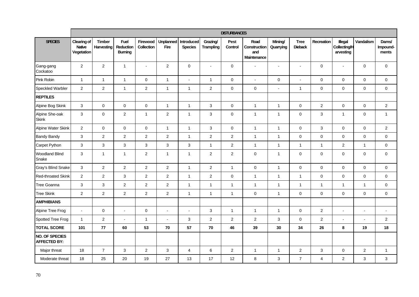|                                       | <b>DISTURBANCES</b>                        |                             |                                            |                        |                          |                              |                              |                 |                                            |                          |                               |                         |                                      |                |                            |
|---------------------------------------|--------------------------------------------|-----------------------------|--------------------------------------------|------------------------|--------------------------|------------------------------|------------------------------|-----------------|--------------------------------------------|--------------------------|-------------------------------|-------------------------|--------------------------------------|----------------|----------------------------|
| <b>SPECIES</b>                        | Clearing of<br><b>Native</b><br>Vegetation | <b>Timber</b><br>Harvesting | <b>Fuel</b><br>Reduction<br><b>Burning</b> | Firewood<br>Collection | <b>Unplanned</b><br>Fire | Introduced<br><b>Species</b> | Grazing/<br><b>Trampling</b> | Pest<br>Control | Road<br>Construction<br>and<br>Maintenance | Mining/<br>Quarrying     | <b>Tree</b><br><b>Dieback</b> | Recreation              | Illegal<br>Collecting/H<br>arvesting | Vandalism      | Dams/<br>Impound-<br>ments |
| Gang-gang<br>Cockatoo                 | $\overline{2}$                             | $\overline{2}$              | $\mathbf{1}$                               | $\blacksquare$         | $\overline{2}$           | $\boldsymbol{0}$             | $\blacksquare$               | $\mathbf 0$     | $\overline{a}$                             | $\blacksquare$           | $\blacksquare$                | $\mathbf 0$             | $\blacksquare$                       | 0              | $\mathsf{O}\xspace$        |
| Pink Robin                            | $\mathbf{1}$                               | $\mathbf{1}$                | $\mathbf{1}$                               | $\mathbf 0$            | $\mathbf{1}$             | $\sim$                       | $\mathbf{1}$                 | $\pmb{0}$       | $\overline{a}$                             | 0                        | $\blacksquare$                | $\mathbf 0$             | $\pmb{0}$                            | $\mathbf 0$    | $\mathsf 0$                |
| Speckled Warbler                      | $\overline{2}$                             | $\overline{c}$              | $\mathbf{1}$                               | $\overline{c}$         | $\mathbf{1}$             | $\mathbf{1}$                 | $\overline{\mathbf{c}}$      | $\mathbf 0$     | $\pmb{0}$                                  | $\overline{\phantom{a}}$ | $\overline{1}$                | $\mathbf 0$             | $\mathbf 0$                          | $\pmb{0}$      | $\mathbf 0$                |
| <b>REPTILES</b>                       |                                            |                             |                                            |                        |                          |                              |                              |                 |                                            |                          |                               |                         |                                      |                |                            |
| Alpine Bog Skink                      | $\mathbf{3}$                               | $\mathbf 0$                 | $\pmb{0}$                                  | $\mathsf 0$            | $\mathbf{1}$             | $\mathbf{1}$                 | 3                            | $\mathbf 0$     | $\mathbf{1}$                               | $\mathbf{1}$             | $\mathbf 0$                   | $\overline{2}$          | $\pmb{0}$                            | $\mathbf 0$    | $\overline{2}$             |
| Alpine She-oak<br><b>Skink</b>        | $\mathbf{3}$                               | $\mathbf 0$                 | $\sqrt{2}$                                 | $\mathbf{1}$           | $\overline{2}$           | $\mathbf{1}$                 | 3                            | $\mathbf 0$     | $\mathbf{1}$                               | $\mathbf{1}$             | $\mathbf 0$                   | $\mathbf{3}$            | $\mathbf{1}$                         | $\pmb{0}$      | $\mathbf{1}$               |
| Alpine Water Skink                    | $\overline{2}$                             | $\mathbf 0$                 | $\pmb{0}$                                  | $\mathsf 0$            | $\mathbf{1}$             | $\mathbf{1}$                 | 3                            | $\mathsf 0$     | $\mathbf{1}$                               | $\mathbf{1}$             | $\mathsf 0$                   | $\mathbf{3}$            | $\pmb{0}$                            | $\mathbf 0$    | $\sqrt{2}$                 |
| <b>Bandy Bandy</b>                    | 3                                          | $\overline{2}$              | $\overline{2}$                             | $\overline{2}$         | $\overline{2}$           | $\mathbf{1}$                 | $\overline{c}$               | $\overline{2}$  | $\mathbf{1}$                               | $\mathbf{1}$             | $\mathsf 0$                   | $\mathbf 0$             | $\pmb{0}$                            | $\mathbf 0$    | $\mathsf{O}\xspace$        |
| Carpet Python                         | $\mathbf{3}$                               | $\mathbf{3}$                | 3                                          | $\mathbf{3}$           | $\mathbf{3}$             | $\sqrt{3}$                   | $\mathbf{1}$                 | $\mathbf{2}$    | $\mathbf{1}$                               | $\mathbf{1}$             | $\overline{1}$                | $\mathbf{1}$            | $\mathbf 2$                          | $\mathbf{1}$   | $\mathsf{O}\xspace$        |
| <b>Woodland Blind</b><br>Snake        | $\mathbf{3}$                               | $\mathbf{1}$                | $\mathbf{1}$                               | $\overline{c}$         | $\overline{1}$           | $\mathbf{1}$                 | $\overline{c}$               | $\overline{2}$  | $\pmb{0}$                                  | $\mathbf{1}$             | $\mathbf 0$                   | $\mathbf 0$             | $\mathbf 0$                          | $\mathbf 0$    | $\mathsf 0$                |
| Gray's Blind Snake                    | $\mathbf{3}$                               | $\mathbf{2}$                | $\overline{c}$                             | $\overline{2}$         | $\overline{2}$           | $\mathbf{1}$                 | $\overline{c}$               | $\overline{1}$  | $\pmb{0}$                                  | $\mathbf{1}$             | $\mathbf 0$                   | $\mathbf 0$             | $\mathbf 0$                          | 0              | $\mathsf{O}\xspace$        |
| <b>Red-throated Skink</b>             | $\overline{2}$                             | $\overline{c}$              | 3                                          | $\boldsymbol{2}$       | $\overline{2}$           | $\mathbf{1}$                 | $\overline{\mathbf{c}}$      | $\mathbf 0$     | $\mathbf{1}$                               | $\mathbf{1}$             | $\overline{1}$                | $\mathbf 0$             | $\pmb{0}$                            | $\pmb{0}$      | $\mathbf 0$                |
| Tree Goanna                           | 3                                          | $\mathfrak{S}$              | $\sqrt{2}$                                 | $\overline{c}$         | $\overline{2}$           | $\mathbf{1}$                 | $\mathbf{1}$                 | $\overline{1}$  | $\mathbf{1}$                               | $\mathbf{1}$             | $\overline{1}$                | $\mathbf{1}$            | $\mathbf{1}$                         | $\mathbf{1}$   | $\mathsf{O}\xspace$        |
| <b>Tree Skink</b>                     | $\overline{2}$                             | $\overline{2}$              | $\overline{c}$                             | $\overline{2}$         | $\overline{2}$           | $\mathbf{1}$                 | $\mathbf{1}$                 | $\overline{1}$  | $\pmb{0}$                                  | $\mathbf{1}$             | $\mathbf 0$                   | $\mathbf 0$             | $\mathbf 0$                          | $\mathbf 0$    | $\pmb{0}$                  |
| <b>AMPHIBIANS</b>                     |                                            |                             |                                            |                        |                          |                              |                              |                 |                                            |                          |                               |                         |                                      |                |                            |
| Alpine Tree Frog                      | $\overline{a}$                             | $\pmb{0}$                   | $\blacksquare$                             | $\mathbf 0$            | $\sim$                   | $\overline{\phantom{a}}$     | 3                            | $\overline{1}$  | $\mathbf{1}$                               | $\mathbf{1}$             | $\mathbf 0$                   | $\overline{c}$          |                                      | $\blacksquare$ | $\blacksquare$             |
| Spotted Tree Frog                     | $\mathbf{1}$                               | $\overline{2}$              | $\overline{a}$                             | $\mathbf{1}$           | $\sim$                   | $\mathsf 3$                  | $\overline{c}$               | $\overline{2}$  | $\overline{2}$                             | 3                        | $\mathsf 0$                   | $\overline{2}$          | $\sim$                               |                | $\overline{2}$             |
| <b>TOTAL SCORE</b>                    | 101                                        | 77                          | 60                                         | 53                     | 70                       | 57                           | 70                           | 46              | 39                                         | 30                       | 34                            | 26                      | 8                                    | 19             | 18                         |
| NO. OF SPECIES<br><b>AFFECTED BY:</b> |                                            |                             |                                            |                        |                          |                              |                              |                 |                                            |                          |                               |                         |                                      |                |                            |
| Major threat                          | 18                                         | $\overline{7}$              | $\mathfrak{S}$                             | $\overline{2}$         | $\mathbf{3}$             | $\overline{4}$               | 6                            | $\overline{2}$  | $\mathbf{1}$                               | $\mathbf{1}$             | $\overline{2}$                | $\mathbf{3}$            | $\mathbf 0$                          | $\overline{c}$ | $\mathbf{1}$               |
| Moderate threat                       | 18                                         | 25                          | $20\,$                                     | 19                     | 27                       | 13                           | 17                           | 12              | $\,8\,$                                    | 3                        | $\overline{7}$                | $\overline{\mathbf{4}}$ | $\boldsymbol{2}$                     | 3              | $\sqrt{3}$                 |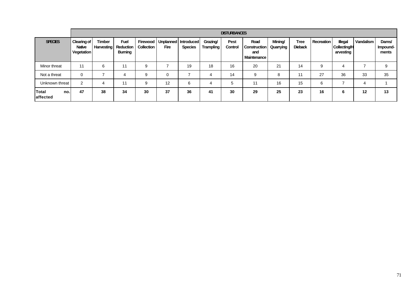|                                 | <b>DISTURBANCES</b>                                      |                                    |                                            |            |                                                    |                |                              |                 |                                                   |                      |                               |            |                                                    |           |                            |
|---------------------------------|----------------------------------------------------------|------------------------------------|--------------------------------------------|------------|----------------------------------------------------|----------------|------------------------------|-----------------|---------------------------------------------------|----------------------|-------------------------------|------------|----------------------------------------------------|-----------|----------------------------|
| <b>SPECIES</b>                  | <b>Clearing of</b><br><b>Native</b><br><b>Vegetation</b> | <b>Timber</b><br><b>Harvesting</b> | <b>Fuel</b><br>Reduction<br><b>Burning</b> | Collection | Firewood   Unplanned   Introduced  <br><b>Fire</b> | <b>Species</b> | Grazing/<br><b>Trampling</b> | Pest<br>Control | Road<br><b>Construction</b><br>and<br>Maintenance | Mining/<br>Quarrying | <b>Tree</b><br><b>Dieback</b> | Recreation | <b>Illegal</b><br><b>Collecting/H</b><br>arvesting | Vandalism | Dams/<br>Impound-<br>ments |
| Minor threat                    | 11                                                       | 6                                  | 11                                         | 9          |                                                    | 19             | 18                           | 16              | 20                                                | 21                   | 14                            | q          | 4                                                  |           | 9                          |
| Not a threat                    | $\Omega$                                                 |                                    | 4                                          | 9          |                                                    |                | 4                            | 14              | 9                                                 | 8                    | 11                            | 27         | 36                                                 | 33        | 35                         |
| Unknown threat                  | $\overline{2}$                                           | 4                                  | 11                                         | 9          | 12                                                 | 6              | 4                            | 5               | 11                                                | 16                   | 15                            | 6          |                                                    | 4         |                            |
| <b>Total</b><br>no.<br>affected | 47                                                       | 38                                 | 34                                         | 30         | 37                                                 | 36             | 41                           | 30              | 29                                                | 25                   | 23                            | 16         | 6                                                  | 12        | 13                         |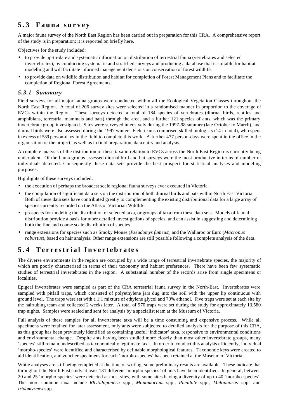# **5.3 Fauna survey**

A major fauna survey of the North East Region has been carried out in preparation for this CRA. A comprehensive report of the study is in preparation; it is reported on briefly here.

Objectives for the study included:

- to provide up-to-date and systematic information on distribution of terrestrial fauna (vertebrates and selected invertebrates), by conducting systematic and stratified surveys and producing a database that is suitable for habitat modelling and will facilitate informed management decisions on conservation of forest wildlife.
- to provide data on wildlife distribution and habitat for completion of Forest Management Plans and to facilitate the completion of Regional Forest Agreements.

### *5.3.1 Summary*

Field surveys for all major fauna groups were conducted within all the Ecological Vegetation Classes throughout the North East Region. A total of 206 survey sites were selected in a randomised manner in proportion to the coverage of EVCs within the Region. These surveys detected a total of 184 species of vertebrates (diurnal birds, reptiles and amphibians, terrestrial mammals and bats) through the area, and a further 121 species of ants, which was the primary invertebrate group investigated. Sites were surveyed intensively during the 1997-98 summer (late October to March), and diurnal birds were also assessed during the 1997 winter. Field teams comprised skilled biologists (14 in total), who spent in excess of 539 person-days in the field to complete this work. A further 477 person-days were spent in the office in the organisation of the project, as well as in field preparation, data entry and analysis.

A complete analysis of the distribution of these taxa in relation to EVCs across the North East Region is currently being undertaken. Of the fauna groups assessed diurnal bird and bat surveys were the most productive in terms of number of individuals detected. Consequently these data sets provide the best prospect for statistical analyses and modeling purposes.

Highlights of these surveys included:

- the execution of perhaps the broadest scale regional fauna surveys ever executed in Victoria.
- the compilation of significant data sets on the distribution of both diurnal birds and bats within North East Victoria. Both of these data sets have contributed greatly to complementing the existing distributional data for a large array of species currently recorded on the Atlas of Victorian Wildlife.
- prospects for modeling the distribution of selected taxa, or groups of taxa from these data sets. Models of faunal distribution provide a basis for more detailed investigations of species, and can assist in suggesting and determining both the fine and coarse scale distribution of species.
- range extensions for species such as Smoky Mouse (*Pseudomys fumeus*), and the Wallaroo or Euro (*Macropus robustus*), based on hair analysis. Other range extensions are still possible following a complete analysis of the data.

# **5.4 Terrestrial Invertebrate s**

The diverse environments in the region are occupied by a wide range of terrestrial invertebrate species, the majority of which are poorly characterised in terms of their taxonomy and habitat preferences. There have been few systematic studies of terrestrial invertebrates in the region. A substantial number of the records arise from single specimens or localities.

Epigeal invertebrates were sampled as part of the CRA terrestrial fauna survey in the North-East. Invertebrates were sampled with pitfall traps, which consisted of polyethylene jars dug into the soil with the upper lip continuous with ground level. The traps were set with a 1:1 mixture of ethylene glycol and 70% ethanol. Five traps were set at each site by the hairtubing team and collected 2 weeks later. A total of 970 traps were set during the study for approximately 13,580 trap nights. Samples were sealed and sent for analysis by a specialist team at the Museum of Victoria.

Full analysis of these samples for all invertebrate taxa will be a time consuming and expensive process. While all specimens were retained for later assessment, only ants were subjected to detailed analysis for the purpose of this CRA, as this group has been previously identified as containing useful 'indicator' taxa, responsive to environmental conditions and environmental change. Despite ants having been studied more closely than most other invertebrate groups, many 'species' still remain undescribed as taxonomically legitimate taxa. In order to conduct this analysis efficiently, individual 'morpho-species' were identified and characterised by definable morphological features. Taxonomic keys were created to aid identification, and voucher specimens for each 'morpho-species' has been retained at the Museum of Victoria.

While analyses are still being completed at the time of writing, some preliminary results are available. These indicate that throughout the North East study at least 131 different 'morpho-species' of ants have been identified. In general, between 20 and 25 'morpho-species' were detected at most sites, with some sites having a diversity of up to 40 'morpho-species'. The more common taxa include *Rhytidoponera* spp., *Monomorium* spp., *Pheidole* spp., *Melophorus* spp. and *Iridomyrmex* spp.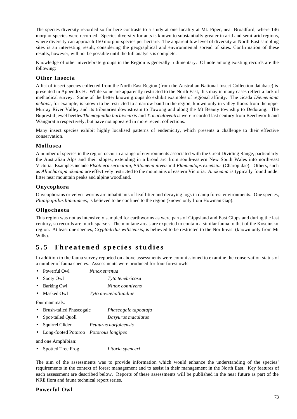The species diversity recorded so far here contrasts to a study at one locality at Mt. Piper, near Broadford, where 146 morpho-species were recorded. Species diversity for ants is known to substantially greater in arid and semi-arid regions, where diversity can approach 150 morpho-species per hectare. The apparent low level of diversity at North East sampling sites is an interesting result, considering the geographical and environmental spread of sites. Confirmation of these results, however, will not be possible until the full analysis is complete.

Knowledge of other invertebrate groups in the Region is generally rudimentary. Of note among existing records are the following:

#### **Other Insecta**

A list of insect species collected from the North East Region (from the Australian National Insect Collection database) is presented in Appendix H. While some are apparently restricted to the North East, this may in many cases reflect a lack of methodical survey. Some of the better known groups do exhibit examples of regional affinity. The cicada *Diemeniana neboisi*, for example, is known to be restricted to a narrow band in the region, known only in valley floors from the upper Murray River Valley and its tributaries downstream to Towong and along the Mt Beauty township to Dedorang. The Buprestid jewel beetles *Themognatha barbiventris* and *T. maculoventris* were recorded last century from Beechworth and Wangaratta respectively, but have not appeared in more recent collections.

Many insect species exhibit highly localised patterns of endemicity, which presents a challenge to their effective conservation.

#### **Mollusca**

A number of species in the region occur in a range of environments associated with the Great Dividing Range, particularly the Australian Alps and their slopes, extending in a broad arc from south-eastern New South Wales into north-east Victoria. Examples include *Elsothera sericatula*, *Pillomena nivea* and *Flammulops excelsior* (Charopidae). Others, such as *Allocharopa okeana* are effectively restricted to the mountains of eastern Victoria. *A. okeana* is typically found under litter near mountain peaks and alpine woodland.

#### **Onycophora**

Onycophorans or velvet-worms are inhabitants of leaf litter and decaying logs in damp forest environments. One species, *Planipapillus biacinaces*, is believed to be confined to the region (known only from Howman Gap).

#### **Oligochaeta**

This region was not as intensively sampled for earthworms as were parts of Gippsland and East Gippsland during the last century, so records are much sparser. The montane areas are expected to contain a similar fauna to that of the Kosciusko region. At least one species, *Cryptodrilus willsiensis*, is believed to be restricted to the North-east (known only from Mt Wills).

## **5.5 Threatened species studies**

In addition to the fauna survey reported on above assessments were commissioned to examine the conservation status of a number of fauna species. Assessments were produced for four forest owls:

- Powerful Owl *Ninox strenua*
- Sooty Owl *Tyto tenebricosa*
- Barking Owl *Ninox connivens*
- Masked Owl *Tyto novaehollandiae*

four mammals:

- Brush-tailed Phascogale *Phascogale tapoatafa*
- Spot-tailed Quoll *Dasyurus maculatus*
- Squirrel Glider *Petaurus norfolcensis*
- Long-footed Potoroo *Potorous longipes*

and one Amphibian:

• Spotted Tree Frog *Litoria spenceri*

The aim of the assessments was to provide information which would enhance the understanding of the species' requirements in the context of forest management and to assist in their management in the North East. Key features of each assessment are described below. Reports of these assessments will be published in the near future as part of the NRE flora and fauna technical report series.

#### **Powerful Owl**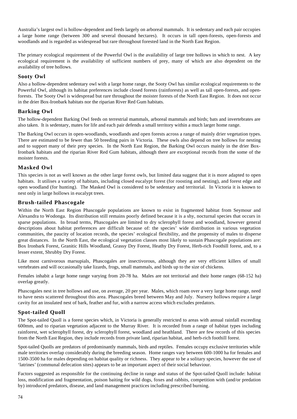Australia's largest owl is hollow-dependent and feeds largely on arboreal mammals. It is sedentary and each pair occupies a large home range (between 300 and several thousand hectares). It occurs in tall open-forests, open-forests and woodlands and is regarded as widespread but rare throughout forested land in the North East Region.

The primary ecological requirement of the Powerful Owl is the availability of large tree hollows in which to nest. A key ecological requirement is the availability of sufficient numbers of prey, many of which are also dependent on the availability of tree hollows.

#### **Sooty Owl**

Also a hollow-dependent sedentary owl with a large home range, the Sooty Owl has similar ecological requirements to the Powerful Owl, although its habitat preferences include closed forests (rainforests) as well as tall open-forests, and openforests. The Sooty Owl is widespread but rare throughout the moister forests of the North East Region. It does not occur in the drier Box-Ironbark habitats nor the riparian River Red Gum habitats.

#### **Barking Owl**

The hollow-dependent Barking Owl feeds on terrestrial mammals, arboreal mammals and birds; bats and invertebrates are also taken. It is sedentary, mates for life and each pair defends a small territory within a much larger home range.

The Barking Owl occurs in open-woodlands, woodlands and open forests across a range of mainly drier vegetation types. There are estimated to be fewer than 50 breeding pairs in Victoria. These owls also depend on tree hollows for nesting and to support many of their prey species. In the North East Region, the Barking Owl occurs mainly in the drier Box-Ironbark habitats and the riparian River Red Gum habitats, although there are exceptional records from the some of the moister forests.

#### **Masked Owl**

This species is not as well known as the other large forest owls, but limited data suggest that it is more adapted to open habitats. It utilises a variety of habitats, including closed eucalypt forest (for roosting and nesting), and forest edge and open woodland (for hunting). The Masked Owl is considered to be sedentary and territorial. In Victoria it is known to nest only in large hollows in eucalypt trees.

#### **Brush-tailed Phascogale**

Within the North East Region Phascogale populations are known to exist in fragmented habitat from Seymour and Alexandra to Wodonga. Its distribution still remains poorly defined because it is a shy, nocturnal species that occurs in sparse populations. In broad terms, Phascogales are limited to dry sclerophyll forest and woodland, however general descriptions about habitat preferences are difficult because of: the species' wide distribution in various vegetation communities, the paucity of location records, the species' ecological flexibility, and the propensity of males to disperse great distances. In the North East, the ecological vegetation classes most likely to sustain Phascogale populations are: Box Ironbark Forest, Granitic Hills Woodland, Grassy Dry Forest, Heathy Dry Forest, Herb-rich Foothill forest, and, to a lesser extent, Shrubby Dry Forest.

Like most carnivorous marsupials, Phascogales are insectivorous, although they are very efficient killers of small vertebrates and will occasionally take lizards, frogs, small mammals, and birds up to the size of chickens.

Females inhabit a large home range varying from 20-78 ha. Males are not territorial and their home ranges (68-152 ha) overlap greatly.

Phascogales nest in tree hollows and use, on average, 20 per year. Males, which roam over a very large home range, need to have nests scattered throughout this area. Phascogales breed between May and July. Nursery hollows require a large cavity for an insulated nest of bark, feather and fur, with a narrow access which excludes predators.

## **Spot-tailed Quoll**

The Spot-tailed Quoll is a forest species which, in Victoria is generally restricted to areas with annual rainfall exceeding 600mm, and to riparian vegetation adjacent to the Murray River. It is recorded from a range of habitat types including rainforest, wet sclerophyll forest, dry sclerophyll forest, woodland and heathland. There are few records of this species from the North East Region, they include records from private land, riparian habitat, and herb-rich foothill forest.

Spot-tailed Quolls are predators of predominantly mammals, birds and reptiles. Females occupy exclusive territories while male territories overlap considerably during the breeding season. Home ranges vary between 600-1000 ha for females and 1500-3500 ha for males depending on habitat quality or richness. They appear to be a solitary species, however the use of 'latrines' (communal defecation sites) appears to be an important aspect of their social behaviour.

Factors suggested as responsible for the continuing decline in range and status of the Spot-tailed Quoll include: habitat loss, modification and fragmentation, poison baiting for wild dogs, foxes and rabbits, competition with (and/or predation by) introduced predators, disease, and land management practices including prescribed burning.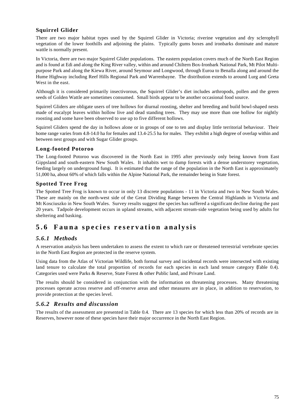## **Squirrel Glider**

There are two major habitat types used by the Squirrel Glider in Victoria; riverine vegetation and dry sclerophyll vegetation of the lower foothills and adjoining the plains. Typically gums boxes and ironbarks dominate and mature wattle is normally present.

In Victoria, there are two major Squirrel Glider populations. The eastern population covers much of the North East Region and is found at Edi and along the King River valley, within and around Chiltern Box-Ironbark National Park, Mt Pilot Multipurpose Park and along the Kiewa River, around Seymour and Longwood, through Euroa to Benalla along and around the Hume Highway including Reef Hills Regional Park and Warrenbayne. The distribution extends to around Lurg and Greta West in the east.

Although it is considered primarily insectivorous, the Squirrel Glider's diet includes arthropods, pollen and the green seeds of Golden Wattle are sometimes consumed. Small birds appear to be another occasional food source.

Squirrel Gliders are obligate users of tree hollows for diurnal roosting, shelter and breeding and build bowl-shaped nests made of eucalypt leaves within hollow live and dead standing trees. They may use more than one hollow for nightly roosting and some have been observed to use up to five different hollows.

Squirrel Gliders spend the day in hollows alone or in groups of one to ten and display little territorial behaviour. Their home range varies from 4.8-14.0 ha for females and 13.4-25.5 ha for males. They exhibit a high degree of overlap within and between nest groups and with Sugar Glider groups.

#### **Long-footed Potoroo**

The Long-footed Potoroo was discovered in the North East in 1995 after previously only being known from East Gippsland and south-eastern New South Wales. It inhabits wet to damp forests with a dense understorey vegetation, feeding largely on underground fungi. It is estimated that the range of the population in the North East is approximately 51,000 ha, about 60% of which falls within the Alpine National Park, the remainder being in State forest.

#### **Spotted Tree Frog**

The Spotted Tree Frog is known to occur in only 13 discrete populations - 11 in Victoria and two in New South Wales. These are mainly on the north-west side of the Great Dividing Range between the Central Highlands in Victoria and Mt Kosciuszko in New South Wales. Survey results suggest the species has suffered a significant decline during the past 20 years. Tadpole development occurs in upland streams, with adjacent stream-side vegetation being used by adults for sheltering and basking.

## **5.6 Fauna species reservation analysis**

## *5.6.1 Methods*

A reservation analysis has been undertaken to assess the extent to which rare or threatened terrestrial vertebrate species in the North East Region are protected in the reserve system.

Using data from the Atlas of Victorian Wildlife, both formal survey and incidental records were intersected with existing land tenure to calculate the total proportion of records for each species in each land tenure category (Table 0.4). Categories used were Parks & Reserve, State Forest & other Public land, and Private Land.

The results should be considered in conjunction with the information on threatening processes. Many threatening processes operate across reserve and off-reserve areas and other measures are in place, in addition to reservation, to provide protection at the species level.

## *5.6.2 Results and discussion*

The results of the assessment are presented in Table 0.4. There are 13 species for which less than 20% of records are in Reserves, however none of these species have their major occurrence in the North East Region.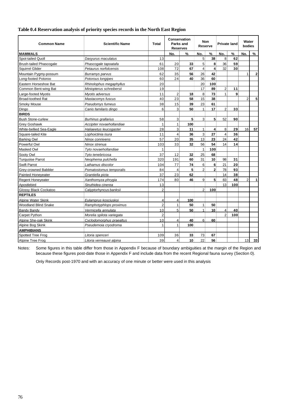#### **Table 0.4 Reservation analysis of priority species records in the North East Region**

| <b>Common Name</b>             | <b>Scientific Name</b>    | Total          |                         | <b>Conservation</b><br>Parks and<br><b>Reserves</b> |                | <b>Non</b><br>Reserve |                         | <b>Private land</b> |                | Water<br>bodies |  |
|--------------------------------|---------------------------|----------------|-------------------------|-----------------------------------------------------|----------------|-----------------------|-------------------------|---------------------|----------------|-----------------|--|
| <b>MAMMALS</b>                 |                           |                | No.                     | $\%$                                                | No.            | $\%$                  | No.                     | $\%$                | No.            | ℅               |  |
| Spot-tailed Quoll              | Dasyurus maculatus        | 13             |                         |                                                     | 5              | 38                    | 8                       | 62                  |                |                 |  |
| <b>Brush-tailed Phascogale</b> | Phascogale tapoatafa      | 61             | 20                      | 33                                                  | 5              | 8                     | 36                      | 59                  |                |                 |  |
| <b>Squirrel Glider</b>         | Petaurus norfolcensis     | 108            | 72                      | 67                                                  | 4              | 4                     | 32                      | 30                  |                |                 |  |
| Mountain Pygmy-possum          | Burramys parvus           | 62             | 35                      | 56                                                  | 26             | 42                    |                         |                     | 1              | $\overline{2}$  |  |
| Long-footed Potoroo            | Potorous longipes         | 60             | 24                      | 40                                                  | 36             | 60                    |                         |                     |                |                 |  |
| Eastern Horseshoe Bat          | Rhinolophus megaphyllus   | 20             |                         |                                                     | 20             | 100                   |                         |                     |                |                 |  |
| Common Bent-wing Bat           | Miniopterus schreibersii  | 19             |                         |                                                     | 17             | 89                    | $\overline{2}$          | 11                  |                |                 |  |
| Large-footed Myotis            | Myotis adversus           | 11             | $\overline{2}$          | 18                                                  | 8              | 73                    | $\mathbf{1}$            | 9                   |                |                 |  |
| <b>Broad-toothed Rat</b>       | Mastacomys fuscus         | 40             | 23                      | 58                                                  | 15             | 38                    |                         |                     | $\overline{2}$ | 5               |  |
| Smoky Mouse                    | Pseudomys fumeus          | 38             | 15                      | 39                                                  | 23             | 61                    |                         |                     |                |                 |  |
| Dingo                          | Canis familaris dingo     | 6              | 3                       | 50                                                  | $\mathbf{1}$   | 17                    | $\overline{2}$          | 33                  |                |                 |  |
| <b>BIRDS</b>                   |                           |                |                         |                                                     |                |                       |                         |                     |                |                 |  |
| <b>Bush Stone-curlew</b>       | Burhinus grallarius       | 58             | 3                       | 5                                                   | 3              | 5                     | 52                      | 90                  |                |                 |  |
| <b>Grey Goshawk</b>            | Accipiter novaehollandiae | $\mathbf{1}$   | 1                       | 100                                                 |                |                       |                         |                     |                |                 |  |
| White-bellied Sea-Eagle        | Haliaeetus leucogaster    | 28             | 3                       | 11                                                  | $\mathbf{1}$   | 4                     | 8                       | 29                  | 16             | 57              |  |
| Square-tailed Kite             | Lophoictinia isura        | 11             | $\overline{4}$          | 36                                                  | 3              | 27                    | $\overline{4}$          | 36                  |                |                 |  |
| <b>Barking Owl</b>             | Ninox connivens           | 57             | 20                      | 35                                                  | 13             | 23                    | 24                      | 42                  |                |                 |  |
| Powerful Owl                   | Ninox strenua             | 103            | 33                      | 32                                                  | 56             | 54                    | 14                      | 14                  |                |                 |  |
| Masked Owl                     | Tyto novaehollandiae      | 1              |                         |                                                     | $\mathbf{1}$   | 100                   |                         |                     |                |                 |  |
| Sooty Owl                      | Tyto tenebricosa          | 37             | 12                      | 32                                                  | 25             | 68                    |                         |                     |                |                 |  |
| <b>Turquoise Parrot</b>        | Neophema pulchella        | 320            | 191                     | 60                                                  | 31             | 10                    | 98                      | 31                  |                |                 |  |
| <b>Swift Parrot</b>            | Lathamus discolor         | 104            | 77                      | 74                                                  | 6              | 6                     | 21                      | 20                  |                |                 |  |
| <b>Grey-crowned Babbler</b>    | Pomatostomus temporalis   | 84             | $\overline{4}$          | 5                                                   | $\mathfrak{p}$ | $\overline{2}$        | 78                      | 93                  |                |                 |  |
| Painted Honeyeater             | Grantiella picta          | 37             | 23                      | 62                                                  |                |                       | 14                      | 38                  |                |                 |  |
| <b>Regent Honeyeater</b>       | Xanthomyza phrygia        | 174            | 80                      | 46                                                  | 9              | 5                     | 83                      | 48                  | $\mathfrak{p}$ | 1               |  |
| Apostlebird                    | Struthidea cinerea        | 13             |                         |                                                     |                |                       | 13                      | 100                 |                |                 |  |
| Glossy Black Cockatoo          | Calyptorhyncus banksii    | $\mathfrak{p}$ |                         |                                                     | 2              | 100                   |                         |                     |                |                 |  |
| <b>REPTILES</b>                |                           |                |                         |                                                     |                |                       |                         |                     |                |                 |  |
| Alpine Water Skink             | Eulamprus kosciuskoi      | 4              | $\overline{4}$          | 100                                                 |                |                       |                         |                     |                |                 |  |
| <b>Woodland Blind Snake</b>    | Ramphotyphlops proximus   | $\overline{2}$ | 1                       | 50                                                  | 1              | 50                    |                         |                     |                |                 |  |
| <b>Bandy Bandy</b>             | Vermicella annulata       | 10             | 5                       | 50                                                  | 1              | 10                    | $\overline{\mathbf{4}}$ | 40                  |                |                 |  |
| Carpet Python                  | Morelia spilota variegata | $\overline{2}$ |                         |                                                     |                | $\mathfrak{p}$        | 100                     |                     |                |                 |  |
| Alpine She-oak Skink           | Cyclodomorphus praealtus  | 10             | $\overline{4}$          | 40                                                  | 6              | 60                    |                         |                     |                |                 |  |
| Alpine Bog Skink               | Pseudemoia cryodroma      | $\mathbf{1}$   | 1                       | 100                                                 |                |                       |                         |                     |                |                 |  |
| <b>AMPHIBIANS</b>              |                           |                |                         |                                                     |                |                       |                         |                     |                |                 |  |
| Spotted Tree Frog              | Litoria spenceri          | 109            | 36                      | 33                                                  | 73             | 67                    |                         |                     |                |                 |  |
| Alpine Tree Frog               | Litoria verreauxii alpina | 39             | $\overline{\mathbf{4}}$ | 10                                                  | 22             | 56                    |                         |                     | 13             | 33              |  |

Notes: Some figures in this table differ from those in Appendix F because of boundary ambiguities at the margin of the Region and because these figures post-date those in Appendix F and include data from the recent Regional fauna survey (Section 0).

Only Records post-1970 and with an accuracy of one minute or better were used in this analysis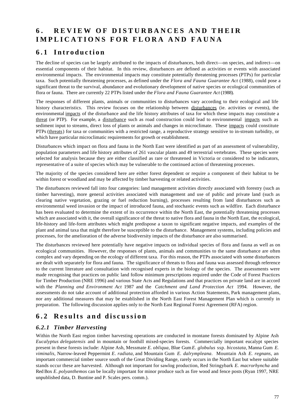# **6 . REVIEW OF DISTURB ANCES AND THEIR IMPLICATIONS FOR FLORA AND FAUNA**

# **6.1 Introduction**

The decline of species can be largely attributed to the impacts of disturbances, both direct—on species, and indirect—on essential components of their habitat. In this review, disturbances are defined as activities or events with associated environmental impacts. The environmental impacts may constitute potentially threatening processes (PTPs) for particular taxa. Such potentially threatening processes, as defined under the *Flora and Fauna Guarantee Act* (1988), could pose a significant threat to the survival, abundance and evolutionary development of native species or ecological communities of flora or fauna. There are currently 22 PTPs listed under the *Flora and Fauna Guarantee Act* (1988).

The responses of different plants, animals or communities to disturbances vary according to their ecological and life history characteristics. This review focuses on the relationship between disturbances (ie. activities or events), the environmental impacts of the disturbance and the life history attributes of taxa for which these impacts may constitute a threat (or PTP). For example, a disturbance such as road construction could lead to environmental impacts such as sediment input to streams, direct loss of plants or animals and changes in microclimate. These impacts could constitute PTPs (threats) for taxa or communities with a restricted range, a reproductive strategy sensitive to in-stream turbidity, or which have particular microclimatic requirements for growth or establishment.

Disturbances which impact on flora and fauna in the North East were identified as part of an assessment of vulnerability, population parameters and life history attributes of 261 vascular plants and 49 terrestrial vertebrates. These species were selected for analysis because they are either classified as rare or threatened in Victoria or considered to be indicators, representative of a suite of species which may be vulnerable to the continued action of threatening processes.

The majority of the species considered here are either forest dependent or require a component of their habitat to be within forest or woodland and may be affected by timber harvesting or related activities.

The disturbances reviewed fall into four categories: land management activities directly associated with forestry (such as timber harvesting), more general activities associated with management and use of public and private land (such as clearing native vegetation, grazing or fuel reduction burning), processes resulting from land disturbances such as environmental weed invasion or the impact of introduced fauna, and stochastic events such as wildfire. Each disturbance has been evaluated to determine the extent of its occurrence within the North East, the potentially threatening processes which are associated with it, the overall significance of the threat to native flora and fauna in the North East, the ecological, life-history and life-form attributes which might predispose a taxon to significant negative impacts, and examples of the plant and animal taxa that might therefore be susceptible to the disturbance. Management systems, including policies and processes, for the amelioration of the adverse biodiversity impacts of the disturbance are also summarised.

The disturbances reviewed here potentially have negative impacts on individual species of flora and fauna as well as on ecological communities. However, the responses of plants, animals and communities to the same disturbance are often complex and vary depending on the ecology of different taxa. For this reason, the PTPs associated with some disturbances are dealt with separately for flora and fauna. The significance of threats to flora and fauna was assessed through reference to the current literature and consultation with recognised experts in the biology of the species. The assessments were made recognising that practices on public land follow minimum prescriptions required under the Code of Forest Practices for Timber Production (NRE 1996) and various State Acts and Regulations and that practices on private land are in accord with the *Planning and Environment Act* 1987 and the *Catchment and Land Protection Act* 1994. However, the assessments do not take account of additional protection afforded in various Action Statements, Park management plans, nor any additional measures that may be established in the North East Forest Management Plan which is currently in preparation. The following discussion applies only to the North East Regional Forest Agreement (RFA) region.

# **6.2 Results and discussion**

## *6.2.1 Timber Harvesting*

Within the North East region timber harvesting operations are conducted in montane forests dominated by Alpine Ash *Eucalyptus delegatensis* and in mountain or foothill mixed-species forests. Commercially important eucalypt species present in these forests include: Alpine Ash, Messmate *E. obliqua,* Blue Gum *E. globulus* ssp. *bicostata,* Manna Gum *E. viminalis,* Narrow-leaved Peppermint *E. radiata,* and Mountain Gum *E. dalrympleana*. Mountain Ash *E. regnans,* an important commercial timber source south of the Great Dividing Range, rarely occurs in the North East but where suitable stands occur these are harvested. Although not important for sawlog production, Red Stringybark *E. macrorhyncha* and Red Box *E*. *polyanthemos* can be locally important for minor produce such as fire wood and fence posts (Ryan 1997, NRE unpublished data, D. Buntine and P. Scales pers. comm.).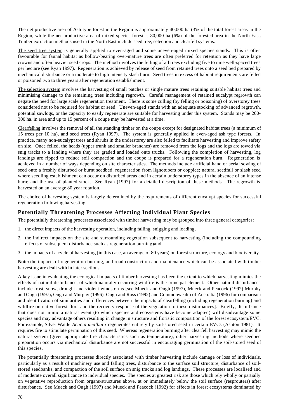The net productive area of Ash type forest in the Region is approximately 40,000 ha (3% of the total forest areas in the Region, while the net productive area of mixed species forest is 80,000 ha (6%) of the forested area in the North East. Timber extraction methods used in the North East include seed tree, selection and clearfell systems.

The seed tree system is generally applied to even-aged and some uneven-aged mixed species stands. This is often favourable for faunal habitat as hollow-bearing over-mature trees are often preferred for retention as they have large crowns and often heavier seed crops. The method involves the felling of all trees excluding five to nine well-spaced trees per hectare (see Ryan 1997). Regeneration is achieved by release of seed from retained trees onto a seed bed prepared by mechanical disturbance or a moderate to high intensity slash burn. Seed trees in excess of habitat requirements are felled or poisoned two to three years after regeneration establishment.

The selection system involves the harvesting of small patches or single mature trees retaining suitable habitat trees and minimising damage to the remaining trees including regrowth. Careful management of retained eucalypt regrowth can negate the need for large scale regeneration treatment. There is some culling (by felling or poisoning) of overstorey trees considered not to be required for habitat or seed. Uneven-aged stands with an adequate stocking of advanced regrowth, potential sawlogs, or the capacity to easily regenerate are suitable for harvesting under this system. Stands may be 200- 300 ha. in area and up to 15 percent of a coupe may be harvested at a time.

Clearfelling involves the removal of all the standing timber on the coupe except for designated habitat trees (a minimum of 15 trees per 10 ha), and seed trees (Ryan 1997). The system is generally applied in even-aged ash type forests. In practice, many non-eucalypt trees and shrubs in the understorey are also felled to facilitate harvesting and improve safety on site. Once felled, the heads (upper trunk and smaller branches) are removed from the logs and the logs are towed via snig tracks to a landing where they are graded and loaded onto trucks. Following the completion of harvesting, log landings are ripped to reduce soil compaction and the coupe is prepared for a regeneration burn. Regeneration is achieved in a number of ways depending on site characteristics. The methods include artificial hand or aerial sowing of seed onto a freshly disturbed or burnt seedbed; regeneration from lignotubers or coppice; natural seedfall or slash seed where seedling establishment can occur on disturbed areas and in certain understorey types in the absence of an intense burn; and the use of planted stock. See Ryan (1997) for a detailed description of these methods. The regrowth is harvested on an average 80 year rotation.

The choice of harvesting system is largely determined by the requirements of different eucalypt species for successful regeneration following harvesting.

## **Potentially Threatening Processes Affecting Individual Plant Species**

The potentially threatening processes associated with timber harvesting may be grouped into three general categories:

- 1. the direct impacts of the harvesting operation, including falling, snigging and loading,
- 2. the indirect impacts on the site and surrounding vegetation subsequent to harvesting (including the compounding effects of subsequent disturbance such as regeneration burning)and
- 3. the impacts of a cycle of harvesting (in this case, an average of 80 years) on forest structure, ecology and biodiversity

**Note:** the impacts of regeneration burning, and road construction and maintenance which can be associated with timber harvesting are dealt with in later sections.

A key issue in evaluating the ecological impacts of timber harvesting has been the extent to which harvesting mimics the effects of natural disturbance, of which naturally-occurring wildfire is the principal element. Other natural disturbances include frost, snow, drought and violent windstorms [see Mueck and Ough (1997), Mueck and Peacock (1992) Murphy and Ough (1997)**,** Ough and Murphy (1996), Ough and Ross (1992) and Commonwealth of Australia (1996) for comparison and identification of similarities and differences between the impacts of clearfelling (including regeneration burning) and wildfire on native forest flora and the recovery response of the vegetation to these disturbances]. Briefly, disturbance that does not mimic a natural event (to which species and ecosystems have become adapted) will disadvantage some species and may advantage others resulting in change in structure and floristic composition of the forest ecosystem/EVC. For example, Silver Wattle *Acacia dealbata* regenerates entirely by soil-stored seed in certain EVCs (Ashton 1981). It requires fire to stimulate germination of this seed. Whereas regeneration burning after clearfell harvesting may mimic the natural system (given appropriate fire characteristics such as temperature), other harvesting methods where seedbed preparation occurs via mechanical disturbance are not successful in encouraging germination of the soil-stored seed of this species.

The potentially threatening processes directly associated with timber harvesting include damage or loss of individuals, particularly as a result of machinery use and falling trees, disturbance to the surface soil structure, disturbance of soilstored seedbanks, and compaction of the soil surface on snig tracks and log landings. These processes are localised and of moderate overall significance to individual species. The species at greatest risk are those which rely wholly or partially on vegetative reproduction from organs/structures above, at or immediately below the soil surface (resprouters) after disturbance. See Mueck and Ough (1997) and Mueck and Peacock (1992) for effects in forest ecosystems dominated by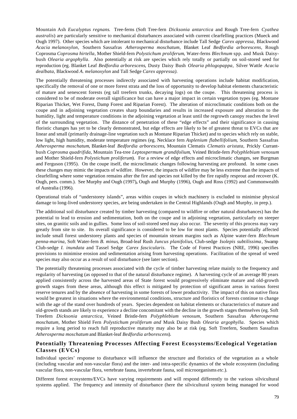Mountain Ash *Eucalyptus regnans*. Tree-ferns (Soft Tree-fern *Dicksonia antarctica* and Rough Tree-fern *Cyathea australis*) are particularly sensitive to mechanical disturbances associated with current clearfelling practices (Mueck and Ough 1997). Other species which are intolerant to mechanical disturbance include Tall Sedge *Carex appressa,* Blackwood *Acacia melanoxylon,* Southern Sassafras *Atherosperma moschatum,* Blanket Leaf *Bedfordia arborescens,* Rough Coprosma *Coprosma hirtella*, Mother Shield-fern *Polystichum proliferum*, Water-ferns *Blechnum* spp. and Musk Daisybush *Olearia argophylla*. Also potentially at risk are species which rely totally or partially on soil-stored seed for reproduction (eg. Blanket Leaf *Bedfordia arborescens*, Dusty Daisy Bush *Olearia phlogopappa,* Silver Wattle *Acacia dealbata,* Blackwood *A. melanoxylon* and Tall Sedge *Carex appressa).*

The potentially threatening processes indirectly associated with harvesting operations include habitat modification, specifically the removal of one or more forest strata and the loss of opportunity to develop habitat elements characteristic of mature and senescent forests (eg tall treefern trunks, decaying logs) on the coupe. This threatening process is considered to be of moderate overall significance but can have a major impact in certain vegetation types (eg. Montane Riparian Thicket, Wet Forest, Damp Forest and Riparian Forest). The alteration of microclimatic conditions both on the coupe and in adjoining vegetation creates sharp boundaries and results in increased exposure and alteration to the humidity, light and temperature conditions in the adjoining vegetation at least until the regrowth canopy reaches the level of the surrounding vegetation. The distance of penetration of these "edge effects" and their significance in causing floristic changes has yet to be clearly demonstrated, but edge effects are likely to be of greatest threat to EVCs that are linear and small (primarily drainage-line vegetation such as Montane Riparian Thicket) and to species which rely on stable, low light, high humidity, moderate temperature regimes (eg. Necklace fern *Asplenium flabellifolium*, Southern Sassafras *Atherosperma moschatum*, Blanket-leaf *Bedfordia arborescens*, Mountain Clematis *Clematis aristata*, Prickly Currantbush *Coprosma quadrifida*, Mountain Tea-tree *Leptospermum grandifolium*, Veined Bristle-fern *Polyphlebium venosum* and Mother Shield-fern *Polystichum proliferum*). For a review of edge effects and microclimatic changes, see Burgman and Ferguson (1995). On the coupe itself, the microclimatic changes following harvesting are profound. In some cases these changes may mimic the impacts of wildfire. However, the impacts of wildfire may be less extreme than the impacts of clearfelling where some vegetation remains after the fire and species not killed by the fire rapidly resprout and recover (K. Ough, pers. comm.). See Murphy and Ough (1997)**,** Ough and Murphy (1996), Ough and Ross (1992) and Commonwealth of Australia (1996).

Operational trials of "understorey islands", areas within coupes in which machinery is excluded to minimise physical damage to long-lived understorey species, are being undertaken in the Central Highlands (Ough and Murphy, in prep.).

The additional soil disturbance created by timber harvesting (compared to wildfire or other natural disturbances) has the potential to lead to erosion and sedimentation, both on the coupe and in adjoining vegetation, particularly on steeper sites, on granitic soils and in gullies. Some loss of soil-stored seed may also occur. The severity of this process may vary greatly from site to site. Its overall significance is considered to be low for most plants. Species potentially affected include small forest understorey plants and species of mountain stream margins such as Alpine water-fern *Blechnum penna-marina*, Soft Water-fern *B. minus*, Broad-leaf Rush *Juncus planifolius*, Club-sedge *Isolepis subtilissima*, Swamp Club-sedge *I. inundata* and Tassel Sedge *Carex fascicularis*. The Code of Forest Practices (NRE, 1996) specifies provisions to minimise erosion and sedimentation arising from harvesting operations. Facilitation of the spread of weed species may also occur as a result of soil disturbance (see later section).

The potentially threatening processes associated with the cycle of timber harvesting relate mainly to the frequency and regularity of harvesting (as opposed to that of the natural disturbance regime). A harvesting cycle of an average 80 years applied consistently across the harvested areas of State forest would progressively eliminate mature and old-growth growth stages from these areas, although this effect is mitigated by protection of significant areas in various forest reserve tenures and by the absence of harvesting in some forests of lower productivity. The impact of this on native flora would be greatest in situations where the environmental conditions, structure and floristics of forests continue to change with the age of the stand over hundreds of years. Species dependent on habitat elements or characteristics of mature and old-growth stands are likely to experience a decline concomitant with the decline in the growth stages themselves (eg. Soft Treefern *Dicksonia antarctica*, Veined Bristle-fern *Polyphlebium venosum,* Southern Sassafras *Atherosperma moschatum,* Mother Shield Fern *Polystichum proliferum and* Musk Daisy Bush *Olearia argophylla*. Species which require a long period to reach full reproductive maturity may also be at risk (eg. Soft Treefern, Southern Sassafras *Atherosperma moschatum* and Blanket-leaf *Bedfordia arborescens*).

## **Potentially Threatening Processes Affecting Forest Ecosystems/Ecological Vegetation Classes (EVCs)**

Individual species' response to disturbance will influence the structure and floristics of the vegetation as a whole (including vascular and non-vascular flora) and the inter- and intra-specific dynamics of the whole ecosystem (including vascular flora, non-vascular flora, vertebrate fauna, invertebrate fauna, soil microorganisms *etc*.).

Different forest ecosystems/EVCs have varying requirements and will respond differently to the various silvicultural systems applied. The frequency and intensity of disturbance (here the silvicultural system being managed for wood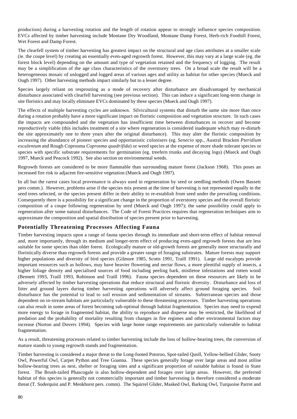production) during a harvesting rotation and the length of rotation appear to strongly influence species composition. EVCs affected by timber harvesting include Montane Dry Woodland, Montane Damp Forest, Herb-rich Foothill Forest, Wet Forest and Damp Forest.

The clearfell system of timber harvesting has greatest impact on the structural and age class attributes at a smaller scale (ie. the coupe level) by creating an essentially even-aged regrowth forest. However, this may vary at a large scale (eg. the forest block level) depending on the amount and type of vegetation retained and the frequency of logging. The result may be a simplification of the age class characteristics of the overstorey trees. On a broad scale the result will be a heterogeneous mosaic of unlogged and logged areas of various ages and utility as habitat for other species (Mueck and Ough 1997). Other harvesting methods impact similarly but to a lesser degree.

Species largely reliant on resprouting as a mode of recovery after disturbance are disadvantaged by mechanical disturbance associated with clearfell harvesting (see previous section). This can induce a significant long-term change in site floristics and may locally eliminate EVCs dominated by these species (Mueck and Ough 1997).

The effects of multiple harvesting cycles are unknown. Silvicultural systems that disturb the same site more than once during a rotation probably have a more significant impact on floristic composition and vegetation structure. In such cases the impacts are compounded and the vegetation has insufficient time between disturbances to recover and become reproductively viable (this includes treatment of a site where regeneration is considered inadequate which may re-disturb the site approximately one to three years after the original disturbance). This may alter the floristic composition by increasing the abundance of pioneer species and opportunistic colonisers (eg. *Senecio* spp., Austral Bracken *Pteridium esculentum* and Rough Coprosma *Coprosma quadrifida*) or weed species at the expense of more shade tolerant species or species with specific substrate requirements for germination (eg. treefern trunks and decaying logs) (Mueck and Ough 1997, Mueck and Peacock 1992). See also section on environmental weeds.

Regrowth forests are considered to be more flammable than surrounding mature forest (Jackson 1968). This poses an increased fire risk to adjacent fire-sensitive vegetation (Mueck and Ough 1997).

In all but the rarest cases local provenance is always used in regeneration by seed or seedling methods (Owen Bassett pers comm.). However, problems arise if the species mix present at the time of harvesting is not represented equally in the seed trees selected, or the species present differ in their ability to re-establish from seed under the prevailing conditions. Consequently there is a possibility for a significant change in the proportion of overstorey species and the overall floristic composition of a coupe following regeneration by seed (Mueck and Ough 1997); the same possibility could apply to regeneration after some natural disturbances. The Code of Forest Practices requires that regeneration techniques aim to approximate the composition and spatial distribution of species present prior to harvesting.

#### **Potentially Threatening Processes Affecting Fauna**

Timber harvesting impacts upon a range of fauna species through its immediate and short-term effect of habitat removal and, more importantly, through its medium and longer-term effect of producing even-aged regrowth forests that are less suitable for some species than older forest. Ecologically mature or old-growth forests are generally more structurally and floristically diverse than regrowth forests and provide a greater range of foraging substrates. Mature forests may support higher populations and diversity of bird species (Gilmore 1985, Scotts 1991, Traill 1991). Large old eucalypts provide important resources such as hollows, may have heavier flowering and nectar flows, a more plentiful supply of insects, a higher foliage density and specialised sources of food including peeling bark, mistletoe infestations and rotten wood (Bennett 1993, Traill 1993, Robinson and Traill 1996). Fauna species dependent on these resources are likely to be adversely affected by timber harvesting operations that reduce structural and floristic diversity. Disturbance and loss of litter and ground layers during timber harvesting operations will adversely affect ground foraging species. Soil disturbance has the potential to lead to soil erosion and sedimentation of streams. Subterranean species and those dependent on in-stream habitats are particularly vulnerable to these threatening processes. Timber harvesting operations can also result in some areas of forest becoming sub-optimal through habitat fragmentation. Species may need to expend more energy to forage in fragmented habitat, the ability to reproduce and disperse may be restricted, the likelihood of predation and the probability of mortality resulting from changes in fire regimes and other environmental factors may increase (Norton and Dovers 1994). Species with large home range requirements are particularly vulnerable to habitat fragmentation.

As a result, threatening processes related to timber harvesting include the loss of hollow-bearing trees, the conversion of mature stands to young regrowth stands and fragmentation.

Timber harvesting is considered a major threat to the Long-footed Potoroo, Spot-tailed Quoll, Yellow-bellied Glider, Sooty Owl, Powerful Owl, Carpet Python and Tree Goanna. These species generally forage over large areas and most utilise hollow-bearing trees as nest, shelter or foraging sites and a significant proportion of suitable habitat is found in State forest. The Brush-tailed Phascogale is also hollow-dependent and forages over large areas. However, the preferred habitat of this species is generally not commercially important and timber harvesting is therefore considered a moderate threat (T. Soderquist and P. Menkhorst pers. comm). The Squirrel Glider, Masked Owl, Barking Owl, Turquoise Parrot and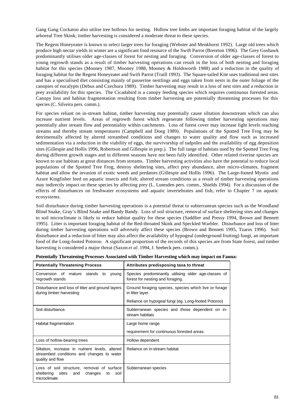Gang Gang Cockatoo also utilise tree hollows for nesting. Hollow tree limbs are important foraging habitat of the largely arboreal Tree Skink; timber harvesting is considered a moderate threat to these species.

The Regent Honeyeater is known to select larger trees for foraging (Webster and Menkhorst 1992). Large old trees which produce high nectar yields in winter are a significant food resource of the Swift Parrot (Brereton 1996). The Grey Goshawk predominantly utilises older age-classes of forest for nesting and foraging. Conversion of older age-classes of forest to young regrowth stands as a result of timber harvesting operations can result in the loss of both nesting and foraging habitat for this species (Mooney 1987, Mooney 1988, Mooney & Holdsworth 1988) and a reduction in the quality of foraging habitat for the Regent Honeyeater and Swift Parrot (Traill 1993). The Square-tailed Kite uses traditional nest sites and has a specialised diet consisting mainly of passerine nestlings and eggs taken from nests in the outer foliage of the canopies of eucalypts (Debus and Czechura 1989). Timber harvesting may result in a loss of nest sites and a reduction in prey availability for this species. The Cicadabird is a canopy feeding species which requires continuous forested areas. Canopy loss and habitat fragmentation resulting from timber harvesting are potentially threatening processes for this species (C. Silveira pers. comm.).

For species reliant on in-stream habitat, timber harvesting may potentially cause siltation downstream which can also increase nutrient levels. Areas of regrowth forest which regenerate following timber harvesting operations may potentially alter stream flow and perenniality within catchments. Loss of forest cover may increase light levels reaching streams and thereby stream temperatures (Campbell and Doeg 1989). Populations of the Spotted Tree Frog may be detrimentally affected by altered streambed conditions and changes to water quality and flow such as increased sedimentation via a reduction in the viability of eggs, the survivorship of tadpoles and the availability of egg deposition sites (Gillespie and Hollis 1996, Robertson and Gillespie in prep.). The full range of habitats used by the Spotted Tree Frog during different growth stages and in different seasons have not been fully identified. Other related riverine species are known to use habitats at great distances from streams. Timber harvesting activities also have the potential to reduce local populations of the Spotted Tree Frog, destroy sheltering sites, affect prey abundance, alter micro-climates, fragment habitat and allow the invasion of exotic weeds and predators (Gillespie and Hollis 1996). The Large-footed Myotis and Azure Kingfisher feed on aquatic insects and fish; altered stream conditions as a result of timber harvesting operations may indirectly impact on these species by affecting prey (L. Lumsden pers. comm., Shields 1994). For a discussion of the effects of disturbances on freshwater ecosystems and aquatic invertebrates and fish, refer to Chapter 7 on aquatic ecosystems.

Soil disturbance during timber harvesting operations is a potential threat to subterranean species such as the Woodland Blind Snake, Gray's Blind Snake and Bandy Bandy. Loss of soil structure, removal of surface sheltering sites and changes to soil microclimate is likely to reduce habitat quality for these species (Saddlier and Pressy 1994, Brown and Bennett 1995). Litter is important foraging habitat of the Red-throated Skink and Speckled Warbler. Disturbance and loss of litter during timber harvesting operations will adversely affect these species (Brown and Bennett 1995, Tzaros 1996). Soil disturbance and a reduction of litter may also affect the availability of hypogeal (underground fruiting) fungi, an important food of the Long-footed Potoroo. A significant proportion of the records of this species are from State forest, and timber harvesting is considered a major threat (Saxon *et al.* 1994, J. Seebeck pers. comm.).

| <b>Potentially Threatening Process</b>                                                                            | Attributes predisposing taxa to threat                                                   |
|-------------------------------------------------------------------------------------------------------------------|------------------------------------------------------------------------------------------|
| Conversion of mature stands to<br>young<br>regrowth stands                                                        | Species predominantly utilising older age-classes of<br>forest for nesting and foraging. |
| Disturbance and loss of litter and ground layers<br>during timber harvesting                                      | Ground foraging species, species which live or forage<br>in litter layer.                |
|                                                                                                                   | Reliance on hypogeal fungi (eg. Long-footed Potoroo)                                     |
| Soil disturbance.                                                                                                 | Subterranean species and those dependent on in-<br>stream habitats                       |
| Habitat fragmentation                                                                                             | Large home range                                                                         |
|                                                                                                                   | requirement for continuous forested areas.                                               |
| Loss of hollow-bearing trees                                                                                      | Hollow dependent                                                                         |
| Siltation, increase in nutrient levels, altered<br>streambed conditions and changes to water<br>quality and flow  | Reliance on in-stream habitat                                                            |
| Loss of soil structure, removal of surface<br>sites<br>sheltering<br>changes<br>soil<br>and<br>to<br>microclimate | Subterranean species                                                                     |

| Potentially Threatening Processes Associated with Timber Harvesting which may impact on Fauna: |  |  |  |  |
|------------------------------------------------------------------------------------------------|--|--|--|--|
|                                                                                                |  |  |  |  |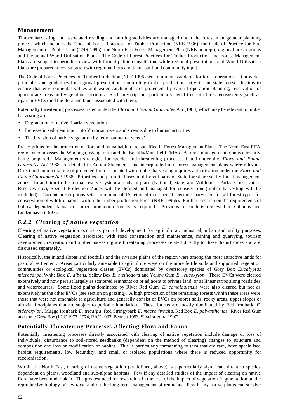### **Management**

Timber harvesting and associated roading and burning activities are managed under the forest management planning process which includes the Code of Forest Practices for Timber Production (NRE 1996), the Code of Practice for Fire Management on Public Land (CNR 1995), the North East Forest Management Plan (NRE in prep.), regional prescriptions and the annual Wood Utilisation Plans. The Code of Forest Practices for Timber Production and Forest Management Plans are subject to periodic review with formal public consultation, while regional prescriptions and Wood Utilisation Plans are prepared in consultation with regional flora and fauna staff and community input.

The Code of Forest Practices for Timber Production (NRE 1996) sets minimum standards for forest operations. It provides principles and guidelines for regional prescriptions controlling timber production activities in State forest. It aims to ensure that environmental values and water catchments are protected, by careful operation planning, reservation of appropriate areas and vegetation corridors. Such prescriptions particularly benefit certain forest ecosystems (such as riparian EVCs) and the flora and fauna associated with them.

Potentially threatening processes listed under the *Flora and Fauna Guarantee Act* (1988) which may be relevant to timber harvesting are:

- Degradation of native riparian vegetation
- Increase in sediment input into Victorian rivers and streams due to human activities
- The invasion of native vegetation by 'environmental weeds'

Prescriptions for the protection of flora and fauna habitat are specified in Forest Management Plans. The North East RFA region encompasses the Wodonga, Wangaratta and the Benalla/Mansfield FMAs. A forest management plan is currently being prepared. Management strategies for species and threatening processes listed under the *Flora and Fauna Guarantee Act* 1988 are detailed in Action Statements and incorporated into forest management plans where relevant. Direct and indirect taking of protected flora associated with timber harvesting requires authorisation under the *Flora and Fauna Guarantee Act* 1988. Priorities and permitted uses in different parts of State forest are set by forest management zones. In addition to the formal reserve system already in place (National, State, and Wilderness Parks, Conservation Reserves etc.), Special Protection Zones will be defined and managed for conservation (timber harvesting will be excluded). Current prescriptions set a minimum of 15 retained trees per 10 hectares harvested for all forest types for conservation of wildlife habitat within the timber production forest (NRE 1996b). Further research on the requirements of hollow-dependent fauna in timber production forests is required. Previous research is reviewed in Gibbons and Lindenmayer (1997).

## *6.2.2 Clearing of native vegetation*

Clearing of native vegetation occurs as part of development for agricultural, industrial, urban and utility purposes. Clearing of native vegetation associated with road construction and maintenance, mining and quarrying, tourism development, recreation and timber harvesting are threatening processes related directly to these disturbances and are discussed separately.

Historically, the inland slopes and foothills and the riverine plains of the region were among the most attractive lands for pastoral settlement. Areas particularly amenable to agriculture were on the more fertile soils and supported vegetation communities or ecological vegetation classes (EVCs) dominated by overstorey species of Grey Box *Eucalyptus microcarpa*, White Box *E. albens*, Yellow Box *E. melliodora* and Yellow Gum *E. leucoxylon.* These EVCs were cleared extensively and now persist largely as scattered remnants on or adjacent to private land, or as linear strips along roadsides and watercourses. Some flood plains dominated by River Red Gum *E. camaldulensis* were also cleared but not as extensively as the other EVCs (see section on grazing). A high proportion of the remaining forests within these areas were those that were not amenable to agriculture and generally consist of EVCs on poorer soils, rocky areas, upper slopes or alluvial floodplains that are subject to periodic inundation. These forests are mostly dominated by Red Ironbark *E. sideroxylon*, Mugga Ironbark *E. tricarpa*, Red Stringybark *E. macrorhyncha*, Red Box *E. polyanthemos,* River Red Gum and some Grey Box (LCC 1973, 1974, RAC 1992, Bennett 1993, Silveira *et al.* 1997).

#### **Potentially Threatening Processes Affecting Flora and Fauna**

Potentially threatening processes directly associated with clearing of native vegetation include damage or loss of individuals, disturbance to soil-stored seedbanks (dependent on the method of clearing) changes to structure and composition and loss or modification of habitat. This is particularly threatening to taxa that are rare, have specialised habitat requirements, low fecundity, and small or isolated populations where there is reduced opportunity for recolonisation.

Within the North East, clearing of native vegetation (as defined, above) is a particularly significant threat to species dependent on plains, woodland and sub-alpine habitats. Few if any detailed studies of the impact of clearing on native flora have been undertaken. The greatest need for research is in the area of the impact of vegetation fragmentation on the reproductive biology of key taxa, and on the long term management of remnants. Few if any native plants can survive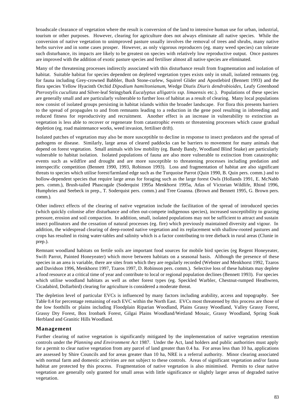broadscale clearance of vegetation where the result is conversion of the land to intensive human use for urban, industrial, tourism or other purposes. However, clearing for agriculture does not always eliminate all native species. While the conversion of native vegetation to unimproved pasture usually involves the removal of trees and shrubs, many native herbs survive and in some cases prosper. However, as only vigorous reproducers (eg. many weed species) can tolerate such disturbance, its impacts are likely to be greatest on species with relatively low reproductive output. Once pastures are improved with the addition of exotic pasture species and fertiliser almost all native species are eliminated.

Many of the threatening processes indirectly associated with this disturbance result from fragmentation and isolation of habitat. Suitable habitat for species dependent on depleted vegetation types exists only in small, isolated remnants (eg. for fauna including Grey-crowned Babbler, Bush Stone-curlew, Squirrel Glider and Apostlebird (Bennett 1993) and the flora species Yellow Hyacinth Orchid *Dipodium hamiltonianum*, Wedge Diuris *Diuris dendrobioides*, Leafy Greenhood *Pterostylis cucullata* and Silver-leaf Stringybark *Eucalyptus alligatrix ssp. limaensis* etc.). Populations of these species are generally small and are particularly vulnerable to further loss of habitat as a result of clearing. Many local populations now consist of isolated groups persisting in habitat islands within the broader landscape. For flora this presents barriers to the spread of propagules to and from remnants leading to a reduction in the gene pool resulting in inbreeding and reduced fitness for reproductivity and recruitment. Another effect is an increase in vulnerability to extinction as vegetation is less able to recover or regenerate from catastrophic events or threatening processes which cause gradual depletion (eg. road maintenance works, weed invasion, fertiliser drift).

Isolated patches of vegetation may also be more susceptible to decline in response to insect predators and the spread of pathogens or disease. Similarly, large areas of cleared paddocks can be barriers to movement for many animals that depend on forest vegetation. Small animals with low mobility (eg. Bandy Bandy, Woodland Blind Snake) are particularly vulnerable to habitat isolation. Isolated populations of fauna are also more vulnerable to extinction from catastrophic events such as wildfire and drought and are more susceptible to threatening processes including predation and interspecific competition (Bennett 1990, 1993, Robinson 1993). Loss and fragmentation of habitat are also significant threats to species which utilise forest/farmland edge such as the Turquoise Parrot (Quin 1990, B. Quin pers. comm.) and to hollow-dependent species that require large areas for foraging such as the large forest Owls (Hollands 1991, E. McNabb pers. comm.), Brush-tailed Phascogale (Soderquist 1995a Menkhorst 1995a, Atlas of Victorian Wildlife, Rhind 1996, Humphries and Seebeck in prep., T. Soderquist pers. comm.) and Tree Goanna. (Brown and Bennett 1995, G. Brown pers. comm.).

Other indirect effects of the clearing of native vegetation include the facilitation of the spread of introduced species (which quickly colonise after disturbance and often out-compete indigenous species), increased susceptibility to grazing pressure, erosion and soil compaction. In addition, small, isolated populations may not be sufficient to attract and sustain insect pollinators and the cessation of natural processes (eg. fire) which previously maintained diversity and vigour. In addition, the widespread clearing of deep-rooted native vegetation and its replacement with shallow-rooted pastures and crops has resulted in rising water-tables and salinity which is a factor contributing to tree dieback in rural areas (Clunie in prep.).

Remnant woodland habitats on fertile soils are important food sources for mobile bird species (eg Regent Honeyeater, Swift Parrot, Painted Honeyeater) which move between habitats on a seasonal basis. Although the presence of these species in an area is variable, there are sites from which they are regularly recorded (Webster and Menkhorst 1992, Tzaros and Davidson 1996, Menkhorst 1997, Tzaros 1997, D. Robinson pers. comm.). Selective loss of these habitats may deplete a food resource at a critical time of year and contribute to local or regional population declines (Bennett 1993). For species which utilise woodland habitats as well as other forest types (eg. Speckled Warbler, Chestnut-rumped Heathwren, Cicadabird, Dollarbird) clearing for agriculture is considered a moderate threat.

The depletion level of particular EVCs is influenced by many factors including arability, access and topography. See Table 0.4 for percentage remaining of each EVC within the North East. EVCs most threatened by this process are those of the low foothills or plains including Floodplain Riparian Woodland, Plains Grassy Woodland, Valley Grassy Forest, Grassy Dry Forest, Box Ironbark Forest, Gilgai Plains Woodland/Wetland Mosaic, Grassy Woodland, Spring Soak Herbland and Granitic Hills Woodland.

#### **Management**

Further clearing of native vegetation is significantly mitigated by the implementation of native vegetation retention controls under the *Planning and Environment Act* 1987. Under the Act, land holders and public authorities must apply for a permit to clear native vegetation from any parcel of land greater than 0.4 ha. For areas less than 10 ha, applications are assessed by Shire Councils and for areas greater than 10 ha, NRE is a referral authority. Minor clearing associated with normal farm and domestic activities are not subject to these controls. Areas of significant vegetation and/or fauna habitat are protected by this process. Fragmentation of native vegetation is also minimised. Permits to clear native vegetation are generally only granted for small areas with little significance or slightly larger areas of degraded native vegetation.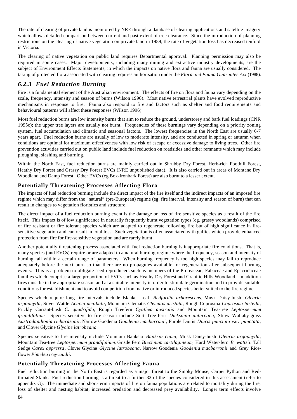The rate of clearing of private land is monitored by NRE through a database of clearing applications and satellite imagery which allows detailed comparison between current and past extent of tree clearance. Since the introduction of planning restrictions on the clearing of native vegetation on private land in 1989, the rate of vegetation loss has decreased tenfold in Victoria.

The clearing of native vegetation on public land requires Departmental approval. Planning permission may also be required in some cases. Major developments, including many mining and extractive industry developments, are the subject of Environment Effects Statements, in which the impacts on native flora and fauna are usually considered. The taking of protected flora associated with clearing requires authorisation under the *Flora and Fauna Guarantee Act* (1988).

## *6.2.3 Fuel Reduction Burning*

Fire is a fundamental element of the Australian environment. The effects of fire on flora and fauna vary depending on the scale, frequency, intensity and season of burns (Wilson 1996). Most native terrestrial plants have evolved reproductive mechanisms in response to fire. Fauna also respond to fire and factors such as shelter and food requirements and behavioural patterns will affect these responses (Wilson 1996).

Most fuel reduction burns are low intensity burns that aim to reduce the ground, understorey and bark fuel loadings (CNR 1995c); the upper tree layers are usually not burnt. Frequencies of these burnings vary depending on a priority zoning system, fuel accumulation and climatic and seasonal factors. The lowest frequencies in the North East are usually 6-7 years apart. Fuel reduction burns are usually of low to moderate intensity, and are conducted in spring or autumn when conditions are optimal for maximum effectiveness with low risk of escape or excessive damage to living trees. Other fire prevention activities carried out on public land include fuel reduction on roadsides and other remnants which may include ploughing, slashing and burning.

Within the North East, fuel reduction burns are mainly carried out in Shrubby Dry Forest, Herb-rich Foothill Forest, Heathy Dry Forest and Grassy Dry Forest EVCs (NRE unpublished data). It is also carried out in areas of Montane Dry Woodland and Damp Forest. Other EVCs (eg Box-Ironbark Forest) are also burnt to a lesser extent.

#### **Potentially Threatening Processes Affecting Flora**

The impacts of fuel reduction burning include the direct impact of the fire itself and the indirect impacts of an imposed fire regime which may differ from the "natural" (pre-European) regime (eg. fire interval, intensity and season of burn) that can result in changes to vegetation floristics and structure.

The direct impact of a fuel reduction burning event is the damage or loss of fire sensitive species as a result of the fire itself. This impact is of low significance in naturally frequently burnt vegetation types (eg. grassy woodlands) comprised of fire resistant or fire tolerant species which are adapted to regenerate following fire but of high significance in firesensitive vegetation and can result in total loss. Such vegetation is often associated with gullies which provide enhanced protection from fire for fire-sensitive vegetation and are rarely burnt.

Another potentially threatening process associated with fuel reduction burning is inappropriate fire conditions. That is, many species (and EVCs) require or are adapted to a natural burning regime where the frequency, season and intensity of burning fall within a certain range of parameters. When burning frequency is too high species may fail to reproduce adequately before the next burn so that there are no propagules available for regeneration after subsequent burning events. This is a problem to obligate seed reproducers such as members of the Proteaceae, Fabaceae and Epacridaceae families which comprise a large proportion of EVCs such as Heathy Dry Forest and Granitic Hills Woodland. In addition fires must be in the appropriate season and at a suitable intensity in order to stimulate germination and to provide suitable conditions for establishment and to avoid competition from native or introduced species better suited to the fire regime.

Species which require long fire intervals include Blanket Leaf *Bedfordia arborescens*, Musk Daisy-bush *Olearia argophylla*, Silver Wattle *Acacia dealbata*, Mountain Clematis *Clematis aristata*, Rough Coprosma *Coprosma hirtella*, Prickly Currant-bush *C. quadrifida*, Rough Treefern *Cyathea australis* and Mountain Tea-tree *Leptospermum grandifolium*. Species sensitive to fire season include Soft Tree-fern *Dicksonia antarctica*, Straw Wallaby-grass *Austrodanthonia richardsonii*, Narrow Goodenia *Goodenia macbarronii*, Purple Diuris *Diuris punctata* var. *punctata*, and Clover Glycine *Glycine latrobeana.*

Species sensitive to fire intensity include Mountain Banksia *Banksia canei*, Musk Daisy-bush *Olearia argophylla*, Mountain Tea-tree *Leptospermum grandifolium*, Gristle Fern *Blechnum cartilagineum*, Hard Water-fern *B. wattsii*. Tall Sedge *Carex appressa*, Clover Glycine *Glycine latrobeana*, Narrow Goodenia *Goodenia macbarronii* and Grey Riceflower *Pimelea treyvaudii.*

#### **Potentially Threatening Processes Affecting Fauna**

Fuel reduction burning in the North East is regarded as a major threat to the Smoky Mouse, Carpet Python and Redthroated Skink. Fuel reduction burning is a threat to a further 32 of the species considered in this assessment (refer to appendix G). The immediate and short-term impacts of fire on fauna populations are related to mortality during the fire, loss of shelter and nesting habitat, increased predation and decreased prey availability. Longer term effects involve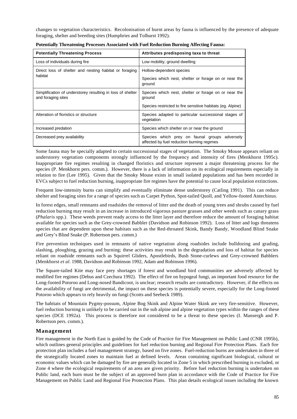changes to vegetation characteristics. Recolonisation of burnt areas by fauna is influenced by the presence of adequate foraging, shelter and breeding sites (Humphries and Tolhurst 1992).

| <b>Potentially Threatening Process</b>                                           | Attributes predisposing taxa to threat                                                         |  |  |
|----------------------------------------------------------------------------------|------------------------------------------------------------------------------------------------|--|--|
| Loss of individuals during fire                                                  | Low mobility, ground dwelling                                                                  |  |  |
| Direct loss of shelter and nesting habitat or foraging                           | Hollow-dependent species                                                                       |  |  |
| habitat                                                                          | Species which nest, shelter or forage on or near the<br>ground                                 |  |  |
| Simplification of understorey resulting in loss of shelter<br>and foraging sites | Species which nest, shelter or forage on or near the<br>ground                                 |  |  |
|                                                                                  | Species restricted to fire sensitive habitats (eq. Alpine)                                     |  |  |
| Alteration of floristics or structure                                            | Species adapted to particular successional stages of<br>vegetation                             |  |  |
| Increased predation                                                              | Species which shelter on or near the ground                                                    |  |  |
| Decreased prey availability                                                      | Species which prey on faunal groups<br>adversely<br>affected by fuel reduction burning regimes |  |  |

**Potentially Threatening Processes Associated with Fuel Reduction Burning Affecting Fauna:**

Some fauna may be specially adapted to certain successional stages of vegetation. The Smoky Mouse appears reliant on understorey vegetation components strongly influenced by the frequency and intensity of fires (Menkhorst 1995c). Inappropriate fire regimes resulting in changed floristics and structure represent a major threatening process for the species (P. Menkhorst pers. comm.). However, there is a lack of information on its ecological requirements especially in relation to fire (Lee 1995). Given that the Smoky Mouse exists in small isolated populations and has been recorded in EVCs subject to fuel reduction burning, inappropriate fire regimes have the potential to cause local population extinctions.

Frequent low-intensity burns can simplify and eventually eliminate dense understorey (Catling 1991). This can reduce shelter and foraging sites for a range of species such as Carpet Python, Spot-tailed Quoll, and Yellow-footed Antechinus.

In forest edges, small remnants and roadsides the removal of litter and the death of young trees and shrubs caused by fuel reduction burning may result in an increase in introduced vigorous pasture grasses and other weeds such as canary grass (*Phalaris* spp.). These weeds prevent ready access to the litter layer and therefore reduce the amount of foraging habitat available for species such as the Grey-crowned Babbler (Davidson and Robinson 1992). Loss of litter and logs threatens species that are dependent upon these habitats such as the Red-throated Skink, Bandy Bandy, Woodland Blind Snake and Grey's Blind Snake (P. Robertson pers. comm.)

Fire prevention techniques used in remnants of native vegetation along roadsides include bulldozing and grading, slashing, ploughing, grazing and burning; these activities may result in the degradation and loss of habitat for species reliant on roadside remnants such as Squirrel Gliders, Apostlebirds, Bush Stone-curlews and Grey-crowned Babblers (Menkhorst *et al.* 1988, Davidson and Robinson 1992, Adam and Robinson 1996).

The Square-tailed Kite may face prey shortages if forest and woodland bird communities are adversely affected by modified fire regimes (Debus and Czechura 1992). The effect of fire on hypogeal fungi, an important food resource for the Long-footed Potoroo and Long-nosed Bandicoot, is unclear; research results are contradictory. However, if the effects on the availability of fungi are detrimental, the impact on these species is potentially severe, especially for the Long-footed Potoroo which appears to rely heavily on fungi (Scotts and Seebeck 1989).

The habitats of Mountain Pygmy-possum, Alpine Bog Skink and Alpine Water Skink are very fire-sensitive. However, fuel reduction burning is unlikely to be carried out in the sub alpine and alpine vegetation types within the ranges of these species (DCE 1992a). This process is therefore not considered to be a threat to these species (I. Mansergh and P. Robertson pers. comm.).

#### **Management**

Fire management in the North East is guided by the Code of Practice for Fire Management on Public Land (CNR 1995b), which outlines general principles and guidelines for fuel reduction burning and Regional Fire Protection Plans. Each fire protection plan includes a fuel management strategy, based on five zones. Fuel-reduction burns are undertaken in three of the strategically located zones to maintain fuel at defined levels. Areas containing significant biological, cultural or economic values which can be damaged by fire are generally located in Zone 5 in which prescribed burning is excluded, or Zone 4 where the ecological requirements of an area are given priority. Before fuel reduction burning is undertaken on Public land, each burn must be the subject of an approved burn plan in accordance with the Code of Practice for Fire Management on Public Land and Regional Fire Protection Plans. This plan details ecological issues including the known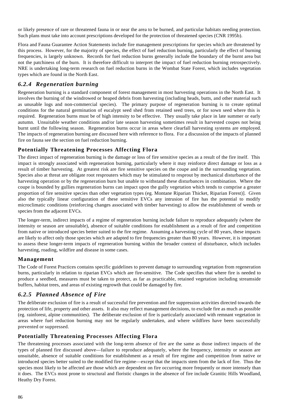or likely presence of rare or threatened fauna in or near the area to be burned, and particular habitats needing protection. Such plans must take into account prescriptions developed for the protection of threatened species (CNR 1995b).

Flora and Fauna Guarantee Action Statements include fire management prescriptions for species which are threatened by this process. However, for the majority of species, the effect of fuel reduction burning, particularly the effect of burning frequencies, is largely unknown. Records for fuel reduction burns generally include the boundary of the burnt area but not the patchiness of the burn. It is therefore difficult to interpret the impact of fuel reduction burning retrospectively. NRE is undertaking long-term research on fuel reduction burns in the Wombat State Forest, which includes vegetation types which are found in the North East.

## *6.2.4 Regeneration burning*

Regeneration burning is a standard component of forest management in most harvesting operations in the North East. It involves the burning of the windrowed or heaped debris from harvesting (including heads, butts, and other material such as unusable logs and non-commercial species). The primary purpose of regeneration burning is to create optimal conditions for the natural germination of eucalypt seed shed from retained seed trees, or for sown seed where this is required. Regeneration burns must be of high intensity to be effective. They usually take place in late summer or early autumn. Unsuitable weather conditions and/or late season harvesting sometimes result in harvested coupes not being burnt until the following season. Regeneration burns occur in areas where clearfall harvesting systems are employed. The impacts of regeneration burning are discussed here with reference to flora. For a discussion of the impacts of planned fire on fauna see the section on fuel reduction burning.

## **Potentially Threatening Processes Affecting Flora**

The direct impact of regeneration burning is the damage or loss of fire sensitive species as a result of the fire itself. This impact is strongly associated with regeneration burning, particularly where it may reinforce direct damage or loss as a result of timber harvesting. At greatest risk are fire sensitive species on the coupe and in the surrounding vegetation. Species also at threat are obligate root resprouters which may be stimulated to resprout by mechanical disturbance of the harvesting operation or by the regeneration burn but unable to withstand these disturbances in combination. Where the coupe is bounded by gullies regeneration burns can impact upon the gully vegetation which tends to comprise a greater proportion of fire sensitive species than other vegetation types (eg. Montane Riparian Thicket, Riparian Forest)]. Given also the typically linear configuration of these sensitive EVCs any intrusion of fire has the potential to modify microclimatic conditions (reinforcing changes associated with timber harvesting) to allow the establishment of weeds or species from the adjacent EVCs.

The longer-term, indirect impacts of a regime of regeneration burning include failure to reproduce adequately (where the intensity or season are unsuitable), absence of suitable conditions for establishment as a result of fire and competition from native or introduced species better suited to the fire regime. Assuming a harvesting cycle of 80 years, these impacts are likely to affect only those species which are adapted to fire frequencies greater than 80 years. However, it is important to assess these longer-term impacts of regeneration burning within the broader context of disturbance, which includes harvesting, roading, wildfire and disease in some cases.

## **Management**

The Code of Forest Practices contains specific guidelines to prevent damage to surrounding vegetation from regeneration burns, particularly in relation to riparian EVCs which are fire-sensitive. The Code specifies that where fire is needed to produce a seedbed, measures must be taken to protect, as far as practicable, retained vegetation including streamside buffers, habitat trees, and areas of existing regrowth that could be damaged by fire.

## *6.2.5 Planned Absence of Fire*

The deliberate exclusion of fire is a result of successful fire prevention and fire suppression activities directed towards the protection of life, property and other assets. It also may reflect management decisions, to exclude fire as much as possible (eg. rainforest, alpine communities). The deliberate exclusion of fire is particularly associated with remnant vegetation in areas where fuel reduction burning may not be regularly undertaken, and where wildfires have been successfully prevented or suppressed.

## **Potentially Threatening Processes Affecting Flora**

The threatening processes associated with the long-term absence of fire are the same as those indirect impacts of the types of planned fire discussed above—failure to reproduce adequately, where the frequency, intensity or season are unsuitable, absence of suitable conditions for establishment as a result of fire regime and competition from native or introduced species better suited to the modified fire regime—except that the impacts stem from the lack of fire. Thus the species most likely to be affected are those which are dependent on fire occurring more frequently or more intensely than it does. The EVCs most prone to structural and floristic changes in the absence of fire include Granitic Hills Woodland, Heathy Dry Forest.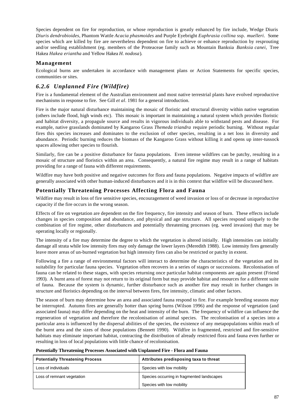Species dependent on fire for reproduction, or whose reproduction is greatly enhanced by fire include, Wedge Diuris *Diuris dendrobioides*, Phantom Wattle *Acacia phasmoides* and Purple Eyebright *Euphrasia collina* ssp. *muelleri*. Some species which are killed by fire are nevertheless dependent on fire to achieve or enhance reproduction by resprouting and/or seedling establishment (eg. members of the Proteaceae family such as Mountain Banksia *Banksia canei,* Tree Hakea *Hakea eriantha* and Yellow Hakea *H. nodosa*)*.*

### **Management**

Ecological burns are undertaken in accordance with management plans or Action Statements for specific species, communities or sites.

## *6.2.6 Unplanned Fire (Wildfire)*

Fire is a fundamental element of the Australian environment and most native terrestrial plants have evolved reproductive mechanisms in response to fire. See Gill *et al*. 1981 for a general introduction.

Fire is the major natural disturbance maintaining the mosaic of floristic and structural diversity within native vegetation (others include flood, high winds etc). This mosaic is important in maintaining a natural system which provides floristic and habitat diversity, a propagule source and results in vigorous individuals able to withstand pests and disease. For example, native grasslands dominated by Kangaroo Grass *Themeda triandra* require periodic burning. Without regular fires this species increases and dominates to the exclusion of other species, resulting in a net loss in diversity and abundance. Periodic burning reduces the biomass of the Kangaroo Grass without killing it and opens up inter-tussock spaces allowing other species to flourish.

Similarly, fire can be a positive disturbance for fauna populations. Even intense wildfires can be patchy, resulting in a mosaic of structure and floristics within an area. Consequently, a natural fire regime may result in a range of habitats providing for a range of fauna with different requirements.

Wildfire may have both positive and negative outcomes for flora and fauna populations. Negative impacts of wildfire are generally associated with other human-induced disturbances and it is in this context that wildfire will be discussed here.

### **Potentially Threatening Processes Affecting Flora and Fauna**

Wildfire may result in loss of fire sensitive species, encouragement of weed invasion or loss of or decrease in reproductive capacity if the fire occurs in the wrong season.

Effects of fire on vegetation are dependent on the fire frequency, fire intensity and season of burn. These effects include changes in species composition and abundance, and physical and age structure. All species respond uniquely to the combination of fire regime, other disturbances and potentially threatening processes (eg. weed invasion) that may be operating locally or regionally.

The intensity of a fire may determine the degree to which the vegetation is altered initially. High intensities can initially damage all strata while low intensity fires may only damage the lower layers (Meredith 1988). Low intensity fires generally leave more areas of un-burned vegetation but high intensity fires can also be restricted or patchy in extent.

Following a fire a range of environmental factors will interact to determine the characteristics of the vegetation and its suitability for particular fauna species. Vegetation often recovers in a series of stages or successions. Recolonisation of fauna can be related to these stages, with species returning once particular habitat components are again present (Friend 1993). A burnt area of forest may not return to its original form but may provide habitat and resources for a different suite of fauna. Because the system is dynamic, further disturbance such as another fire may result in further changes in structure and floristics depending on the interval between fires, fire intensity, climatic and other factors.

The season of burn may determine how an area and associated fauna respond to fire. For example breeding seasons may be interrupted. Autumn fires are generally hotter than spring burns (Wilson 1996) and the response of vegetation (and associated fauna) may differ depending on the heat and intensity of the burn. The frequency of wildfire can influence the regeneration of vegetation and therefore the recolonisation of animal species. The recolonisation of a species into a particular area is influenced by the dispersal abilities of the species, the existence of any metapopulations within reach of the burnt area and the sizes of those populations (Bennett 1990). Wildfire in fragmented, restricted and fire-sensitive habitats may eliminate important habitat, contracting the distribution of already restricted flora and fauna even further or resulting in loss of local populations with little chance of recolonisation.

| Potentially Threatening Processes Associated with Unplanned Fire - Flora and Fauna |  |  |  |  |
|------------------------------------------------------------------------------------|--|--|--|--|
|                                                                                    |  |  |  |  |

| <b>Potentially Threatening Process</b> | Attributes predisposing taxa to threat     |
|----------------------------------------|--------------------------------------------|
| Loss of individuals                    | Species with low mobility                  |
| Loss of remnant vegetation             | Species occurring in fragmented landscapes |
|                                        | Species with low mobility                  |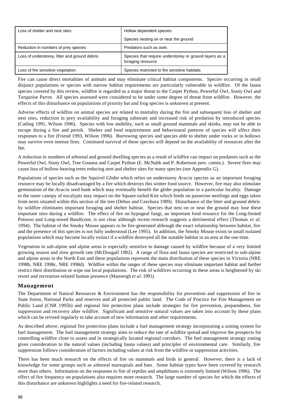| Loss of shelter and nest sites                | Hollow dependent species                                                    |
|-----------------------------------------------|-----------------------------------------------------------------------------|
|                                               | Species nesting on or near the ground                                       |
| Reduction in numbers of prey species          | Predators such as owls                                                      |
| Loss of understorey, litter and ground debris | Species that require understorey or ground layers as a<br>foraging resource |
| Loss of fire sensitive vegetation             | Species restricted to fire sensitive habitats                               |

Fire can cause direct mortalities of animals and may eliminate critical habitat components. Species occurring in small disjunct populations or species with narrow habitat requirements are particularly vulnerable to wildfire. Of the fauna species covered by this review, wildfire is regarded as a major threat to the Carpet Python, Powerful Owl, Sooty Owl and Turquoise Parrot. All species assessed were considered to be under some degree of threat from wildfire. However, the effects of this disturbance on populations of priority bat and frog species is unknown at present.

Adverse effects of wildfire on animal species are related to mortality during the fire and subsequent loss of shelter and nest sites, reduction in prey availability and foraging substrate and increased risk of predation by introduced species (Catling 1991, Wilson 1996). Species with low mobility, such as small ground mammals and skinks, may not be able to escape during a fire and perish. Shelter and food requirements and behavioural patterns of species will affect their responses to a fire (Friend 1993, Wilson 1996). Burrowing species and species able to shelter under rocks or in hollows may survive even intense fires. Continued survival of these species will depend on the availability of resources after the fire.

A reduction in numbers of arboreal and ground dwelling species as a result of wildfire can impact on predators such as the Powerful Owl, Sooty Owl, Tree Goanna and Carpet Python (E. McNabb and P. Robertson pers. comm.). Severe fires may cause loss of hollow-bearing trees reducing nest and shelter sites for many species (see Appendix G).

Populations of species such as the Squirrel Glider which relies on understorey *Acacia* species as an important foraging resource may be locally disadvantaged by a fire which destroys this winter food source. However, fire may also stimulate germination of the *Acacia* seed bank which may eventually benefit the glider population in a particular locality. Damage to the outer canopy of eucalypts may impact on the Square-tailed Kite which feeds on passerine nestlings and eggs taken from nests situated within this section of the tree (Debus and Czechura 1989). Disturbance of the litter and ground debris by wildfire eliminates important foraging and shelter habitat. Species that nest on or near the ground may lose these important sites during a wildfire. The effect of fire on hypogeal fungi, an important food resource for the Long-footed Potoroo and Long-nosed Bandicoot, is not clear although recent research suggests a detrimental effect (Thomas *et al.* 1994). The habitat of the Smoky Mouse appears to be fire-generated although the exact relationship between habitat, fire and the presence of this species is not fully understood (Lee 1995). In addition, the Smoky Mouse exists in small isolated populations which may become locally extinct if a wildfire destroyed all the suitable habitat in an area at the one time.

Vegetation in sub-alpine and alpine areas is especially sensitive to damage caused by wildfire because of a very limited growing season and slow growth rate (McDougall 1982). A range of flora and fauna species are restricted to sub-alpine and alpine areas in the North East and these populations represent the main distribution of these species in Victoria (NRE 1998b, NRE 1998c, NRE 1998d). Wildfire within the ranges of these species may eliminate important habitat and further restrict their distribution or wipe out local populations. The risk of wildfires occurring in these areas is heightened by ski resort and recreation-related human presence (Mansergh *et al.* 1991).

#### **Management**

The Department of Natural Resources & Environment has the responsibility for prevention and suppression of fire in State forest, National Parks and reserves and all protected public land. The Code of Practice for Fire Management on Public Land (CNR 1995b) and regional fire protection plans include strategies for fire prevention, preparedness, fire suppression and recovery after wildfire. Significant and sensitive natural values are taken into account by these plans which can be revised regularly to take account of new information and other requirements.

As described above, regional fire protection plans include a fuel management strategy incorporating a zoning system for fuel management. The fuel management strategy aims to reduce the rate of wildfire spread and improve the prospects for controlling wildfire close to assets and in strategically located regional corridors. The fuel management strategy zoning gives consideration to the natural values (including fauna values) and principles of environmental care. Similarly, fire suppression follows consideration of factors including values at risk from the wildfire or suppression activities.

There has been much research on the effects of fire on mammals and birds in general. However, there is a lack of knowledge for some groups such as arboreal marsupials and bats. Some habitat types have been covered by research more than others. Information on the responses to fire of reptiles and amphibians is extremely limited (Wilson 1996). The effect of fire frequency on populations also requires more research. The large number of species for which the effects of this disturbance are unknown highlights a need for fire-related research.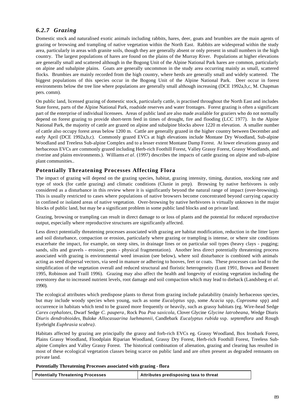## *6.2.7 Grazing*

Domestic stock and naturalised exotic animals including rabbits, hares, deer, goats and brumbies are the main agents of grazing or browsing and trampling of native vegetation within the North East. Rabbits are widespread within the study area, particularly in areas with granite soils, though they are generally absent or only present in small numbers in the high country. The largest populations of hares are found on the plains of the Murray River. Populations at higher elevations are generally small and scattered although in the Bogong Unit of the Alpine National Park hares are common, particularly on alpine and subalpine plains. Goats are generally uncommon in the study area occurring mainly as small, scattered flocks. Brumbies are mainly recorded from the high country, where herds are generally small and widely scattered. The biggest populations of this species occur in the Bogong Unit of the Alpine National Park. Deer occur in forest environments below the tree line where populations are generally small although increasing (DCE 1992a,b,c, M. Chapman pers. comm).

On public land, licensed grazing of domestic stock, particularly cattle, is practised throughout the North East and includes State forest, parts of the Alpine National Park, roadside reserves and water frontages. Forest grazing is often a significant part of the enterprise of individual licensees. Areas of public land are also made available for graziers who do not normally depend on forest grazing to provide short-term feed in times of drought, fire and flooding (LCC 1977). In the Alpine National Park, the majority of cattle are grazed on alpine and subalpine blocks above 1220 m elevation. A smaller number of cattle also occupy forest areas below 1200 m. Cattle are generally grazed in the higher country between December and early April (DCE 1992a,b,c). Commonly grazed EVCs at high elevations include Montane Dry Woodland, Sub-alpine Woodland and Treeless Sub-alpine Complex and to a lesser extent Montane Damp Forest. At lower elevations grassy and herbaceous EVCs are commonly grazed including Herb-rich Foothill Forest, Valley Grassy Forest, Grassy Woodlands, and riverine and plains environments.). Williams *et al*. (1997) describes the impacts of cattle grazing on alpine and sub-alpine plant communities..

## **Potentially Threatening Processes Affecting Flora**

The impact of grazing will depend on the grazing species, habitat, grazing intensity, timing, duration, stocking rate and type of stock (for cattle grazing) and climatic conditions (Clunie in prep). Browsing by native herbivores is only considered as a disturbance in this review where it is significantly beyond the natural range of impact (over-browsing). This is usually restricted to cases where populations of native browsers become concentrated beyond carrying capacity in confined or isolated areas of native vegetation. Over-browsing by native herbivores is virtually unknown in the major blocks of public land, but may be a significant problem in some public land blocks and on private land.

Grazing, browsing or trampling can result in direct damage to or loss of plants and the potential for reduced reproductive output, especially where reproductive structures are significantly affected.

Less direct potentially threatening processes associated with grazing are habitat modification, reduction in the litter layer and soil disturbance, compaction or erosion, particularly where grazing or trampling is intense, or where site conditions exacerbate the impact, for example, on steep sites, in drainage lines or on particular soil types (heavy clays - pugging; sands, silts and gravels - erosion; peats - physical fragmentation). Another less direct potentially threatening process associated with grazing is environmental weed invasion (see below), where soil disturbance is combined with animals acting as seed dispersal vectors, via seed in manure or adhering to hooves, feet or coats. These processes can lead to the simplification of the vegetation overall and reduced structural and floristic heterogeneity (Lunt 1991, Brown and Bennett 1995, Robinson and Traill 1996). Grazing may also affect the health and longevity of existing vegetation including the overstorey due to increased nutrient levels, root damage and soil compaction which may lead to dieback (Landsberg *et al.* 1990).

The ecological attributes which predispose plants to threat from grazing include palatability (mainly herbaceous species, but may include woody species when young, such as some *Eucalyptus* spp, some *Acacia* spp, *Coprosma* spp) and occurrence in habitats which tend to be grazed more frequently or heavily, such as grassy habitats (eg. Wire-head Sedge *Carex cephalotes*, Dwarf Sedge *C. paupera*, Rock Poa *Poa saxicola*, Clover Glycine *Glycine latrobeana*, Wedge Diuris *Diuris dendrobioides*, Buloke *Allocasuarina luehmannii*, Candlebark *Eucalyptus rubida* ssp. *septemflora* and Rough Eyebright *Euphrasia scabra)*.

Habitats affected by grazing are principally the grassy and forb-rich EVCs eg. Grassy Woodland, Box Ironbark Forest, Plains Grassy Woodland, Floodplain Riparian Woodland, Grassy Dry Forest, Herb-rich Foothill Forest, Treeless Subalpine Complex and Valley Grassy Forest. The historical combination of alienation, grazing and clearing has resulted in most of these ecological vegetation classes being scarce on public land and are often present as degraded remnants on private land.

**Potentially Threatening Processes associated with grazing - flora**

| <b>Potentially Threatening Processes</b> | Attributes predisposing taxa to threat |
|------------------------------------------|----------------------------------------|
|                                          |                                        |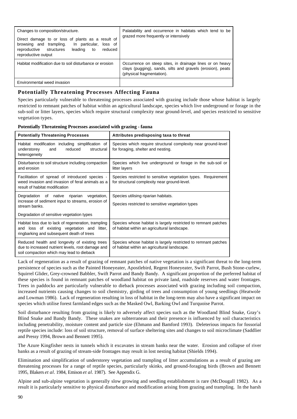| Changes to composition/structure.                                                                                                                                                          | Palatability and occurrence in habitats which tend to be                                                                                            |
|--------------------------------------------------------------------------------------------------------------------------------------------------------------------------------------------|-----------------------------------------------------------------------------------------------------------------------------------------------------|
| Direct damage to or loss of plants as a result of<br>browsing and trampling.<br>In particular,<br>loss of<br>reproductive<br>structures<br>reduced<br>leading<br>to<br>reproductive output | grazed more frequently or intensively                                                                                                               |
| Habitat modification due to soil disturbance or erosion                                                                                                                                    | Occurrence on steep sites, in drainage lines or on heavy<br>clays (pugging), sands, silts and gravels (erosion), peats<br>(physical fragmentation). |
| Environmental weed invasion                                                                                                                                                                |                                                                                                                                                     |

## **Potentially Threatening Processes Affecting Fauna**

Species particularly vulnerable to threatening processes associated with grazing include those whose habitat is largely restricted to remnant patches of habitat within an agricultural landscape, species which live underground or forage in the sub-soil or litter layers, species which require structural complexity near ground-level, and species restricted to sensitive vegetation types.

| <b>Potentially Threatening Processes</b>                                                                                                           | Attributes predisposing taxa to threat                                                                         |
|----------------------------------------------------------------------------------------------------------------------------------------------------|----------------------------------------------------------------------------------------------------------------|
| Habitat modification including simplification of<br>and<br>reduced<br>structural<br>understorey<br>heterogeneity                                   | Species which require structural complexity near ground-level<br>for foraging, shelter and nesting.            |
| Disturbance to soil structure including compaction<br>and erosion                                                                                  | Species which live underground or forage in the sub-soil or<br>litter layers                                   |
| Facilitation of spread of introduced species -<br>weed invasion and invasion of feral animals as a<br>result of habitat modification               | Species restricted to sensitive vegetation types. Requirement<br>for structural complexity near ground-level.  |
| Degradation of native riparian<br>vegetation,<br>increase of sediment input to streams, erosion of<br>stream banks.                                | Species utilising riparian habitats.<br>Species restricted to sensitive vegetation types                       |
| Degradation of sensitive vegetation types                                                                                                          |                                                                                                                |
| Habitat loss due to lack of regeneration, trampling<br>and loss of existing vegetation and<br>litter,<br>ringbarking and subsequent death of trees | Species whose habitat is largely restricted to remnant patches<br>of habitat within an agricultural landscape. |
| Reduced health and longevity of existing trees<br>due to increased nutrient levels, root damage and<br>soil compaction which may lead to dieback   | Species whose habitat is largely restricted to remnant patches<br>of habitat within an agricultural landscape. |

**Potentially Threatening Processes associated with grazing - fauna**

Lack of regeneration as a result of grazing of remnant patches of native vegetation is a significant threat to the long-term persistence of species such as the Painted Honeyeater, Apostlebird, Regent Honeyeater, Swift Parrot, Bush Stone-curlew, Squirrel Glider, Grey-crowned Babbler, Swift Parrot and Bandy Bandy. A significant proportion of the preferred habitat of these species is found in remnant patches of woodland habitat on private land, roadside reserves and water frontages. Trees in paddocks are particularly vulnerable to dieback processes associated with grazing including soil compaction, increased nutrients causing changes to soil chemistry, girding of trees and consumption of young seedlings (Heatwole and Lowman 1986). Lack of regeneration resulting in loss of habitat in the long-term may also have a significant impact on species which utilise forest farmland edges such as the Masked Owl, Barking Owl and Turquoise Parrot.

Soil disturbance resulting from grazing is likely to adversely affect species such as the Woodland Blind Snake, Gray's Blind Snake and Bandy Bandy. These snakes are subterranean and their presence is influenced by soil characteristics including penetrability, moisture content and particle size (Ehmann and Bamford 1993). Deleterious impacts for fossorial reptile species include: loss of soil structure, removal of surface sheltering sites and changes to soil microclimate (Saddlier and Pressy 1994, Brown and Bennett 1995).

The Azure Kingfisher nests in tunnels which it excavates in stream banks near the water. Erosion and collapse of river banks as a result of grazing of stream-side frontages may result in lost nesting habitat (Shields 1994).

Elimination and simplification of understorey vegetation and trampling of litter accumulations as a result of grazing are threatening processes for a range of reptile species, particularly skinks, and ground-foraging birds (Brown and Bennett 1995, Blakers *et al.* 1984, Emison *et al.* 1987). See Appendix G.

Alpine and sub-alpine vegetation is generally slow growing and seedling establishment is rare (McDougall 1982). As a result it is particularly sensitive to physical disturbance and modification arising from grazing and trampling. In the harsh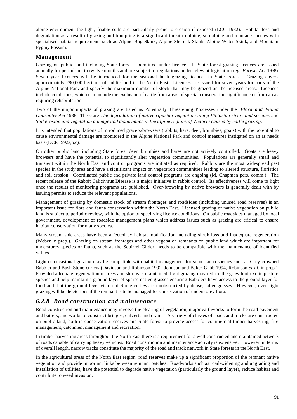alpine environment the light, friable soils are particularly prone to erosion if exposed (LCC 1982). Habitat loss and degradation as a result of grazing and trampling is a significant threat to alpine, sub-alpine and montane species with specialised habitat requirements such as Alpine Bog Skink, Alpine She-oak Skink, Alpine Water Skink, and Mountain Pygmy Possum.

### **Management**

Grazing on public land including State forest is permitted under licence. In State forest grazing licences are issued annually for periods up to twelve months and are subject to regulations under relevant legislation (eg. *Forests Act* 1958). Seven year licences will be introduced for the seasonal bush grazing licences in State Forest. Grazing covers approximately 280,000 hectares of public land in the North East. Licences are issued for seven years for parts of the Alpine National Park and specify the maximum number of stock that may be grazed on the licensed areas. Licences include conditions, which can include the exclusion of cattle from areas of special conservation significance or from areas requiring rehabilitation.

Two of the major impacts of grazing are listed as Potentially Threatening Processes under the *Flora and Fauna Guarantee Act* 1988. These are *The degradation of native riparian vegetation along Victorian rivers and streams* and *Soil erosion and vegetation damage and disturbance in the alpine regions of Victoria caused by cattle grazing.*

It is intended that populations of introduced grazers/browsers (rabbits, hare, deer, brumbies, goats) with the potential to cause environmental damage are monitored in the Alpine National Park and control measures instigated on an as needs basis (DCE 1992a,b,c).

On other public land including State forest deer, brumbies and hares are not actively controlled. Goats are heavy browsers and have the potential to significantly alter vegetation communities. Populations are generally small and transient within the North East and control programs are initiated as required. Rabbits are the most widespread pest species in the study area and have a significant impact on vegetation communities leading to altered structure, floristics and soil erosion. Coordinated public and private land control programs are ongoing (M. Chapman pers. comm.). The recent release of the Rabbit Calicivirus Disease is a major initiative in rabbit control. Its effectiveness will come to light once the results of monitoring programs are published. Over-browsing by native browsers is generally dealt with by issuing permits to reduce the relevant populations.

Management of grazing by domestic stock of stream frontages and roadsides (including unused road reserves) is an important issue for flora and fauna conservation within the North East. Licensed grazing of native vegetation on public land is subject to periodic review, with the option of specifying licence conditions. On public roadsides managed by local government, development of roadside management plans which address issues such as grazing are critical to ensure habitat conservation for many species.

Many stream-side areas have been affected by habitat modification including shrub loss and inadequate regeneration (Weber in prep.). Grazing on stream frontages and other vegetation remnants on public land which are important for understorey species or fauna, such as the Squirrel Glider, needs to be compatible with the maintenance of identified values.

Light or occasional grazing may be compatible with habitat management for some fauna species such as Grey-crowned Babbler and Bush Stone-curlew (Davidson and Robinson 1992, Johnson and Baker-Gabb 1994, Robinson *et al.* in prep.). Provided adequate regeneration of trees and shrubs is maintained, light grazing may reduce the growth of exotic pasture species and help maintain a ground layer of sparse native grasses ensuring Babblers have access to the ground layer for food and that the ground level vision of Stone-curlews is unobstructed by dense, taller grasses. However, even light grazing will be deleterious if the remnant is to be managed for conservation of understorey flora.

## *6.2.8 Road construction and maintenance*

Road construction and maintenance may involve the clearing of vegetation, major earthworks to form the road pavement and batters, and works to construct bridges, culverts and drains. A variety of classes of roads and tracks are constructed on public land, both in conservation reserves and State forest to provide access for commercial timber harvesting, fire management, catchment management and recreation.

In timber harvesting areas throughout the North East there is a requirement for a well constructed and maintained network of roads capable of carrying heavy vehicles. Road construction and maintenance activity is extensive. However, in terms of overall length, narrow tracks constitute the majority of the road and track network in State forests in the North East.

In the agricultural areas of the North East region, road reserves make up a significant proportion of the remnant native vegetation and provide important links between remnant patches. Roadworks such as road-widening and upgrading and installation of utilities, have the potential to degrade native vegetation (particularly the ground layer), reduce habitat and contribute to weed invasion.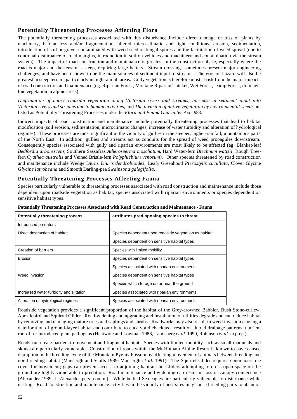## **Potentially Threatening Processes Affecting Flora**

The potentially threatening processes associated with this disturbance include direct damage or loss of plants by machinery, habitat loss and/or fragmentation, altered micro-climatic and light conditions, erosion, sedimentation, introduction of soil or gravel contaminated with weed seed or fungal spores and the facilitation of weed spread (due to continual disturbance of road margins, introduction in soil on vehicles and machinery and contamination via the stream system). The impact of road construction and maintenance is greatest in the construction phase, especially where the road is major and the terrain is steep, requiring large batters. Stream crossings sometimes present major engineering challenges, and have been shown to be the main sources of sediment input to streams. The erosion hazard will also be greatest in steep terrain, particularly in high rainfall areas. Gully vegetation is therefore most at risk from the major impacts of road construction and maintenance (eg. Riparian Forest, Montane Riparian Thicket, Wet Forest, Damp Forest, drainageline vegetation in alpine areas).

*Degradation of native riparian vegetation along Victorian rivers and streams*, *Increase in sediment input into Victorian rivers and streams due to human activities*, and *The invasion of native vegetation by environmental weeds* are listed as Potentially Threatening Processes under the *Flora and Fauna Guarantee Act* 1988.

Indirect impacts of road construction and maintenance include potentially threatening processes that lead to habitat modification (soil erosion, sedimentation, microclimatic changes, increase of water turbidity and alteration of hydrological regimes). These processes are most significant in the vicinity of gullies in the steeper, higher-rainfall, mountainous parts of the North East. In addition, gullies and streams act as conduits for the spread of weed propagules downstream. Consequently species associated with gully and riparian environments are most likely to be affected (eg. Blanket-leaf *Bedfordia arborescens*, Southern Sassafras *Atherosperma moschatum*, Hard Water-fern *Blechnum wattsii*, Rough Treefern *Cyathea australis* and Veined Bristle-fern *Polyphlebium venosum)*. Other species threatened by road construction and maintenance include Wedge Diuris *Diuris dendrobioides,* Leafy Greenhood *Pterostylis cucullata*, Clover Glycine *Glycine latrobeana* and Smooth Darling-pea *Swainsona galegifolia*.

## **Potentially Threatening Processes Affecting Fauna**

Species particularly vulnerable to threatening processes associated with road construction and maintenance include those dependent upon roadside vegetation as habitat, species associated with riparian environments or species dependent on sensitive habitat types.

| <b>Potentially threatening process</b>  | attributes predisposing species to threat             |
|-----------------------------------------|-------------------------------------------------------|
| Introduced predators                    |                                                       |
| Direct destruction of habitat           | Species dependent upon roadside vegetation as habitat |
|                                         | Species dependent on sensitive habitat types          |
| Creation of barriers                    | Species with limited mobility                         |
| Erosion                                 | Species dependent on sensitive habitat types          |
|                                         | Species associated with riparian environments         |
| Weed invasion                           | Species dependent on sensitive habitat types          |
|                                         | Species which forage on or near the ground            |
| Increased water turbidity and siltation | Species associated with riparian environments         |
| Alteration of hydrological regimes      | Species associated with riparian environments         |

**Potentially Threatening Processes Associated with Road Construction and Maintenance - Fauna**

Roadside vegetation provides a significant proportion of the habitat of the Grey-crowned Babbler, Bush Stone-curlew, Apostlebird and Squirrel Glider. Road-widening and upgrading and installation of utilities degrade and can reduce habitat by removing and damaging mature trees and saplings and shrubs. Roadworks may also result in weed invasion causing a deterioration of ground-layer habitat and contribute to eucalypt dieback as a result of altered drainage patterns, nutrient run-off or introduced plant pathogens (Heatwole and Lowman 1986, Landsberg *et al.* 1990, Robinson *et al.* in prep.).

Roads can create barriers to movement and fragment habitat. Species with limited mobility such as small mammals and skinks are particularly vulnerable. Construction of roads within the Mt Hotham Alpine Resort is known to have caused disruption in the breeding cycle of the Mountain Pygmy Possum by affecting movement of animals between breeding and non-breeding habitat (Mansergh and Scotts 1989, Mansergh *et al.* 1991). The Squirrel Glider requires continuous tree cover for movement; gaps can prevent access to adjoining habitat and Gliders attempting to cross open space on the ground are highly vulnerable to predation. Road maintenance and widening can result in loss of canopy connectance (Alexander 1989, J. Alexander pers. comm.). White-bellied Sea-eagles are particularly vulnerable to disturbance while nesting. Road construction and maintenance activities in the vicinity of nest sites may cause breeding pairs to abandon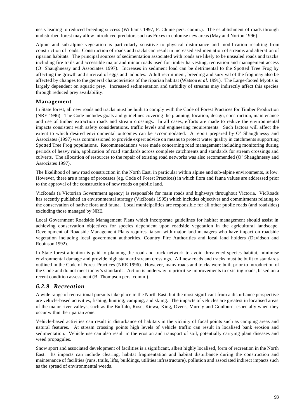nests leading to reduced breeding success (Williams 1997, P. Clunie pers. comm.). The establishment of roads through undisturbed forest may allow introduced predators such as Foxes to colonise new areas (May and Norton 1996).

Alpine and sub-alpine vegetation is particularly sensitive to physical disturbance and modification resulting from construction of roads. Construction of roads and tracks can result in increased sedimentation of streams and alteration of riparian habitats. The principal sources of sedimentation associated with roads are likely to be unsealed roads and tracks including fire trails and accessible major and minor roads used for timber harvesting, recreation and management access (O' Shaughnessy and Associates 1997). Increases in sediment load can be detrimental to the Spotted Tree Frog by affecting the growth and survival of eggs and tadpoles. Adult recruitment, breeding and survival of the frog may also be affected by changes to the general characteristics of the riparian habitat (Watson *et al.* 1991). The Large-footed Myotis is largely dependent on aquatic prey. Increased sedimentation and turbidity of streams may indirectly affect this species through reduced prey availability.

#### **Management**

In State forest, all new roads and tracks must be built to comply with the Code of Forest Practices for Timber Production (NRE 1996). The Code includes goals and guidelines covering the planning, location, design, construction, maintenance and use of timber extraction roads and stream crossings. In all cases, efforts are made to reduce the environmental impacts consistent with safety considerations, traffic levels and engineering requirements. Such factors will affect the extent to which desired environmental outcomes can be accommodated. A report prepared by O' Shaughnessy and Associates (1997) was commissioned to provide expert advice on means to protect water quality in catchments supporting Spotted Tree Frog populations. Recommendations were made concerning road management including monitoring during periods of heavy rain, application of road standards across complete catchments and standards for stream crossings and culverts. The allocation of resources to the repair of existing road networks was also recommended (O' Shaughnessy and Associates 1997).

The likelihood of new road construction in the North East, in particular within alpine and sub-alpine environments, is low. However, there are a range of processes (eg. Code of Forest Practices) in which flora and fauna values are addressed prior to the approval of the construction of new roads on public land.

VicRoads (a Victorian Government agency) is responsible for main roads and highways throughout Victoria. VicRoads has recently published an environmental strategy (VicRoads 1995) which includes objectives and commitments relating to the conservation of native flora and fauna. Local municipalities are responsible for all other public roads (and roadsides) excluding those managed by NRE.

Local Government Roadside Management Plans which incorporate guidelines for habitat management should assist in achieving conservation objectives for species dependent upon roadside vegetation in the agricultural landscape. Development of Roadside Management Plans requires liaison with major land managers who have impact on roadside vegetation including local government authorities, Country Fire Authorities and local land holders (Davidson and Robinson 1992).

In State forest attention is paid to planning the road and track network to avoid threatened species habitat, minimise environmental damage and provide high standard stream crossings. All new roads and tracks must be built to standards outlined in the Code of Forest Practices (NRE 1996). However, many roads and tracks were built prior to introduction of the Code and do not meet today's standards. Action is underway to prioritise improvements to existing roads, based on a recent condition assessment (B. Thompson pers. comm.).

## *6.2.9 Recreation*

A wide range of recreational pursuits take place in the North East, but the most significant from a disturbance perspective are vehicle-based activities, fishing, hunting, camping, and skiing. The impacts of vehicles are greatest in localised areas of the major river valleys, such as the Buffalo, Rose, Kiewa, King, Ovens, Murray and Goulburn, especially when they occur within the riparian zone.

Vehicle-based activities can result in disturbance of habitats in the vicinity of focal points such as camping areas and natural features. At stream crossing points high levels of vehicle traffic can result in localised bank erosion and sedimentation. Vehicle use can also result in the erosion and transport of soil, potentially carrying plant diseases and weed propagules.

Snow sport and associated development of facilities is a significant, albeit highly localised, form of recreation in the North East. Its impacts can include clearing, habitat fragmentation and habitat disturbance during the construction and maintenance of facilities (runs, trails, lifts, buildings, utilities infrastructure), pollution and associated indirect impacts such as the spread of environmental weeds.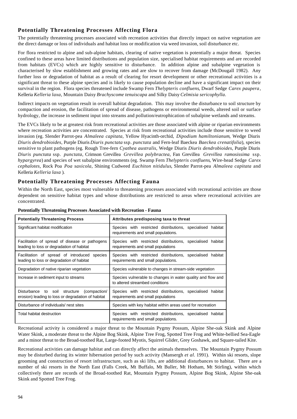## **Potentially Threatening Processes Affecting Flora**

The potentially threatening processes associated with recreation activities that directly impact on native vegetation are the direct damage or loss of individuals and habitat loss or modification via weed invasion, soil disturbance etc.

For flora restricted to alpine and sub-alpine habitats, clearing of native vegetation is potentially a major threat. Species confined to these areas have limited distributions and population size, specialised habitat requirements and are recorded from habitats (EVCs) which are highly sensitive to disturbance. In addition alpine and subalpine vegetation is characterised by slow establishment and growing rates and are slow to recover from damage (McDougall 1982). Any further loss or degradation of habitat as a result of clearing for resort development or other recreational activities is a significant threat to these alpine species and is likely to cause population decline and have a significant impact on their survival in the region. Flora species threatened include Swamp Fern *Thelypteris confluens*, Dwarf Sedge *Carex paupera*, Kelleria *Kelleria laxa*, Mountain Daisy *Brachyscome tenuiscapa* and Silky Daisy *Celmisia sericophylla*.

Indirect impacts on vegetation result in overall habitat degradation. This may involve the disturbance to soil structure by compaction and erosion, the facilitation of spread of disease, pathogens or environmental weeds, altered soil or surface hydrology, the increase in sediment input into streams and pollution/eutrophication of subalpine wetlands and streams.

The EVCs likely to be at greatest risk from recreational activities are those associated with alpine or riparian environments where recreation activities are concentrated. Species at risk from recreational activities include those sensitive to weed invasion (eg. Slender Parrot-pea *Almaleea capitata*, Yellow Hyacinth-orchid, *Dipodium hamiltonianum*, Wedge Diuris *Diuris dendrobioides*, Purple Diuris *Diuris punctata* ssp. *punctata* and Fern-leaf Baeckea *Baeckea crenatifolia*), species sensitive to plant pathogens (eg*.* Rough Tree-fern *Cyathea australis*, Wedge Diuris *Diuris dendrobioides*, Purple Diuris *Diuris punctata* ssp. *punctata*, Crimson Grevillea *Grevillea polybractea*, Fan Grevillea *Grevillea ramosissima* ssp. *hypargyrea*) and species of wet subalpine environments (eg. Swamp Fern *Thelypteris confluens*, Wire-head Sedge *Carex cephalotes,* Rock Poa *Poa saxicola*, Shining Cudweed *Euchiton nitidulus*, Slender Parrot-pea *Almaleea capitata* and Kelleria *Kelleria laxa* ).

#### **Potentially Threatening Processes Affecting Fauna**

Within the North East, species most vulnerable to threatening processes associated with recreational activities are those dependent on sensitive habitat types and whose distributions are restricted to areas where recreational activities are concentrated.

| <b>Potentially Threatening Process</b>                                                              | Attributes predisposing taxa to threat                                                            |
|-----------------------------------------------------------------------------------------------------|---------------------------------------------------------------------------------------------------|
| Significant habitat modification                                                                    | Species with restricted distributions, specialised habitat<br>requirements and small populations. |
| Facilitation of spread of disease or pathogens<br>leading to loss or degradation of habitat         | Species with restricted distributions, specialised habitat<br>requirements and small populations  |
| Facilitation of spread of introduced species<br>leading to loss or degradation of habitat           | Species with restricted distributions, specialised habitat<br>requirements and small populations. |
| Degradation of native riparian vegetation                                                           | Species vulnerable to changes in stream-side vegetation                                           |
| Increase in sediment input to streams                                                               | Species vulnerable to changes in water quality and flow and<br>to altered streambed conditions    |
| (compaction/<br>Disturbance to soil structure<br>erosion) leading to loss or degradation of habitat | Species with restricted distributions, specialised habitat<br>requirements and small populations  |
| Disturbance of individuals/nest sites                                                               | Species with key habitat within areas used for recreation                                         |
| Total habitat destruction                                                                           | Species with restricted distributions, specialised habitat<br>requirements and small populations. |

**Potentially Threatening Processes Associated with Recreation - Fauna**

Recreational activity is considered a major threat to the Mountain Pygmy Possum, Alpine She-oak Skink and Alpine Water Skink, a moderate threat to the Alpine Bog Skink, Alpine Tree Frog, Spotted Tree Frog and White-bellied Sea-Eagle and a minor threat to the Broad-toothed Rat, Large-footed Myotis, Squirrel Glider, Grey Goshawk, and Square-tailed Kite.

Recreational activities can damage habitat and can directly affect the animals themselves. The Mountain Pygmy Possum may be disturbed during its winter hibernation period by such activity (Mansergh *et al.* 1991). Within ski resorts, slope grooming and construction of resort infrastructure, such as ski lifts, are additional disturbances to habitat. There are a number of ski resorts in the North East (Falls Creek, Mt Buffalo, Mt Buller, Mt Hotham, Mt Stirling), within which collectively there are records of the Broad-toothed Rat, Mountain Pygmy Possum, Alpine Bog Skink, Alpine She-oak Skink and Spotted Tree Frog.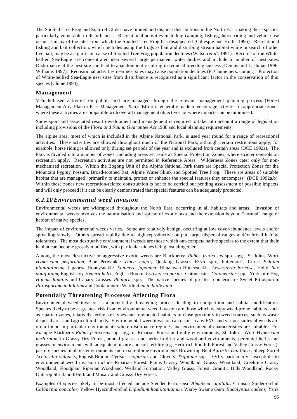The Spotted Tree Frog and Squirrel Glider have limited and disjunct distributions in the North East making these species particularly vulnerable to disturbances. Recreational activities including camping, fishing, horse riding and vehicle use occur at many of the sites from which the Spotted Tree Frog has disappeared (Gillespie and Hollis 1996). Recreational fishing and bait collection, which includes using the frogs as bait and disturbing stream habitat while in search of other live bait, may be a significant cause of Spotted Tree Frog population declines (Watson *et al.* 1991). Records of the Whitebellied Sea-Eagle are concentrated near several large permanent water bodies and include a number of nest sites. Disturbance at the nest site can lead to abandonment resulting in reduced breeding success (Dennis and Lashmar 1996, Williams 1997). Recreational activities near nest sites may cause population declines (P. Clunie pers. comm.). Protection of White-bellied Sea-Eagle nest sites from disturbance is recognised as a significant factor in the conservation of this species (Clunie 1994).

#### **Management**

Vehicle-based activities on public land are managed through the relevant management planning process (Forest Management Area Plan or Park Management Plan). Effort is generally made to encourage activities in appropriate zones where these activities are compatible with overall management objectives, or where impacts can be minimised.

Snow sport and associated resort development and management is required to take into account a range of legislation including provisions of the *Flora and Fauna Guarantee Act* 1988 and local planning requirements.

The alpine area, most of which is included in the Alpine National Park, is used year round for a range of recreational activities. These activities are allowed throughout much of the National Park, although certain restrictions apply, for example, horse riding is allowed only during set periods of the year and is excluded from certain areas (DCE 1992a). The Park is divided into a number of zones, including areas set aside as Special Protection Zones, where stricter controls on recreation apply. Recreation activities are not permitted in Reference Areas. Wilderness Zones cater only for nonmechanised recreation. Within the Bogong Unit of the Alpine National Park there are Special Protection Zones for the Mountain Pygmy Possum, Broad-toothed Rat, Alpine Water Skink and Spotted Tree Frog. These are areas of suitable habitat that are managed "primarily to maintain, protect or enhance the special features they encompass" (DCE 1992a,b). Within these zones new recreation-related construction is not to be carried out pending assessment of possible impacts and will only proceed if it can be clearly demonstrated that special features can be adequately protected.

#### *6.2.10 Environmental weed invasion*

Environmental weeds are widespread throughout the North East, occurring in all habitats and areas. Invasion of environmental weeds involves the naturalisation and spread of exotic taxa and the extension beyond "normal" range or habitat of native species.

The impact of environmental weeds varies. Some are relatively benign, occurring at low cover/abundance levels and/or spreading slowly. Others spread rapidly due to high reproductive output, large dispersal ranges and/or broad habitat tolerances. The most destructive environmental weeds are those which out-compete native species to the extent that their habitat can become grossly modified, with particular niches being lost altogether.

Among the most destructive or aggressive exotic weeds are Blackberry *Rubus fruticosus* spp. agg., St Johns Wort *Hypericum perforatum*, Blue Periwinkle *Vinca major*, Quaking Grasses *Briza* spp., Patterson's Curse *Echium plantagineum*, Japanese Honeysuckle *Lonicera japonica*, Himalayan Honeysuckle *Leycesteria formosa*, Holly *Ilex aquifolium*, English Ivy *Hedera helix*, English Broom *Cytisus scoparius*, Cotoneaster *Cotoneaster* spp., Yorkshire Fog *Holcus lanatus* and Canary Grasses *Phalaris* spp. The native species of greatest concern are Sweet Pittosporum *Pittosporum undulatum* and Cootamundra Wattle *Acacia baileyana*.

#### **Potentially Threatening Processes Affecting Flora**

Environmental weed invasion is a potentially threatening process leading to competition and habitat modification. Species likely to be at greatest risk from environmental weed invasion are those which occupy weed-prone habitats, such as riparian zones, relatively fertile soil types and fragmented habitats in close proximity to weed sources, such as waste disposal areas and agricultural lands. Environmental weed invasion can occur in any EVC and various suites of weeds are often found in particular environments where disturbance regimes and environmental characteristics are suitable. For example Blackberry *Rubus fruticosus* spp. agg. in Riparian Forest and gully environments, St. John's Wort *Hypericum perforatum* in Grassy Dry Forest, annual grasses and herbs in drier and woodland environments, perennial herbs and grasses in environments with adequate moisture and soil fertility (eg. Herb-rich Foothill Forest and Valley Grassy Forest), pasture species in plains environments and in sub-alpine environments Brown-top Bent *Agrostis capillaris*, Sheep Sorrel *Acetosella vulgaris*, English Broom *Cytisus scoparius* and Clovers *Trifolium* spp. EVCs particularly susceptible to environmental weed invasion include Riparian Forest, Plains Grassy Woodland, Grassy Woodland, Creekline Grassy Woodland, Floodplain Riparian Woodland, Wetland Formation, Valley Grassy Forest, Granitic Hills Woodland, Rocky Outcrop Shrubland/Herbland Mosaic and Grassy Dry Forest.

Examples of species likely to be most affected include Slender Parrot-pea *Almaleea capitata*, Crimson Spider-orchid *Caladenia concolor*, Yellow Hyacinth-orchid *Dipodium hamiltonianum*, Warby Swamp Gum *Eucalyptus cadens*, Yarra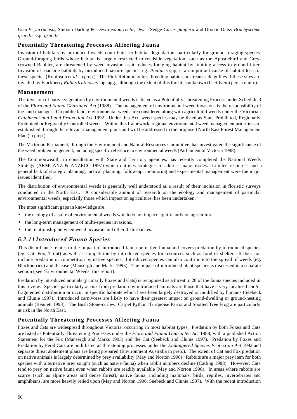Gum *E. yarraensis*, Smooth Darling Pea *Swainsona recta*, Dwarf Sedge *Carex paupera* and Dookie Daisy *Brachyscome gracilis* ssp. *gracilis.*

## **Potentially Threatening Processes Affecting Fauna**

Invasion of habitats by introduced weeds contributes to habitat degradation, particularly for ground-foraging species. Ground-foraging birds whose habitat is largely restricted to roadside vegetation, such as the Apostlebird and Greycrowned Babbler, are threatened by weed invasion as it reduces foraging habitat by limiting access to ground litter. Invasion of roadside habitats by introduced pasture species, eg. *Phalaris* spp, is an important cause of habitat loss for these species (Robinson *et al.* in prep.). The Pink Robin may lose breeding habitat in stream-side gullies if these sites are invaded by Blackberry *Rubusfruticosus* spp. agg., although the extent of this threat is unknown (C. Silveira pers. comm.).

#### **Management**

The invasion of native vegetation by environmental weeds is listed as a Potentially Threatening Process under Schedule 3 of the *Flora and Fauna Guarantee Act* (1988). The management of environmental weed invasions is the responsibility of the land manager. On public land, environmental weeds are considered along with agricultural weeds under the Victorian *Catchment and Land Protection Act* 1992. Under this Act, weed species may be listed as State Prohibited, Regionally Prohibited or Regionally Controlled weeds. Within this framework, regional environmental weed management priorities are established through the relevant management plans and will be addressed in the proposed North East Forest Management Plan (in prep.).

The Victorian Parliament, through the Environment and Natural Resources Committee, has investigated the significance of the weed problem in general, including specific reference to environmental weeds (Parliament of Victoria 1998).

The Commonwealth, in consultation with State and Territory agencies, has recently completed the National Weeds Strategy (ARMCANZ & ANZECC 1997) which outlines strategies to address major issues. Limited resources and a general lack of strategic planning, tactical planning, follow-up, monitoring and experimental management were the major issues identified.

The distribution of environmental weeds is generally well understood as a result of their inclusion in floristic surveys conducted in the North East. A considerable amount of research on the ecology and management of particular environmental weeds, especially those which impact on agriculture, has been undertaken.

The most significant gaps in knowledge are:

- the ecology of a suite of environmental weeds which do not impact significantly on agriculture,
- the long-term management of multi-species invasions,
- the relationship between weed invasion and other disturbances.

## *6.2.11 Introduced Fauna Species*

This disturbance relates to the impact of introduced fauna on native fauna and covers predation by introduced species (eg. Cat, Fox, Trout) as well as competition by introduced species for resources such as food or shelter. It does not include predation or competition by native species. Introduced species can also contribute to the spread of weeds (eg. Blackberries) and disease (Mansergh and Marks 1993). The impact of introduced plant species is discussed in a separate section ( see 'Environmental Weeds' this report).

Predation by introduced animals (primarily Foxes and Cats) is recognised as a threat to 28 of the fauna species included in this review. Species particularly at risk from predation by introduced animals are those that have a very localised and/or fragmented distribution or occur in specific habitats which have been largely destroyed or modified by humans (Seebeck and Clunie 1997). Introduced carnivores are likely to have their greatest impact on ground-dwelling or ground-nesting animals (Bennett 1993). The Bush Stone-curlew, Carpet Python, Turquoise Parrot and Spotted Tree Frog are particularly at risk in the North East.

## **Potentially Threatening Processes Affecting Fauna**

Foxes and Cats are widespread throughout Victoria, occurring in most habitat types. Predation by both Foxes and Cats are listed as Potentially Threatening Processes under the *Flora and Fauna Guarantee Act* 1988, with a published Action Statement for the Fox (Mansergh and Marks 1993) and the Cat (Seebeck and Clunie 1997). Predation by Foxes and Predation by Feral Cats are both listed as threatening processes under the *Endangered Species Protection Act* 1992 and separate threat abatement plans are being prepared (Environment Australia in prep.). The extent of Cat and Fox predation on native animals is largely determined by prey availability (May and Norton 1996). Rabbits are a major prey item for both species with alternative prey sought (such as native fauna) when rabbit numbers decline (Catling 1988). However, Cats tend to prey on native fauna even when rabbits are readily available (May and Norton 1996). In areas where rabbits are scarce (such as alpine areas and dense forest), native fauna, including mammals, birds, reptiles, invertebrates and amphibians, are more heavily relied upon (May and Norton 1996, Seebeck and Clunie 1997). With the recent introduction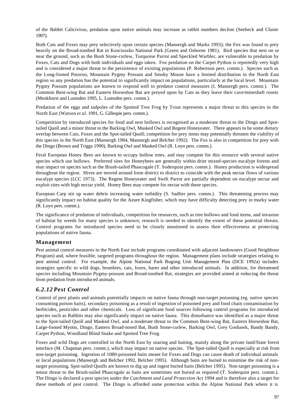of the Rabbit Calicivirus, predation upon native animals may increase as rabbit numbers decline (Seebeck and Clunie 1997).

Both Cats and Foxes may prey selectively upon certain species (Mansergh and Marks 1993); the Fox was found to prey heavily on the Broad-toothed Rat in Kosciuszko National Park (Green and Osborne 1981). Bird species that nest on or near the ground, such as the Bush Stone-curlew, Turquoise Parrot and Speckled Warbler, are vulnerable to predation by Foxes, Cats and Dogs with both individuals and eggs taken. Fox predation on the Carpet Python is reportedly very high and is considered a major threat to the persistence of existing populations (P. Robertson pers. comm.). Species such as the Long-footed Potoroo, Mountain Pygmy Possum and Smoky Mouse have a limited distribution in the North East region so any predation has the potential to significantly impact on populations, particularly at the local level. Mountain Pygmy Possum populations are known to respond well to predator control measures (I. Mansergh pers. comm.). The Common Bent-wing Bat and Eastern Horseshoe Bat are preyed upon by Cats as they leave their cave/mineshaft roosts (Menkhorst and Lumsden 1995, L. Lumsden pers. comm.).

Predation of the eggs and tadpoles of the Spotted Tree Frog by Trout represents a major threat to this species in the North East (Watson *et al.* 1991, G. Gillespie pers. comm.).

Competition by introduced species for food and nest hollows is recognised as a moderate threat to the Dingo and Spottailed Quoll and a minor threat to the Barking Owl, Masked Owl and Regent Honeyeater. There appears to be some dietary overlap between Cats, Foxes and the Spot-tailed Quoll; competition for prey items may potentially threaten the viability of this species in the North East (Mansergh 1984, Mansergh and Belcher 1992). The Fox is also in competition for prey with the Dingo (Brown and Triggs 1990), Barking Owl and Masked Owl (R. Loyn pers. comm.).

Feral European Honey Bees are known to occupy hollow trees, and may compete for this resource with several native species which use hollows. Preferred sites for Honeybees are generally within drier mixed-species eucalypt forests and may impact on species such as the Brush-tailed Phascogale (T. Soderquist pers. comm.). Honey production is widespread throughout the region. Hives are moved around from district to district to coincide with the peak nectar flows of various eucalypt species (LCC 1973). The Regent Honeyeater and Swift Parrot are partially dependent on eucalypt nectar and exploit sites with high nectar yield. Honey Bees may compete for nectar with these species.

European Carp stir up water debris increasing water turbidity (S. Sadlier pers. comm.). This threatening process may significantly impact on habitat quality for the Azure Kingfisher, which may have difficulty detecting prey in murky water (R. Loyn pers. comm.).

The significance of predation of individuals, competition for resources, such as tree hollows and food items, and invasion of habitat by weeds for many species is unknown; research is needed to identify the extent of these potential threats. Control programs for introduced species need to be closely monitored to assess their effectiveness at protecting populations of native fauna.

#### **Management**

Pest animal control measures in the North East include programs coordinated with adjacent landowners (Good Neighbour Program) and, where feasible, targeted programs throughout the region. Management plans include strategies relating to pest animal control. For example, the Alpine National Park Bogong Unit Management Plan (DCE 1992a) includes strategies specific to wild dogs, brumbies, cats, foxes, hares and other introduced animals. In addition, for threatened species including Mountain Pygmy-possum and Broad-toothed Rat, strategies are provided aimed at reducing the threat from predation from introduced animals.

## *6.2.12 Pest Control*

Control of pest plants and animals potentially impacts on native fauna through non-target poisoning (eg. native species consuming poison baits), secondary poisoning as a result of ingestion of poisoned prey and food chain contamination by herbicides, pesticides and other chemicals. Loss of significant food sources following control programs for introduced species such as Rabbits may also significantly impact on native fauna. This disturbance was identified as a major threat to the Spot-tailed Quoll and Masked Owl, and a moderate threat to the Common Bent-wing Bat, Eastern Horseshoe Bat, Large-footed Myotis, Dingo, Eastern Broad-nosed Bat, Bush Stone-curlew, Barking Owl, Grey Goshawk, Bandy Bandy, Carpet Python, Woodland Blind Snake and Spotted Tree Frog.

Foxes and wild Dogs are controlled in the North East by snaring and baiting, mainly along the private land/State forest interface (M. Chapman pers. comm.), which may impact on native species. The Spot-tailed Quoll is especially at risk from non-target poisoning. Ingestion of 1080-poisoned baits meant for Foxes and Dogs can cause death of individual animals or local populations (Mansergh and Belcher 1992, Belcher 1995). Although baits are buried to minimise the risk of nontarget poisoning, Spot-tailed Quolls are known to dig up and ingest buried baits (Belcher 1995). Non-target poisoning is a minor threat to the Brush-tailed Phascogale as baits are sometimes not buried as required (T. Soderquist pers. comm.). The Dingo is declared a pest species under the *Catchment and Land Protection Act* 1994 and is therefore also a target for these methods of pest control. The Dingo is afforded some protection within the Alpine National Park where it is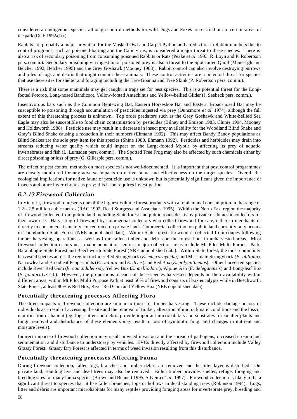considered an indigenous species, although control methods for wild Dogs and Foxes are carried out in certain areas of the park (DCE 1992a,b,c).

Rabbits are probably a major prey item for the Masked Owl and Carpet Python and a reduction in Rabbit numbers due to control programs, such as poisoned-baiting and the Calicivirus, is considered a major threat to these species. There is also a risk of secondary poisoning from consuming poisoned Rabbits or Rats (Peake *et al.* 1993, R. Loyn and P. Robertson pers. comm.). Secondary poisoning via ingestion of poisoned prey is also a threat to the Spot-tailed Quoll (Mansergh and Belcher 1992, Belcher 1995) and the Grey Goshawk (Mooney 1988). Rabbit control can also involve destroying burrows and piles of logs and debris that might contain these animals. These control activities are a potential threat for species that use these sites for shelter and foraging including the Tree Goanna and Tree Skink (P. Robertson pers. comm.).

There is a risk that some mammals may get caught in traps set for pest species. This is a potential threat for the Longfooted Potoroo, Long-nosed Bandicoot, Yellow-footed Antechinus and Yellow-bellied Glider (J. Seebeck pers. comm.).

Insectivorous bats such as the Common Bent-wing Bat, Eastern Horseshoe Bat and Eastern Broad-nosed Bat may be susceptible to poisoning through accumulation of pesticides ingested via prey (Dunsmore *et al.* 1974), although the full extent of this threatening process is unknown. Top order predators such as the Grey Goshawk and White-bellied Sea Eagle may also be susceptible to food chain contamination by pesticides (Bilney and Emison 1983, Clunie 1994, Mooney and Holdsworth 1988). Pesticide use may result in a decrease in insect prey availability for the Woodland Blind Snake and Gray's Blind Snake causing a reduction in their numbers (Ehmann 1992). This may affect Bandy Bandy populations as Blind Snakes are the sole prey item for this species (Shine 1980, Ehmann 1992). Pesticides and herbicides may drain into streams reducing water quality which could impact on the Large-footed Myotis by affecting its prey of aquatic invertebrates and fish (L. Lumsden pers. comm.). The Spotted Tree Frog may also be affected by such chemicals either by direct poisoning or loss of prey (G. Gillespie pers. comm.).

The effect of pest control methods on most species is not well-documented. It is important that pest control programmes are closely monitored for any adverse impacts on native fauna and effectiveness on the target species. Overall the ecological implications for native fauna of pesticide use is unknown but is potentially significant given the importance of insects and other invertebrates as prey; this issue requires investigation.

## *6.2.13 Firewood Collection*

In Victoria, firewood represents one of the highest volume forest products with a total annual consumption in the range of 1.2 - 2.5 million cubic metres (RAC 1992, Read Sturgess and Associates 1995). Within the North East region the majority of firewood collected from public land including State forest and public roadsides, is by private or domestic collectors for their own use. Harvesting of firewood by commercial collectors who collect firewood for sale, either to merchants or directly to consumers, is mainly concentrated on private land. Commercial collection on public land currently only occurs in Toombullup State Forest (NRE unpublished data). Within State forest, firewood is collected from coupes following timber harvesting operations, as well as from fallen timber and debris on the forest floor in unharvested areas. Most firewood collection occurs near major population centres; major collection areas include Mt Pilot Multi Purpose Park, Barambogie State Forest and Beechworth State Forest (NRE unpublished data). Within State forest, the most commonly harvested species across the region include: Red Stringybark (*E. macrorhyncha)* and Messmate Stringybark *(E. obliqua*), Narrowleaf and Broadleaf Peppermints (*E. radiata* and *E. dives*) and Red Box (*E. polyanthemos*). Other harvested species include River Red Gum (*E. camaldulensis)*, Yellow Box (*E. melliodora*), Alpine Ash (*E. delegatensis*) and Long-leaf Box (*E. goniocalyx* s.l.). However, the proportions of each of these species harvested depends on their availability within different areas; within Mt Pilot Multi Purpose Park at least 50% of firewood consists of box eucalypts while in Beechworth State Forest, at least 80% is Red Box, River Red Gum and Yellow Box (NRE unpublished data).

#### **Potentially threatening processes Affecting Flora**

The direct impacts of firewood collection are similar to those for timber harvesting. These include damage or loss of individuals as a result of accessing the site and the removal of timber, alteration of microclimatic conditions and the loss or modification of habitat (eg. logs, litter and debris provide important microhabitats and substrates for smaller plants and fungi, removal and disturbance of these elements may result in loss of symbiotic fungi and changes in nutrient and moisture levels).

Indirect impacts of firewood collection may result in weed invasion and the spread of pathogens, increased erosion and sedimentation and disturbance to understorey by vehicles. EVCs directly affected by firewood collection include Valley Grassy Forest. Grassy Dry Forest is affected in terms of weed invasion resulting from this disturbance.

#### **Potentially threatening processes Affecting Fauna**

During firewood collection, fallen logs, branches and timber debris are removed and the litter layer is disturbed. On private land, standing live and dead trees may also be removed. Fallen timber provides shelter, refuge, foraging and breeding sites for many fauna species (Brown and Bennett 1995, Silveira *et al*. 1997). Firewood collection is likely to be a significant threat to species that utilise fallen branches, logs or hollows in dead standing trees (Robinson 1994). Logs, litter and debris are important microhabitats for many reptiles providing foraging areas for invertebrate prey, breeding and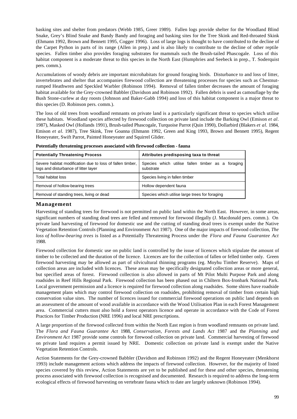basking sites and shelter from predators (Webb 1985, Greer 1989). Fallen logs provide shelter for the Woodland Blind Snake, Grey's Blind Snake and Bandy Bandy and foraging and basking sites for the Tree Skink and Red-throated Skink (Ehmann 1992, Brown and Bennett 1995, Cogger 1996). Loss of large logs is thought to have contributed to the decline of the Carpet Python in parts of its range (Allen in prep.) and is also likely to contribute to the decline of other reptile species. Fallen timber also provides foraging substrates for mammals such the Brush-tailed Phascogale. Loss of this habitat component is a moderate threat to this species in the North East (Humphries and Seebeck in prep., T. Soderquist pers. comm.).

Accumulations of woody debris are important microhabitats for ground foraging birds. Disturbance to and loss of litter, invertebrates and shelter that accompanies firewood collection are threatening processes for species such as Chestnutrumped Heathwren and Speckled Warbler (Robinson 1994). Removal of fallen timber decreases the amount of foraging habitat available for the Grey-crowned Babbler (Davidson and Robinson 1992). Fallen debris is used as camouflage by the Bush Stone-curlew at day roosts (Johnson and Baker-Gabb 1994) and loss of this habitat component is a major threat to this species (D. Robinson pers. comm.).

The loss of old trees from woodland remnants on private land is a particularly significant threat to species which utilise these habitats. Woodland species affected by firewood collection on private land include the Barking Owl (Emison *et al*. 1987), Masked Owl (Hollands 1991), Brush-tailed Phascogale, Turquoise Parrot (Quin 1990), Dollarbird (Blakers *et al.* 1984, Emison *et al.* 1987), Tree Skink, Tree Goanna (Ehmann 1992, Green and King 1993, Brown and Bennett 1995), Regent Honeyeater, Swift Parrot, Painted Honeyeater and Squirrel Glider.

| <b>Potentially Threatening Process</b>                                                            | Attributes predisposing taxa to threat                         |
|---------------------------------------------------------------------------------------------------|----------------------------------------------------------------|
| Severe habitat modification due to loss of fallen timber,<br>logs and disturbance of litter layer | Species which utilise fallen timber as a foraging<br>substrate |
| Total habitat loss                                                                                | Species living in fallen timber                                |
| Removal of hollow-bearing trees                                                                   | Hollow dependent fauna                                         |
| Removal of standing trees, living or dead                                                         | Species which utilise large trees for foraging                 |

**Potentially threatening processes associated with firewood collection - fauna**

#### **Management**

Harvesting of standing trees for firewood is not permitted on public land within the North East. However, in some areas, significant numbers of standing dead trees are felled and removed for firewood illegally (J. Macdonald pers. comm.). On private land harvesting of firewood for domestic use and the cutting of standing dead trees is exempt under the Native Vegetation Retention Controls (Planning and Environment Act 1987). One of the major impacts of firewood collection, *The loss of hollow-bearing trees* is listed as a Potentially Threatening Process under the *Flora and Fauna Guarantee Act* 1988.

Firewood collection for domestic use on public land is controlled by the issue of licences which stipulate the amount of timber to be collected and the duration of the licence. Licences are for the collection of fallen or felled timber only. Green firewood harvesting may be allowed as part of silvicultural thinning programs (eg. Moyhu Timber Reserve). Maps of collection areas are included with licences. These areas may be specifically designated collection areas or more general, but specified areas of forest. Firewood collection is also allowed in parts of Mt Pilot Multi Purpose Park and along roadsides in Reef Hills Regional Park. Firewood collection has been phased out in Chiltern Box-Ironbark National Park. Local government permission and a licence is required for firewood collection along roadsides. Some shires have roadside management plans which may control firewood collection on roadsides, prohibiting removal of timber from certain high conservation value sites. The number of licences issued for commercial firewood operations on public land depends on an assessment of the amount of wood available in accordance with the Wood Utilisation Plan in each Forest Management area. Commercial cutters must also hold a forest operators licence and operate in accordance with the Code of Forest Practices for Timber Production (NRE 1996) and local NRE prescriptions.

A large proportion of the firewood collected from within the North East region is from woodland remnants on private land. The *Flora and Fauna Guarantee Act* 1988, *Conservation, Forests and Lands Act* 1987 and the *Planning and Environment Act* 1987 provide some controls for firewood collection on private land. Commercial harvesting of firewood on private land requires a permit issued by NRE. Domestic collection on private land is exempt under the Native Vegetation Retention Controls.

Action Statements for the Grey-crowned Babbler (Davidson and Robinson 1992) and the Regent Honeyeater (Menkhorst 1993) include management actions which address the impacts of firewood collection. However, for the majority of listed species covered by this review, Action Statements are yet to be published and for these and other species, threatening process associated with firewood collection is recognised and documented. Research is required to address the long-term ecological effects of firewood harvesting on vertebrate fauna which to date are largely unknown (Robinson 1994).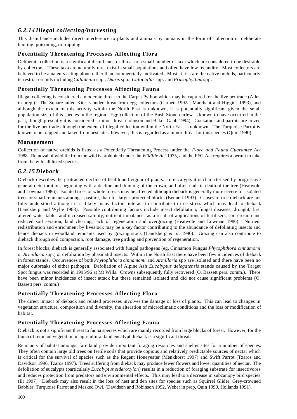## *6.2.14 Illegal collecting/harvesting*

This disturbance includes direct interference to plants and animals by humans in the form of collection or deliberate hunting, poisoning, or trapping.

## **Potentially Threatening Processes Affecting Flora**

Deliberate collection is a significant disturbance or threat to a small number of taxa which are considered to be desirable by collectors. These taxa are naturally rare, exist in small populations and often have low fecundity. Most collectors are believed to be amateurs acting alone rather than commercially-motivated. Most at risk are the native orchids, particularly terrestrial orchids including *Caladenia* spp., *Diuris* spp., *Calochilus* spp. and *Prasophyllum* spp.

## **Potentially Threatening Processes Affecting Fauna**

Illegal collecting is considered a moderate threat to the Carpet Python which may be captured for the live pet trade (Allen in prep.). The Square-tailed Kite is under threat from egg collectors (Garnett 1992a, Marchant and Higgins 1993), and although the extent of this activity within the North East is unknown, it is potentially significant given the small population size of this species in the region. Egg collection of the Bush Stone-curlew is known to have occurred in the past, though presently it is considered a minor threat (Johnson and Baker-Gabb 1994). Cockatoos and parrots are prized for the live pet trade although the extent of illegal collection within the North East is unknown. The Turquoise Parrot is known to be trapped and taken from nest sites, however, this is regarded as a minor threat for this species (Quin 1990).

## **Management**

Collection of native orchids is listed as a Potentially Threatening Process under the *Flora and Fauna Guarantee Act* 1988. Removal of wildlife from the wild is prohibited under the *Wildlife Act* 1975, and the FFG Act requires a permit to take from the wild all listed species.

## *6.2.15 Dieback*

Dieback describes the protracted decline of health and vigour of plants. In eucalypts it is characterised by progressive general deterioration, beginning with a decline and thinning of the crown, and often ends in death of the tree (Heatwole and Lowman 1986). Isolated trees or whole forests may be affected although dieback is generally more severe for isolated trees or small remnants amongst pasture, than for larger protected blocks (Bennett 1993). Causes of tree dieback are not fully understood although it is likely many factors interact to contribute to tree stress which may lead to dieback (Landsberg and Wylie 1983). Possible contributing factors include insect defoliation, fungal diseases, drought, fire, altered water tables and increased salinity, nutrient imbalances as a result of applications of fertilisers, soil erosion and reduced soil aeration, land clearing, lack of regeneration and overgrazing (Heatwole and Lowman 1986). Nutrient redistribution and enrichment by livestock may be a key factor contributing to the abundance of defoliating insects and hence dieback in woodland remnants used by grazing stock (Landsberg *et al.* 1990). Grazing can also contribute to dieback through soil compaction, root damage, tree girding and prevention of regeneration.

In forest blocks, dieback is generally associated with fungal pathogens (eg. Cinnamon Fungus *Phytophthora cinnamomi* or *Armillaria* spp.) or defoliation by phasmatid insects. Within the North East there have been few incidences of dieback in forest stands. Occurrences of both *Phytophthora cinnamomi* and *Armillaria* spp are isolated and there have been no major outbreaks of either pathogen. Defoliation of Alpine Ash *Eucalyptus delegatensis* stands caused by the Target Spot fungus was recorded in 1995/96 at Mt Wills. Crowns subsequently fully recovered (O. Bassett pers. comm.). There have been minor incidences of insect attack but these remained isolated and did not cause significant problems (O. Bassett pers. comm.)

## **Potentially Threatening Processes Affecting Flora**

The direct impact of dieback and related processes involves the damage or loss of plants. This can lead to changes in vegetation structure, composition and diversity, the alteration of microclimatic conditions and the loss or modification of habitat.

## **Potentially Threatening Processes Affecting Fauna**

Dieback is not a significant threat to fauna species which are mainly recorded from large blocks of forest. However, for the fauna of remnant vegetation in agricultural land eucalypt dieback is a significant threat.

Remnants of habitat amongst farmland provide important foraging resources and shelter sites for a number of species. They often contain large old trees on fertile soils that provide copious and relatively predictable sources of nectar which is critical for the survival of species such as the Regent Honeyeater (Menkhorst 1997) and Swift Parrot (Tzaros and Davidson 1996, Tzaros 1997). Trees suffering from dieback may produce fewer flowers and lower quantities of nectar. The defoliation of eucalypts (particularly *Eucalyptus sideroxylon*) results in a reduction of foraging substrate for insectivores and reduces protection from predators and environmental effects. This may lead to a decrease in subcanopy bird species (Er 1997). Dieback may also result in the loss of nest and den sites for species such as Squirrel Glider, Grey-crowned Babbler, Turquoise Parrot and Masked Owl. (Davidson and Robinson 1992, Weber in prep, Quin 1990, Hollands 1991).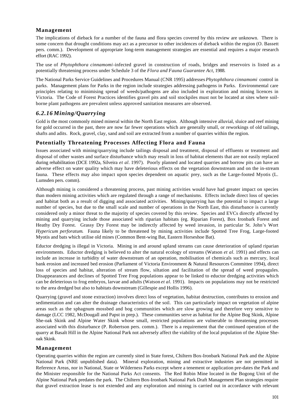## **Management**

The implications of dieback for a number of the fauna and flora species covered by this review are unknown. There is some concern that drought conditions may act as a precursor to other incidences of dieback within the region (O. Bassett pers. comm.). Development of appropriate long-term management strategies are essential and requires a major research effort (RAC 1992).

The use of *Phytophthora cinnamomi*-infected gravel in construction of roads, bridges and reservoirs is listed as a potentially threatening process under Schedule 3 of the *Flora and Fauna Guarantee Act*, 1988.

The National Parks Service Guidelines and Procedures Manual (CNR 1995) addresses *Phytophthora cinnamomi* control in parks. Management plans for Parks in the region include strategies addressing pathogens in Parks. Environmental care principles relating to minimising spread of weeds/pathogens are also included in exploration and mining licences in Victoria. The Code of Forest Practices identifies gravel pits and soil stockpiles must not be located at sites where soilborne plant pathogens are prevalent unless approved sanitation measures are observed.

## *6.2.16 Mining/Quarrying*

Gold is the most commonly mined mineral within the North East region. Although intensive alluvial, sluice and reef mining for gold occurred in the past, there are now far fewer operations which are generally small, or reworkings of old tailings, shafts and adits. Rock, gravel, clay, sand and soil are extracted from a number of quarries within the region.

#### **Potentially Threatening Processes Affecting Flora and Fauna**

Issues associated with mining/quarrying include tailings disposal and treatment, disposal of effluents or treatment and disposal of other wastes and surface disturbance which may result in loss of habitat elements that are not easily replaced during rehabilitation (DCE 1992a, Silveira *et al.* 1997). Poorly planned and located quarries and borrow pits can have an adverse effect on water quality which may have deleterious effects on the vegetation downstream and on the in-stream fauna. These effects may also impact upon species dependent on aquatic prey, such as the Large-footed Myotis (L. Lumsden pers. comm).

Although mining is considered a threatening process, past mining activities would have had greater impact on species than modern mining activities which are regulated through a range of mechanisms. Effects include direct loss of species and habitat both as a result of digging and associated activities. Mining/quarrying has the potential to impact a large number of species, but due to the small scale and number of operations in the North East, this disturbance is currently considered only a minor threat to the majority of species covered by this review. Species and EVCs directly affected by mining and quarrying include those associated with riparian habitats (eg. Riparian Forest), Box Ironbark Forest and Heathy Dry Forest. Grassy Dry Forest may be indirectly affected by weed invasion, in particular St. John's Wort *Hypericum perforatum*. Fauna likely to be threatened by mining activities include Spotted Tree Frog, Large-footed Myotis and bats which utilise old mines (Common Bent-wing Bat, Eastern Horseshoe Bat).

Eductor dredging is illegal in Victoria. Mining in and around upland streams can cause deterioration of upland riparian environments. Eductor dredging is believed to alter the natural ecology of streams (Watson *et al.* 1991) and effects can include an increase in turbidity of water downstream of an operation, mobilisation of chemicals such as mercury, local bank erosion and increased bed erosion (Parliament of Victoria Environment & Natural Resources Committee 1994), direct loss of species and habitat, alteration of stream flow, siltation and facilitation of the spread of weed propagules. Disappearances and declines of Spotted Tree Frog populations appear to be linked to eductor dredging activities which can be deleterious to frog embryos, larvae and adults (Watson *et al.* 1991). Impacts on populations may not be restricted to the area dredged but also to habitats downstream (Gillespie and Hollis 1996).

Quarrying (gravel and stone extraction) involves direct loss of vegetation, habitat destruction, contributes to erosion and sedimentation and can alter the drainage characteristics of the soil. This can particularly impact on vegetation of alpine areas such as the sphagnum mossbed and bog communities which are slow growing and therefore very sensitive to damage (LCC 1982, McDougall and Papst in prep.). These communities serve as habitat for the Alpine Bog Skink, Alpine She-oak Skink and Alpine Water Skink whose small, restricted populations are vulnerable to threatening processes associated with this disturbance (P. Robertson pers. comm.). There is a requirement that the continued operation of the quarry at Basalt Hill in the Alpine National Park not adversely affect the viability of the local population of the Alpine Sheoak Skink.

#### **Management**

Operating quarries within the region are currently sited in State forest, Chiltern Box-Ironbark National Park and the Alpine National Park (NRE unpublished data). Mineral exploration, mining and extractive industries are not permitted in Reference Areas, nor in National, State or Wilderness Parks except where a tenement or application pre-dates the Park and the Minister responsible for the National Parks Act consents. The Red Robin Mine located in the Bogong Unit of the Alpine National Park predates the park. The Chiltern Box-Ironbark National Park Draft Management Plan strategies require that gravel extraction lease is not extended and any exploration and mining is carried out in accordance with relevant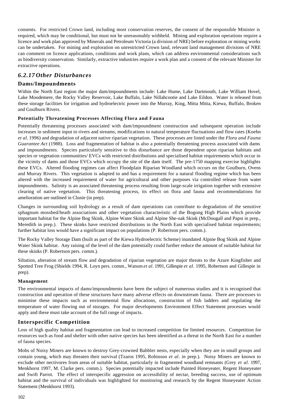consents. For restricted Crown land, including most conservation reserves, the consent of the responsible Minister is required, which may be conditional, but must not be unreasonably withheld. Mining and exploration operations require a licence and work plan approved by Minerals and Petroleum Victoria (a division of NRE) before exploration or mining works can be undertaken. For mining and exploration on unrestricted Crown land, relevant land management divisions of NRE can comment on licence applications, conditions and work plans, which can address environmental considerations such as biodiversity conservation. Similarly, extractive industries require a work plan and a consent of the relevant Minister for extractive operations.

## *6.2.17 Other Disturbances*

#### **Dams/Impoundments**

Within the North East region the major dam/impoundments include: Lake Hume, Lake Dartmouth, Lake William Hovel, Lake Moodemere, the Rocky Valley Reservoir, Lake Buffalo, Lake Nillahcootie and Lake Eildon. Water is released from these storage facilities for irrigation and hydroelectric power into the Murray, King, Mitta Mitta, Kiewa, Buffalo, Broken and Goulburn Rivers.

#### **Potentially Threatening Processes Affecting Flora and Fauna**

Potentially threatening processes associated with dam/impoundment construction and subsequent operation include increases in sediment input to rivers and streams, modifications to natural temperature fluctuations and flow rates (Koehn *et al.* 1996) and degradation of adjacent native riparian vegetation. These processes are listed under the *Flora and Fauna Guarantee Act* (1988). Loss and fragmentation of habitat is also a potentially threatening process associated with dams and impoundments. Species particularly sensitive to this disturbance are those dependent upon riparian habitats and species or vegetation communities/ EVCs with restricted distributions and specialised habitat requirements which occur in the vicinity of dams and those EVCs which occupy the site of the dam itself. The pre-1750 mapping exercise highlights these EVCs. Altered flooding regimes can affect Floodplain Riparian Woodland which occurs on the Goulburn, Ovens and Murray Rivers. This vegetation is adapted to and has a requirement for a natural flooding regime which has been altered with the increased requirement of water for agricultural and other purposes via controlled release from water impoundments. Salinity is an associated threatening process resulting from large-scale irrigation together with extensive clearing of native vegetation. This threatening process, its effect on flora and fauna and recommendations for amelioration are outlined in Clunie (in prep).

Changes in surrounding soil hydrology as a result of dam operations can contribute to degradation of the sensitive sphagnum mossbed/heath associations and other vegetation characteristic of the Bogong High Plains which provide important habitat for the Alpine Bog Skink, Alpine Water Skink and Alpine She-oak Skink (McDougall and Papst in prep., Meredith in prep.). These skinks have restricted distributions in the North East with specialised habitat requirements; further habitat loss would have a significant impact on populations (P. Robertson pers. comm.).

The Rocky Valley Storage Dam (built as part of the Kiewa Hydroelectric Scheme) inundated Alpine Bog Skink and Alpine Water Skink habitat. Any raising of the level of the dam potentially could further reduce the amount of suitable habitat for these skinks (P. Robertson pers. comm.).

Siltation, alteration of stream flow and degradation of riparian vegetation are major threats to the Azure Kingfisher and Spotted Tree Frog (Shields 1994, R. Loyn pers. comm., Watson *et al.* 1991, Gillespie *et al.* 1995, Robertson and Gillespie in prep).

#### **Management**

The environmental impacts of dams/impoundments have been the subject of numerous studies and it is recognised that construction and operation of these structures have many adverse effects on downstream fauna. There are processes to minimise these impacts such as environmental flow allocations, construction of fish ladders and regulating the temperature of water flowing out of storages. For major developments Environment Effect Statement processes would apply and these must take account of the full range of impacts.

## **Interspecific Competition**

Loss of high quality habitat and fragmentation can lead to increased competition for limited resources. Competition for resources such as food and shelter with other native species has been identified as a threat in the North East for a number of fauna species.

Mobs of Noisy Miners are known to destroy Grey-crowned Babbler nests, especially when they are in small groups and contain young, which may threaten their survival (Tzaros 1995, Robinson *et al*. in prep.). Noisy Miners are known to exclude other nectivores from areas of suitable habitat, particularly in fragmented woodland remnants (Grey *et al.* 1997, Menkhorst 1997, M. Clarke pers. comm.). Species potentially impacted include Painted Honeyeater, Regent Honeyeater and Swift Parrot. The effect of interspecific aggression on accessibility of nectar, breeding success, use of optimum habitat and the survival of individuals was highlighted for monitoring and research by the Regent Honeyeater Action Statement (Menkhorst 1993).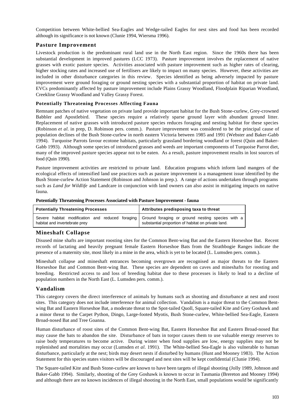Competition between White-bellied Sea-Eagles and Wedge-tailed Eagles for nest sites and food has been recorded although its significance is not known (Clunie 1994, Wiersma 1996).

## **Pasture Improvement**

Livestock production is the predominant rural land use in the North East region. Since the 1960s there has been substantial development in improved pastures (LCC 1973). Pasture improvement involves the replacement of native grasses with exotic pasture species. Activities associated with pasture improvement such as higher rates of clearing, higher stocking rates and increased use of fertilisers are likely to impact on many species. However, these activities are included in other disturbance categories in this review. Species identified as being adversely impacted by pasture improvement were ground foraging or ground nesting species with a substantial proportion of habitat on private land. EVCs predominantly affected by pasture improvement include Plains Grassy Woodland, Floodplain Riparian Woodland, Creekline Grassy Woodland and Valley Grassy Forest.

#### **Potentially Threatening Processes Affecting Fauna**

Remnant patches of native vegetation on private land provide important habitat for the Bush Stone-curlew, Grey-crowned Babbler and Apostlebird. These species require a relatively sparse ground layer with abundant ground litter. Replacement of native grasses with introduced pasture species reduces foraging and nesting habitat for these species (Robinson *et al.* in prep, D. Robinson pers. comm.). Pasture improvement was considered to be the principal cause of population declines of the Bush Stone-curlew in north eastern Victoria between 1985 and 1991 (Webster and Baker-Gabb 1994). Turquoise Parrots favour ecotone habitats, particularly grassland bordering woodland or forest (Quin and Baker-Gabb 1993). Although some species of introduced grasses and weeds are important components of Turquoise Parrot diet, many of the improved pasture species appear not to be eaten. As a result, pasture improvement results in lost sources of food (Quin 1990).

Pasture improvement activities are restricted to private land. Education programs which inform land mangers of the ecological effects of intensified land use practices such as pasture improvement is a management issue identified by the Bush Stone-curlew Action Statement (Robinson and Johnson in prep.). A range of actions undertaken through programs such as *Land for Wildlife* and Landcare in conjunction with land owners can also assist in mitigating impacts on native fauna.

|  |  |  | Potentially Threatening Processes Associated with Pasture Improvement - fauna |  |
|--|--|--|-------------------------------------------------------------------------------|--|
|  |  |  |                                                                               |  |

| <b>Potentially Threatening Processes</b> | Attributes predisposing taxa to threat                                                                                                                  |
|------------------------------------------|---------------------------------------------------------------------------------------------------------------------------------------------------------|
| habitat and invertebrate prey            | Severe habitat modification and reduced foraging Ground foraging or ground nesting species with a<br>substantial proportion of habitat on private land. |

#### **Mineshaft Collapse**

Disused mine shafts are important roosting sites for the Common Bent-wing Bat and the Eastern Horseshoe Bat. Recent records of lactating and heavily pregnant female Eastern Horseshoe Bats from the Strathbogie Ranges indicate the presence of a maternity site, most likely in a mine in the area, which is yet to be located (L. Lumsden pers. comm.).

Mineshaft collapse and mineshaft entrances becoming overgrown are recognised as major threats to the Eastern Horseshoe Bat and Common Bent-wing Bat. These species are dependent on caves and mineshafts for roosting and breeding. Restricted access to and loss of breeding habitat due to these processes is likely to lead to a decline of population numbers in the North East (L. Lumsden pers. comm.).

#### **Vandalism**

This category covers the direct interference of animals by humans such as shooting and disturbance at nest and roost sites. This category does not include interference for animal collection. Vandalism is a major threat to the Common Bentwing Bat and Eastern Horseshoe Bat, a moderate threat to the Spot-tailed Quoll, Square-tailed Kite and Grey Goshawk and a minor threat to the Carpet Python, Dingo, Large-footed Myotis, Bush Stone-curlew, White-bellied Sea-Eagle, Eastern Broad-nosed Bat and Tree Goanna.

Human disturbance of roost sites of the Common Bent-wing Bat, Eastern Horseshoe Bat and Eastern Broad-nosed Bat may cause the bats to abandon the site. Disturbance of bats in torpor causes them to use valuable energy reserves to raise body temperatures to become active. During winter when food supplies are low, energy supplies may not be replenished and mortalities may occur (Lumsden *et al.* 1991). The White-bellied Sea-Eagle is also vulnerable to human disturbance, particularly at the nest; birds may desert nests if disturbed by humans (Hunt and Mooney 1983). The Action Statement for this species states visitors will be discouraged and nest sites will be kept confidential (Clunie 1994).

The Square-tailed Kite and Bush Stone-curlew are known to have been targets of illegal shooting (Jolly 1989, Johnson and Baker-Gabb 1994). Similarly, shooting of the Grey Goshawk is known to occur in Tasmania (Brereton and Mooney 1994) and although there are no known incidences of illegal shooting in the North East, small populations would be significantly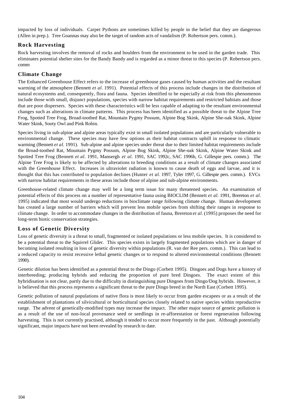impacted by loss of individuals. Carpet Pythons are sometimes killed by people in the belief that they are dangerous (Allen in prep.). Tree Goannas may also be the target of random acts of vandalism (P. Robertson pers. comm.).

## **Rock Harvesting**

Rock harvesting involves the removal of rocks and boulders from the environment to be used in the garden trade. This eliminates potential shelter sites for the Bandy Bandy and is regarded as a minor threat to this species (P. Robertson pers. comm

## **Climate Change**

The Enhanced Greenhouse Effect refers to the increase of greenhouse gases caused by human activities and the resultant warming of the atmosphere (Bennett *et al.* 1991). Potential effects of this process include changes in the distribution of natural ecosystems and, consequently, flora and fauna. Species identified to be especially at risk from this phenomenon include those with small, disjunct populations, species with narrow habitat requirements and restricted habitats and those that are poor dispersers. Species with these characteristics will be less capable of adapting to the resultant environmental changes such as alterations in climate patterns. This process has been identified as a possible threat to the Alpine Tree Frog, Spotted Tree Frog, Broad-toothed Rat, Mountain Pygmy Possum, Alpine Bog Skink, Alpine She-oak Skink, Alpine Water Skink, Sooty Owl and Pink Robin.

Species living in sub-alpine and alpine areas typically exist in small isolated populations and are particularly vulnerable to environmental change. These species may have few options as their habitat contracts uphill in response to climatic warming (Bennett *et al.* 1991). Sub-alpine and alpine species under threat due to their limited habitat requirements include the Broad-toothed Rat, Mountain Pygmy Possum, Alpine Bog Skink, Alpine She-oak Skink, Alpine Water Skink and Spotted Tree Frog (Bennett *et al.* 1991, Mansergh *et al.* 1991, SAC 1992c, SAC 1996b, G. Gillespie pers. comm.). The Alpine Tree Frog is likely to be affected by alterations to breeding conditions as a result of climate changes associated with the Greenhouse Effect. Increases in ultraviolet radiation is known to cause death of eggs and larvae, and it is thought that this has contributed to population declines (Hunter *et al.* 1997, Tyler 1997, G. Gillespie pers. comm.). EVCs with narrow habitat requirements in these areas include those of alpine and sub-alpine environments.

Greenhouse-related climate change may well be a long term issue for many threatened species. An examination of potential effects of this process on a number of representative fauna using BIOCLIM (Bennett *et al.* 1991, Brereton *et al.* 1995) indicated that most would undergo reductions in bioclimate range following climate change. Human development has created a large number of barriers which will prevent less mobile species from shifting their ranges in response to climate change. In order to accommodate changes in the distribution of fauna, Brereton *et al.* (1995) proposes the need for long-term biotic conservation strategies.

## **Loss of Genetic Diversity**

Loss of genetic diversity is a threat to small, fragmented or isolated populations or less mobile species. It is considered to be a potential threat to the Squirrel Glider. This species exists in largely fragmented populations which are in danger of becoming isolated resulting in loss of genetic diversity within populations (R. van der Ree pers. comm.). This can lead to a reduced capacity to resist recessive lethal genetic changes or to respond to altered environmental conditions (Bennett 1990).

Genetic dilution has been identified as a potential threat to the Dingo (Corbett 1995). Dingoes and Dogs have a history of interbreeding; producing hybrids and reducing the proportion of pure bred Dingoes. The exact extent of this hybridisation is not clear, partly due to the difficulty in distinguishing pure Dingoes from Dingo/Dog hybrids. However, it is believed that this process represents a significant threat to the pure Dingo breed in the North East (Corbett 1995).

Genetic pollution of natural populations of native flora is most likely to occur from garden escapees or as a result of the establishment of plantations of silvicultural or horticultural species closely related to native species within reproductive range. The advent of genetically-modified types may increase the impact. The other major source of genetic pollution is as a result of the use of non-local provenance seed or seedlings in re-afforestation or forest regeneration following harvesting. This is not currently practised, although it tended to occur more frequently in the past. Although potentially significant, major impacts have not been revealed by research to date.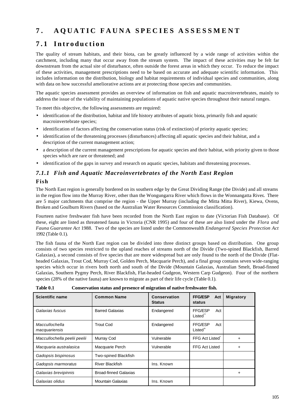# **7 . AQUATIC FAUNA SPE CIES ASSESSMENT**

# **7.1 Introduction**

The quality of stream habitats, and their biota, can be greatly influenced by a wide range of activities within the catchment, including many that occur away from the stream system. The impact of these activities may be felt far downstream from the actual site of disturbance, often outside the forest areas in which they occur. To reduce the impact of these activities, management prescriptions need to be based on accurate and adequate scientific information. This includes information on the distribution, biology and habitat requirements of individual species and communities, along with data on how successful ameliorative actions are at protecting those species and communities.

The aquatic species assessment provides an overview of information on fish and aquatic macroinvertebrates, mainly to address the issue of the viability of maintaining populations of aquatic native species throughout their natural ranges.

To meet this objective, the following assessments are required:

- identification of the distribution, habitat and life history attributes of aquatic biota, primarily fish and aquatic macroinvertebrate species;
- identification of factors affecting the conservation status (risk of extinction) of priority aquatic species;
- identification of the threatening processes (disturbances) affecting all aquatic species and their habitat, and a description of the current management action;
- a description of the current management prescriptions for aquatic species and their habitat, with priority given to those species which are rare or threatened; and
- identification of the gaps in survey and research on aquatic species, habitats and threatening processes.

## *7.1.1 Fish and Aquatic Macroinvertebrates of the North East Region*

#### **Fish**

The North East region is generally bordered on its southern edge by the Great Dividing Range (the Divide) and all streams in the region flow into the Murray River, other than the Wongungarra River which flows in the Wonnangatta River**.** There are 5 major catchments that comprise the region - the Upper Murray (including the Mitta Mitta River), Kiewa, Ovens, Broken and Goulburn Rivers (based on the Australian Water Resources Commission classification).

Fourteen native freshwater fish have been recorded from the North East region to date (Victorian Fish Database). Of these, eight are listed as threatened fauna in Victoria (CNR 1995) and four of these are also listed under the *Flora and Fauna Guarantee Act* 1988. Two of the species are listed under the Commonwealth *Endangered Species Protection Act* 1992 (Table 0.1).

The fish fauna of the North East region can be divided into three distinct groups based on distribution. One group consists of two species restricted to the upland reaches of streams north of the Divide (Two-spined Blackfish, Barred Galaxias), a second consists of five species that are more widespread but are only found to the north of the Divide (Flatheaded Galaxias, Trout Cod, Murray Cod, Golden Perch, Macquarie Perch), and a final group contains seven wide-ranging species which occur in rivers both north and south of the Divide (Mountain Galaxias, Australian Smelt, Broad-finned Galaxias, Southern Pygmy Perch, River Blackfish, Flat-headed Gudgeon, Western Carp Gudgeon).Four of the northern species (28% of the native fauna) are known to migrate as part of their life cycle (Table 0.1).

| 1 avit v.1                      | Consei valion status and presence of mighation of native if eshwater fish. |                                      |                                  |                  |
|---------------------------------|----------------------------------------------------------------------------|--------------------------------------|----------------------------------|------------------|
| <b>Scientific name</b>          | <b>Common Name</b>                                                         | <b>Conservation</b><br><b>Status</b> | <b>FFG/ESP</b><br>Act<br>status  | <b>Migratory</b> |
| Galaxias fuscus                 | <b>Barred Galaxias</b>                                                     | Endangered                           | <b>FFG/ESP</b><br>Act<br>Listed" |                  |
| Maccullochella<br>macquariensis | <b>Trout Cod</b>                                                           | Endangered                           | FFG/ESP<br>Act<br>$Listed+$      |                  |
| Maccullochella peelii peelii    | Murray Cod                                                                 | Vulnerable                           | FFG Act Listed                   | +                |
| Macquaria australasica          | Macquarie Perch                                                            | Vulnerable                           | <b>FFG Act Listed</b>            |                  |
| Gadopsis bispinosus             | Two-spined Blackfish                                                       |                                      |                                  |                  |
| Gadopsis marmoratus             | <b>River Blackfish</b>                                                     | Ins. Known                           |                                  |                  |
| Galaxias brevipinnis            | <b>Broad-finned Galaxias</b>                                               |                                      |                                  | ٠                |
| Galaxias olidus                 | <b>Mountain Galaxias</b>                                                   | Ins. Known                           |                                  |                  |

|  | Table 0.1 | Conservation status and presence of migration of native freshwater fish. |
|--|-----------|--------------------------------------------------------------------------|
|--|-----------|--------------------------------------------------------------------------|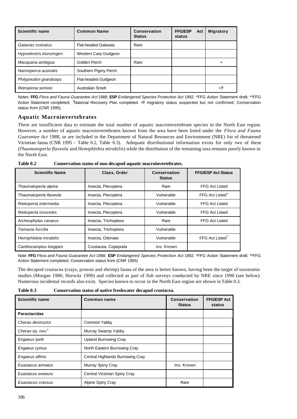| <b>Scientific name</b>   | <b>Common Name</b>      | Conservation<br><b>Status</b> | <b>FFG/ESP</b><br>Act<br>status | <b>Migratory</b> |
|--------------------------|-------------------------|-------------------------------|---------------------------------|------------------|
| Galaxias rostratus       | Flat-headed Galaxias    | Rare                          |                                 |                  |
| Hypseleotris klunzingeri | Western Carp Gudgeon    |                               |                                 |                  |
| Macquaria ambigua        | Golden Perch            | Rare                          |                                 | ٠                |
| Nannoperca australis     | Southern Pigmy Perch    |                               |                                 |                  |
| Philypnodon grandiceps   | Flat-headed Gudgeon     |                               |                                 |                  |
| Retropinna semoni        | <b>Australian Smelt</b> |                               |                                 | $+7$             |

Notes: **FFG** *Flora and Fauna Guarantee Act* 1988; **ESP** *Endangered Species Protection Act* 1992. \*FFG Action Statement draft; \*\*FFG Action Statement completed; +National Recovery Plan completed. +**?** migratory status suspected but not confirmed; Conservation status from (CNR 1995).

#### **Aquatic Macroinvertebrates**

There are insufficient data to estimate the total number of aquatic macroinvertebrate species in the North East region. However, a number of aquatic macroinvertebrates known from the area have been listed under the *Flora and Fauna Guarantee Act* 1988, or are included in the Department of Natural Resources and Environment (NRE) list of threatened Victorian fauna (CNR 1995 - Table 0.2, Table 0.3). Adequate distributional information exists for only two of these (*Thaumatoperla flaveola* and *Hemiphlebia mirabilis*) while the distribution of the remaining taxa remains poorly known in the North East.

| Table 0.2 | Conservation status of non-decapod aquatic macroinvertebrates. |
|-----------|----------------------------------------------------------------|
|-----------|----------------------------------------------------------------|

| <b>Scientific Name</b> | Class, Order         | Conservation<br><b>Status</b> | <b>FFG/ESP Act Status</b> |
|------------------------|----------------------|-------------------------------|---------------------------|
| Thaumatoperla alpina   | Insecta, Plecoptera  | Rare                          | FFG Act Listed            |
| Thaumatoperla flaveola | Insecta, Plecoptera  | Vulnerable                    | FFG Act Listed"           |
| Riekoperla intermedia  | Insecta, Plecoptera  | Vulnerable                    | FFG Act Listed            |
| Riekoperla isosceles   | Insecta, Plecoptera  | Vulnerable                    | <b>FFG Act Listed</b>     |
| Archeophylax canarus   | Insecta, Trichoptera | Rare                          | <b>FFG Act Listed</b>     |
| Tamasia furcilla       | Insecta, Trichoptera | Vulnerable                    |                           |
| Hemiphlebia mirabilis  | Insecta, Odonata     | Vulnerable                    | FFG Act Listed            |
| Canthocamptus longipes | Crustacea, Copepoda  | Ins. Known                    |                           |

Note: **FFG** *Flora and Fauna Guarantee Act* 1988; **ESP** *Endangered Species Protection Act* 1992. \*FFG Action Statement draft; \*\*FFG Action Statement completed, Conservation status from (CNR 1995)

The decapod crustacea (crays, prawns and shrimp) fauna of the area is better known, having been the target of taxonomic studies (Morgan 1986; Horwitz 1990) and collected as part of fish surveys conducted by NRE since 1990 (see below). Numerous incidental records also exist. Species known to occur in the North East region are shown in Table 0.3.

**Table 0.3 Conservation status of native freshwater decapod crustacea.**

| <b>Scientific name</b>       | Common name                      | Conservation<br><b>Status</b> | <b>FFG/ESP Act</b><br>status |
|------------------------------|----------------------------------|-------------------------------|------------------------------|
| Parastacidae                 |                                  |                               |                              |
| Cherax destructor            | Common Yabby                     |                               |                              |
| Cherax sp. nov. <sup>1</sup> | Murray Swamp Yabby               |                               |                              |
| Engaeus Iyelli               | <b>Upland Burrowing Cray</b>     |                               |                              |
| Engaeus cymus                | North Eastern Burrowing Cray     |                               |                              |
| Engaeus affinis              | Central Highlands Burrowing Cray |                               |                              |
| Euastacus armatus            | Murray Spiny Cray                | Ins. Known                    |                              |
| Euastacus woiwuru            | Central Victorian Spiny Cray     |                               |                              |
| Euastacus crassus            | Alpine Spiny Cray                | Rare                          |                              |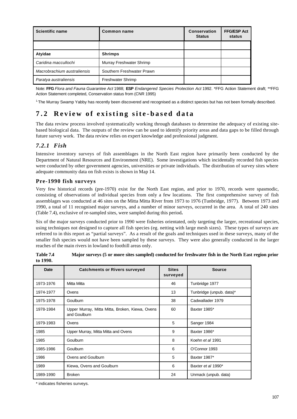| <b>Scientific name</b>      | Common name               | Conservation<br><b>Status</b> | <b>FFG/ESP Act</b><br>status |
|-----------------------------|---------------------------|-------------------------------|------------------------------|
|                             |                           |                               |                              |
| Atvidae                     | <b>Shrimps</b>            |                               |                              |
| Caridina maccullochi        | Murray Freshwater Shrimp  |                               |                              |
| Macrobrachium australiensis | Southern Freshwater Prawn |                               |                              |
| Paratya australiensis       | <b>Freshwater Shrimp</b>  |                               |                              |

Note: **FFG** *Flora and Fauna Guarantee Act* 1988; **ESP** *Endangered Species Protection Act* 1992. \*FFG Action Statement draft; \*\*FFG Action Statement completed, Conservation status from (CNR 1995)

<sup>1.</sup>The Murray Swamp Yabby has recently been discovered and recognised as a distinct species but has not been formally described.

# **7.2 Review of existing site-based data**

The data review process involved systematically working through databases to determine the adequacy of existing sitebased biological data. The outputs of the review can be used to identify priority areas and data gaps to be filled through future survey work. The data review relies on expert knowledge and professional judgment.

## *7.2.1 Fish*

Intensive inventory surveys of fish assemblages in the North East region have primarily been conducted by the Department of Natural Resources and Environment (NRE). Some investigations which incidentally recorded fish species were conducted by other government agencies, universities or private individuals. The distribution of survey sites where adequate community data on fish exists is shown in Map 14.

## **Pre-1990 fish surveys**

Very few historical records (pre-1970) exist for the North East region, and prior to 1970, records were spasmodic, consisting of observations of individual species from only a few locations.The first comprehensive survey of fish assemblages was conducted at 46 sites on the Mitta Mitta River from 1973 to 1976 (Tunbridge, 1977).Between 1973 and 1990, a total of 11 recognised major surveys, and a number of minor surveys, occurred in the area. A total of 240 sites (Table 7.4), exclusive of re-sampled sites, were sampled during this period**.**

Six of the major surveys conducted prior to 1990 were fisheries orientated, only targeting the larger, recreational species, using techniques not designed to capture all fish species (eg. netting with large mesh sizes). These types of surveys are referred to in this report as "partial surveys". As a result of the goals and techniques used in these surveys, many of the smaller fish species would not have been sampled by these surveys. They were also generally conducted in the larger reaches of the main rivers in lowland to foothill areas only.

| Date      | <b>Catchments or Rivers surveyed</b>                            | <b>Sites</b><br>surveyed | <b>Source</b>            |
|-----------|-----------------------------------------------------------------|--------------------------|--------------------------|
| 1973-1976 | Mitta Mitta                                                     | 46                       | Tunbridge 1977           |
| 1974-1977 | Ovens                                                           | 13                       | Tunbridge (unpub. data)* |
| 1975-1978 | Goulburn                                                        | 38                       | Cadwallader 1979         |
| 1978-1984 | Upper Murray, Mitta Mitta, Broken, Kiewa, Ovens<br>and Goulburn | 60                       | Baxter 1985*             |
| 1979-1983 | Ovens                                                           | 5                        | Sanger 1984              |
| 1985      | Upper Murray, Mitta Mitta and Ovens                             | 9                        | Baxter 1986*             |
| 1985      | Goulburn                                                        | 8                        | Koehn et al 1991         |
| 1985-1986 | Goulburn                                                        | 6                        | O'Connor 1993            |
| 1986      | Ovens and Goulburn                                              | 5                        | Baxter 1987*             |
| 1989      | Kiewa, Ovens and Goulburn                                       | 6                        | Baxter et al 1990*       |
| 1989-1990 | <b>Broken</b>                                                   | 24                       | Unmack (unpub. data)     |

| Table 7.4 | Major surveys (5 or more sites sampled) conducted for freshwater fish in the North East region prior |
|-----------|------------------------------------------------------------------------------------------------------|
| to 1990.  |                                                                                                      |

\* indicates fisheries surveys.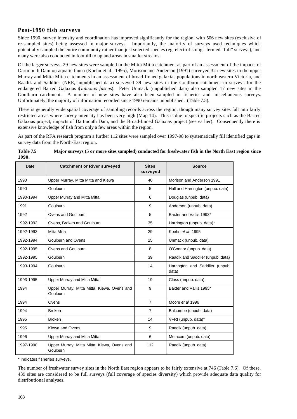#### **Post-1990 fish surveys**

Since 1990, survey intensity and coordination has improved significantly for the region, with 506 new sites (exclusive of re-sampled sites) being assessed in major surveys. Importantly, the majority of surveys used techniques which potentially sampled the entire community rather than just selected species (eg. electrofishing - termed "full" surveys), and many were also conducted in foothill to upland areas in smaller streams.

Of the larger surveys, 29 new sites were sampled in the Mitta Mitta catchment as part of an assessment of the impacts of Dartmouth Dam on aquatic fauna (Koehn et al., 1995), Morison and Anderson (1991) surveyed 32 new sites in the upper Murray and Mitta Mitta catchments in an assessment of broad-finned galaxias populations in north eastern Victoria, and Raadik and Saddlier (NRE, unpublished data) surveyed 39 new sites in the Goulburn catchment in surveys for the endangered Barred Galaxias (*Galaxias fuscus*). Peter Unmack (unpublished data) also sampled 17 new sites in the Goulburn catchment. A number of new sites have also been sampled in fisheries and miscellaneous surveys. Unfortunately, the majority of information recorded since 1990 remains unpublished. (Table 7.5).

There is generally wide spatial coverage of sampling records across the region, though many survey sites fall into fairly restricted areas where survey intensity has been very high (Map 14). This is due to specific projects such as the Barred Galaxias project, impacts of Dartmouth Dam, and the Broad-finned Galaxias project (see earlier). Consequently there is extensive knowledge of fish from only a few areas within the region.

As part of the RFA research program a further 112 sites were sampled over 1997-98 to systematically fill identified gaps in survey data from the North-East region.

| <b>Date</b> | <b>Catchment or River surveyed</b>                      | <b>Sites</b><br>surveyed | <b>Source</b>                            |
|-------------|---------------------------------------------------------|--------------------------|------------------------------------------|
| 1990        | Upper Murray, Mitta Mitta and Kiewa                     | 40                       | Morison and Anderson 1991                |
| 1990        | Goulburn                                                | 5                        | Hall and Harrington (unpub. data)        |
| 1990-1994   | Upper Murray and Mitta Mitta                            | 6                        | Douglas (unpub. data)                    |
| 1991        | Goulburn                                                | 9                        | Anderson (unpub. data)                   |
| 1992        | Ovens and Goulburn                                      | 5                        | Baxter and Vallis 1993*                  |
| 1992-1993   | Ovens, Broken and Goulburn                              | 35                       | Harrington (unpub. data)*                |
| 1992-1993   | Mitta Mitta                                             | 29                       | Koehn et al. 1995                        |
| 1992-1994   | Goulburn and Ovens                                      | 25                       | Unmack (unpub. data)                     |
| 1992-1995   | Ovens and Goulburn                                      | 8                        | O'Connor (unpub. data)                   |
| 1992-1995   | Goulburn                                                | 39                       | Raadik and Saddlier (unpub. data)        |
| 1993-1994   | Goulburn                                                | 14                       | Harrington and Saddlier (unpub.<br>data) |
| 1993-1995   | Upper Murray and Mitta Mitta                            | 19                       | Closs (unpub. data)                      |
| 1994        | Upper Murray, Mitta Mitta, Kiewa, Ovens and<br>Goulburn | 9                        | Baxter and Vallis 1995*                  |
| 1994        | Ovens                                                   | $\overline{7}$           | Moore et al 1996                         |
| 1994        | <b>Broken</b>                                           | $\overline{7}$           | Balcombe (unpub. data)                   |
| 1995        | <b>Broken</b>                                           | 14                       | VFRI (unpub. data)*                      |
| 1995        | Kiewa and Ovens                                         | 9                        | Raadik (unpub. data)                     |
| 1996        | Upper Murray and Mitta Mitta                            | 6                        | Metacom (unpub. data)                    |
| 1997-1998   | Upper Murray, Mitta Mitta, Kiewa, Ovens and<br>Goulburn | 112                      | Raadik (unpub. data)                     |

| Table 7.5 | Major surveys (5 or more sites sampled) conducted for freshwater fish in the North East region since |
|-----------|------------------------------------------------------------------------------------------------------|
| 1990.     |                                                                                                      |

\* indicates fisheries surveys.

The number of freshwater survey sites in the North East region appears to be fairly extensive at 746 (Table 7.6). Of these, 439 sites are considered to be full surveys (full coverage of species diversity) which provide adequate data quality for distributional analyses.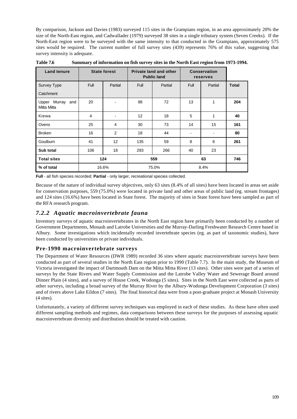By comparison, Jackson and Davies (1983) surveyed 115 sites in the Grampians region, in an area approximately 20% the size of the North-East region, and Cadwallader (1979) surveyed 38 sites in a single tributary system (Seven Creeks). If the North-East region were to be surveyed with the same intensity to that conducted in the Grampians, approximately 575 sites would be required. The current number of full survey sites (439) represents 76% of this value, suggesting that survey intensity is adequate.

| <b>Land tenure</b>              |             | <b>State forest</b> |             | <b>Private land and other</b><br><b>Public land</b> | <b>Conservation</b><br>reserves |         |              |  |
|---------------------------------|-------------|---------------------|-------------|-----------------------------------------------------|---------------------------------|---------|--------------|--|
| Survey Type                     | <b>Full</b> | Partial             | <b>Full</b> | Partial                                             |                                 | Partial | <b>Total</b> |  |
| Catchment                       |             |                     |             |                                                     |                                 |         |              |  |
| Upper Murray and<br>Mitta Mitta | 20          |                     | 98<br>72    |                                                     | 13                              | 1       | 204          |  |
| Kiewa                           | 4           |                     | 12<br>18    |                                                     | 5                               | 1       | 40           |  |
| Ovens                           | 25          | 4                   | 30<br>73    |                                                     | 14                              | 15      | 161          |  |
| <b>Broken</b>                   | 16          | 2                   | 18<br>44    |                                                     |                                 |         | 80           |  |
| Goulburn                        | 41          | 12                  | 135<br>59   |                                                     | 8                               | 6       | 261          |  |
| Sub total                       | 106         | 18                  | 293<br>266  |                                                     | 40                              | 23      |              |  |
| <b>Total sites</b>              |             | 124                 | 559         |                                                     |                                 | 746     |              |  |
| % of total                      |             | 16.6%               |             | 75.0%                                               |                                 | 8.4%    |              |  |

**Table 7.6 Summary of information on fish survey sites in the North East region from 1973-1994.**

**Full** - all fish species recorded; **Partial** - only larger, recreational species collected.

Because of the nature of individual survey objectives, only 63 sites (8.4% of all sites) have been located in areas set aside for conservation purposes, 559 (75.0%) were located in private land and other areas of public land (eg. stream frontages) and 124 sites (16.6%) have been located in State forest. The majority of sites in State forest have been sampled as part of the RFA research program.

## *7.2.2 Aquatic macroinvertebrate fauna*

Inventory surveys of aquatic macroinvertebrates in the North East region have primarily been conducted by a number of Government Departments, Monash and Latrobe Universities and the Murray-Darling Freshwater Research Centre based in Albury. Some investigations which incidentally recorded invertebrate species (eg. as part of taxonomic studies), have been conducted by universities or private individuals.

## **Pre-1990 macroinvertebrate surveys**

The Department of Water Resources (DWR 1989) recorded 36 sites where aquatic macroinvertebrate surveys have been conducted as part of several studies in the North East region prior to 1990 (Table 7.7). In the main study, the Museum of Victoria investigated the impact of Dartmouth Dam on the Mitta Mitta River (13 sites). Other sites were part of a series of surveys by the State Rivers and Water Supply Commission and the Latrobe Valley Water and Sewerage Board around Dinner Plain (4 sites), and a survey of House Creek, Wodonga (5 sites). Sites in the North East were collected as parts of other surveys, including a broad survey of the Murray River by the Albury-Wodonga Development Corporation (3 sites) and of rivers above Lake Eildon (7 sites). The final historical data were from a post-graduate project at Monash University (4 sites).

Unfortunately, a variety of different survey techniques was employed in each of these studies. As these have often used different sampling methods and regimes, data comparisons between these surveys for the purposes of assessing aquatic macroinvertebrate diversity and distribution should be treated with caution.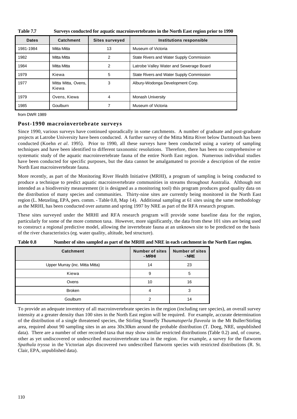| <b>Table 7.7</b> | Surveys conducted for aquatic macroinvertebrates in the North East region prior to 1990 |
|------------------|-----------------------------------------------------------------------------------------|
|------------------|-----------------------------------------------------------------------------------------|

| <b>Dates</b> | Catchment                    | <b>Sites surveyed</b> | Institutions responsible                 |
|--------------|------------------------------|-----------------------|------------------------------------------|
| 1981-1984    | Mitta Mitta                  | 13                    | Museum of Victoria                       |
| 1982         | Mitta Mitta                  | 2                     | State Rivers and Water Supply Commission |
| 1984         | Mitta Mitta                  | 2                     | Latrobe Valley Water and Sewerage Board  |
| 1979         | Kiewa                        | 5                     | State Rivers and Water Supply Commission |
| 1977         | Mitta Mitta, Ovens,<br>Kiewa | 3                     | Albury-Wodonga Development Corp.         |
| 1979         | Ovens, Kiewa                 | 4                     | Monash University                        |
| 1985         | Goulburn                     |                       | Museum of Victoria                       |

from DWR 1989

#### **Post-1990 macroinvertebrate surveys**

Since 1990, various surveys have continued sporadically in some catchments. A number of graduate and post-graduate projects at Latrobe University have been conducted. A further survey of the Mitta Mitta River below Dartmouth has been conducted (Koehn *et al*. 1995). Prior to 1990, all these surveys have been conducted using a variety of sampling techniques and have been identified to different taxonomic resolutions. Therefore, there has been no comprehensive or systematic study of the aquatic macroinvertebrate fauna of the entire North East region. Numerous individual studies have been conducted for specific purposes, but the data cannot be amalgamated to provide a description of the entire North East macroinvertebrate fauna.

More recently, as part of the Monitoring River Health Initiative (MRHI), a program of sampling is being conducted to produce a technique to predict aquatic macroinvertebrate communities in streams throughout Australia. Although not intended as a biodiversity measurement (it is designed as a monitoring tool) this program produces good quality data on the distribution of many species and communities. Thirty-nine sites are currently being monitored in the North East region (L. Metzeling, EPA, pers. comm. - Table 0.8, Map 14). Additional sampling at 61 sites using the same methodology as the MRHI, has been conducted over autumn and spring 1997 by NRE as part of the RFA research program.

These sites surveyed under the MRHI and RFA research program will provide some baseline data for the region, particularly for some of the more common taxa. However, more significantly, the data from these 101 sites are being used to construct a regional predictive model, allowing the invertebrate fauna at an unknown site to be predicted on the basis of the river characteristics (eg. water quality, altitude, bed structure).

| <b>Catchment</b>                | <b>Number of sites</b><br>- MRHI | <b>Number of sites</b><br>- NRE |
|---------------------------------|----------------------------------|---------------------------------|
| Upper Murray (inc. Mitta Mitta) | 14                               | 23                              |
| Kiewa                           | 9                                | 5                               |
| Ovens                           | 10                               | 16                              |
| <b>Broken</b>                   | 4                                | 3                               |
| Goulburn                        | າ                                | 14                              |

| Table 0.8 |  | Number of sites sampled as part of the MRHI and NRE in each catchment in the North East region. |
|-----------|--|-------------------------------------------------------------------------------------------------|
|           |  |                                                                                                 |

To provide an adequate inventory of all macroinvertebrate species in the region (including rare species), an overall survey intensity at a greater density than 100 sites in the North East region will be required. For example, accurate determination of the distribution of a single threatened species, the Stirling Stonefly *Thaumatoperla flaveola* in the Mt Buller/Stirling area, required about 90 sampling sites in an area 30x30km around the probable distribution (T. Doeg, NRE, unpublished data). There are a number of other recorded taxa that may show similar restricted distributions (Table 0.2) and, of course, other as yet undiscovered or undescribed macroinvertebrate taxa in the region. For example, a survey for the flatworm *Spathula tryssa* in the Victorian alps discovered two undescribed flatworm species with restricted distributions (R. St. Clair, EPA, unpublished data).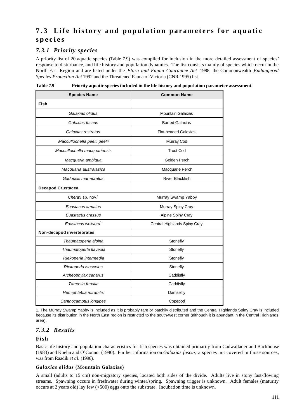# **7.3 Life history and population parameters for aquatic species**

## *7.3.1 Priority species*

A priority list of 20 aquatic species (Table 7.9) was compiled for inclusion in the more detailed assessment of species' response to disturbance, and life history and population dynamics. The list consists mainly of species which occur in the North East Region and are listed under the *Flora and Fauna Guarantee Act* 1988, the Commonwealth *Endangered Species Protection Act* 1992 and the Threatened Fauna of Victoria (CNR 1995) list.

| <b>Species Name</b>            | <b>Common Name</b>           |  |  |
|--------------------------------|------------------------------|--|--|
| Fish                           |                              |  |  |
| Galaxias olidus                | <b>Mountain Galaxias</b>     |  |  |
| Galaxias fuscus                | <b>Barred Galaxias</b>       |  |  |
| Galaxias rostratus             | <b>Flat-headed Galaxias</b>  |  |  |
| Maccullochella peelii peelii   | Murray Cod                   |  |  |
| Maccullochella macquariensis   | <b>Trout Cod</b>             |  |  |
| Macquaria ambigua              | Golden Perch                 |  |  |
| Macquaria australasica         | Macquarie Perch              |  |  |
| Gadopsis marmoratus            | <b>River Blackfish</b>       |  |  |
| <b>Decapod Crustacea</b>       |                              |  |  |
| Cherax sp. nov. <sup>1</sup>   | Murray Swamp Yabby           |  |  |
| Euastacus armatus              | Murray Spiny Cray            |  |  |
| Euastacus crassus              | Alpine Spiny Cray            |  |  |
| Euastacus woiwuru <sup>1</sup> | Central Highlands Spiny Cray |  |  |
| Non-decapod invertebrates      |                              |  |  |
| Thaumatoperla alpina           | Stonefly                     |  |  |
| Thaumatoperla flaveola         | Stonefly                     |  |  |
| Riekoperla intermedia          | Stonefly                     |  |  |
| Riekoperla isosceles           | Stonefly                     |  |  |
| Archeophylax canarus           | Caddisfly                    |  |  |
| Tamasia furcilla               | Caddisfly                    |  |  |
| Hemiphlebia mirabilis          | Damselfly                    |  |  |
| Canthocamptus longipes         | Copepod                      |  |  |

**Table 7.9 Priority aquatic species included in the life history and population parameter assessment.**

1. The Murray Swamp Yabby is included as it is probably rare or patchily distributed and the Central Highlands Spiny Cray is included because its distribution in the North East region is restricted to the south-west corner (although it is abundant in the Central Highlands area).

## *7.3.2 Results*

## **Fish**

Basic life history and population characteristics for fish species was obtained primarily from Cadwallader and Backhouse (1983) and Koehn and O'Connor (1990). Further information on *Galaxias fuscus*, a species not covered in those sources, was from Raadik *et al.* (1996).

#### *Galaxias olidus* **(Mountain Galaxias)**

A small (adults to 15 cm) non-migratory species, located both sides of the divide. Adults live in stony fast-flowing streams. Spawning occurs in freshwater during winter/spring. Spawning trigger is unknown. Adult females (maturity occurs at 2 years old) lay few (<500) eggs onto the substrate. Incubation time is unknown.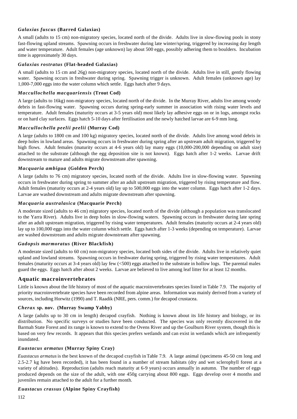#### *Galaxias fuscus* **(Barred Galaxias)**

A small (adults to 15 cm) non-migratory species, located north of the divide. Adults live in slow-flowing pools in stony fast-flowing upland streams. Spawning occurs in freshwater during late winter/spring, triggered by increasing day length and water temperature. Adult females (age unknown) lay about 500 eggs, possibly adhering them to boulders. Incubation time is approximately 30 days.

#### *Galaxias rostratus* **(Flat-headed Galaxias)**

A small (adults to 15 cm and 26g) non-migratory species, located north of the divide. Adults live in still, gently flowing water. Spawning occurs in freshwater during spring. Spawning trigger is unknown. Adult females (unknown age) lay 1,000-7,000 eggs into the water column which settle. Eggs hatch after 9 days.

#### *Maccullochella macquariensis* **(Trout Cod)**

A large (adults to 16kg) non-migratory species, located north of the divide. In the Murray River, adults live among woody debris in fast-flowing water. Spawning occurs during spring-early summer in association with rising water levels and temperature. Adult females (maturity occurs at 3-5 years old) most likely lay adhesive eggs on or in logs, amongst rocks or on hard clay surfaces. Eggs hatch 5-10 days after fertilisation and the newly hatched larvae are 6-9 mm long.

### *Maccullochella peelii peelii* **(Murray Cod)**

A large (adults to 1800 cm and 100 kg) migratory species, located north of the divide. Adults live among wood debris in deep holes in lowland areas. Spawning occurs in freshwater during spring after an upstream adult migration, triggered by high flows. Adult females (maturity occurs at 4-6 years old) lay many eggs (10,000-200,000 depending on adult size) attached to the substrate (although the egg deposition site is not known). Eggs hatch after 1-2 weeks. Larvae drift downstream to mature and adults migrate downstream after spawning.

### *Macquaria ambigua* **(Golden Perch)**

A large (adults to 76 cm) migratory species, located north of the divide. Adults live in slow-flowing water. Spawning occurs in freshwater during spring to summer after an adult upstream migration, triggered by rising temperature and flow. Adult females (maturity occurs at 2-4 years old) lay up to 500,000 eggs into the water column. Eggs hatch after 1-2 days. Larvae are washed downstream and adults migrate downstream after spawning.

### *Macquaria australasica* **(Macquarie Perch)**

A moderate sized (adults to 46 cm) migratory species, located north of the divide (although a population was translocated to the Yarra River). Adults live in deep holes in slow-flowing waters. Spawning occurs in freshwater during late spring after an adult upstream migration, triggered by rising water temperatures. Adult females (maturity occurs at 2-4 years old) lay up to 100,000 eggs into the water column which settle. Eggs hatch after 1-3 weeks (depending on temperature). Larvae are washed downstream and adults migrate downstream after spawning.

#### *Gadopsis marmoratus* **(River Blackfish)**

A moderate sized (adults to 60 cm) non-migratory species, located both sides of the divide. Adults live in relatively quiet upland and lowland streams. Spawning occurs in freshwater during spring, triggered by rising water temperatures. Adult females (maturity occurs at 3-4 years old) lay few (<500) eggs attached to the substrate in hollow logs. The parental males guard the eggs. Eggs hatch after about 2 weeks. Larvae are believed to live among leaf litter for at least 12 months.

## **Aquatic macroinvertebrates**

Little is known about the life history of most of the aquatic macroinvertebrates species listed in Table 7.9. The majority of priority macroinvertebrate species have been recorded from alpine areas. Information was mainly derived from a variety of sources, including Horwitz (1990) and T. Raadik (NRE, pers. comm.) for decapod crustacea.

#### *Cherax* **sp. nov. (Murray Swamp Yabby)**

A large (adults up to 30 cm in length) decapod crayfish. Nothing is known about its life history and biology, or its distribution. No specific surveys or studies have been conducted. The species was only recently discovered in the Barmah State Forest and its range is known to extend to the Ovens River and up the Goulburn River system, though this is based on very few records. It appears that this species prefers wetlands and can exist in wetlands which are infrequently inundated.

#### *Euastacus armatus* **(Murray Spiny Cray)**

*Euastacus armatus* is the best known of the decapod crayfish in Table 7.9. A large animal (specimens 45-50 cm long and 2.5-2.7 kg have been recorded), it has been found in a number of stream habitats (dry and wet sclerophyll forest at a variety of altitudes). Reproduction (adults reach maturity at 6-9 years) occurs annually in autumn. The number of eggs produced depends on the size of the adult, with one 450g carrying about 800 eggs. Eggs develop over 4 months and juveniles remain attached to the adult for a further month.

#### *Euastacus crassus* **(Alpine Spiny Crayfish)**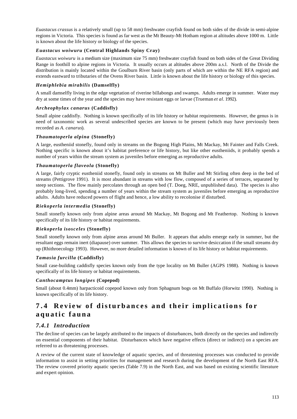*Euastacus crassus* is a relatively small (up to 58 mm) freshwater crayfish found on both sides of the divide in semi-alpine regions in Victoria. This species is found as far west as the Mt Beauty-Mt Hotham region at altitudes above 1000 m. Little is known about the life history or biology of the species.

#### *Euastacus woiwuru* **(Central Highlands Spiny Cray)**

*Euastacus woiwuru* is a medium size (maximum size 75 mm) freshwater crayfish found on both sides of the Great Dividing Range in foothill to alpine regions in Victoria. It usually occurs at altitudes above 200m a.s.l. North of the Divide the distribution is mainly located within the Goulburn River basin (only parts of which are within the NE RFA region) and extends eastward to tributaries of the Ovens River basin. Little is known about the life history or biology of this species.

#### *Hemiphlebia mirabilis* **(Damselfly)**

A small damselfly living in the edge vegetation of riverine billabongs and swamps. Adults emerge in summer. Water may dry at some times of the year and the species may have resistant eggs or larvae (Trueman *et al*. 1992).

#### *Archeophylax canarus* **(Caddisfly)**

Small alpine caddisfly. Nothing is known specifically of its life history or habitat requirements. However, the genus is in need of taxonomic work as several undescribed species are known to be present (which may have previously been recorded as *A. canarus*).

#### *Thaumatoperla alpina* **(Stonefly)**

A large, eustheniid stonefly, found only in streams on the Bogong High Plains, Mt Mackay, Mt Fainter and Falls Creek. Nothing specific is known about it's habitat preference or life history, but like other eustheniids, it probably spends a number of years within the stream system as juveniles before emerging as reproductive adults.

#### *Thaumatoperla flaveola* **(Stonefly)**

A large, fairly cryptic eustheniid stonefly, found only in streams on Mt Buller and Mt Stirling often deep in the bed of streams (Pettigrove 1991). It is most abundant in streams with low flow, composed of a series of terraces, separated by steep sections. The flow mainly percolates through an open bed (T. Doeg, NRE, unpublished data). The species is also probably long-lived, spending a number of years within the stream system as juveniles before emerging as reproductive adults. Adults have reduced powers of flight and hence, a low ability to recolonise if disturbed.

#### *Riekoperla intermedia* **(Stonefly)**

Small stonefly known only from alpine areas around Mt Mackay, Mt Bogong and Mt Feathertop. Nothing is known specifically of its life history or habitat requirements.

#### *Riekoperla isosceles* **(Stonefly)**

Small stonefly known only from alpine areas around Mt Buller. It appears that adults emerge early in summer, but the resultant eggs remain inert (diapause) over summer. This allows the species to survive desiccation if the small streams dry up (Rhithroecology 1993). However, no more detailed information is known of its life history or habitat requirements.

#### *Tamasia furcilla* **(Caddisfly)**

Small case-building caddisfly species known only from the type locality on Mt Buller (AGPS 1988). Nothing is known specifically of its life history or habitat requirements.

#### *Canthocamptus longipes* **(Copepod)**

Small (about 0.4mm) harpacticoid copepod known only from Sphagnum bogs on Mt Buffalo (Horwitz 1990). Nothing is known specifically of its life history.

# **7.4 Review of disturbances and their implications fo r aquatic fauna**

## *7.4.1 Introduction*

The decline of species can be largely attributed to the impacts of disturbances, both directly on the species and indirectly on essential components of their habitat. Disturbances which have negative effects (direct or indirect) on a species are referred to as threatening processes.

A review of the current state of knowledge of aquatic species, and of threatening processes was conducted to provide information to assist in setting priorities for management and research during the development of the North East RFA. The review covered priority aquatic species (Table 7.9) in the North East, and was based on existing scientific literature and expert opinion.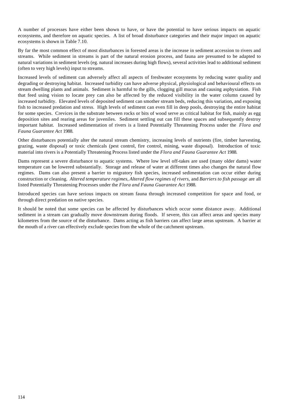A number of processes have either been shown to have, or have the potential to have serious impacts on aquatic ecosystems, and therefore on aquatic species. A list of broad disturbance categories and their major impact on aquatic ecosystems is shown in Table 7.10.

By far the most common effect of most disturbances in forested areas is the increase in sediment accession to rivers and streams. While sediment in streams is part of the natural erosion process, and fauna are presumed to be adapted to natural variations in sediment levels (eg. natural increases during high flows), several activities lead to additional sediment (often to very high levels) input to streams.

Increased levels of sediment can adversely affect all aspects of freshwater ecosystems by reducing water quality and degrading or destroying habitat. Increased turbidity can have adverse physical, physiological and behavioural effects on stream dwelling plants and animals. Sediment is harmful to the gills, clogging gill mucus and causing asphyxiation. Fish that feed using vision to locate prey can also be affected by the reduced visibility in the water column caused by increased turbidity. Elevated levels of deposited sediment can smother stream beds, reducing this variation, and exposing fish to increased predation and stress. High levels of sediment can even fill in deep pools, destroying the entire habitat for some species. Crevices in the substrate between rocks or bits of wood serve as critical habitat for fish, mainly as egg deposition sites and rearing areas for juveniles. Sediment settling out can fill these spaces and subsequently destroy important habitat. Increased sedimentation of rivers is a listed Potentially Threatening Process under the *Flora and Fauna Guarantee Act* 1988.

Other disturbances potentially alter the natural stream chemistry, increasing levels of nutrients (fire, timber harvesting, grazing, waste disposal) or toxic chemicals (pest control, fire control, mining, waste disposal). Introduction of toxic material into rivers is a Potentially Threatening Process listed under the *Flora and Fauna Guarantee Act* 1988.

Dams represent a severe disturbance to aquatic systems. Where low level off-takes are used (many older dams) water temperature can be lowered substantially. Storage and release of water at different times also changes the natural flow regimes. Dams can also present a barrier to migratory fish species, increased sedimentation can occur either during construction or cleaning. *Altered temperature regimes*, *Altered flow regimes of rivers*, and *Barriers to fish passage* are all listed Potentially Threatening Processes under the *Flora and Fauna Guarantee Act* 1988.

Introduced species can have serious impacts on stream fauna through increased competition for space and food, or through direct predation on native species.

It should be noted that some species can be affected by disturbances which occur some distance away. Additional sediment in a stream can gradually move downstream during floods. If severe, this can affect areas and species many kilometres from the source of the disturbance. Dams acting as fish barriers can affect large areas upstream. A barrier at the mouth of a river can effectively exclude species from the whole of the catchment upstream.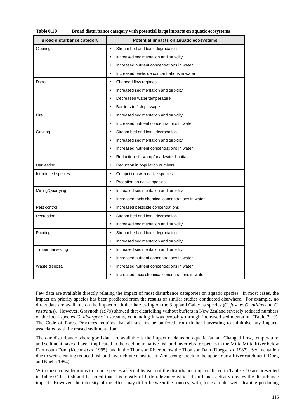| <b>Table 0.10</b> | Broad disturbance category with potential large impacts on aquatic ecosystems |
|-------------------|-------------------------------------------------------------------------------|
|-------------------|-------------------------------------------------------------------------------|

| <b>Broad disturbance category</b> | Potential impacts on aquatic ecosystems                       |
|-----------------------------------|---------------------------------------------------------------|
| Clearing                          | Stream bed and bank degradation<br>$\bullet$                  |
|                                   | Increased sedimentation and turbidity<br>$\bullet$            |
|                                   | Increased nutrient concentrations in water<br>$\bullet$       |
|                                   | Increased pesticide concentrations in water<br>$\bullet$      |
| Dams                              | Changed flow regimes<br>$\bullet$                             |
|                                   | Increased sedimentation and turbidity<br>$\bullet$            |
|                                   | Decreased water temperature<br>$\bullet$                      |
|                                   | Barriers to fish passage<br>$\bullet$                         |
| Fire                              | Increased sedimentation and turbidity<br>$\bullet$            |
|                                   | Increased nutrient concentrations in water<br>$\bullet$       |
| Grazing                           | Stream bed and bank degradation<br>$\bullet$                  |
|                                   | Increased sedimentation and turbidity<br>$\bullet$            |
|                                   | Increased nutrient concentrations in water<br>$\bullet$       |
|                                   | Reduction of swamp/headwater habitat<br>$\bullet$             |
| Harvesting                        | Reduction in population numbers<br>$\bullet$                  |
| Introduced species                | Competition with native species<br>$\bullet$                  |
|                                   | Predation on native species<br>$\bullet$                      |
| Mining/Quarrying                  | Increased sedimentation and turbidity<br>$\bullet$            |
|                                   | Increased toxic chemical concentrations in water<br>$\bullet$ |
| Pest control                      | Increased pesticide concentrations<br>$\bullet$               |
| Recreation                        | Stream bed and bank degradation<br>$\bullet$                  |
|                                   | Increased sedimentation and turbidity<br>$\bullet$            |
| Roading                           | Stream bed and bank degradation<br>$\bullet$                  |
|                                   | Increased sedimentation and turbidity<br>$\bullet$            |
| Timber harvesting                 | Increased sedimentation and turbidity<br>$\bullet$            |
|                                   | Increased nutrient concentrations in water<br>$\bullet$       |
| Waste disposal                    | Increased nutrient concentrations in water<br>٠               |
|                                   | Increased toxic chemical concentrations in water              |

Few data are available directly relating the impact of most disturbance categories on aquatic species. In most cases, the impact on priority species has been predicted from the results of similar studies conducted elsewhere. For example, no direct data are available on the impact of timber harvesting on the 3 upland Galaxias species (*G. fuscus*, *G. olidus* and *G. rostratus*). However, Graynoth (1979) showed that clearfelling without buffers in New Zealand severely reduced numbers of the local species *G. divergens* in streams, concluding it was probably through increased sedimentation (Table 7.10). The Code of Forest Practices requires that all streams be buffered from timber harvesting to minimise any impacts associated with increased sedimentation.

The one disturbance where good data are available is the impact of dams on aquatic fauna. Changed flow, temperature and sediment have all been implicated in the decline in native fish and invertebrate species in the Mitta Mitta River below Dartmouth Dam (Koehn *et al*. 1995), and in the Thomson River below the Thomson Dam (Doeg *et al*. 1987). Sedimentation due to weir cleaning reduced fish and invertebrate densities in Armstrong Creek in the upper Yarra River catchment (Doeg and Koehn 1994).

With these considerations in mind, species affected by each of the disturbance impacts listed in Table 7.10 are presented in Table 0.11. It should be noted that it is mostly of little relevance which disturbance activity creates the disturbance impact. However, the intensity of the effect may differ between the sources, with, for example, weir cleaning producing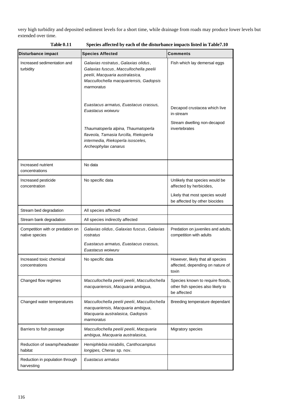very high turbidity and deposited sediment levels for a short time, while drainage from roads may produce lower levels but extended over time.

| Disturbance impact                                 | <b>Species Affected</b>                                                                                                                                                   | Comments                                                                                  |  |  |
|----------------------------------------------------|---------------------------------------------------------------------------------------------------------------------------------------------------------------------------|-------------------------------------------------------------------------------------------|--|--|
| Increased sedimentation and<br>turbidity           | Galaxias rostratus, Galaxias olidus,<br>Galaxias fuscus, Maccullochella peelii<br>peelii, Macquaria australasica,<br>Maccullochella macquariensis, Gadopsis<br>marmoratus | Fish which lay demersal eggs                                                              |  |  |
|                                                    | Euastacus armatus, Euastacus crassus,<br>Euastacus woiwuru<br>Thaumatoperla alpina, Thaumatoperla                                                                         | Decapod crustacea which live<br>in-stream<br>Stream dwelling non-decapod<br>invertebrates |  |  |
|                                                    | flaveola, Tamasia furcilla, Riekoperla<br>intermedia, Riekoperla isosceles,<br>Archeophylax canarus                                                                       |                                                                                           |  |  |
| Increased nutrient<br>concentrations               | No data                                                                                                                                                                   |                                                                                           |  |  |
| Increased pesticide<br>concentration               | No specific data                                                                                                                                                          | Unlikely that species would be<br>affected by herbicides,                                 |  |  |
|                                                    |                                                                                                                                                                           | Likely that most species would<br>be affected by other biocides                           |  |  |
| Stream bed degradation                             | All species affected                                                                                                                                                      |                                                                                           |  |  |
| Stream bank degradation                            | All species indirectly affected                                                                                                                                           |                                                                                           |  |  |
| Competition with or predation on<br>native species | Galaxias olidus, Galaxias fuscus, Galaxias<br>rostratus                                                                                                                   | Predation on juveniles and adults,<br>competition with adults                             |  |  |
|                                                    | Euastacus armatus, Euastacus crassus,<br>Euastacus woiwuru                                                                                                                |                                                                                           |  |  |
| Increased toxic chemical<br>concentrations         | No specific data                                                                                                                                                          | However, likely that all species<br>affected, depending on nature of<br>toxin             |  |  |
| Changed flow regimes                               | Maccullochella peelii peelii, Maccullochella<br>macquariensis, Macquaria ambigua,                                                                                         | Species known to require floods,<br>other fish species also likely to<br>be affected      |  |  |
| Changed water temperatures                         | Maccullochella peelii peelii, Maccullochella<br>macquariensis, Macquaria ambigua,<br>Macquaria australasica, Gadopsis<br>marmoratus                                       | Breeding temperature dependant                                                            |  |  |
| Barriers to fish passage                           | Maccullochella peelii peelii, Macquaria<br>ambigua, Macquaria australasica,                                                                                               | Migratory species                                                                         |  |  |
| Reduction of swamp/headwater<br>habitat            | Hemiphlebia mirabilis, Canthocamptus<br>longipes, Cherax sp. nov.                                                                                                         |                                                                                           |  |  |
| Reduction in population through<br>harvesting      | Euastacus armatus                                                                                                                                                         |                                                                                           |  |  |

**Table 0.11 Species affected by each of the disturbance impacts listed in Table7.10**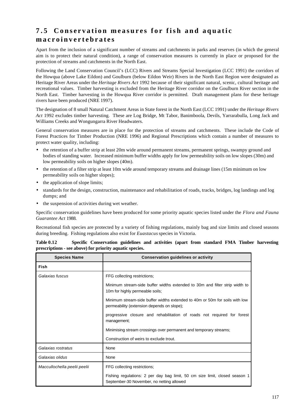# **7.5 Conservation measures for fish and aquatic macroinvertebrates**

Apart from the inclusion of a significant number of streams and catchments in parks and reserves (in which the general aim is to protect their natural condition), a range of conservation measures is currently in place or proposed for the protection of streams and catchments in the North East.

Following the Land Conservation Council's (LCC) Rivers and Streams Special Investigation (LCC 1991) the corridors of the Howqua (above Lake Eildon) and Goulburn (below Eildon Weir) Rivers in the North East Region were designated as Heritage River Areas under the *Heritage Rivers Act* 1992 because of their significant natural, scenic, cultural heritage and recreational values. Timber harvesting is excluded from the Heritage River corridor on the Goulburn River section in the North East. Timber harvesting in the Howqua River corridor is permitted. Draft management plans for these heritage rivers have been produced (NRE 1997).

The designation of 8 small Natural Catchment Areas in State forest in the North East (LCC 1991) under the *Heritage Rivers Act* 1992 excludes timber harvesting. These are Log Bridge, Mt Tabor, Banimboola, Devils, Yarrarabulla, Long Jack and Williams Creeks and Wongungarra River Headwaters.

General conservation measures are in place for the protection of streams and catchments. These include the Code of Forest Practices for Timber Production (NRE 1996) and Regional Prescriptions which contain a number of measures to protect water quality, including:

- the retention of a buffer strip at least 20m wide around permanent streams, permanent springs, swampy ground and bodies of standing water. Increased minimum buffer widths apply for low permeability soils on low slopes (30m) and low permeability soils on higher slopes (40m).
- the retention of a filter strip at least 10m wide around temporary streams and drainage lines (15m minimum on low permeability soils on higher slopes);
- the application of slope limits;
- standards for the design, construction, maintenance and rehabilitation of roads, tracks, bridges, log landings and log dumps; and
- the suspension of activities during wet weather.

Specific conservation guidelines have been produced for some priority aquatic species listed under the *Flora and Fauna Guarantee Act* 1988.

Recreational fish species are protected by a variety of fishing regulations, mainly bag and size limits and closed seasons during breeding. Fishing regulations also exist for *Euastacus* species in Victoria.

| <b>Species Name</b>          | <b>Conservation guidelines or activity</b>                                                                                |
|------------------------------|---------------------------------------------------------------------------------------------------------------------------|
| Fish                         |                                                                                                                           |
| Galaxias fuscus              | FFG collecting restrictions;                                                                                              |
|                              | Minimum stream-side buffer widths extended to 30m and filter strip width to<br>10m for highly permeable soils;            |
|                              | Minimum stream-side buffer widths extended to 40m or 50m for soils with low<br>permeability (extension depends on slope); |
|                              | progressive closure and rehabilitation of roads not required for forest<br>management;                                    |
|                              | Minimising stream crossings over permanent and temporary streams;                                                         |
|                              | Construction of weirs to exclude trout.                                                                                   |
| Galaxias rostratus           | None                                                                                                                      |
| Galaxias olidus              | None                                                                                                                      |
| Maccullochella peelii peelii | FFG collecting restrictions;                                                                                              |
|                              | Fishing regulations: 2 per day bag limit, 50 cm size limit, closed season 1<br>September-30 November, no netting allowed  |

| <b>Table 0.12</b>                                        | Specific Conservation guidelines and activities (apart from standard FMA Timber harvesting |  |  |  |  |  |
|----------------------------------------------------------|--------------------------------------------------------------------------------------------|--|--|--|--|--|
| prescriptions - see above) for priority aquatic species. |                                                                                            |  |  |  |  |  |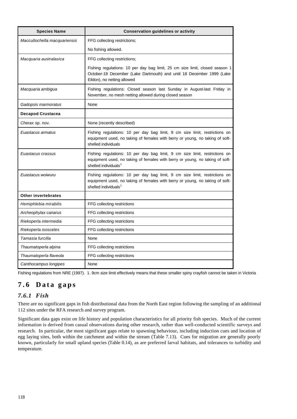| <b>Species Name</b>          | <b>Conservation guidelines or activity</b>                                                                                                                                                      |
|------------------------------|-------------------------------------------------------------------------------------------------------------------------------------------------------------------------------------------------|
| Maccullochella macquariensis | FFG collecting restrictions;                                                                                                                                                                    |
|                              | No fishing allowed.                                                                                                                                                                             |
| Macquaria australasica       | FFG collecting restrictions;                                                                                                                                                                    |
|                              | Fishing regulations: 10 per day bag limit, 25 cm size limit, closed season 1<br>October-18 December (Lake Dartmouth) and until 18 December 1999 (Lake<br>Eildon), no netting allowed            |
| Macquaria ambigua            | Fishing regulations: Closed season last Sunday in August-last Friday in<br>November, no mesh netting allowed during closed season                                                               |
| Gadopsis marmoratus          | None                                                                                                                                                                                            |
| <b>Decapod Crustacea</b>     |                                                                                                                                                                                                 |
| Cherax sp. nov.              | None (recently described)                                                                                                                                                                       |
| Euastacus armatus            | Fishing regulations: 10 per day bag limit, 9 cm size limit, restrictions on<br>equipment used, no taking of females with berry or young, no taking of soft-<br>shelled individuals              |
| Euastacus crassus            | Fishing regulations: 10 per day bag limit, 9 cm size limit, restrictions on<br>equipment used, no taking of females with berry or young, no taking of soft-<br>shelled individuals <sup>1</sup> |
| Euastacus woiwuru            | Fishing regulations: 10 per day bag limit, 9 cm size limit, restrictions on<br>equipment used, no taking of females with berry or young, no taking of soft-<br>shelled individuals <sup>1</sup> |
| <b>Other invertebrates</b>   |                                                                                                                                                                                                 |
| Hemiphlebia mirabilis        | FFG collecting restrictions                                                                                                                                                                     |
| Archeophylax canarus         | FFG collecting restrictions                                                                                                                                                                     |
| Riekoperla intermedia        | FFG collecting restrictions                                                                                                                                                                     |
| Riekoperla isosceles         | FFG collecting restrictions                                                                                                                                                                     |
| Tamasia furcilla             | None                                                                                                                                                                                            |
| Thaumatoperla alpina         | FFG collecting restrictions                                                                                                                                                                     |
| Thaumatoperla flaveola       | FFG collecting restrictions                                                                                                                                                                     |
| Canthocampus longipes        | None                                                                                                                                                                                            |

Fishing regulations from NRE (1997). 1. 9cm size limit effectively means that these smaller spiny crayfish cannot be taken in Victoria

# **7.6 Data gaps**

## *7.6.1 Fish*

There are no significant gaps in fish distributional data from the North East region following the sampling of an additional 112 sites under the RFA research and survey program.

Significant data gaps exist on life history and population characteristics for all priority fish species. Much of the current information is derived from casual observations during other research, rather than well-conducted scientific surveys and research. In particular, the most significant gaps relate to spawning behaviour, including induction cues and location of egg laying sites, both within the catchment and within the stream (Table 7.13). Cues for migration are generally poorly known, particularly for small upland species (Table 0.14), as are preferred larval habitats, and tolerances to turbidity and temperature.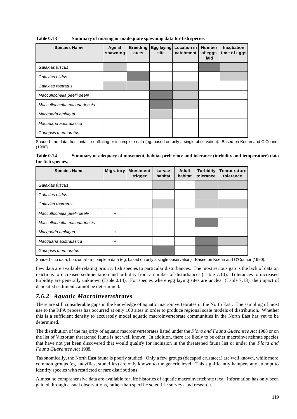**Table 0.13 Summary of missing or inadequate spawning data for fish species.**

| <b>Species Name</b>          | Age at<br>spawning | <b>Breeding</b><br>cues | Egg laying<br>site | <b>Location in</b><br>catchment | <b>Number</b><br>of eggs<br>laid | <b>Incubation</b><br>time of eggs |
|------------------------------|--------------------|-------------------------|--------------------|---------------------------------|----------------------------------|-----------------------------------|
| Galaxias fuscus              |                    |                         |                    |                                 |                                  |                                   |
| Galaxias olidus              |                    |                         |                    |                                 |                                  |                                   |
| Galaxias rostratus           |                    |                         |                    |                                 |                                  |                                   |
| Maccullochella peelii peelii |                    |                         |                    |                                 |                                  |                                   |
| Maccullochella macquariensis |                    |                         |                    |                                 |                                  |                                   |
| Macquaria ambigua            |                    |                         |                    |                                 |                                  |                                   |
| Macquaria australasica       |                    |                         |                    |                                 |                                  |                                   |
| Gadopsis marmoratus          |                    |                         |                    |                                 |                                  |                                   |

Shaded - no data; horizontal - conflicting or incomplete data (eg. based on only a single observation). Based on Koehn and O'Connor (1990).

**Table 0.14 Summary of adequacy of movement, habitat preference and tolerance (turbidity and temperature) data for fish species.**

| <b>Species Name</b>          | <b>Migratory</b> | <b>Movement</b><br>trigger | Larvae<br>habitat | Adult<br>habitat | <b>Turbidity</b><br>tolerance | Temperature<br>tolerance |
|------------------------------|------------------|----------------------------|-------------------|------------------|-------------------------------|--------------------------|
| Galaxias fuscus              |                  |                            |                   |                  |                               |                          |
| Galaxias olidus              |                  |                            |                   |                  |                               |                          |
| Galaxias rostratus           |                  |                            |                   |                  |                               |                          |
| Maccullochella peelii peelii | $\ddot{}$        |                            |                   |                  |                               |                          |
| Maccullochella macquariensis |                  |                            |                   |                  |                               |                          |
| Macquaria ambigua            | +                |                            |                   |                  |                               |                          |
| Macquaria australasica       | $\ddot{}$        |                            |                   |                  |                               |                          |
| Gadopsis marmoratus          |                  |                            |                   |                  |                               |                          |

Shaded - no data; horizontal - incomplete data (eg. based on only a single observation). Based on Koehn and O'Connor (1990).

Few data are available relating priority fish species to particular disturbances. The most serious gap is the lack of data on reactions to increased sedimentation and turbidity from a number of disturbances (Table 7.10). Tolerances to increased turbidity are generally unknown (Table 0.14). For species where egg laying sites are unclear (Table 7.13), the impact of deposited sediment cannot be determined.

## *7.6.2 Aquatic Macroinvertebrates*

There are still considerable gaps in the knowledge of aquatic macroinvertebrates in the North East. The sampling of most use to the RFA process has occurred at only 100 sites in order to produce regional scale models of distribution. Whether this is a sufficient density to accurately model aquatic macroinvertebrate communities in the North East has yet to be determined.

The distribution of the majority of aquatic macroinvertebrates listed under the *Flora and Fauna Guarantee Act* 1988 or on the list of Victorian threatened fauna is not well known. In addition, there are likely to be other macroinvertebrate species that have not yet been discovered that would qualify for inclusion in the threatened fauna list or under the *Flora and Fauna Guarantee Act* 1988.

Taxonomically, the North East fauna is poorly studied. Only a few groups (decapod crustacea) are well known, while more common groups (eg. mayflies, stoneflies) are only known to the generic level. This significantly hampers any attempt to identify species with restricted or rare distributions.

Almost no comprehensive data are available for life histories of aquatic macroinvertebrate taxa. Information has only been gained through casual observations, rather than specific scientific surveys and research.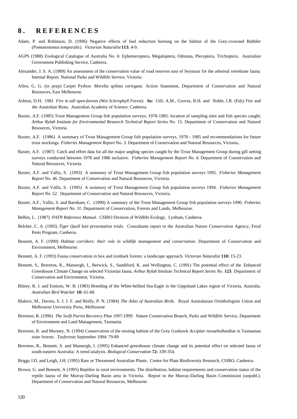## **8 . REFERENCES**

- Adam, P. and Robinson, D. (1996) Negative effects of fuel reduction burning on the habitat of the Grey-crowned Babbler (*Pomatostomus temporalis*). *Victorian Naturalist* **113:** 4-9.
- AGPS (1988) Zoological Catalogue of Australia No. 6: Ephemeroptera, Megaloptera, Odonata, Plecoptera, Trichoptera. Australian Government Publishing Service, Canberra.
- Alexander, J. S. A. (1989) An assessment of the conservation value of road reserves east of Seymour for the arboreal vertebrate fauna. Internal Report. National Parks and Wildlife Service, Victoria.
- Allen, G. G. (in prep) Carpet Python *Morelia spilota variegata*. Action Statement, Department of Conservation and Natural Resources, East Melbourne.
- Ashton, D.H. 1981 *Fire in tall open-forests (Wet Sclerophyll Forest)*. **In:** Gill, A.M., Groves, R.H. and Noble, I.R. (Eds) Fire and the Australian Biota. Australian Academy of Science: Canberra.
- Baxter, A.F. (1985) Trout Management Group fish population surveys, 1978-1985: location of sampling sites and fish species caught. *Arthur Rylah Institute for Environmental Research Technical Report Series No.* 15*.* Department of Conservation and Natural Resources, Victoria.
- Baxter, A.F. (1986) A summary of Trout Management Group fish population surveys, 1978 1985 and recommendations for future trout stockings. *Fisheries Management Report* No. 3. Department of Conservation and Natural Resources, Victoria..
- Baxter, A.F. (1987) Catch and effort data for all the major angling species caught by the Trout Management Group during gill netting surveys conducted between 1978 and 1986 inclusive. *Fisheries Management Report No. 6*. Department of Conservation and Natural Resources, Victoria.
- Baxter, A.F. and Vallis, S. (1993) A summary of Trout Management Group fish population surveys 1992. *Fisheries Management Report* No. 46. Department of Conservation and Natural Resources, Victoria.
- Baxter, A.F. and Vallis, S. (1995) A summary of Trout Management Group fish population surveys 1994. *Fisheries Management Report No. 52*. Department of Conservation and Natural Resources, Victoria.
- Baxter, A.F., Vallis, S. and Barnham, C. (1990) A summary of the Trout Management Group fish population surveys 1990. *Fisheries Management Report No. 31*. Department of Conservation, Forests and Lands, Melbourne.
- Belbin, L. (1987) *PATN Reference Manual*. CSIRO Division of Wildlife Ecology, Lynham, Canberra.
- Belcher, C. A. (1995) *Tiger Quoll bait presentation trials.* Consultants report to the Australian Nature Conservation Agency, Feral Pests Program, Canberra.
- Bennett, A. F. (1990) *Habitat corridors: their role in wildlife management and conservation.* Department of Conservation and Environment, Melbourne.
- Bennett, A. F. (1993) Fauna conservation in box and ironbark forests: a landscape approach. *Victorian Naturalist* **110:** 15-23.
- Bennett, S., Brereton, R., Mansergh, I., Berwick, S., Sandiford, K. and Wellington, C. (1991) The potential effect of the Enhanced Greenhouse Climate Change on selected Victorian fauna*. Arthur Rylah Institute Technical Report Series No.* **123**. Department of Conservation and Environment, Victoria.
- Bilney, R. J. and Emison, W. B. (1983) Breeding of the White-bellied Sea-Eagle in the Gippsland Lakes region of Victoria, Australia. *Australian Bird Watcher* **10:** 61-68.
- Blakers, M., Davies, S. J. J. F. and Reilly, P. N. (1984) *The Atlas of Australian Birds.* Royal Australasian Ornithologists Union and Melbourne University Press, Melbourne
- Brereton, R. (1996) *The Swift Parrot Recovery Plan 1997-1999*. Nature Conservation Branch, Parks and Wildlife Service, Department of Environment and Land Management, Tasmania.
- Brereton, R. and Mooney, N. (1994) Conservation of the nesting habitat of the Grey Goshawk *Accipiter novaehollandiae* in Tasmanian state forests. *Tasforests* September 1994: 79-89
- Brereton, R., Bennett, S. and Mansergh, I. (1995) Enhanced greenhouse climate change and its potential effect on selected fauna of south-eastern Australia: A trend analysis. *Biological Conservation* **72:** 339-354.
- Briggs J.D. and Leigh, J.H. (1995) Rare or Threatened Australian Plants. Centre for Plant Biodiversity Research, CSIRO, Canberra.
- Brown, G. and Bennett, A (1995) Reptiles in rural environments. The distribution, habitat requirements and conservation status of the reptile fauna of the Murray-Darling Basin area in Victoria. Report to the Murray-Darling Basin Commission (unpubl.). Department of Conservation and Natural Resources, Melbourne.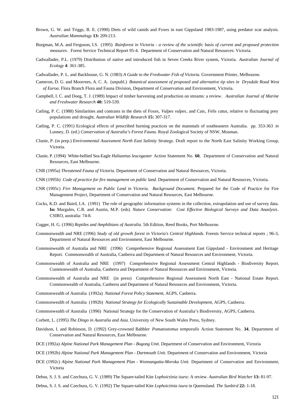- Brown, G. W. and Triggs, B. E. (1990) Diets of wild canids and Foxes in east Gippsland 1983-1987, using predator scat analysis. *Australian Mammalogy* **13:** 209-213.
- Burgman, M.A. and Ferguson, I.S. (1995) *Rainforest in Victoria a review of the scientific basis of current and proposed protection measures*. Forest Service Technical Report 95-4. Department of Conservation and Natural Resources: Victoria.
- Cadwallader, P.L. (1979) Distribution of native and introduced fish in Seven Creeks River system, Victoria. *Australian Journal of Ecology* **4**: 361-385.
- Cadwallader, P. L. and Backhouse, G. N. (1983) *A Guide to the Freshwater Fish of Victoria.* Government Printer, Melbourne.
- Cameron, D. G. and Moorrees, A. C. A. (unpubl.) *Botanical assessment of proposed and alternative tip sites in Drysdale Road West of Euroa*. Flora Branch Flora and Fauna Division, Department of Conservation and Environment, Victoria.
- Campbell, I. C. and Doeg, T. J. (1989) Impact of timber harvesting and production on streams: a review*. Australian Journal of Marine and Freshwater Research* **40:** 519-539.
- Catling, P. C. (1988) Similarities and contrasts in the diets of Foxes, *Vulpes vulpes*, and Cats, *Felis catus*, relative to fluctuating prey populations and drought. *Australian Wildlife Research* **15:** 307-317.
- Catling, P. C. (1991) Ecological effects of prescribed burning practices on the mammals of southeastern Australia. pp. 353-363 *in* Lunney, D. (ed.) *Conservation of Australia's Forest Fauna*. Royal Zoological Society of NSW, Mosman.
- Clunie, P. (in prep.) *Environmental Assessment North East Salinity Strategy*. Draft report to the North East Salinity Working Group, Victoria.
- Clunie, P. (1994) White-bellied Sea-Eagle *Haliaeetus leucogaster* Action Statement No. **60**, Department of Conservation and Natural Resources, East Melbourne.
- CNR (1995a) *Threatened Fauna of Victoria.* Department of Conservation and Natural Resources, Victoria.
- CNR (1995b) *Code of practice for fire management on public land*. Department of Conservation and Natural Resources, Victoria.
- CNR (1995c) *Fire Management on Public Land in Victoria. Background Document.* Prepared for the Code of Practice for Fire Management Project, Department of Conservation and Natural Resources, East Melbourne.
- Cocks, K.D. and Baird, I.A. (1991) The role of geographic information systems in the collection, extrapolation and use of survey data. **In:** Margules, C.R. and Austin, M.P. (eds) *Nature Conservation: Cost Effective Biological Surveys and Data Anaslysis*. CSIRO, australia: 74-8.
- Cogger, H. G. (1996) *Reptiles and Amphibians of Australia*. 5th Edition, Reed Books, Port Melbourne.
- Commonwealth and NRE (1996) *Study of old growth forest in Victoria's Central Highlands*. Forests Service technical reports ; 96-3, Department of Natural Resources and Environment, East Melbourne.
- Commonwealth of Australia and NRE (1996) Comprehensive Regional Assessment East Gippsland Environment and Heritage Report. Commonwealth of Australia, Canberra and Department of Natural Resources and Environment, Victoria.
- Commonwealth of Australia and NRE (1997) Comprehensive Regional Assessment Central Highlands Biodiversity Report. Commonwealth of Australia, Canberra and Department of Natural Resources and Environment, Victoria.
- Commonwealth of Australia and NRE (in press) Comprehensive Regional Assessment North East National Estate Report. Commonwealth of Australia, Canberra and Department of Natural Resources and Environment, Victoria.
- Commonwealth of Australia (1992a) *National Forest Policy Statement*, AGPS, Canberra.
- Commonwealth of Australia (1992b) *National Strategy for Ecologically Sustainable Development*, AGPS, Canberra.
- Commonwealth of Australia (1996) National Strategy for the Conservation of Australia's Biodiversity, AGPS, Canberra.
- Corbett, L. (1995) *The Dingo in Australia and Asia.* University of New South Wales Press, Sydney.
- Davidson, I. and Robinson, D. (1992) Grey-crowned Babbler *Pomatostomus temporalis* Action Statement No. **34**, Department of Conservation and Natural Resources, East Melbourne.
- DCE (1992a) *Alpine National Park Management Plan Bogong Unit*. Department of Conservation and Environment, Victoria
- DCE (1992b) *Alpine National Park Management Plan Dartmouth Unit*. Department of Conservation and Environment, Victoria
- DCE (1992c) *Alpine National Park Management Plan Wonnangatta-Moroka Unit*. Department of Conservation and Environment, Victoria
- Debus, S. J. S. and Czechura, G. V. (1989) The Square-tailed Kite *Lophoictinia isura:* A review. *Australian Bird Watcher* **13:** 81-97.
- Debus, S. J. S. and Czechura, G. V. (1992) The Square-tailed Kite *Lophoictinia isura* in Queensland. *The Sunbird* **22:** 1-18.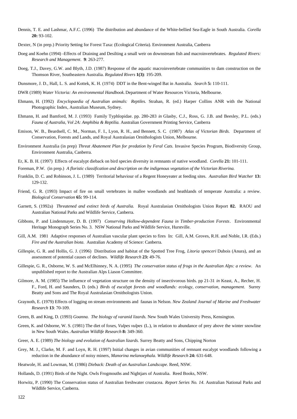- Dennis, T. E. and Lashmar, A.F.C. (1996) The distribution and abundance of the White-bellied Sea-Eagle in South Australia. *Corella* **20:** 93-102.
- Dexter, N (in prep.) Priority Setting for Forest Taxa: (Ecological Criteria). Environment Australia, Canberra
- Doeg and Koehn (1994) -Effects of Draining and Desilting a small weir on downstream fish and macroinvertebrates. *Regulated Rivers: Research and Management*. **9**: 263-277.
- Doeg, T.J., Davey, G.W. and Blyth, J.D. (1987) Response of the aquatic macroinvertebrate communities to dam construction on the Thomson River, Southeastern Australia. *Regulated Rivers* **1(3)**: 195-209.
- Dunsmore, J. D., Hall, L. S. and Kottek, K. H. (1974) DDT in the Bent-winged Bat in Australia. *Search* **5:** 110-111.
- DWR (1989) *Water Victoria: An environmental Handbook.* Department of Water Resources Victoria, Melbourne.
- Ehmann, H. (1992) *Encyclopaedia of Australian animals: Reptiles.* Strahan, R. (ed.) Harper Collins ANR with the National Photographic Index, Australian Museum, Sydney.
- Ehmann, H. and Bamford, M. J. (1993) Family Typhlopidae. pp. 280-283 *in* Glasby, C.J., Ross, G. J.B. and Beesley, P.L. (eds.) *Fauna of Australia, Vol 2A: Amphibia & Reptilia.* Australian Government Printing Service, Canberra
- Emison, W. B., Beardsell, C. M., Norman, F. I., Lyon, R. H., and Bennett, S. C*.* (1987) *Atlas of Victorian Birds.* Department of Conservation, Forests and Lands, and Royal Australasian Ornithologists Union, Melbourne.
- Environment Australia (in prep) *Threat Abatement Plan for predation by Feral Cats.* Invasive Species Program, Biodiversity Group, Environment Australia, Canberra.
- Er, K. B. H. (1997) Effects of eucalypt dieback on bird species diversity in remnants of native woodland. *Corella* **21:** 101-111.
- Foreman, P.W. (in prep.) *A floristic classification and description on the indigenous vegetation of the Victorian Riverina.*
- Franklin, D. C. and Robinson, J. L. (1989) Territorial behaviour of a Regent Honeyeater at feeding sites. *Australian Bird Watcher* **13:** 129-132.
- Friend, G. R. (1993) Impact of fire on small vertebrates in mallee woodlands and heathlands of temperate Australia: a review. *Biological Conservation* **65:** 99-114.
- Garnett, S. (1992a) *Threatened and extinct birds of Australia.* Royal Australasian Ornithologists Union Report **82.** RAOU and Australian National Parks and Wildlife Service, Canberra.
- Gibbons, P. and Lindenmayer, D. B. (1997) *Conserving Hollow-dependent Fauna in Timber-production Forests*. Environmental Heritage Monograph Series No. 3. NSW National Parks and Wildlife Service, Hurstville.
- Gill, A.M. 1981 Adaptive responses of Australian vascular plant species to fires In: Gill, A.M. Groves, R.H. and Noble, I.R. (Eds.) *Fire and the Australian biota*. Australian Academy of Science: Canberra.
- Gillespie, G. R. and Hollis, G. J. (1996) Distribution and habitat of the Spotted Tree Frog, *Litoria spenceri* Dubois (Anura), and an assessment of potential causes of declines. *Wildlife Research* **23:** 49-76.
- Gillespie, G. R., Osborne, W. S. and McElhinney, N. A. (1995) *The conservation status of frogs in the Australian Alps: a review*. An unpublished report to the Australian Alps Liason Committee.
- Gilmore, A. M. (1985) The influence of vegetation structure on the density of insectivorous birds. pp 21-31 *in* Keast, A., Recher, H. F., Ford, H. and Saunders, D. (eds.) *Birds of eucalypt forests and woodlands: ecology, conservation, management*. Surrey Beatty and Sons and The Royal Australasian Ornithologists Union.
- Graynoth, E. (1979) Effects of logging on stream environments and faunas in Nelson. *New Zealand Journal of Marine and Freshwater Research* **13**: 70-109.
- Green, B. and King, D. (1993) *Goanna. The biology of varanid lizards.* New South Wales University Press, Kensington.
- Green, K. and Osborne, W. S. (1981) The diet of foxes, *Vulpes vulpes* (L.), in relation to abundance of prey above the winter snowline in New South Wales. *Australian Wildlife Research* **8:** 349-360.
- Greer, A. E. (1989) *The biology and evolution of Australian lizards.* Surrey Beatty and Sons, Chipping Norton
- Grey, M. J., Clarke, M. F. and Loyn, R. H. (1997) Initial changes in avian communities of remnant eucalypt woodlands following a reduction in the abundance of noisy miners, *Manorina melanoephala*. *Wildlife Research* **24:** 631-648.
- Heatwole, H. and Lowman, M. (1986) *Dieback: Death of an Australian Landscape*. Reed, NSW.
- Hollands, D. (1991) Birds of the Night. Owls Frogmouths and Nightjars of Australia. Reed Books, NSW.
- Horwitz, P. (1990) The Conservation status of Australian freshwater crustacea. *Report Series No. 14*. Australian National Parks and Wildlife Service, Canberra.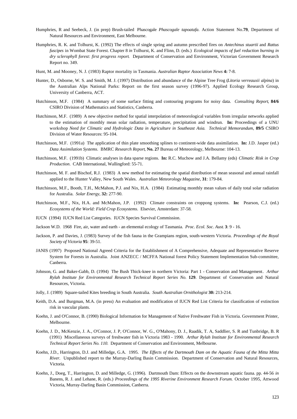- Humphries, R and Seebeck, J. (in prep) Brush-tailed Phascogale *Phascogale tapoatafa*. Action Statement No.**79**, Department of Natural Resources and Environment, East Melbourne.
- Humphries, R. K. and Tolhurst, K. (1992) The effects of single spring and autumn prescribed fires on *Antechinus stuartii* and *Rattus fuscipes* in Wombat State Forest. Chapter 8 *in* Tolhurst, K. and Flinn, D. (eds.) *Ecological impacts of fuel reduction burning in dry sclerophyll forest: first progress report*. Department of Conservation and Environment, Victorian Government Research Report no. 349.
- Hunt, M. and Mooney, N. J. (1983) Raptor mortality in Tasmania. *Australian Raptor Association News* **4:** 7-8.
- Hunter, D., Osborne, W. S. and Smith, M. J. (1997) Distribution and abundance of the Alpine Tree Frog (*Litoria verreauxii alpina*) in the Australian Alps National Parks: Report on the first season survey (1996-97). Applied Ecology Research Group, University of Canberra, ACT.
- Hutchinson, M.F. (1984) A summary of some surface fitting and contouring programs for noisy data. *Consulting Report*, **84/6** CSIRO Division of Mathematics and Statistics, Canberra.
- Hutchinson, M.F. (1989) A new objective method for spatial interpolation of meteorological variables from irregular networks applied to the estimation of monthly mean solar radiation, temperature, precipitation and windrun. **In:** Proceedings of a UNU workshop *Need for Climatic and Hydrologic Data in Agriculture in Southeast Asia. Technical Memorandum*, **89/5** CSIRO Division of Water Resources: 95-104.
- Hutchinson, M.F. (1991a) The application of thin plate smoothing splines to continent-wide data assimilation. **In:** J.D. Jasper (ed.) *Data Assimilation Systems*. BMRC *Research Report*, **No. 27** Bureau of Meteorology, Melbourne: 104-13.
- Hutchinson, M.F. (1991b) Climatic analyses in data sparse regions. **In:** R.C. Muchow and J.A. Bellamy (eds) *Climatic Risk in Crop Production*. CAB International, Wallingford: 55-71.
- Hutchinson, M. F. and Bischof, R.J. (1983) A new method for estimating the spatial distribution of mean seasonal and annual rainfall applied to the Hunter Valley, New South Wales. *Australian Meteorology Magazine*, **31**: 179-84.
- Hutchinson, M.F., Booth, T.H., McMahon, P.J. and Nix, H.A. (1984) Estimating monthly mean values of daily total solar radiation for Australia. *Solar Energy*, **32:** 277-90.
- Hutchinson, M.F., Nix, H.A. and McMahon, J.P. (1992) Climate constraints on croppong systems. **In:** Pearson, C.J. (ed.) *Ecosystems of the World: Field Crop Ecosystems*. Elsevier, Amsterdam: 37-58.
- IUCN (1994) IUCN Red List Categories. IUCN Species Survival Commission.
- Jackson W.D. 1968 Fire, air, water and earth an elemental ecology of Tasmania. *Proc. Ecol. Soc. Aust*. **3**: 9 16.
- Jackson, P. and Davies, J. (1983) Survey of the fish fauna in the Grampians region, south-western Victoria. *Proceedings of the Royal Society of Victoria* **95**: 39-51.
- JANIS (1997) Proposed National Agreed Criteria for the Establishment of A Comprehensive, Adequate and Representative Reserve System for Forests in Australia. Joint ANZECC / MCFFA National forest Policy Statement Implementation Sub-committee, Canberra.
- Johnson, G. and Baker-Gabb, D. (1994) The Bush Thick-knee in northern Victoria: Part 1 Conservation and Management*. Arthur Rylah Institute for Environmental Research Technical Report Series No*. **129**. Department of Conservation and Natural Resources, Victoria.
- Jolly, J. (1989) Square-tailed Kites breeding in South Australia. *South Australian Ornithologist* **30:** 213-214.
- Keith, D.A. and Burgman, M.A. (in press) An evaluation and modification of IUCN Red List Criteria for classification of extinction risk in vascular plants.
- Koehn, J. and O'Connor, B. (1990) Biological Information for Management of Native Freshwater Fish in Victoria. Government Printer, Melbourne.
- Koehn, J. D., McKenzie, J. A., O'Connor, J. P, O'Connor, W. G., O'Mahony, D. J., Raadik, T. A, Saddlier, S. R and Tunbridge, B. R (1991) Miscellaneous surveys of freshwater fish in Victoria 1983 - 1990. *Arthur Rylah Institute for Environmental Research Technical Report Series No. 110.* Department of Conservation and Environment, Melbourne.
- Koehn, J.D., Harrington, D.J. and Milledge, G.A. 1995. *The Effects of the Dartmouth Dam on the Aquatic Fauna of the Mitta Mitta River.* Unpublished report to the Murray-Darling Basin Commission. Department of Conservation and Natural Resources, Victoria.
- Koehn, J., Doeg, T., Harrington, D. and Milledge, G. (1996). Dartmouth Dam: Effects on the downstream aquatic fauna. pp. 44-56 *in* Banens, R. J. and Lehane, R. (eds.) *Proceedings of the 1995 Riverine Environment Research Forum.* October 1995, Attwood Victoria, Murray-Darling Basin Commission, Canberra.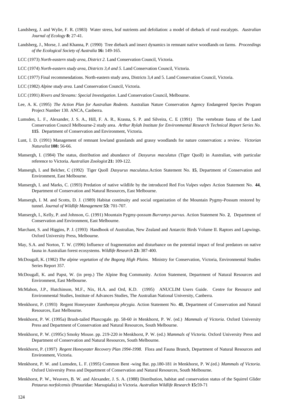- Landsberg, J. and Wylie, F. R. (1983) Water stress, leaf nutrients and defoliation: a model of dieback of rural eucalypts. *Australian Journal of Ecology* **8:** 27-41.
- Landsberg, J., Morse, J. and Khanna, P. (1990) Tree dieback and insect dynamics in remnant native woodlands on farms. *Proceedings of the Ecological Society of Australia* **16:** 149-165.
- LCC (1973) *North-eastern study area, District 2.* Land Conservation Council, Victoria.
- LCC (1974) *North-eastern study area, Districts 3,4 and 5*. Land Conservation Council, Victoria.
- LCC (1977) Final recommendations. North-eastern study area, Districts 3,4 and 5. Land Conservation Council, Victoria.
- LCC (1982) *Alpine study area.* Land Conservation Council, Victoria.
- LCC (1991) *Rivers and Streams: Special Investigation*. Land Conservation Council, Melbourne.
- Lee, A. K. (1995) *The Action Plan for Australian Rodents.* Australian Nature Conservation Agency Endangered Species Program Project Number 130. ANCA, Canberra.
- Lumsden, L. F., Alexander, J. S. A., Hill, F. A. R., Krasna, S. P. and Silveira, C. E*.* (1991) The vertebrate fauna of the Land Conservation Council Melbourne-2 study area. *Arthur Rylah Institute for Environmental Research Technical Report Series No*. **115**. Department of Conservation and Environment, Victoria.
- Lunt, I. D. (1991) Management of remnant lowland grasslands and grassy woodlands for nature conservation: a review. *Victorian Naturalist* **108:** 56-66.
- Mansergh, I. (1984) The status, distribution and abundance of *Dasyurus maculatus* (Tiger Quoll) in Australian, with particular reference to Victoria. *Australian Zoologist* **21:** 109-122.
- Mansergh, I. and Belcher, C (1992) Tiger Quoll *Dasyurus maculatus*.Action Statement No. **15***,* Department of Conservation and Environment, East Melbourne.
- Mansergh, I. and Marks, C. (1993) Predation of native wildlife by the introduced Red Fox *Vulpes vulpes* Action Statement No. **44**, Department of Conservation and Natural Resources, East Melbourne.
- Mansergh, I. M. and Scotts, D. J. (1989) Habitat continuity and social organization of the Mountain Pygmy-Possum restored by tunnel. *Journal of Wildlife Management* **53:** 701-707.
- Mansergh, I., Kelly, P. and Johnson, G. (1991) Mountain Pygmy-possum *Burramys parvus*. Action Statement No. **2**, Department of Conservation and Environment, East Melbourne.
- Marchant, S. and Higgins, P. J. (1993) Handbook of Australian, New Zealand and Antarctic Birds Volume II. Raptors and Lapwings. Oxford University Press, Melbourne.
- May, S.A. and Norton, T. W. (1996) Influence of fragmentation and disturbance on the potential impact of feral predators on native fauna in Australian forest ecosystems. *Wildlife Research* **23:** 387-400.
- McDougall, K. (1982) *The alpine vegetation of the Bogong High Plains*. Ministry for Conservation, Victoria, Environmental Studies Series Report 357.
- McDougall, K. and Papst, W. (in prep.) The Alpine Bog Community. Action Statement, Department of Natural Resources and Environment, East Melbourne.
- McMahon, J.P., Hutchinson, M.F., Nix, H.A. and Ord, K.D. (1995) ANUCLIM Users Guide. Centre for Resource and Environmental Studies, Institute of Advances Studies, The Australian National University, Canberra.
- Menkhorst, P. (1993) Regent Honeyeater *Xanthomyza phrygia*. Action Statement No. **41**, Department of Conservation and Natural Resources, East Melbourne.
- Menkhorst, P. W. (1995a) Brush-tailed Phascogale. pp. 58-60 *in* Menkhorst, P. W. (ed.) *Mammals of Victoria*. Oxford University Press and Department of Conservation and Natural Resources, South Melbourne.
- Menkhorst, P. W. (1995c) Smoky Mouse. pp. 219-220 *in* Menkhorst, P. W. (ed.) *Mammals of Victoria*. Oxford University Press and Department of Conservation and Natural Resources, South Melbourne.
- Menkhorst, P. (1997) *Regent Honeyeater Recovery Plan 1994-1998.* Flora and Fauna Branch, Department of Natural Resources and Environment, Victoria.
- Menkhorst, P. W. and Lumsden, L. F. (1995) Common Bent -wing Bat. pp.180-181 *in* Menkhorst, P. W.(ed.) *Mammals of Victoria.* Oxford University Press and Department of Conservation and Natural Resources, South Melbourne.
- Menkhorst, P. W., Weavers, B. W. and Alexander, J. S. A. (1988) Distribution, habitat and conservation status of the Squirrel Glider *Petaurus norfolcensis* (Petauridae: Marsupialia) in Victoria. *Australian Wildlife Research* **15:**59-71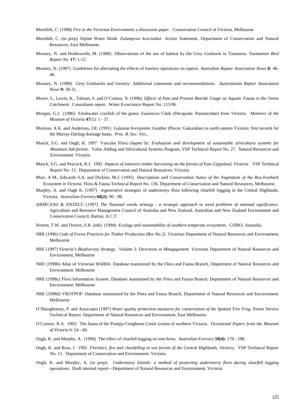Meredith, C. (1988) *Fire in the Victorian Environment, a discussion paper*. Conservation Council of Victoria, Melbourne

- Meredith, C. (in prep) Alpine Water Skink *Eulamprus kosciuskoi*. Action Statement, Department of Conservation and Natural Resources, East Melbourne.
- Mooney, N. and Holdsworth, M. (1988) Observations of the use of habitat by the Grey Goshawk in Tasmania*. Tasmanian Bird Report No.* **17:** 1-12.
- Mooney, N. (1987) Guidelines for alleviating the effects of forestry operations on raptors. *Australian Raptor Association News* **8:** 46- 48.
- Mooney, N. (1988) Grey Goshawks and forestry: Additional comments and recommendations. *Australasian Raptor Association News* **9:** 30-31.
- Moore, S., Lewin, K., Talman, S. and O'Connor, N. (1996) *Effects of Past and Present Biocide Usage on Aquatic Fauna in the Ovens Catchment.* Consultants report. Water Ecoscience Report No. 115/96.
- Morgan, G.J. (1986) Freshwater crayfish of the genus *Euastacus* Clark (Decapoda: Parastacidae) from Victoria. *Memoirs of the Museum of Victoria* **47**(1): 1 - 57.
- Morison, A.K. and Anderson, J.R. (1991) *Galaxias brevipinnis* Gunther (Pisces: Galaxiidae) in north eastern Victoria: first records for the Murray-Darling drainage basin. *Proc. R. Soc. Vict.,*
- Mueck, S.G. and Ough, K. 1997 Vascular Flora chapter In: *Evaluation and development of sustainable silvicultura systems for Mountain Ash forests*. Value Adding and Silvicultural Systems Program, VSP Technical Report No. 27. Natural Resources and Environment: Victoria.
- Mueck, S.G. and Peacock, R.J. 1992 *Impacts of intensive timber harvesting on the forests of East Gippsland, Victoria*. VSP Technical Report No. 15. Department of Conservation and Natural Resources: Victoria.
- Muir, A M., Edwards S.A. and Dickins, M.J. (1995) *Descriptions and Conservation Status of the Vegetation of the Box-Ironbark Ecosystem in Victoria*. Flora & Fauna Technical Report No. 136. Department of Conservation and Natural Resources, Melbourne.
- Murphy, A. and Ough K. (1997) regenerative strategies of understorey flora following clearfell logging in the Central Highlands, Victoria. *Australian Forestry* **60(2):** 90 - 98.
- ARMCANZ & ANZECC (1997) *The National weeds strategy : a strategic approach to weed problems of national significance.* Agriculture and Resource Management Council of Australia and New Zealand, Australian and New Zealand Environment and Conservation Council, Barton, A.C.T
- Norton, T.W. and Dovers, S.R. (eds) (1994) *Ecology and sustainability of southern temperate ecosystems*. CSIRO, Australia.
- NRE (1996) *Code of Forest Practices for Timber Production (Rev No 2).* Victorian Department of Natural Resources and Environment, Melbourne
- NRE (1997) *Victoria's Biodiversity Strategy. Volume 3: Directions in Mangagement*. Victorian Department of Natural Resources and Environment, Melbourne
- NRE (1998b) Atlas of Victorian Wildlife. Database maintained by the Flora and Fauna Branch, Department of Natural Resources and Environment: Melbourne
- NRE (1998c) Flora Information System. Database maintained by the Flora and Fauna Branch, Department of Natural Resources and Environment: Melbourne
- NRE (1998d) VROTPOP. Database maintained by the Flora and Fauna Branch, Department of Natural Resources and Environment: Melbourne
- O'Shaughnessy, P. and Associates (1997) *Water quality protection measures for conservation of the Spotted Tree Frog.* Forest Service Technical Report. Department of Natural Resources and Environment, East Melbourne.
- O'Connor, N.A. 1993. The fauna of the Pranjip-Creightons Creek system of northern Victoria. *Occasional Papers from the Museum of Victoria* 6: 54 - 60.
- Ough, K. and Murphy, A. (1996) The effect of clearfell logging on tree-ferns. *Australian Forestry* **59(4):** 178 188.
- Ough, K. and Ross, J. 1992 *Floristics, fire and clearfelling in wet forests of the Central Highlands, Victoria*. VSP Technical Report No. 11. Department of Conservation and Environment: Victoria.
- Ough, K. and Murphy, A. (in prep). *Understorey Islands: a method of protecting understorey flora during clearfell logging operations.* Draft internal report—Department of Natural Resources and Environment, Victoria.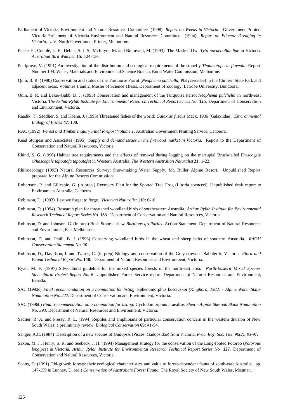- Parliament of Victoria, Environment and Natural Resources Committee (1998) *Report on Weeds in Victoria*. Government Printer, Victoria.Parliament of Victoria Environment and Natural Resources Committee (1994) *Report on Eductor Dredging in Victoria.* L. V. North Government Printer, Melbourne.
- Peake, P., Conole, L. E., Debus, S. J. S., McIntyre, M. and Bramwell, M. (1993) The Masked Owl *Tyto novaehollandiae* in Victoria. *Australian Bird Watcher* **15:** 124-136.
- Pettigrove, V. (1991) An investigation of the distribution and ecological requirements of the stonefly *Thaumatoperla flaveola*. Report Number 104. Water, Materials and Environmental Science Branch, Rural Water Commission, Melbourne.
- Quin, B. R. (1990) Conservation and status of the Turquoise Parrot (*Neophema pulchella*, Platycercidae) in the Chiltern State Park and adjacent areas, Volumes 1 and 2. Master of Science Thesis, Department of Zoology, Latrobe University, Bundoora.
- Quin, B. R. and Baker-Gabb, D. J. (1993) Conservation and management of the Turquoise Parrot *Neophema pulchella* in north-east Victoria. *The Arthur Rylah Institute for Environmental Research Technical Report Series No*. **125**, Department of Conservation and Environment, Victoria.
- Raadik, T., Saddlier, S. and Koehn, J. (1996) Threatened fishes of the world: *Galaxias fuscus* Mack, 1936 (Galaxiidae). *Environmental Biology of Fishes* **47**: 108.
- RAC (1992) *Forest and Timber Inquiry Final Rreport Volume 1*. Australian Government Printing Service, Canberra.
- Read Sturgess and Associates (1995) *Supply and demand issues in the firewood market in Victoria*. Report to the Department of Conservation and Natural Resources, Victoria.
- Rhind, S. G. (1996) Habitat tree requirements and the effects of removal during logging on the marsupial Brush-tailed Phascogale (*Phascogale tapoatofa tapoatafa*) in Western Australia. *The Western Australian Naturalist* **21:** 1-22.
- Rhitroecology (1993) Natural Resources Survey: Snowmaking Water Supply, Mt. Buller Alpine Resort. Unpublished Report prepared for the Alpine Resorts Commission.
- Robertson, P. and Gillespie, G. (in prep.) Recovery Plan for the Spotted Tree Frog (Litoria spenceri). Unpublished draft report to Environment Australia, Canberra.
- Robinson, D. (1993) Lest we forget to forge. *Victorian Naturalist* **110:** 6-10.
- Robinson, D. (1994) Research plan for threatened woodland birds of southeastern Australia*. Arthur Rylah Institute for Environmental Research Technical Report Series No*. **133**.Department of Conservation and Natural Resources, Victoria.
- Robinson, D. and Johnson, G. (in prep) Bush Stone-curlew *Burhinus grallarius*. Action Statement, Department of Natural Resources and Environmnet, East Melbourne.
- Robinson, D. and Traill, B. J. (1996) Conserving woodland birds in the wheat and sheep belts of southern Australia. *RAOU Conservation Statement No*. **10**.
- Robinson, D., Davidson, I. and Tzaros, C. (in prep) Biology and conservation of the Grey-crowned Babbler in Victoria. *Flora and Fauna Technical Report No*. **148**. Department of Natural Resources and Environment, Victoria.
- Ryan, M. F. (1997) Silvicultural guideline for the mixed species forests of the north-east area. *North-Eastern Mixed Species Silvicultural Project Report No.* **6**. Unpublished Forest Service report, Department of Natural Resources and Environment, Benalla.
- SAC (1992c) *Final recommendation on a nomination for listing*: Sphenomorphus kosciuskoi *(Kinghorn, 1932) Alpine Water Skink Nomination No. 222*. Department of Conservation and Environment, Victoria.
- SAC (1996b) *Final recommendation on a nomination for listing*: Cyclodomorphus praealtus *Shea Alpine She-oak Skink Nomination No. 393*. Department of Natural Resources and Environment, Victoria.
- Sadlier, R. A. and Pressy, R. L. (1994) Reptiles and amphibians of particular conservation concern in the western division of New South Wales: a preliminary review. *Biological Conservation* **69:** 41-54.
- Sanger, A.C. (1984) Description of a new species of *Gadopsis* (Pisces: Gadopsidae) from Victoria. *Proc. Roy. Soc. Vict. 96(2): 93-97.*
- Saxon, M. J., Henry, S. R. and Seebeck, J. H. (1994) Management strategy for the conservation of the Long-footed Potoroo (*Potorous longipes*) in Victoria. *Arthur Rylah Institute for Environmental Research Technical Report Series No.* **127**. Department of Conservation and Natural Resources, Victoria.
- Scotts, D. (1991) Old-growth forests: their ecological characteristics and value to forest-dependent fauna of south-east Australia. pp. 147-159 *in* Lunney, D. (ed.) *Conservation of Australia's Forest Fauna*. The Royal Society of New South Wales, Mosman.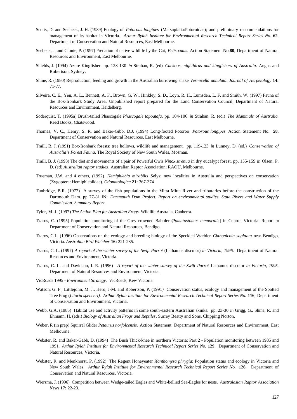- Scotts, D. and Seebeck, J. H. (1989) Ecology of *Potorous longipes* (Marsupialia:Potoroidae); and preliminary recommendations for management of its habitat in Victoria. *Arthur Rylah Institute for Environmental Research Technical Report Series No.* **62**. Department of Conservation and Natural Resources, East Melbourne.
- Seebeck, J. and Clunie, P. (1997) Predation of native wildlife by the Cat, *Felis catus*. Action Statement No.**80**, Department of Natural Resources and Environment, East Melbourne.
- Shields, J. (1994) Azure Kingfisher. pp. 128-130 *in* Strahan, R. (ed) *Cuckoos, nightbirds and kingfishers of Australia*. Angus and Robertson, Sydney.
- Shine, R. (1980) Reproduction, feeding and growth in the Australian burrowing snake *Vermicella annulata*. *Journal of Herpetology* **14:** 71-77.
- Silveira, C. E., Yen, A. L., Bennett, A. F., Brown, G. W., Hinkley, S. D., Loyn, R. H., Lumsden, L. F. and Smith, W. (1997) Fauna of the Box-Ironbark Study Area. Unpublished report prepared for the Land Conservation Council, Department of Natural Resources and Environment, Heidelberg.
- Soderquist, T. (1995a) Brush-tailed Phascogale *Phascogale tapoatafa*. pp. 104-106 *in* Strahan, R. (ed.) *The Mammals of Australia.* Reed Books, Chatswood.
- Thomas, V. C., Henry, S. R. and Baker-Gibb, D.J. (1994) Long-footed Potoroo *Potorous longipes* Action Statement No. **58**, Department of Conservation and Natural Resources, East Melbourne.
- Traill, B. J. (1991) Box-Ironbark forests: tree hollows, wildlife and management. pp. 119-123 *in* Lunney, D. (ed.) *Conservation of Australia's Forest Fauna*. The Royal Society of New South Wales, Mosman.
- Traill, B. J. (1993) The diet and movements of a pair of Powerful Owls *Ninox strenua* in dry eucalypt forest. pp. 155-159 *in* Olsen, P. D. (ed) *Australian raptor studies*. Australian Raptor Association; RAOU, Melbourne.
- Trueman, J.W. and 4 others, (1992) *Hemiphlebia mirabilis* Selys: new localities in Australia and perspectives on conservation (Zygoptera: Hemiphlebiidae). *Odonatologica* **21:** 367-374
- Tunbridge, B.R. (1977) A survey of the fish populations in the Mitta Mitta River and tributaries before the construction of the Dartmouth Dam. pp 77-81 IN: *Dartmouth Dam Project. Report on environmental studies. State Rivers and Water Supply Commission. Summary Report.*
- Tyler, M. J. (1997) *The Action Plan for Australian Frogs*. Wildlife Australia, Canberra.
- Tzaros, C. (1995) Population monitoring of the Grey-crowned Babbler (*Pomatostomus temporalis*) in Central Victoria. Report to Department of Conservation and Natural Resources, Bendigo.
- Tzaros, C.L. (1996) Observations on the ecology and breeding biology of the Speckled Warbler *Chthonicola sagittata* near Bendigo, Victoria. *Australian Bird Watcher* **16:** 221-235.
- Tzaros, C. L. (1997) *A report of the winter survey of the Swift Parrot* (Lathamus discolor) *in Victoria, 1996*. Department of Natural Resources and Environment, Victoria.
- Tzaros, C. L. and Davidson, I. R. (1996) *A report of the winter survey of the Swift Parrot* Lathamus discolor *in Victoria, 1995*. Department of Natural Resources and Environment, Victoria.
- VicRoads 1995 *Environment Strategy*. VicRoads, Kew Victoria.
- Watson, G. F., Littlejohn, M. J., Hero, J-M. and Robertson, P. (1991*)* Conservation status, ecology and management of the Spotted Tree Frog (*Litoria spenceri). Arthur Rylah Institute for Environmental Research Technical Report Series No.* **116**, Department of Conservation and Environment, Victoria.
- Webb, G.A. (1985) Habitat use and activity patterns in some south-eastern Australian skinks. pp. 23-30 *in* Grigg, G., Shine, R. and Ehmann, H. (eds.) *Biology of Australian Frogs and Reptiles*. Surrey Beatty and Sons, Chipping Norton.
- Weber, R (in prep) Squirrel Glider *Petaurus norfolcensis*. Action Statement, Department of Natural Resources and Environment, East Melbourne.
- Webster, R. and Baker-Gabb, D. (1994) The Bush Thick-knee in northern Victoria: Part 2 Population monitoring between 1985 and 1991*. Arthur Rylah Institute for Environmental Research Technical Report Series No.* **129**. Department of Conservation and Natural Resources, Victoria.
- Webster, R. and Menkhorst, P. (1992) The Regent Honeyeater *Xanthomyza phrygia*: Population status and ecology in Victoria and New South Wales. *Arthur Rylah Institute for Environmental Research Technical Report Series No.* **126.** Department of Conservation and Natural Resources, Victoria.
- Wiersma, J. (1996) Competition between Wedge-tailed Eagles and White-bellied Sea-Eagles for nests. *Australasian Raptor Association News* **17:** 22-23.